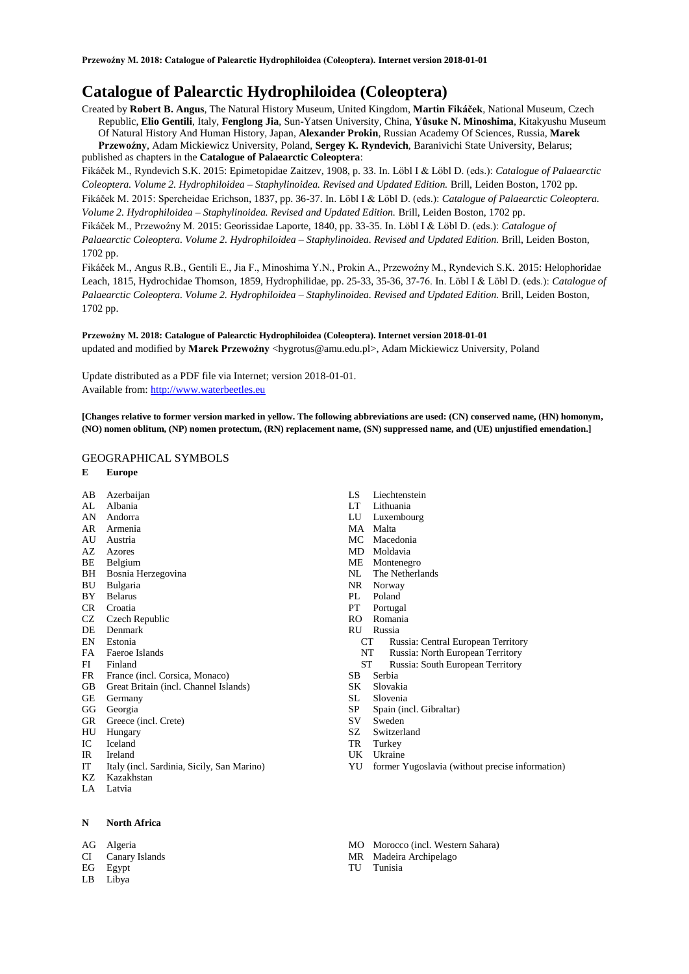# **Catalogue of Palearctic Hydrophiloidea (Coleoptera)**

Created by **Robert B. Angus**, The Natural History Museum, United Kingdom, **Martin Fikáček**, National Museum, Czech Republic, **Elio Gentili**, Italy, **Fenglong Jia**, Sun-Yatsen University, China, **Yûsuke N. Minoshima**, Kitakyushu Museum Of Natural History And Human History, Japan, **Alexander Prokin**, Russian Academy Of Sciences, Russia, **Marek Przewoźny**, Adam Mickiewicz University, Poland, **Sergey K. Ryndevich**, Baranivichi State University, Belarus; published as chapters in the **Catalogue of Palaearctic Coleoptera**:

Fikáček M., Ryndevich S.K. 2015: Epimetopidae Zaitzev, 1908, p. 33. In. Löbl I & Löbl D. (eds.): *Catalogue of Palaearctic Coleoptera. Volume 2. Hydrophiloidea – Staphylinoidea. Revised and Updated Edition.* Brill, Leiden Boston, 1702 pp. Fikáček M. 2015: Spercheidae Erichson, 1837, pp. 36-37. In. Löbl I & Löbl D. (eds.): *Catalogue of Palaearctic Coleoptera. Volume 2. Hydrophiloidea – Staphylinoidea. Revised and Updated Edition.* Brill, Leiden Boston, 1702 pp.

Fikáček M., Przewoźny M. 2015: Georissidae Laporte, 1840, pp. 33-35. In. Löbl I & Löbl D. (eds.): *Catalogue of Palaearctic Coleoptera. Volume 2. Hydrophiloidea – Staphylinoidea. Revised and Updated Edition.* Brill, Leiden Boston,

1702 pp.

Fikáček M., Angus R.B., Gentili E., Jia F., Minoshima Y.N., Prokin A., Przewoźny M., Ryndevich S.K. 2015: Helophoridae Leach, 1815, Hydrochidae Thomson, 1859, Hydrophilidae, pp. 25-33, 35-36, 37-76. In. Löbl I & Löbl D. (eds.): *Catalogue of Palaearctic Coleoptera. Volume 2. Hydrophiloidea – Staphylinoidea. Revised and Updated Edition.* Brill, Leiden Boston, 1702 pp.

## **Przewoźny M. 2018: Catalogue of Palearctic Hydrophiloidea (Coleoptera). Internet version 2018-01-01** updated and modified by Marek Przewoźny <hygrotus@amu.edu.pl>, Adam Mickiewicz University, Poland

Update distributed as a PDF file via Internet; version 2018-01-01. Available from: [http://www.waterbeetles.eu](http://www.waterbeetles.eu/)

**[Changes relative to former version marked in yellow. The following abbreviations are used: (CN) conserved name, (HN) homonym, (NO) nomen oblitum, (NP) nomen protectum, (RN) replacement name, (SN) suppressed name, and (UE) unjustified emendation.]** 

## GEOGRAPHICAL SYMBOLS

## **E Europe**

- AB Azerbaijan
- AL Albania
- AN Andorra
- AR Armenia
- AU Austria AZ Azores
- BE Belgium
- BH Bosnia Herzegovina
- BU Bulgaria
- BY Belarus
- CR Croatia
- CZ Czech Republic
- DE Denmark
- EN Estonia
- FA Faeroe Islands
- FI Finland
- FR France (incl. Corsica, Monaco)
- GB Great Britain (incl. Channel Islands)
- GE Germany
- GG Georgia
- GR Greece (incl. Crete)
- HU Hungary IC Iceland
- IR Ireland
- 
- IT Italy (incl. Sardinia, Sicily, San Marino) KZ Kazakhstan
- LA Latvia
- 

## **N North Africa**

- AG Algeria
- CI Canary Islands
- EG Egypt
- LB Libya
- LS Liechtenstein
- LT Lithuania
- Luxembourg
- MA Malta<br>MC Mace
- Macedonia
- MD Moldavia
- ME Montenegro
- NL The Netherlands
- NR Norway
- PL Poland
- PT Portugal
- RO Romania
- RU Russia
	- CT Russia: Central European Territory
	- NT Russia: North European Territory
	- ST Russia: South European Territory
- SB Serbia
- SK Slovakia
- SL Slovenia
- SP Spain (incl. Gibraltar)
- SV Sweden
- SZ Switzerland TR Turkey
- UK Ukraine
	-
- YU former Yugoslavia (without precise information)
- MO Morocco (incl. Western Sahara)
- MR Madeira Archipelago
- TU Tunisia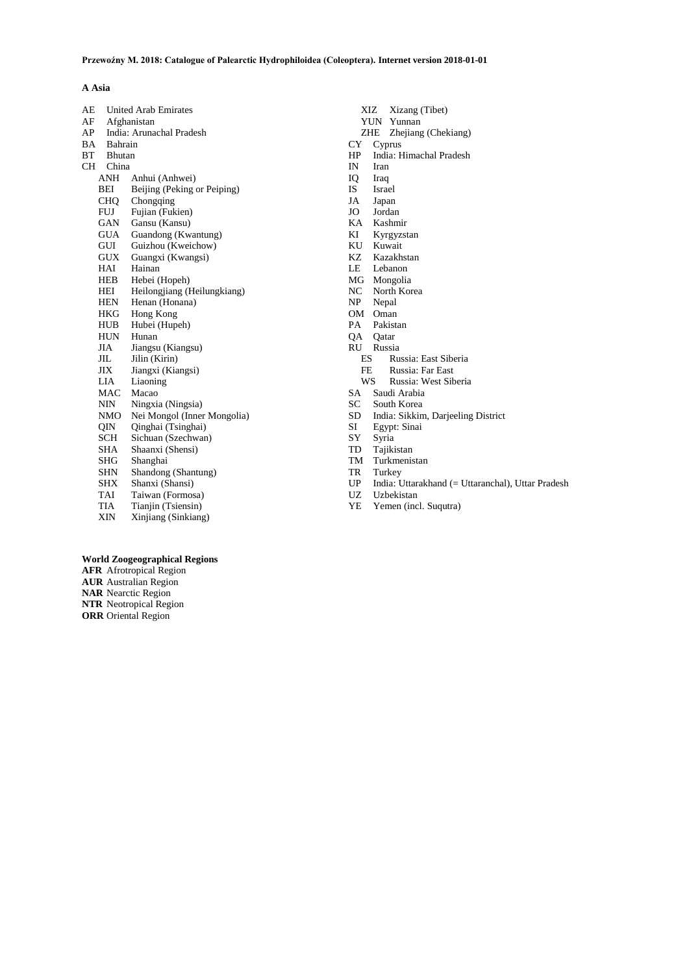## **A Asia**

| AE        |            | <b>United Arab Emirates</b> |  |  |
|-----------|------------|-----------------------------|--|--|
| AF        |            | Afghanistan                 |  |  |
| AP        |            | India: Arunachal Pradesh    |  |  |
| BA        | Bahrain    |                             |  |  |
| BT        | Bhutan     |                             |  |  |
| <b>CH</b> | China      |                             |  |  |
|           | ANH        | Anhui (Anhwei)              |  |  |
|           | BEI        | Beijing (Peking or Peiping) |  |  |
|           | <b>CHQ</b> | Chongqing                   |  |  |
|           | FUJ        | Fujian (Fukien)             |  |  |
|           | GAN        | Gansu (Kansu)               |  |  |
|           | <b>GUA</b> | Guandong (Kwantung)         |  |  |
|           | GUI        | Guizhou (Kweichow)          |  |  |
|           | GUX        | Guangxi (Kwangsi)           |  |  |
|           | HAI        | Hainan                      |  |  |
|           | HEB        | Hebei (Hopeh)               |  |  |
|           | HEI        | Heilongjiang (Heilungkiang) |  |  |
|           | HEN        | Henan (Honana)              |  |  |
|           | HKG        | Hong Kong                   |  |  |
|           | HUB        | Hubei (Hupeh)               |  |  |
|           | HUN        | Hunan                       |  |  |
|           | JIA        | Jiangsu (Kiangsu)           |  |  |
|           | JIL        | Jilin (Kirin)               |  |  |
|           | JIX        | Jiangxi (Kiangsi)           |  |  |
|           | LIA        | Liaoning                    |  |  |
|           | MAC        | Macao                       |  |  |
|           | NIN        | Ningxia (Ningsia)           |  |  |
|           | NMO        | Nei Mongol (Inner Mongolia) |  |  |
|           | QIN        | Qinghai (Tsinghai)          |  |  |
|           | SCH        | Sichuan (Szechwan)          |  |  |
|           | SHA        | Shaanxi (Shensi)            |  |  |
|           | SHG        | Shanghai                    |  |  |
|           | SHN        | Shandong (Shantung)         |  |  |
|           | SHX        | Shanxi (Shansi)             |  |  |
|           | TAI        | Taiwan (Formosa)            |  |  |
|           | TIA        | Tianjin (Tsiensin)          |  |  |
|           | XIN        | Xinjiang (Sinkiang)         |  |  |

- XIZ Xizang (Tibet)
- YUN Yunnan
- ZHE Zhejiang (Chekiang)
- CY Cyprus
- HP India: Himachal Pradesh
- Iran
- IQ Iraq
- IS Israel
- JA Japan Jordan
- 
- KA Kashmir Kyrgyzstan
- 
- KU Kuwait<br>KZ Kazakh Kazakhstan
- 
- LE Lebanon<br>MG Mongolia Mongolia
- NC North Korea<br>NP Nepal
- Nepal
- OM Oman<br>PA Pakist
- Pakistan
- QA Qatar
- RU Russia
	- ES Russia: East Siberia
	- FE Russia: Far East
	- WS Russia: West Siberia
- SA Saudi Arabia
- SC South Korea<br>SD India: Sikkin
- SD India: Sikkim, Darjeeling District<br>SI Egypt: Sinai
- SI Egypt: Sinai
- SY Syria<br>TD Tajiki
- TD Tajikistan<br>TM Turkmenis
- TM Turkmenistan<br>TR Turkey Turkey
- 
- UP India: Uttarakhand (= Uttaranchal), Uttar Pradesh
- UZ Uzbekistan
- YE Yemen (incl. Suqutra)

## **World Zoogeographical Regions**

**AFR** Afrotropical Region **AUR** Australian Region **NAR** Nearctic Region **NTR** Neotropical Region **ORR** Oriental Region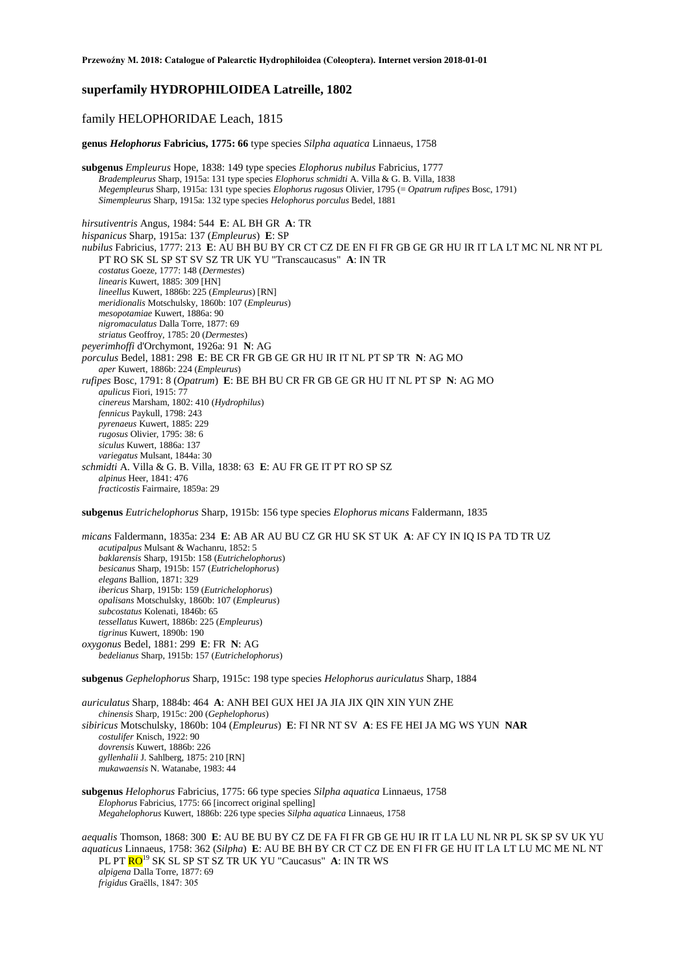## **superfamily HYDROPHILOIDEA Latreille, 1802**

## family HELOPHORIDAE Leach, 1815

**genus** *Helophorus* **Fabricius, 1775: 66** type species *Silpha aquatica* Linnaeus, 1758

**subgenus** *Empleurus* Hope, 1838: 149 type species *Elophorus nubilus* Fabricius, 1777 *Bradempleurus* Sharp, 1915a: 131 type species *Elophorus schmidti* A. Villa & G. B. Villa, 1838 *Megempleurus* Sharp, 1915a: 131 type species *Elophorus rugosus* Olivier, 1795 (= *Opatrum rufipes* Bosc, 1791) *Simempleurus* Sharp, 1915a: 132 type species *Helophorus porculus* Bedel, 1881

*hirsutiventris* Angus, 1984: 544 **E**: AL BH GR **A**: TR *hispanicus* Sharp, 1915a: 137 (*Empleurus*) **E**: SP *nubilus* Fabricius, 1777: 213 **E**: AU BH BU BY CR CT CZ DE EN FI FR GB GE GR HU IR IT LA LT MC NL NR NT PL PT RO SK SL SP ST SV SZ TR UK YU "Transcaucasus" **A**: IN TR *costatus* Goeze, 1777: 148 (*Dermestes*) *linearis* Kuwert, 1885: 309 [HN] *lineellus* Kuwert, 1886b: 225 (*Empleurus*) [RN] *meridionalis* Motschulsky, 1860b: 107 (*Empleurus*) *mesopotamiae* Kuwert, 1886a: 90 *nigromaculatus* Dalla Torre, 1877: 69 *striatus* Geoffroy, 1785: 20 (*Dermestes*) *peyerimhoffi* d'Orchymont, 1926a: 91 **N**: AG *porculus* Bedel, 1881: 298 **E**: BE CR FR GB GE GR HU IR IT NL PT SP TR **N**: AG MO *aper* Kuwert, 1886b: 224 (*Empleurus*) *rufipes* Bosc, 1791: 8 (*Opatrum*) **E**: BE BH BU CR FR GB GE GR HU IT NL PT SP **N**: AG MO *apulicus* Fiori, 1915: 77 *cinereus* Marsham, 1802: 410 (*Hydrophilus*) *fennicus* Paykull, 1798: 243 *pyrenaeus* Kuwert, 1885: 229 *rugosus* Olivier, 1795: 38: 6 *siculus* Kuwert, 1886a: 137 *variegatus* Mulsant, 1844a: 30 *schmidti* A. Villa & G. B. Villa, 1838: 63 **E**: AU FR GE IT PT RO SP SZ *alpinus* Heer, 1841: 476 *fracticostis* Fairmaire, 1859a: 29

**subgenus** *Eutrichelophorus* Sharp, 1915b: 156 type species *Elophorus micans* Faldermann, 1835

*micans* Faldermann, 1835a: 234 **E**: AB AR AU BU CZ GR HU SK ST UK **A**: AF CY IN IQ IS PA TD TR UZ *acutipalpus* Mulsant & Wachanru, 1852: 5 *baklarensis* Sharp, 1915b: 158 (*Eutrichelophorus*) *besicanus* Sharp, 1915b: 157 (*Eutrichelophorus*) *elegans* Ballion, 1871: 329 *ibericus* Sharp, 1915b: 159 (*Eutrichelophorus*) *opalisans* Motschulsky, 1860b: 107 (*Empleurus*) *subcostatus* Kolenati, 1846b: 65 *tessellatus* Kuwert, 1886b: 225 (*Empleurus*) *tigrinus* Kuwert, 1890b: 190 *oxygonus* Bedel, 1881: 299 **E**: FR **N**: AG *bedelianus* Sharp, 1915b: 157 (*Eutrichelophorus*)

**subgenus** *Gephelophorus* Sharp, 1915c: 198 type species *Helophorus auriculatus* Sharp, 1884

*auriculatus* Sharp, 1884b: 464 **A**: ANH BEI GUX HEI JA JIA JIX QIN XIN YUN ZHE *chinensis* Sharp, 1915c: 200 (*Gephelophorus*) *sibiricus* Motschulsky, 1860b: 104 (*Empleurus*) **E**: FI NR NT SV **A**: ES FE HEI JA MG WS YUN **NAR** *costulifer* Knisch, 1922: 90 *dovrensis* Kuwert, 1886b: 226 *gyllenhalii* J. Sahlberg, 1875: 210 [RN] *mukawaensis* N. Watanabe, 1983: 44

## **subgenus** *Helophorus* Fabricius, 1775: 66 type species *Silpha aquatica* Linnaeus, 1758 *Elophorus* Fabricius, 1775: 66 [incorrect original spelling] *Megahelophorus* Kuwert, 1886b: 226 type species *Silpha aquatica* Linnaeus, 1758

*aequalis* Thomson, 1868: 300 **E**: AU BE BU BY CZ DE FA FI FR GB GE HU IR IT LA LU NL NR PL SK SP SV UK YU *aquaticus* Linnaeus, 1758: 362 (*Silpha*) **E**: AU BE BH BY CR CT CZ DE EN FI FR GE HU IT LA LT LU MC ME NL NT PL PT RO<sup>19</sup> SK SL SP ST SZ TR UK YU "Caucasus" **A**: IN TR WS *alpigena* Dalla Torre, 1877: 69 *frigidus* Graëlls, 1847: 305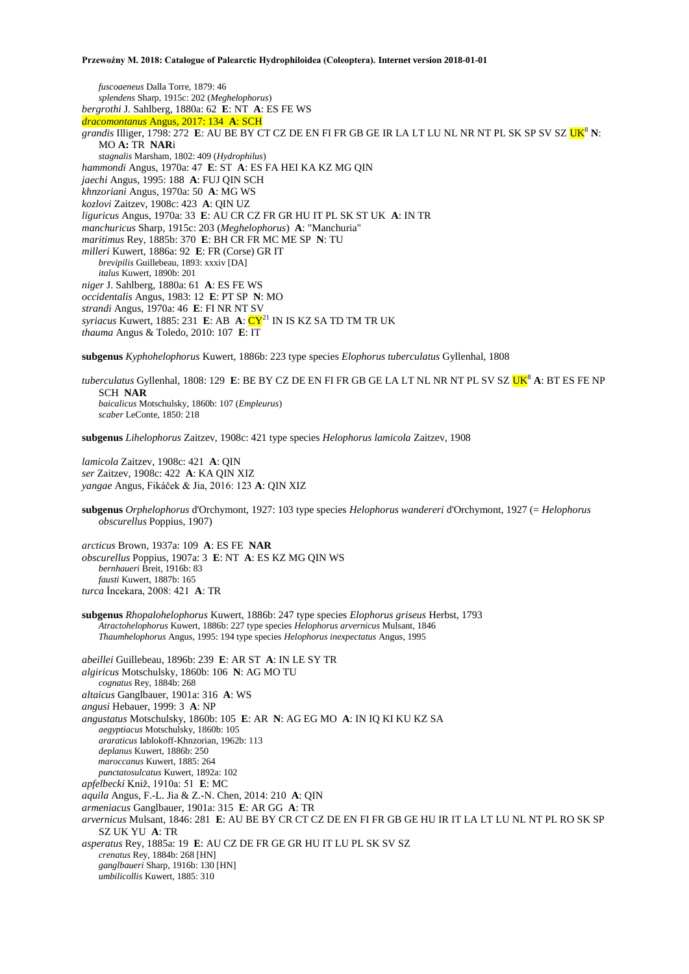*fuscoaeneus* Dalla Torre, 1879: 46 *splendens* Sharp, 1915c: 202 (*Meghelophorus*) *bergrothi* J. Sahlberg, 1880a: 62 **E**: NT **A**: ES FE WS *dracomontanus* Angus, 2017: 134 **A**: SCH *grandis* Illiger, 1798: 272 E: AU BE BY CT CZ DE EN FI FR GB GE IR LA LT LU NL NR NT PL SK SP SV SZ <mark>UK<sup>8</sup> N:</mark> MO **A:** TR **NAR**i *stagnalis* Marsham, 1802: 409 (*Hydrophilus*) *hammondi* Angus, 1970a: 47 **E**: ST **A**: ES FA HEI KA KZ MG QIN *jaechi* Angus, 1995: 188 **A**: FUJ QIN SCH *khnzoriani* Angus, 1970a: 50 **A**: MG WS *kozlovi* Zaitzev, 1908c: 423 **A**: QIN UZ *liguricus* Angus, 1970a: 33 **E**: AU CR CZ FR GR HU IT PL SK ST UK **A**: IN TR *manchuricus* Sharp, 1915c: 203 (*Meghelophorus*) **A**: "Manchuria" *maritimus* Rey, 1885b: 370 **E**: BH CR FR MC ME SP **N**: TU *milleri* Kuwert, 1886a: 92 **E**: FR (Corse) GR IT *brevipilis* Guillebeau, 1893: xxxiv [DA] *italus* Kuwert, 1890b: 201 *niger* J. Sahlberg, 1880a: 61 **A**: ES FE WS *occidentalis* Angus, 1983: 12 **E**: PT SP **N**: MO *strandi* Angus, 1970a: 46 **E**: FI NR NT SV *syriacus* Kuwert, 1885: 231 **E**: AB **A**: CY<sup>21</sup> IN IS KZ SA TD TM TR UK *thauma* Angus & Toledo, 2010: 107 **E**: IT

**subgenus** *Kyphohelophorus* Kuwert, 1886b: 223 type species *Elophorus tuberculatus* Gyllenhal, 1808

*tuberculatus* Gyllenhal, 1808: 129 E: BE BY CZ DE EN FI FR GB GE LA LT NL NR NT PL SV SZ UK<sup>8</sup> A: BT ES FE NP SCH **NAR** *baicalicus* Motschulsky, 1860b: 107 (*Empleurus*) *scaber* LeConte, 1850: 218

**subgenus** *Lihelophorus* Zaitzev, 1908c: 421 type species *Helophorus lamicola* Zaitzev, 1908

*lamicola* Zaitzev, 1908c: 421 **A**: QIN *ser* Zaitzev, 1908c: 422 **A**: KA QIN XIZ *yangae* Angus, Fikáček & Jia, 2016: 123 **A**: QIN XIZ

**subgenus** *Orphelophorus* d'Orchymont, 1927: 103 type species *Helophorus wandereri* d'Orchymont, 1927 (= *Helophorus obscurellus* Poppius, 1907)

*arcticus* Brown, 1937a: 109 **A**: ES FE **NAR** *obscurellus* Poppius, 1907a: 3 **E**: NT **A**: ES KZ MG QIN WS *bernhaueri* Breit, 1916b: 83 *fausti* Kuwert, 1887b: 165 *turca* İncekara, 2008: 421 **A**: TR

**subgenus** *Rhopalohelophorus* Kuwert, 1886b: 247 type species *Elophorus griseus* Herbst, 1793 *Atractohelophorus* Kuwert, 1886b: 227 type species *Helophorus arvernicus* Mulsant, 1846 *Thaumhelophorus* Angus, 1995: 194 type species *Helophorus inexpectatus* Angus, 1995

*abeillei* Guillebeau, 1896b: 239 **E**: AR ST **A**: IN LE SY TR *algiricus* Motschulsky, 1860b: 106 **N**: AG MO TU *cognatus* Rey, 1884b: 268 *altaicus* Ganglbauer, 1901a: 316 **A**: WS *angusi* Hebauer, 1999: 3 **A**: NP *angustatus* Motschulsky, 1860b: 105 **E**: AR **N**: AG EG MO **A**: IN IQ KI KU KZ SA *aegyptiacus* Motschulsky, 1860b: 105 *araraticus* Iablokoff-Khnzorian, 1962b: 113 *deplanus* Kuwert, 1886b: 250 *maroccanus* Kuwert, 1885: 264 *punctatosulcatus* Kuwert, 1892a: 102 *apfelbecki* Kniž, 1910a: 51 **E**: MC *aquila* Angus, F.-L. Jia & Z.-N. Chen, 2014: 210 **A**: QIN *armeniacus* Ganglbauer, 1901a: 315 **E**: AR GG **A**: TR *arvernicus* Mulsant, 1846: 281 **E**: AU BE BY CR CT CZ DE EN FI FR GB GE HU IR IT LA LT LU NL NT PL RO SK SP SZ UK YU **A**: TR *asperatus* Rey, 1885a: 19 **E**: AU CZ DE FR GE GR HU IT LU PL SK SV SZ *crenatus* Rey, 1884b: 268 [HN] *ganglbaueri* Sharp, 1916b: 130 [HN] *umbilicollis* Kuwert, 1885: 310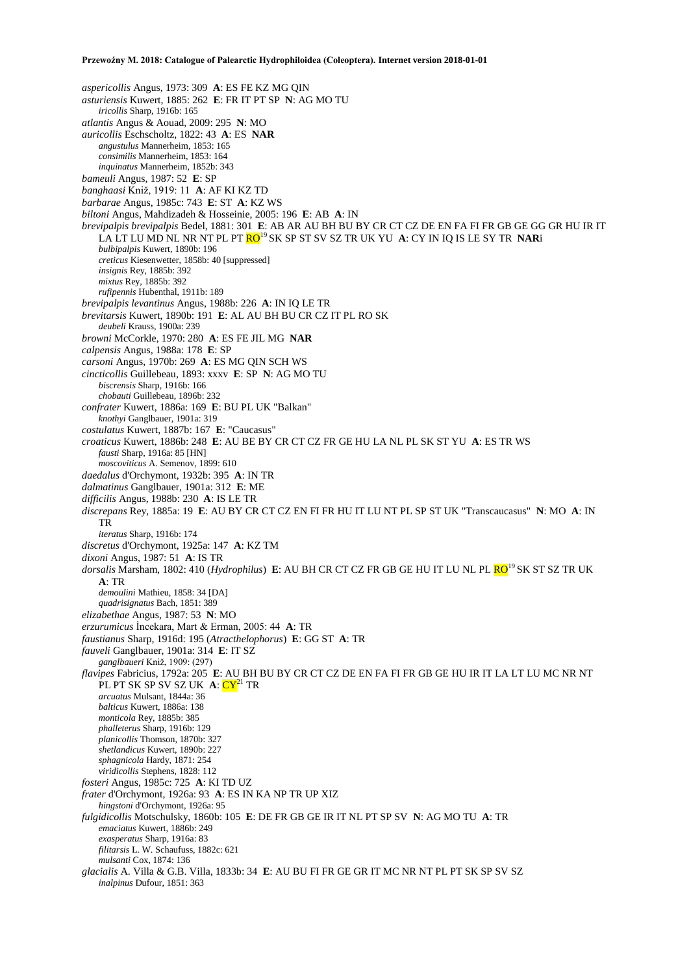*aspericollis* Angus, 1973: 309 **A**: ES FE KZ MG QIN *asturiensis* Kuwert, 1885: 262 **E**: FR IT PT SP **N**: AG MO TU *iricollis* Sharp, 1916b: 165 *atlantis* Angus & Aouad, 2009: 295 **N**: MO *auricollis* Eschscholtz, 1822: 43 **A**: ES **NAR** *angustulus* Mannerheim, 1853: 165 *consimilis* Mannerheim, 1853: 164 *inquinatus* Mannerheim, 1852b: 343 *bameuli* Angus, 1987: 52 **E**: SP *banghaasi* Kniž, 1919: 11 **A**: AF KI KZ TD *barbarae* Angus, 1985c: 743 **E**: ST **A**: KZ WS *biltoni* Angus, Mahdizadeh & Hosseinie, 2005: 196 **E**: AB **A**: IN *brevipalpis brevipalpis* Bedel, 1881: 301 **E**: AB AR AU BH BU BY CR CT CZ DE EN FA FI FR GB GE GG GR HU IR IT LA LT LU MD NL NR NT PL PT RO<sup>19</sup>SK SP ST SV SZ TR UK YU **A**: CY IN IQ IS LE SY TR **NAR**i *bulbipalpis* Kuwert, 1890b: 196 *creticus* Kiesenwetter, 1858b: 40 [suppressed] *insignis* Rey, 1885b: 392 *mixtus* Rey, 1885b: 392 *rufipennis* Hubenthal, 1911b: 189 *brevipalpis levantinus* Angus, 1988b: 226 **A**: IN IQ LE TR *brevitarsis* Kuwert, 1890b: 191 **E**: AL AU BH BU CR CZ IT PL RO SK *deubeli* Krauss, 1900a: 239 *browni* McCorkle, 1970: 280 **A**: ES FE JIL MG **NAR** *calpensis* Angus, 1988a: 178 **E**: SP *carsoni* Angus, 1970b: 269 **A**: ES MG QIN SCH WS *cincticollis* Guillebeau, 1893: xxxv **E**: SP **N**: AG MO TU *biscrensis* Sharp, 1916b: 166 *chobauti* Guillebeau, 1896b: 232 *confrater* Kuwert, 1886a: 169 **E**: BU PL UK "Balkan" *knothyi* Ganglbauer, 1901a: 319 *costulatus* Kuwert, 1887b: 167 **E**: "Caucasus" *croaticus* Kuwert, 1886b: 248 **E**: AU BE BY CR CT CZ FR GE HU LA NL PL SK ST YU **A**: ES TR WS *fausti* Sharp, 1916a: 85 [HN] *moscoviticus* A. Semenov, 1899: 610 *daedalus* d'Orchymont, 1932b: 395 **A**: IN TR *dalmatinus* Ganglbauer, 1901a: 312 **E**: ME *difficilis* Angus, 1988b: 230 **A**: IS LE TR *discrepans* Rey, 1885a: 19 **E**: AU BY CR CT CZ EN FI FR HU IT LU NT PL SP ST UK "Transcaucasus" **N**: MO **A**: IN TR *iteratus* Sharp, 1916b: 174 *discretus* d'Orchymont, 1925a: 147 **A**: KZ TM *dixoni* Angus, 1987: 51 **A**: IS TR *dorsalis* Marsham, 1802: 410 (*Hydrophilus*) **E**: AU BH CR CT CZ FR GB GE HU IT LU NL PL RO<sup>19</sup> SK ST SZ TR UK **A**: TR *demoulini* Mathieu, 1858: 34 [DA] *quadrisignatus* Bach, 1851: 389 *elizabethae* Angus, 1987: 53 **N**: MO *erzurumicus* İncekara, Mart & Erman, 2005: 44 **A**: TR *faustianus* Sharp, 1916d: 195 (*Atracthelophorus*) **E**: GG ST **A**: TR *fauveli* Ganglbauer, 1901a: 314 **E**: IT SZ *ganglbaueri* Kniž, 1909: (297) *flavipes* Fabricius, 1792a: 205 **E**: AU BH BU BY CR CT CZ DE EN FA FI FR GB GE HU IR IT LA LT LU MC NR NT PL PT SK SP SV SZ UK A: CY<sup>21</sup> TR *arcuatus* Mulsant, 1844a: 36 *balticus* Kuwert, 1886a: 138 *monticola* Rey, 1885b: 385 *phalleterus* Sharp, 1916b: 129 *planicollis* Thomson, 1870b: 327 *shetlandicus* Kuwert, 1890b: 227 *sphagnicola* Hardy, 1871: 254 *viridicollis* Stephens, 1828: 112 *fosteri* Angus, 1985c: 725 **A**: KI TD UZ *frater* d'Orchymont, 1926a: 93 **A**: ES IN KA NP TR UP XIZ *hingstoni* d'Orchymont, 1926a: 95 *fulgidicollis* Motschulsky, 1860b: 105 **E**: DE FR GB GE IR IT NL PT SP SV **N**: AG MO TU **A**: TR *emaciatus* Kuwert, 1886b: 249 *exasperatus* Sharp, 1916a: 83 *filitarsis* L. W. Schaufuss, 1882c: 621 *mulsanti* Cox, 1874: 136 *glacialis* A. Villa & G.B. Villa, 1833b: 34 **E**: AU BU FI FR GE GR IT MC NR NT PL PT SK SP SV SZ *inalpinus* Dufour, 1851: 363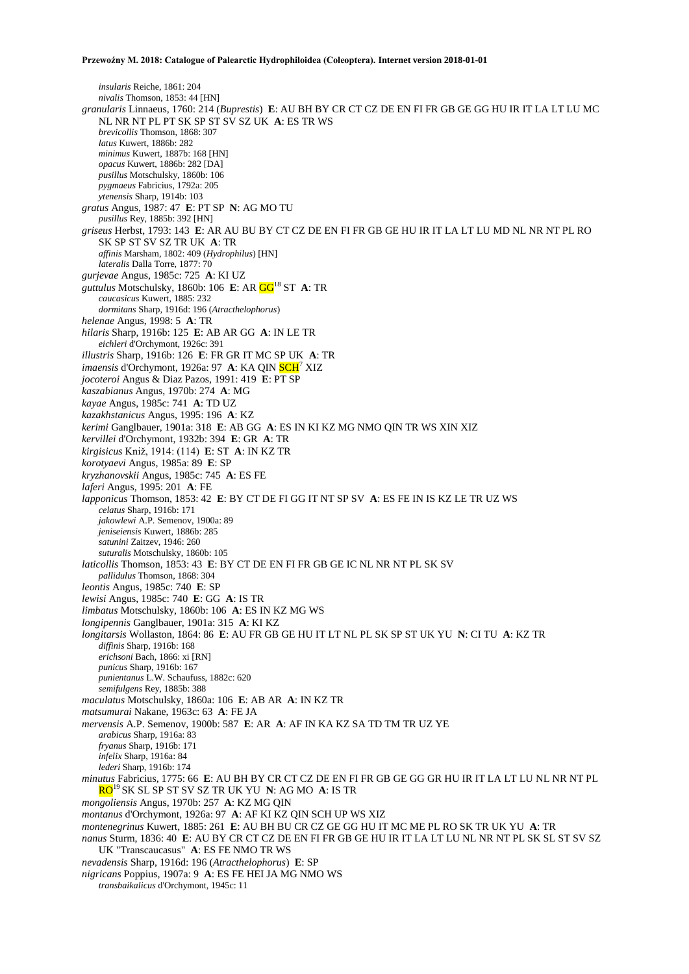*insularis* Reiche, 1861: 204 *nivalis* Thomson, 1853: 44 [HN] *granularis* Linnaeus, 1760: 214 (*Buprestis*) **E**: AU BH BY CR CT CZ DE EN FI FR GB GE GG HU IR IT LA LT LU MC NL NR NT PL PT SK SP ST SV SZ UK **A**: ES TR WS *brevicollis* Thomson, 1868: 307 *latus* Kuwert, 1886b: 282 *minimus* Kuwert, 1887b: 168 [HN] *opacus* Kuwert, 1886b: 282 [DA] *pusillus* Motschulsky, 1860b: 106 *pygmaeus* Fabricius, 1792a: 205 *ytenensis* Sharp, 1914b: 103 *gratus* Angus, 1987: 47 **E**: PT SP **N**: AG MO TU *pusillus* Rey, 1885b: 392 [HN] *griseus* Herbst, 1793: 143 **E**: AR AU BU BY CT CZ DE EN FI FR GB GE HU IR IT LA LT LU MD NL NR NT PL RO SK SP ST SV SZ TR UK **A**: TR *affinis* Marsham, 1802: 409 (*Hydrophilus*) [HN] *lateralis* Dalla Torre, 1877: 70 *gurjevae* Angus, 1985c: 725 **A**: KI UZ *guttulus* Motschulsky, 1860b: 106 **E**: AR GG<sup>18</sup> ST **A**: TR *caucasicus* Kuwert, 1885: 232 *dormitans* Sharp, 1916d: 196 (*Atracthelophorus*) *helenae* Angus, 1998: 5 **A**: TR *hilaris* Sharp, 1916b: 125 **E**: AB AR GG **A**: IN LE TR *eichleri* d'Orchymont, 1926c: 391 *illustris* Sharp, 1916b: 126 **E**: FR GR IT MC SP UK **A**: TR *imaensis* d'Orchymont, 1926a: 97 **A**: KA QIN SCH<sup>7</sup> XIZ *jocoteroi* Angus & Diaz Pazos, 1991: 419 **E**: PT SP *kaszabianus* Angus, 1970b: 274 **A**: MG *kayae* Angus, 1985c: 741 **A**: TD UZ *kazakhstanicus* Angus, 1995: 196 **A**: KZ *kerimi* Ganglbauer, 1901a: 318 **E**: AB GG **A**: ES IN KI KZ MG NMO QIN TR WS XIN XIZ *kervillei* d'Orchymont, 1932b: 394 **E**: GR **A**: TR *kirgisicus* Kniž, 1914: (114) **E**: ST **A**: IN KZ TR *korotyaevi* Angus, 1985a: 89 **E**: SP *kryzhanovskii* Angus, 1985c: 745 **A**: ES FE *laferi* Angus, 1995: 201 **A**: FE *lapponicus* Thomson, 1853: 42 **E**: BY CT DE FI GG IT NT SP SV **A**: ES FE IN IS KZ LE TR UZ WS *celatus* Sharp, 1916b: 171 *jakowlewi* A.P. Semenov, 1900a: 89 *jeniseiensis* Kuwert, 1886b: 285 *satunini* Zaitzev, 1946: 260 *suturalis* Motschulsky, 1860b: 105 *laticollis* Thomson, 1853: 43 **E**: BY CT DE EN FI FR GB GE IC NL NR NT PL SK SV *pallidulus* Thomson, 1868: 304 *leontis* Angus, 1985c: 740 **E**: SP *lewisi* Angus, 1985c: 740 **E**: GG **A**: IS TR *limbatus* Motschulsky, 1860b: 106 **A**: ES IN KZ MG WS *longipennis* Ganglbauer, 1901a: 315 **A**: KI KZ *longitarsis* Wollaston, 1864: 86 **E**: AU FR GB GE HU IT LT NL PL SK SP ST UK YU **N**: CI TU **A**: KZ TR *diffinis* Sharp, 1916b: 168 *erichsoni* Bach, 1866: xi [RN] *punicus* Sharp, 1916b: 167 *punientanus* L.W. Schaufuss, 1882c: 620 *semifulgens* Rey, 1885b: 388 *maculatus* Motschulsky, 1860a: 106 **E**: AB AR **A**: IN KZ TR *matsumurai* Nakane, 1963c: 63 **A**: FE JA *mervensis* A.P. Semenov, 1900b: 587 **E**: AR **A**: AF IN KA KZ SA TD TM TR UZ YE *arabicus* Sharp, 1916a: 83 *fryanus* Sharp, 1916b: 171 *infelix* Sharp, 1916a: 84 *lederi* Sharp, 1916b: 174 *minutus* Fabricius, 1775: 66 **E**: AU BH BY CR CT CZ DE EN FI FR GB GE GG GR HU IR IT LA LT LU NL NR NT PL RO<sup>19</sup> SK SL SP ST SV SZ TR UK YU **N**: AG MO **A**: IS TR *mongoliensis* Angus, 1970b: 257 **A**: KZ MG QIN *montanus* d'Orchymont, 1926a: 97 **A**: AF KI KZ QIN SCH UP WS XIZ *montenegrinus* Kuwert, 1885: 261 **E**: AU BH BU CR CZ GE GG HU IT MC ME PL RO SK TR UK YU **A**: TR *nanus* Sturm, 1836: 40 **E**: AU BY CR CT CZ DE EN FI FR GB GE HU IR IT LA LT LU NL NR NT PL SK SL ST SV SZ UK "Transcaucasus" **A**: ES FE NMO TR WS *nevadensis* Sharp, 1916d: 196 (*Atracthelophorus*) **E**: SP *nigricans* Poppius, 1907a: 9 **A**: ES FE HEI JA MG NMO WS

*transbaikalicus* d'Orchymont, 1945c: 11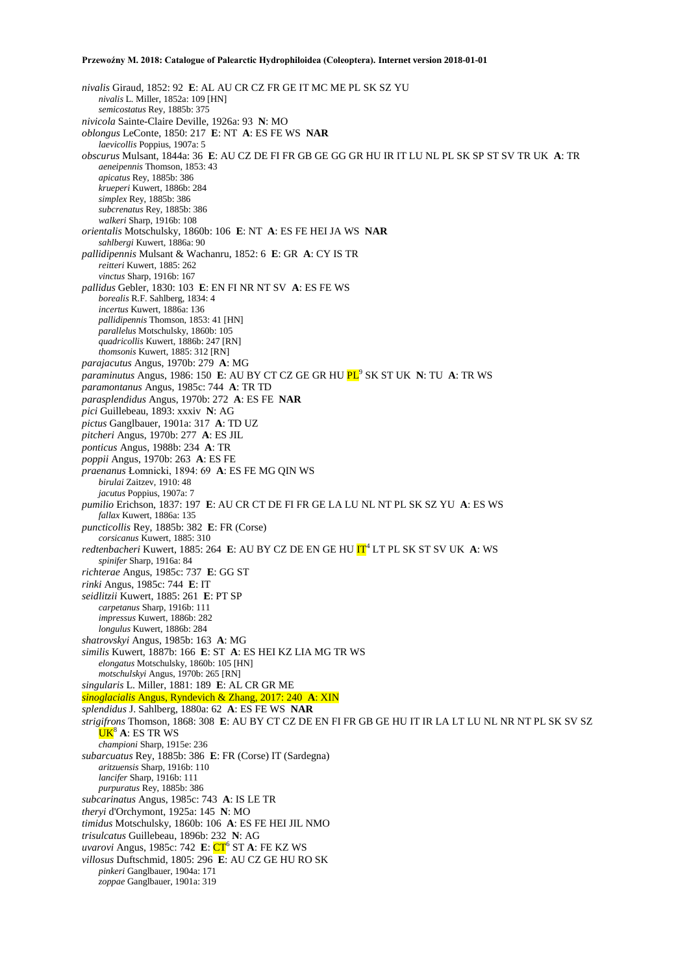*nivalis* Giraud, 1852: 92 **E**: AL AU CR CZ FR GE IT MC ME PL SK SZ YU *nivalis* L. Miller, 1852a: 109 [HN] *semicostatus* Rey, 1885b: 375 *nivicola* Sainte-Claire Deville, 1926a: 93 **N**: MO *oblongus* LeConte, 1850: 217 **E**: NT **A**: ES FE WS **NAR** *laevicollis* Poppius, 1907a: 5 *obscurus* Mulsant, 1844a: 36 **E**: AU CZ DE FI FR GB GE GG GR HU IR IT LU NL PL SK SP ST SV TR UK **A**: TR *aeneipennis* Thomson, 1853: 43 *apicatus* Rey, 1885b: 386 *krueperi* Kuwert, 1886b: 284 *simplex* Rey, 1885b: 386 *subcrenatus* Rey, 1885b: 386 *walkeri* Sharp, 1916b: 108 *orientalis* Motschulsky, 1860b: 106 **E**: NT **A**: ES FE HEI JA WS **NAR** *sahlbergi* Kuwert, 1886a: 90 *pallidipennis* Mulsant & Wachanru, 1852: 6 **E**: GR **A**: CY IS TR *reitteri* Kuwert, 1885: 262 *vinctus* Sharp, 1916b: 167 *pallidus* Gebler, 1830: 103 **E**: EN FI NR NT SV **A**: ES FE WS *borealis* R.F. Sahlberg, 1834: 4 *incertus* Kuwert, 1886a: 136 *pallidipennis* Thomson, 1853: 41 [HN] *parallelus* Motschulsky, 1860b: 105 *quadricollis* Kuwert, 1886b: 247 [RN] *thomsonis* Kuwert, 1885: 312 [RN] *parajacutus* Angus, 1970b: 279 **A**: MG *paraminutus* Angus, 1986: 150 **E**: AU BY CT CZ GE GR HU PL<sup>9</sup> SK ST UK **N**: TU **A**: TR WS *paramontanus* Angus, 1985c: 744 **A**: TR TD *parasplendidus* Angus, 1970b: 272 **A**: ES FE **NAR** *pici* Guillebeau, 1893: xxxiv **N**: AG *pictus* Ganglbauer, 1901a: 317 **A**: TD UZ *pitcheri* Angus, 1970b: 277 **A**: ES JIL *ponticus* Angus, 1988b: 234 **A**: TR *poppii* Angus, 1970b: 263 **A**: ES FE *praenanus* Łomnicki, 1894: 69 **A**: ES FE MG QIN WS *birulai* Zaitzev, 1910: 48 *jacutus* Poppius, 1907a: 7 *pumilio* Erichson, 1837: 197 **E**: AU CR CT DE FI FR GE LA LU NL NT PL SK SZ YU **A**: ES WS *fallax* Kuwert, 1886a: 135 *puncticollis* Rey, 1885b: 382 **E**: FR (Corse) *corsicanus* Kuwert, 1885: 310 *redtenbacheri* Kuwert, 1885: 264 E: AU BY CZ DE EN GE HU  $IT^4$  LT PL SK ST SV UK A: WS *spinifer* Sharp, 1916a: 84 *richterae* Angus, 1985c: 737 **E**: GG ST *rinki* Angus, 1985c: 744 **E**: IT *seidlitzii* Kuwert, 1885: 261 **E**: PT SP *carpetanus* Sharp, 1916b: 111 *impressus* Kuwert, 1886b: 282 *longulus* Kuwert, 1886b: 284 *shatrovskyi* Angus, 1985b: 163 **A**: MG *similis* Kuwert, 1887b: 166 **E**: ST **A**: ES HEI KZ LIA MG TR WS *elongatus* Motschulsky, 1860b: 105 [HN] *motschulskyi* Angus, 1970b: 265 [RN] *singularis* L. Miller, 1881: 189 **E**: AL CR GR ME *sinoglacialis* Angus, Ryndevich & Zhang, 2017: 240 **A**: XIN *splendidus* J. Sahlberg, 1880a: 62 **A**: ES FE WS **NAR** *strigifrons* Thomson, 1868: 308 **E**: AU BY CT CZ DE EN FI FR GB GE HU IT IR LA LT LU NL NR NT PL SK SV SZ UK<sup>8</sup> **A**: ES TR WS *championi* Sharp, 1915e: 236 *subarcuatus* Rey, 1885b: 386 **E**: FR (Corse) IT (Sardegna) *aritzuensis* Sharp, 1916b: 110 *lancifer* Sharp, 1916b: 111 *purpuratus* Rey, 1885b: 386 *subcarinatus* Angus, 1985c: 743 **A**: IS LE TR *theryi* d'Orchymont, 1925a: 145 **N**: MO *timidus* Motschulsky, 1860b: 106 **A**: ES FE HEI JIL NMO *trisulcatus* Guillebeau, 1896b: 232 **N**: AG *uvarovi* Angus, 1985c: 742 **E**: CT<sup>6</sup> ST **A**: FE KZ WS *villosus* Duftschmid, 1805: 296 **E**: AU CZ GE HU RO SK *pinkeri* Ganglbauer, 1904a: 171 *zoppae* Ganglbauer, 1901a: 319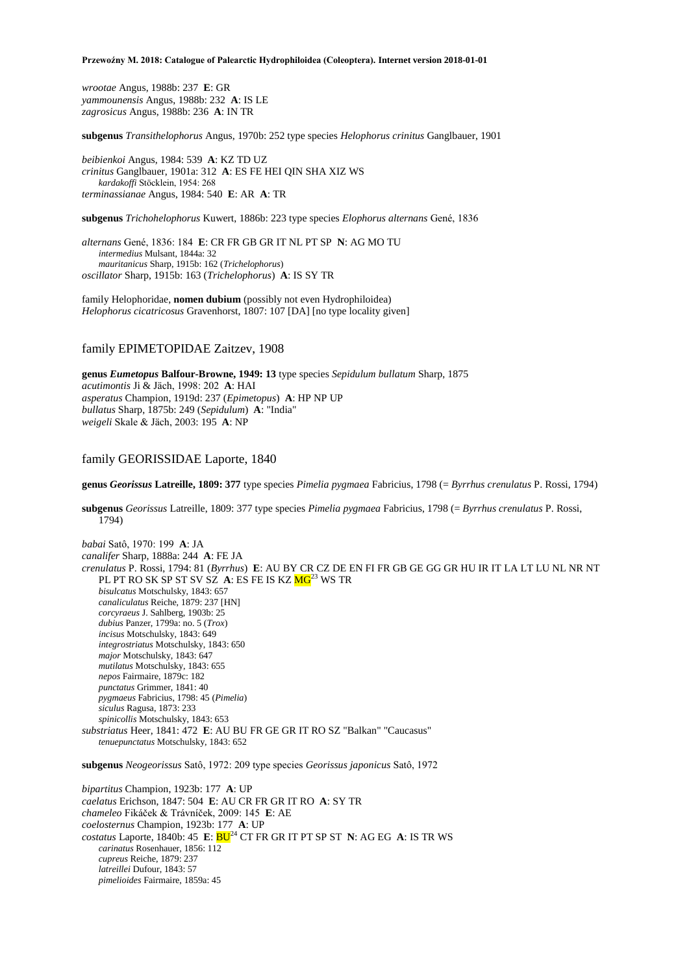*wrootae* Angus, 1988b: 237 **E**: GR *yammounensis* Angus, 1988b: 232 **A**: IS LE *zagrosicus* Angus, 1988b: 236 **A**: IN TR

**subgenus** *Transithelophorus* Angus, 1970b: 252 type species *Helophorus crinitus* Ganglbauer, 1901

*beibienkoi* Angus, 1984: 539 **A**: KZ TD UZ *crinitus* Ganglbauer, 1901a: 312 **A**: ES FE HEI QIN SHA XIZ WS *kardakoffi* Stöcklein, 1954: 268 *terminassianae* Angus, 1984: 540 **E**: AR **A**: TR

**subgenus** *Trichohelophorus* Kuwert, 1886b: 223 type species *Elophorus alternans* Gené, 1836

*alternans* Gené, 1836: 184 **E**: CR FR GB GR IT NL PT SP **N**: AG MO TU *intermedius* Mulsant, 1844a: 32 *mauritanicus* Sharp, 1915b: 162 (*Trichelophorus*) *oscillator* Sharp, 1915b: 163 (*Trichelophorus*) **A**: IS SY TR

family Helophoridae, **nomen dubium** (possibly not even Hydrophiloidea) *Helophorus cicatricosus* Gravenhorst, 1807: 107 [DA] [no type locality given]

## family EPIMETOPIDAE Zaitzev, 1908

**genus** *Eumetopus* **Balfour-Browne, 1949: 13** type species *Sepidulum bullatum* Sharp, 1875 *acutimontis* Ji & Jäch, 1998: 202 **A**: HAI *asperatus* Champion, 1919d: 237 (*Epimetopus*) **A**: HP NP UP *bullatus* Sharp, 1875b: 249 (*Sepidulum*) **A**: "India" *weigeli* Skale & Jäch, 2003: 195 **A**: NP

## family GEORISSIDAE Laporte, 1840

**genus** *Georissus* **Latreille, 1809: 377** type species *Pimelia pygmaea* Fabricius, 1798 (= *Byrrhus crenulatus* P. Rossi, 1794)

**subgenus** *Georissus* Latreille, 1809: 377 type species *Pimelia pygmaea* Fabricius, 1798 (= *Byrrhus crenulatus* P. Rossi, 1794)

*babai* Satô, 1970: 199 **A**: JA *canalifer* Sharp, 1888a: 244 **A**: FE JA *crenulatus* P. Rossi, 1794: 81 (*Byrrhus*) **E**: AU BY CR CZ DE EN FI FR GB GE GG GR HU IR IT LA LT LU NL NR NT PL PT RO SK SP ST SV SZ A: ES FE IS KZ  $MG^{23}$  WS TR *bisulcatus* Motschulsky, 1843: 657 *canaliculatus* Reiche, 1879: 237 [HN] *corcyraeus* J. Sahlberg, 1903b: 25 *dubius* Panzer, 1799a: no. 5 (*Trox*) *incisus* Motschulsky, 1843: 649 *integrostriatus* Motschulsky, 1843: 650 *major* Motschulsky, 1843: 647 *mutilatus* Motschulsky, 1843: 655 *nepos* Fairmaire, 1879c: 182 *punctatus* Grimmer, 1841: 40 *pygmaeus* Fabricius, 1798: 45 (*Pimelia*) *siculus* Ragusa, 1873: 233 *spinicollis* Motschulsky, 1843: 653 *substriatus* Heer, 1841: 472 **E**: AU BU FR GE GR IT RO SZ "Balkan" "Caucasus" *tenuepunctatus* Motschulsky, 1843: 652

**subgenus** *Neogeorissus* Satô, 1972: 209 type species *Georissus japonicus* Satô, 1972

*bipartitus* Champion, 1923b: 177 **A**: UP *caelatus* Erichson, 1847: 504 **E**: AU CR FR GR IT RO **A**: SY TR *chameleo* Fikáček & Trávníček, 2009: 145 **E**: AE *coelosternus* Champion, 1923b: 177 **A**: UP *costatus* Laporte, 1840b: 45 **E**: BU<sup>24</sup> CT FR GR IT PT SP ST **N**: AG EG **A**: IS TR WS *carinatus* Rosenhauer, 1856: 112 *cupreus* Reiche, 1879: 237 *latreillei* Dufour, 1843: 57 *pimelioides* Fairmaire, 1859a: 45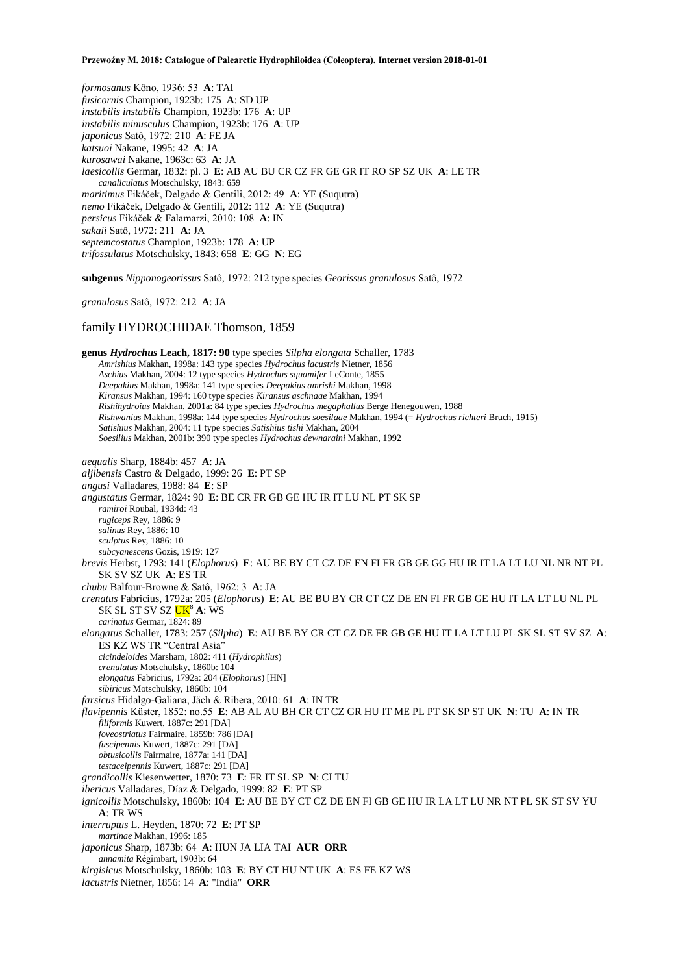*formosanus* Kôno, 1936: 53 **A**: TAI *fusicornis* Champion, 1923b: 175 **A**: SD UP *instabilis instabilis* Champion, 1923b: 176 **A**: UP *instabilis minusculus* Champion, 1923b: 176 **A**: UP *japonicus* Satô, 1972: 210 **A**: FE JA *katsuoi* Nakane, 1995: 42 **A**: JA *kurosawai* Nakane, 1963c: 63 **A**: JA *laesicollis* Germar, 1832: pl. 3 **E**: AB AU BU CR CZ FR GE GR IT RO SP SZ UK **A**: LE TR *canaliculatus* Motschulsky, 1843: 659 *maritimus* Fikáček, Delgado & Gentili, 2012: 49 **A**: YE (Suqutra) *nemo* Fikáček, Delgado & Gentili, 2012: 112 **A**: YE (Suqutra) *persicus* Fikáček & Falamarzi, 2010: 108 **A**: IN *sakaii* Satô, 1972: 211 **A**: JA *septemcostatus* Champion, 1923b: 178 **A**: UP *trifossulatus* Motschulsky, 1843: 658 **E**: GG **N**: EG

**subgenus** *Nipponogeorissus* Satô, 1972: 212 type species *Georissus granulosus* Satô, 1972

*granulosus* Satô, 1972: 212 **A**: JA

## family HYDROCHIDAE Thomson, 1859

**genus** *Hydrochus* **Leach, 1817: 90** type species *Silpha elongata* Schaller, 1783 *Amrishius* Makhan, 1998a: 143 type species *Hydrochus lacustris* Nietner, 1856 *Aschius* Makhan, 2004: 12 type species *Hydrochus squamifer* LeConte, 1855 *Deepakius* Makhan, 1998a: 141 type species *Deepakius amrishi* Makhan, 1998 *Kiransus* Makhan, 1994: 160 type species *Kiransus aschnaae* Makhan, 1994 *Rishihydroius* Makhan, 2001a: 84 type species *Hydrochus megaphallus* Berge Henegouwen, 1988 *Rishwanius* Makhan, 1998a: 144 type species *Hydrochus soesilaae* Makhan, 1994 (= *Hydrochus richteri* Bruch, 1915) *Satishius* Makhan, 2004: 11 type species *Satishius tishi* Makhan, 2004 *Soesilius* Makhan, 2001b: 390 type species *Hydrochus dewnaraini* Makhan, 1992 *aequalis* Sharp, 1884b: 457 **A**: JA *aljibensis* Castro & Delgado, 1999: 26 **E**: PT SP *angusi* Valladares, 1988: 84 **E**: SP *angustatus* Germar, 1824: 90 **E**: BE CR FR GB GE HU IR IT LU NL PT SK SP *ramiroi* Roubal, 1934d: 43 *rugiceps* Rey, 1886: 9 *salinus* Rey, 1886: 10 *sculptus* Rey, 1886: 10 *subcyanescens* Gozis, 1919: 127 *brevis* Herbst, 1793: 141 (*Elophorus*) **E**: AU BE BY CT CZ DE EN FI FR GB GE GG HU IR IT LA LT LU NL NR NT PL SK SV SZ UK **A**: ES TR *chubu* Balfour-Browne & Satô, 1962: 3 **A**: JA *crenatus* Fabricius, 1792a: 205 (*Elophorus*) **E**: AU BE BU BY CR CT CZ DE EN FI FR GB GE HU IT LA LT LU NL PL SK SL ST SV SZ **UK<sup>8</sup> A**: WS *carinatus* Germar, 1824: 89 *elongatus* Schaller, 1783: 257 (*Silpha*) **E**: AU BE BY CR CT CZ DE FR GB GE HU IT LA LT LU PL SK SL ST SV SZ **A**: ES KZ WS TR "Central Asia" *cicindeloides* Marsham, 1802: 411 (*Hydrophilus*) *crenulatus* Motschulsky, 1860b: 104 *elongatus* Fabricius, 1792a: 204 (*Elophorus*) [HN] *sibiricus* Motschulsky, 1860b: 104 *farsicus* Hidalgo-Galiana, Jäch & Ribera, 2010: 61 **A**: IN TR *flavipennis* Küster, 1852: no.55 **E**: AB AL AU BH CR CT CZ GR HU IT ME PL PT SK SP ST UK **N**: TU **A**: IN TR *filiformis* Kuwert, 1887c: 291 [DA] *foveostriatus* Fairmaire, 1859b: 786 [DA] *fuscipennis* Kuwert, 1887c: 291 [DA] *obtusicollis* Fairmaire, 1877a: 141 [DA] *testaceipennis* Kuwert, 1887c: 291 [DA] *grandicollis* Kiesenwetter, 1870: 73 **E**: FR IT SL SP **N**: CI TU *ibericus* Valladares, Díaz & Delgado, 1999: 82 **E**: PT SP *ignicollis* Motschulsky, 1860b: 104 **E**: AU BE BY CT CZ DE EN FI GB GE HU IR LA LT LU NR NT PL SK ST SV YU **A**: TR WS *interruptus* L. Heyden, 1870: 72 **E**: PT SP *martinae* Makhan, 1996: 185 *japonicus* Sharp, 1873b: 64 **A**: HUN JA LIA TAI **AUR ORR** *annamita* Régimbart, 1903b: 64 *kirgisicus* Motschulsky, 1860b: 103 **E**: BY CT HU NT UK **A**: ES FE KZ WS *lacustris* Nietner, 1856: 14 **A**: "India" **ORR**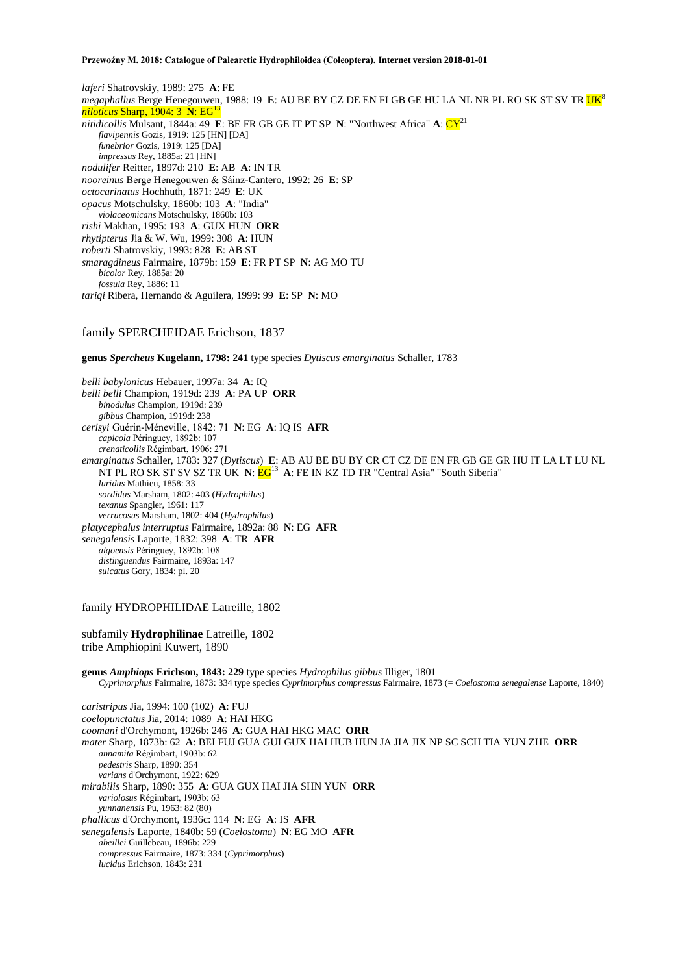*laferi* Shatrovskiy, 1989: 275 **A**: FE *megaphallus* Berge Henegouwen, 1988: 19 **E**: AU BE BY CZ DE EN FI GB GE HU LA NL NR PL RO SK ST SV TR UK<sup>8</sup> *niloticus Sharp, 1904: 3 N: EG nitidicollis* Mulsant, 1844a: 49 **E**: BE FR GB GE IT PT SP **N**: "Northwest Africa" **A**: CY<sup>21</sup> *flavipennis* Gozis, 1919: 125 [HN] [DA] *funebrior* Gozis, 1919: 125 [DA] *impressus* Rey, 1885a: 21 [HN] *nodulifer* Reitter, 1897d: 210 **E**: AB **A**: IN TR *nooreinus* Berge Henegouwen & Sáinz-Cantero, 1992: 26 **E**: SP *octocarinatus* Hochhuth, 1871: 249 **E**: UK *opacus* Motschulsky, 1860b: 103 **A**: "India" *violaceomicans* Motschulsky, 1860b: 103 *rishi* Makhan, 1995: 193 **A**: GUX HUN **ORR** *rhytipterus* Jia & W. Wu, 1999: 308 **A**: HUN *roberti* Shatrovskiy, 1993: 828 **E**: AB ST *smaragdineus* Fairmaire, 1879b: 159 **E**: FR PT SP **N**: AG MO TU *bicolor* Rey, 1885a: 20 *fossula* Rey, 1886: 11 *tariqi* Ribera, Hernando & Aguilera, 1999: 99 **E**: SP **N**: MO

## family SPERCHEIDAE Erichson, 1837

**genus** *Spercheus* **Kugelann, 1798: 241** type species *Dytiscus emarginatus* Schaller, 1783

*belli babylonicus* Hebauer, 1997a: 34 **A**: IQ *belli belli* Champion, 1919d: 239 **A**: PA UP **ORR** *binodulus* Champion, 1919d: 239 *gibbus* Champion, 1919d: 238 *cerisyi* Guérin-Méneville, 1842: 71 **N**: EG **A**: IQ IS **AFR** *capicola* Péringuey, 1892b: 107 *crenaticollis* Régimbart, 1906: 271 *emarginatus* Schaller, 1783: 327 (*Dytiscus*) **E**: AB AU BE BU BY CR CT CZ DE EN FR GB GE GR HU IT LA LT LU NL NT PL RO SK ST SV SZ TR UK N:  $EG^{13}$  A: FE IN KZ TD TR "Central Asia" "South Siberia" *luridus* Mathieu, 1858: 33 *sordidus* Marsham, 1802: 403 (*Hydrophilus*) *texanus* Spangler, 1961: 117 *verrucosus* Marsham, 1802: 404 (*Hydrophilus*) *platycephalus interruptus* Fairmaire, 1892a: 88 **N**: EG **AFR** *senegalensis* Laporte, 1832: 398 **A**: TR **AFR** *algoensis* Péringuey, 1892b: 108 *distinguendus* Fairmaire, 1893a: 147 *sulcatus* Gory, 1834: pl. 20

## family HYDROPHILIDAE Latreille, 1802

subfamily **Hydrophilinae** Latreille, 1802 tribe Amphiopini Kuwert, 1890

**genus** *Amphiops* **Erichson, 1843: 229** type species *Hydrophilus gibbus* Illiger, 1801 *Cyprimorphus* Fairmaire, 1873: 334 type species *Cyprimorphus compressus* Fairmaire, 1873 (= *Coelostoma senegalense* Laporte, 1840)

*caristripus* Jia, 1994: 100 (102) **A**: FUJ *coelopunctatus* Jia, 2014: 1089 **A**: HAI HKG *coomani* d'Orchymont, 1926b: 246 **A**: GUA HAI HKG MAC **ORR** *mater* Sharp, 1873b: 62 **A**: BEI FUJ GUA GUI GUX HAI HUB HUN JA JIA JIX NP SC SCH TIA YUN ZHE **ORR** *annamita* Régimbart, 1903b: 62 *pedestris* Sharp, 1890: 354 *varians* d'Orchymont, 1922: 629 *mirabilis* Sharp, 1890: 355 **A**: GUA GUX HAI JIA SHN YUN **ORR** *variolosus* Régimbart, 1903b: 63 *yunnanensis* Pu, 1963: 82 (80) *phallicus* d'Orchymont, 1936c: 114 **N**: EG **A**: IS **AFR** *senegalensis* Laporte, 1840b: 59 (*Coelostoma*) **N**: EG MO **AFR** *abeillei* Guillebeau, 1896b: 229 *compressus* Fairmaire, 1873: 334 (*Cyprimorphus*) *lucidus* Erichson, 1843: 231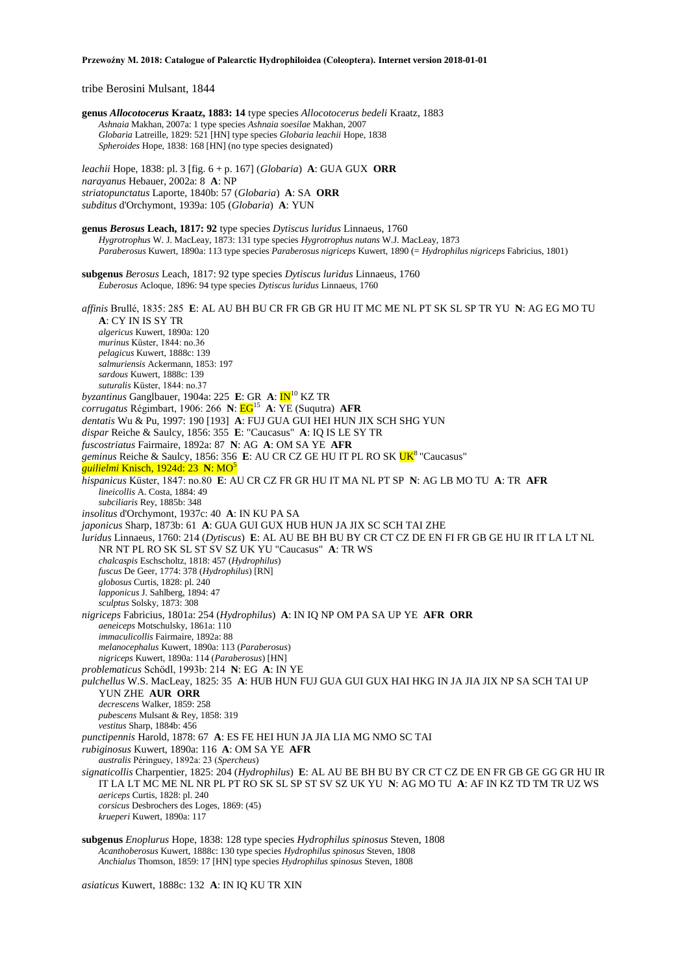tribe Berosini Mulsant, 1844

**genus** *Allocotocerus* **Kraatz, 1883: 14** type species *Allocotocerus bedeli* Kraatz, 1883 *Ashnaia* Makhan, 2007a: 1 type species *Ashnaia soesilae* Makhan, 2007 *Globaria* Latreille, 1829: 521 [HN] type species *Globaria leachii* Hope, 1838 *Spheroides* Hope, 1838: 168 [HN] (no type species designated) *leachii* Hope, 1838: pl. 3 [fig. 6 + p. 167] (*Globaria*) **A**: GUA GUX **ORR** *narayanus* Hebauer, 2002a: 8 **A**: NP *striatopunctatus* Laporte, 1840b: 57 (*Globaria*) **A**: SA **ORR** *subditus* d'Orchymont, 1939a: 105 (*Globaria*) **A**: YUN **genus** *Berosus* **Leach, 1817: 92** type species *Dytiscus luridus* Linnaeus, 1760 *Hygrotrophus* W. J. MacLeay, 1873: 131 type species *Hygrotrophus nutans* W.J. MacLeay, 1873 *Paraberosus* Kuwert, 1890a: 113 type species *Paraberosus nigriceps* Kuwert, 1890 (= *Hydrophilus nigriceps* Fabricius, 1801) **subgenus** *Berosus* Leach, 1817: 92 type species *Dytiscus luridus* Linnaeus, 1760 *Euberosus* Acloque, 1896: 94 type species *Dytiscus luridus* Linnaeus, 1760 *affinis* Brullé, 1835: 285 **E**: AL AU BH BU CR FR GB GR HU IT MC ME NL PT SK SL SP TR YU **N**: AG EG MO TU **A**: CY IN IS SY TR *algericus* Kuwert, 1890a: 120 *murinus* Küster, 1844: no.36 *pelagicus* Kuwert, 1888c: 139 *salmuriensis* Ackermann, 1853: 197 *sardous* Kuwert, 1888c: 139 *suturalis* Küster, 1844: no.37 *byzantinus* Ganglbauer, 1904a: 225 **E**: GR **A**: IN<sup>10</sup> KZ TR *corrugatus* Régimbart, 1906: 266 **N**: EG<sup>15</sup> **A**: YE (Suqutra) **AFR** *dentatis* Wu & Pu, 1997: 190 [193] **A**: FUJ GUA GUI HEI HUN JIX SCH SHG YUN *dispar* Reiche & Saulcy, 1856: 355 **E**: "Caucasus" **A**: IQ IS LE SY TR *fuscostriatus* Fairmaire, 1892a: 87 **N**: AG **A**: OM SA YE **AFR** *geminus* Reiche & Saulcy, 1856: 356 **E**: AU CR CZ GE HU IT PL RO SK UK<sup>8</sup>"Caucasus" *guilielmi* Knisch, 1924d: 23 N: MO<sup>5</sup> *hispanicus* Küster, 1847: no.80 **E**: AU CR CZ FR GR HU IT MA NL PT SP **N**: AG LB MO TU **A**: TR **AFR** *lineicollis* A. Costa, 1884: 49 *subciliaris* Rey, 1885b: 348 *insolitus* d'Orchymont, 1937c: 40 **A**: IN KU PA SA *japonicus* Sharp, 1873b: 61 **A**: GUA GUI GUX HUB HUN JA JIX SC SCH TAI ZHE *luridus* Linnaeus, 1760: 214 (*Dytiscus*) **E**: AL AU BE BH BU BY CR CT CZ DE EN FI FR GB GE HU IR IT LA LT NL NR NT PL RO SK SL ST SV SZ UK YU "Caucasus" **A**: TR WS *chalcaspis* Eschscholtz, 1818: 457 (*Hydrophilus*) *fuscus* De Geer, 1774: 378 (*Hydrophilus*) [RN] *globosus* Curtis, 1828: pl. 240 *lapponicus* J. Sahlberg, 1894: 47 *sculptus* Solsky, 1873: 308 *nigriceps* Fabricius, 1801a: 254 (*Hydrophilus*) **A**: IN IQ NP OM PA SA UP YE **AFR ORR** *aeneiceps* Motschulsky, 1861a: 110 *immaculicollis* Fairmaire, 1892a: 88 *melanocephalus* Kuwert, 1890a: 113 (*Paraberosus*) *nigriceps* Kuwert, 1890a: 114 (*Paraberosus*) [HN] *problematicus* Schödl, 1993b: 214 **N**: EG **A**: IN YE *pulchellus* W.S. MacLeay, 1825: 35 **A**: HUB HUN FUJ GUA GUI GUX HAI HKG IN JA JIA JIX NP SA SCH TAI UP YUN ZHE **AUR ORR** *decrescens* Walker, 1859: 258 *pubescens* Mulsant & Rey, 1858: 319 *vestitus* Sharp, 1884b: 456 *punctipennis* Harold, 1878: 67 **A**: ES FE HEI HUN JA JIA LIA MG NMO SC TAI *rubiginosus* Kuwert, 1890a: 116 **A**: OM SA YE **AFR** *australis* Péringuey, 1892a: 23 (*Spercheus*) *signaticollis* Charpentier, 1825: 204 (*Hydrophilus*) **E**: AL AU BE BH BU BY CR CT CZ DE EN FR GB GE GG GR HU IR IT LA LT MC ME NL NR PL PT RO SK SL SP ST SV SZ UK YU **N**: AG MO TU **A**: AF IN KZ TD TM TR UZ WS *aericeps* Curtis, 1828: pl. 240 *corsicus* Desbrochers des Loges, 1869: (45) *krueperi* Kuwert, 1890a: 117

**subgenus** *Enoplurus* Hope, 1838: 128 type species *Hydrophilus spinosus* Steven, 1808 *Acanthoberosus* Kuwert, 1888c: 130 type species *Hydrophilus spinosus* Steven, 1808 *Anchialus* Thomson, 1859: 17 [HN] type species *Hydrophilus spinosus* Steven, 1808

*asiaticus* Kuwert, 1888c: 132 **A**: IN IQ KU TR XIN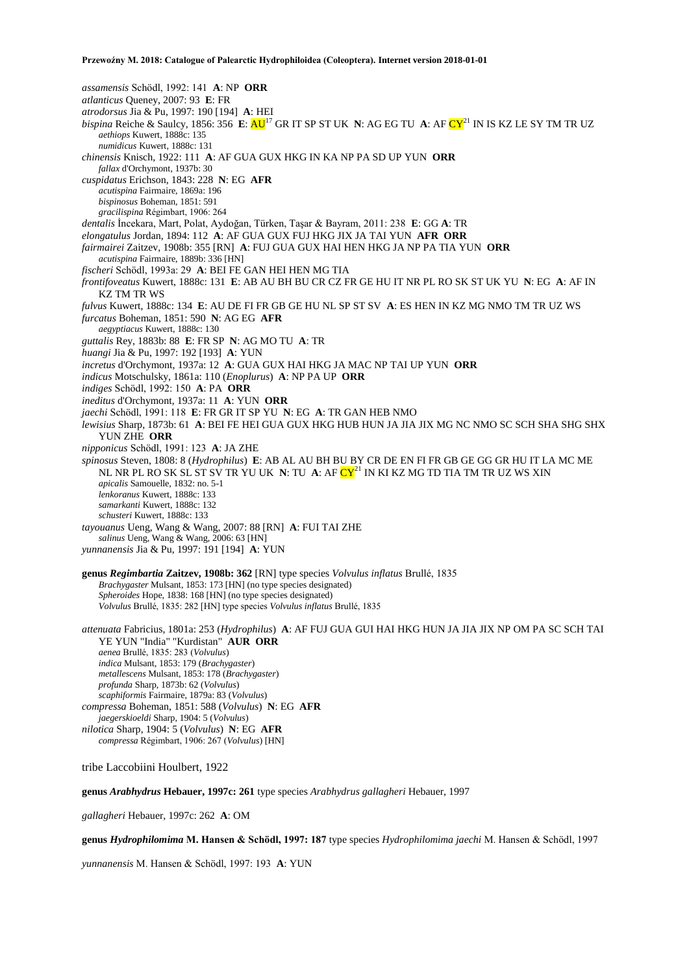*assamensis* Schödl, 1992: 141 **A**: NP **ORR** *atlanticus* Queney, 2007: 93 **E**: FR *atrodorsus* Jia & Pu, 1997: 190 [194] **A**: HEI *bispina* Reiche & Saulcy, 1856: 356 **E**: AU<sup>17</sup> GR IT SP ST UK **N**: AG EG TU **A**: AF CY<sup>21</sup> IN IS KZ LE SY TM TR UZ *aethiops* Kuwert, 1888c: 135 *numidicus* Kuwert, 1888c: 131 *chinensis* Knisch, 1922: 111 **A**: AF GUA GUX HKG IN KA NP PA SD UP YUN **ORR** *fallax* d'Orchymont, 1937b: 30 *cuspidatus* Erichson, 1843: 228 **N**: EG **AFR** *acutispina* Fairmaire, 1869a: 196 *bispinosus* Boheman, 1851: 591 *gracilispina* Régimbart, 1906: 264 *dentalis* İncekara, Mart, Polat, Aydoğan, Türken, Taşar & Bayram, 2011: 238 **E**: GG **A**: TR *elongatulus* Jordan, 1894: 112 **A**: AF GUA GUX FUJ HKG JIX JA TAI YUN **AFR ORR** *fairmairei* Zaitzev, 1908b: 355 [RN] **A**: FUJ GUA GUX HAI HEN HKG JA NP PA TIA YUN **ORR** *acutispina* Fairmaire, 1889b: 336 [HN] *fischeri* Schödl, 1993a: 29 **A**: BEI FE GAN HEI HEN MG TIA *frontifoveatus* Kuwert, 1888c: 131 **E**: AB AU BH BU CR CZ FR GE HU IT NR PL RO SK ST UK YU **N**: EG **A**: AF IN KZ TM TR WS *fulvus* Kuwert, 1888c: 134 **E**: AU DE FI FR GB GE HU NL SP ST SV **A**: ES HEN IN KZ MG NMO TM TR UZ WS *furcatus* Boheman, 1851: 590 **N**: AG EG **AFR** *aegyptiacus* Kuwert, 1888c: 130 *guttalis* Rey, 1883b: 88 **E**: FR SP **N**: AG MO TU **A**: TR *huangi* Jia & Pu, 1997: 192 [193] **A**: YUN *incretus* d'Orchymont, 1937a: 12 **A**: GUA GUX HAI HKG JA MAC NP TAI UP YUN **ORR** *indicus* Motschulsky, 1861a: 110 (*Enoplurus*) **A**: NP PA UP **ORR** *indiges* Schödl, 1992: 150 **A**: PA **ORR** *ineditus* d'Orchymont, 1937a: 11 **A**: YUN **ORR** *jaechi* Schödl, 1991: 118 **E**: FR GR IT SP YU **N**: EG **A**: TR GAN HEB NMO *lewisius* Sharp, 1873b: 61 **A**: BEI FE HEI GUA GUX HKG HUB HUN JA JIA JIX MG NC NMO SC SCH SHA SHG SHX YUN ZHE **ORR** *nipponicus* Schödl, 1991: 123 **A**: JA ZHE *spinosus* Steven, 1808: 8 (*Hydrophilus*) **E**: AB AL AU BH BU BY CR DE EN FI FR GB GE GG GR HU IT LA MC ME NL NR PL RO SK SL ST SV TR YU UK **N**: TU **A**: AF CY<sup>21</sup> IN KI KZ MG TD TIA TM TR UZ WS XIN *apicalis* Samouelle, 1832: no. 5-1 *lenkoranus* Kuwert, 1888c: 133 *samarkanti* Kuwert, 1888c: 132 *schusteri* Kuwert, 1888c: 133 *tayouanus* Ueng, Wang & Wang, 2007: 88 [RN] **A**: FUI TAI ZHE *salinus* Ueng, Wang & Wang, 2006: 63 [HN] *yunnanensis* Jia & Pu, 1997: 191 [194] **A**: YUN **genus** *Regimbartia* **Zaitzev, 1908b: 362** [RN] type species *Volvulus inflatus* Brullé, 1835 *Brachygaster* Mulsant, 1853: 173 [HN] (no type species designated) *Spheroides* Hope, 1838: 168 [HN] (no type species designated) *Volvulus* Brullé, 1835: 282 [HN] type species *Volvulus inflatus* Brullé, 1835 *attenuata* Fabricius, 1801a: 253 (*Hydrophilus*) **A**: AF FUJ GUA GUI HAI HKG HUN JA JIA JIX NP OM PA SC SCH TAI YE YUN "India" "Kurdistan" **AUR ORR** *aenea* Brullé, 1835: 283 (*Volvulus*) *indica* Mulsant, 1853: 179 (*Brachygaster*) *metallescens* Mulsant, 1853: 178 (*Brachygaster*) *profunda* Sharp, 1873b: 62 (*Volvulus*) *scaphiformis* Fairmaire, 1879a: 83 (*Volvulus*) *compressa* Boheman, 1851: 588 (*Volvulus*) **N**: EG **AFR** *jaegerskioeldi* Sharp, 1904: 5 (*Volvulus*)

*nilotica* Sharp, 1904: 5 (*Volvulus*) **N**: EG **AFR** *compressa* Régimbart, 1906: 267 (*Volvulus*) [HN]

tribe Laccobiini Houlbert, 1922

**genus** *Arabhydrus* **Hebauer, 1997c: 261** type species *Arabhydrus gallagheri* Hebauer, 1997

*gallagheri* Hebauer, 1997c: 262 **A**: OM

**genus** *Hydrophilomima* **M. Hansen & Schödl, 1997: 187** type species *Hydrophilomima jaechi* M. Hansen & Schödl, 1997

*yunnanensis* M. Hansen & Schödl, 1997: 193 **A**: YUN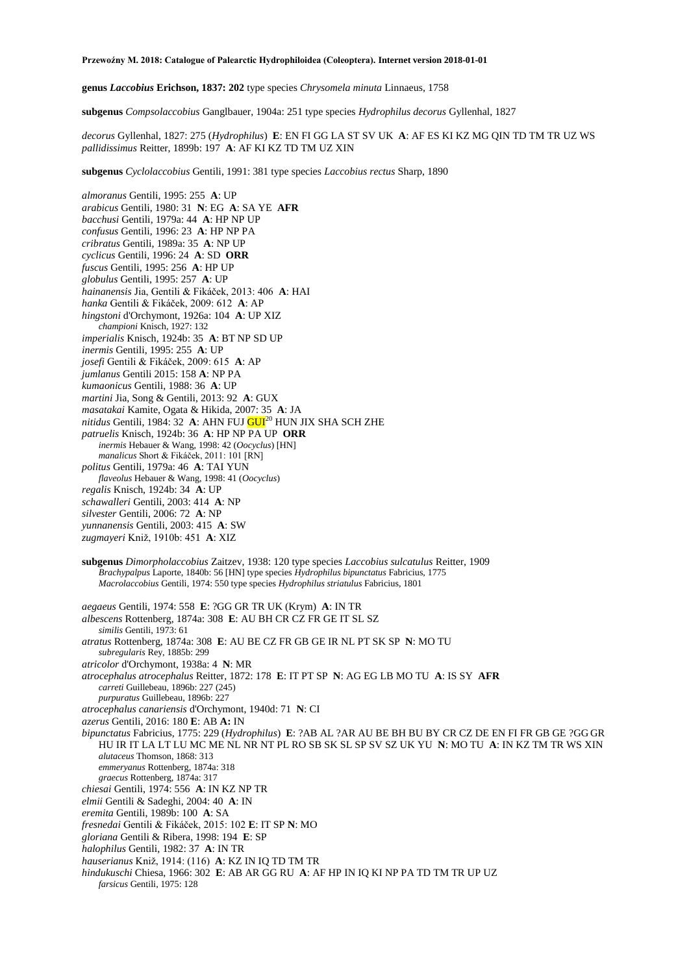**genus** *Laccobius* **Erichson, 1837: 202** type species *Chrysomela minuta* Linnaeus, 1758

**subgenus** *Compsolaccobius* Ganglbauer, 1904a: 251 type species *Hydrophilus decorus* Gyllenhal, 1827

*decorus* Gyllenhal, 1827: 275 (*Hydrophilus*) **E**: EN FI GG LA ST SV UK **A**: AF ES KI KZ MG QIN TD TM TR UZ WS *pallidissimus* Reitter, 1899b: 197 **A**: AF KI KZ TD TM UZ XIN

**subgenus** *Cyclolaccobius* Gentili, 1991: 381 type species *Laccobius rectus* Sharp, 1890

*almoranus* Gentili, 1995: 255 **A**: UP *arabicus* Gentili, 1980: 31 **N**: EG **A**: SA YE **AFR** *bacchusi* Gentili, 1979a: 44 **A**: HP NP UP *confusus* Gentili, 1996: 23 **A**: HP NP PA *cribratus* Gentili, 1989a: 35 **A**: NP UP *cyclicus* Gentili, 1996: 24 **A**: SD **ORR** *fuscus* Gentili, 1995: 256 **A**: HP UP *globulus* Gentili, 1995: 257 **A**: UP *hainanensis* Jia, Gentili & Fikáček, 2013: 406 **A**: HAI *hanka* Gentili & Fikáček, 2009: 612 **A**: AP *hingstoni* d'Orchymont, 1926a: 104 **A**: UP XIZ *championi* Knisch, 1927: 132 *imperialis* Knisch, 1924b: 35 **A**: BT NP SD UP *inermis* Gentili, 1995: 255 **A**: UP *josefi* Gentili & Fikáček, 2009: 615 **A**: AP *jumlanus* Gentili 2015: 158 **A**: NP PA *kumaonicus* Gentili, 1988: 36 **A**: UP *martini* Jia, Song & Gentili, 2013: 92 **A**: GUX *masatakai* Kamite, Ogata & Hikida, 2007: 35 **A**: JA *nitidus* Gentili, 1984: 32 **A**: AHN FUJ GUI<sup>20</sup> HUN JIX SHA SCH ZHE *patruelis* Knisch, 1924b: 36 **A**: HP NP PA UP **ORR** *inermis* Hebauer & Wang, 1998: 42 (*Oocyclus*) [HN] *manalicus* Short & Fikáček, 2011: 101 [RN] *politus* Gentili, 1979a: 46 **A**: TAI YUN *flaveolus* Hebauer & Wang, 1998: 41 (*Oocyclus*) *regalis* Knisch, 1924b: 34 **A**: UP *schawalleri* Gentili, 2003: 414 **A**: NP *silvester* Gentili, 2006: 72 **A**: NP *yunnanensis* Gentili, 2003: 415 **A**: SW

*zugmayeri* Kniž, 1910b: 451 **A**: XIZ

**subgenus** *Dimorpholaccobius* Zaitzev, 1938: 120 type species *Laccobius sulcatulus* Reitter, 1909 *Brachypalpus* Laporte, 1840b: 56 [HN] type species *Hydrophilus bipunctatus* Fabricius, 1775 *Macrolaccobius* Gentili, 1974: 550 type species *Hydrophilus striatulus* Fabricius, 1801

*aegaeus* Gentili, 1974: 558 **E**: ?GG GR TR UK (Krym) **A**: IN TR

*albescens* Rottenberg, 1874a: 308 **E**: AU BH CR CZ FR GE IT SL SZ

*similis* Gentili, 1973: 61

*atratus* Rottenberg, 1874a: 308 **E**: AU BE CZ FR GB GE IR NL PT SK SP **N**: MO TU *subregularis* Rey, 1885b: 299

*atricolor* d'Orchymont, 1938a: 4 **N**: MR

*atrocephalus atrocephalus* Reitter, 1872: 178 **E**: IT PT SP **N**: AG EG LB MO TU **A**: IS SY **AFR** *carreti* Guillebeau, 1896b: 227 (245)

*purpuratus* Guillebeau, 1896b: 227

*atrocephalus canariensis* d'Orchymont, 1940d: 71 **N**: CI

- *azerus* Gentili, 2016: 180 **E**: AB **A:** IN
- *bipunctatus* Fabricius, 1775: 229 (*Hydrophilus*) **E**: ?AB AL ?AR AU BE BH BU BY CR CZ DE EN FI FR GB GE ?GG GR HU IR IT LA LT LU MC ME NL NR NT PL RO SB SK SL SP SV SZ UK YU **N**: MO TU **A**: IN KZ TM TR WS XIN *alutaceus* Thomson, 1868: 313 *emmeryanus* Rottenberg, 1874a: 318
	- *graecus* Rottenberg, 1874a: 317
- *chiesai* Gentili, 1974: 556 **A**: IN KZ NP TR
- *elmii* Gentili & Sadeghi, 2004: 40 **A**: IN
- *eremita* Gentili, 1989b: 100 **A**: SA
- *fresnedai* Gentili & Fikáček, 2015: 102 **E**: IT SP **N**: MO
- *gloriana* Gentili & Ribera, 1998: 194 **E**: SP
- *halophilus* Gentili, 1982: 37 **A**: IN TR
- *hauserianus* Kniž, 1914: (116) **A**: KZ IN IQ TD TM TR
- *hindukuschi* Chiesa, 1966: 302 **E**: AB AR GG RU **A**: AF HP IN IQ KI NP PA TD TM TR UP UZ
- *farsicus* Gentili, 1975: 128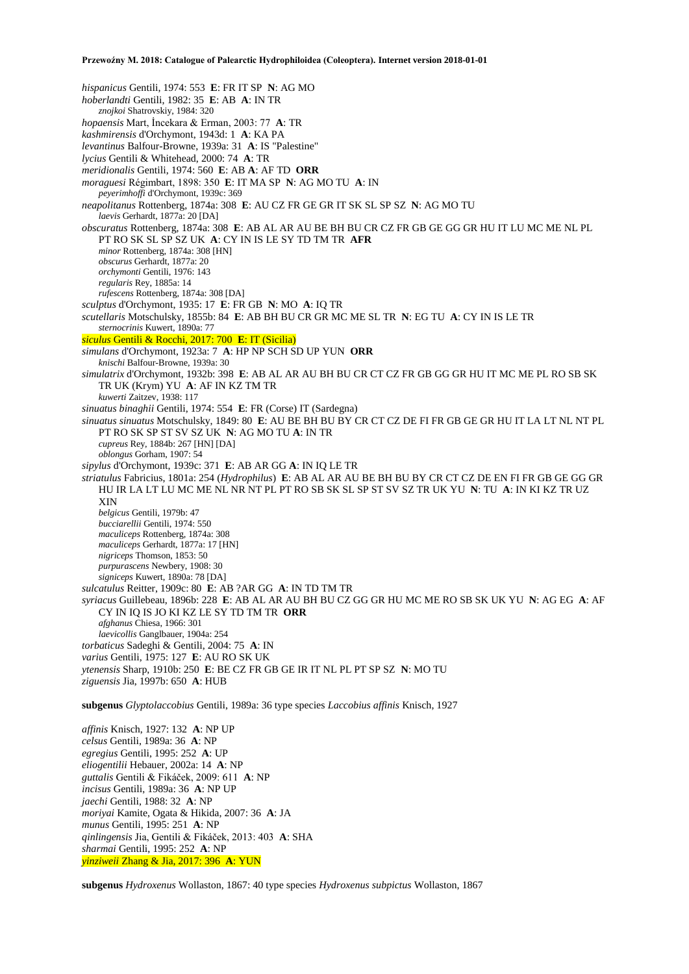*hispanicus* Gentili, 1974: 553 **E**: FR IT SP **N**: AG MO *hoberlandti* Gentili, 1982: 35 **E**: AB **A**: IN TR *znojkoi* Shatrovskiy, 1984: 320 *hopaensis* Mart, İncekara & Erman, 2003: 77 **A**: TR *kashmirensis* d'Orchymont, 1943d: 1 **A**: KA PA *levantinus* Balfour-Browne, 1939a: 31 **A**: IS "Palestine" *lycius* Gentili & Whitehead, 2000: 74 **A**: TR *meridionalis* Gentili, 1974: 560 **E**: AB **A**: AF TD **ORR** *moraguesi* Régimbart, 1898: 350 **E**: IT MA SP **N**: AG MO TU **A**: IN *peyerimhoffi* d'Orchymont, 1939c: 369 *neapolitanus* Rottenberg, 1874a: 308 **E**: AU CZ FR GE GR IT SK SL SP SZ **N**: AG MO TU *laevis* Gerhardt, 1877a: 20 [DA] *obscuratus* Rottenberg, 1874a: 308 **E**: AB AL AR AU BE BH BU CR CZ FR GB GE GG GR HU IT LU MC ME NL PL PT RO SK SL SP SZ UK **A**: CY IN IS LE SY TD TM TR **AFR** *minor* Rottenberg, 1874a: 308 [HN] *obscurus* Gerhardt, 1877a: 20 *orchymonti* Gentili, 1976: 143 *regularis* Rey, 1885a: 14 *rufescens* Rottenberg, 1874a: 308 [DA] *sculptus* d'Orchymont, 1935: 17 **E**: FR GB **N**: MO **A**: IQ TR *scutellaris* Motschulsky, 1855b: 84 **E**: AB BH BU CR GR MC ME SL TR **N**: EG TU **A**: CY IN IS LE TR *sternocrinis* Kuwert, 1890a: 77 *siculus* Gentili & Rocchi, 2017: 700 **E**: IT (Sicilia) *simulans* d'Orchymont, 1923a: 7 **A**: HP NP SCH SD UP YUN **ORR** *knischi* Balfour-Browne, 1939a: 30 *simulatrix* d'Orchymont, 1932b: 398 **E**: AB AL AR AU BH BU CR CT CZ FR GB GG GR HU IT MC ME PL RO SB SK TR UK (Krym) YU **A**: AF IN KZ TM TR *kuwerti* Zaitzev, 1938: 117 *sinuatus binaghii* Gentili, 1974: 554 **E**: FR (Corse) IT (Sardegna) *sinuatus sinuatus* Motschulsky, 1849: 80 **E**: AU BE BH BU BY CR CT CZ DE FI FR GB GE GR HU IT LA LT NL NT PL PT RO SK SP ST SV SZ UK **N**: AG MO TU **A**: IN TR *cupreus* Rey, 1884b: 267 [HN] [DA] *oblongus* Gorham, 1907: 54 *sipylus* d'Orchymont, 1939c: 371 **E**: AB AR GG **A**: IN IQ LE TR *striatulus* Fabricius, 1801a: 254 (*Hydrophilus*) **E**: AB AL AR AU BE BH BU BY CR CT CZ DE EN FI FR GB GE GG GR HU IR LA LT LU MC ME NL NR NT PL PT RO SB SK SL SP ST SV SZ TR UK YU **N**: TU **A**: IN KI KZ TR UZ XIN *belgicus* Gentili, 1979b: 47 *bucciarellii* Gentili, 1974: 550 *maculiceps* Rottenberg, 1874a: 308 *maculiceps* Gerhardt, 1877a: 17 [HN] *nigriceps* Thomson, 1853: 50 *purpurascens* Newbery, 1908: 30 *signiceps* Kuwert, 1890a: 78 [DA] *sulcatulus* Reitter, 1909c: 80 **E**: AB ?AR GG **A**: IN TD TM TR *syriacus* Guillebeau, 1896b: 228 **E**: AB AL AR AU BH BU CZ GG GR HU MC ME RO SB SK UK YU **N**: AG EG **A**: AF CY IN IQ IS JO KI KZ LE SY TD TM TR **ORR** *afghanus* Chiesa, 1966: 301 *laevicollis* Ganglbauer, 1904a: 254 *torbaticus* Sadeghi & Gentili, 2004: 75 **A**: IN *varius* Gentili, 1975: 127 **E**: AU RO SK UK *ytenensis* Sharp, 1910b: 250 **E**: BE CZ FR GB GE IR IT NL PL PT SP SZ **N**: MO TU *ziguensis* Jia, 1997b: 650 **A**: HUB **subgenus** *Glyptolaccobius* Gentili, 1989a: 36 type species *Laccobius affinis* Knisch, 1927 *affinis* Knisch, 1927: 132 **A**: NP UP *celsus* Gentili, 1989a: 36 **A**: NP

*egregius* Gentili, 1995: 252 **A**: UP *eliogentilii* Hebauer, 2002a: 14 **A**: NP *guttalis* Gentili & Fikáček, 2009: 611 **A**: NP *incisus* Gentili, 1989a: 36 **A**: NP UP *jaechi* Gentili, 1988: 32 **A**: NP *moriyai* Kamite, Ogata & Hikida, 2007: 36 **A**: JA *munus* Gentili, 1995: 251 **A**: NP *qinlingensis* Jia, Gentili & Fikáček, 2013: 403 **A**: SHA *sharmai* Gentili, 1995: 252 **A**: NP *yinziweii* Zhang & Jia, 2017: 396 **A**: YUN

**subgenus** *Hydroxenus* Wollaston, 1867: 40 type species *Hydroxenus subpictus* Wollaston, 1867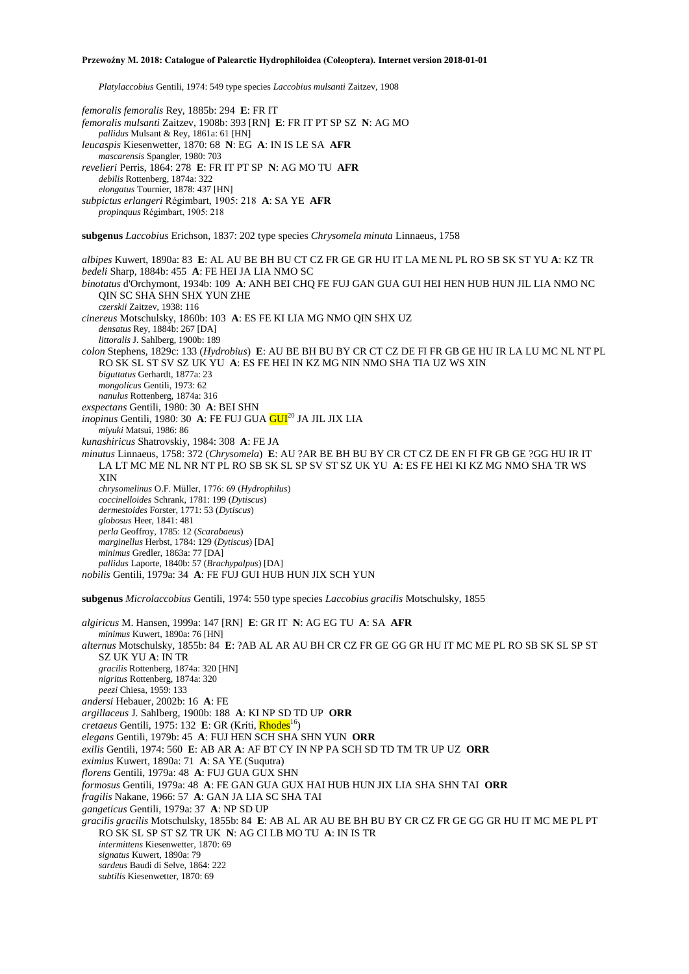*Platylaccobius* Gentili, 1974: 549 type species *Laccobius mulsanti* Zaitzev, 1908

*femoralis femoralis* Rey, 1885b: 294 **E**: FR IT

*femoralis mulsanti* Zaitzev, 1908b: 393 [RN] **E**: FR IT PT SP SZ **N**: AG MO *pallidus* Mulsant & Rey, 1861a: 61 [HN] *leucaspis* Kiesenwetter, 1870: 68 **N**: EG **A**: IN IS LE SA **AFR** *mascarensis* Spangler, 1980: 703 *revelieri* Perris, 1864: 278 **E**: FR IT PT SP **N**: AG MO TU **AFR** *debilis* Rottenberg, 1874a: 322 *elongatus* Tournier, 1878: 437 [HN] *subpictus erlangeri* Régimbart, 1905: 218 **A**: SA YE **AFR** *propinquus* Régimbart, 1905: 218 **subgenus** *Laccobius* Erichson, 1837: 202 type species *Chrysomela minuta* Linnaeus, 1758 *albipes* Kuwert, 1890a: 83 **E**: AL AU BE BH BU CT CZ FR GE GR HU IT LA ME NL PL RO SB SK ST YU **A**: KZ TR *bedeli* Sharp, 1884b: 455 **A**: FE HEI JA LIA NMO SC *binotatus* d'Orchymont, 1934b: 109 **A**: ANH BEI CHQ FE FUJ GAN GUA GUI HEI HEN HUB HUN JIL LIA NMO NC QIN SC SHA SHN SHX YUN ZHE *czerskii* Zaitzev, 1938: 116 *cinereus* Motschulsky, 1860b: 103 **A**: ES FE KI LIA MG NMO QIN SHX UZ *densatus* Rey, 1884b: 267 [DA] *littoralis* J. Sahlberg, 1900b: 189 *colon* Stephens, 1829c: 133 (*Hydrobius*) **E**: AU BE BH BU BY CR CT CZ DE FI FR GB GE HU IR LA LU MC NL NT PL RO SK SL ST SV SZ UK YU **A**: ES FE HEI IN KZ MG NIN NMO SHA TIA UZ WS XIN *biguttatus* Gerhardt, 1877a: 23 *mongolicus* Gentili, 1973: 62 *nanulus* Rottenberg, 1874a: 316 *exspectans* Gentili, 1980: 30 **A**: BEI SHN *inopinus* Gentili, 1980: 30 A: FE FUJ GUA GUI<sup>20</sup> JA JIL JIX LIA *miyuki* Matsui, 1986: 86 *kunashiricus* Shatrovskiy, 1984: 308 **A**: FE JA *minutus* Linnaeus, 1758: 372 (*Chrysomela*) **E**: AU ?AR BE BH BU BY CR CT CZ DE EN FI FR GB GE ?GG HU IR IT LA LT MC ME NL NR NT PL RO SB SK SL SP SV ST SZ UK YU **A**: ES FE HEI KI KZ MG NMO SHA TR WS XIN *chrysomelinus* O.F. Müller, 1776: 69 (*Hydrophilus*) *coccinelloides* Schrank, 1781: 199 (*Dytiscus*) *dermestoides* Forster, 1771: 53 (*Dytiscus*) *globosus* Heer, 1841: 481 *perla* Geoffroy, 1785: 12 (*Scarabaeus*) *marginellus* Herbst, 1784: 129 (*Dytiscus*) [DA] *minimus* Gredler, 1863a: 77 [DA] *pallidus* Laporte, 1840b: 57 (*Brachypalpus*) [DA] *nobilis* Gentili, 1979a: 34 **A**: FE FUJ GUI HUB HUN JIX SCH YUN **subgenus** *Microlaccobius* Gentili, 1974: 550 type species *Laccobius gracilis* Motschulsky, 1855 *algiricus* M. Hansen, 1999a: 147 [RN] **E**: GR IT **N**: AG EG TU **A**: SA **AFR** *minimus* Kuwert, 1890a: 76 [HN] *alternus* Motschulsky, 1855b: 84 **E**: ?AB AL AR AU BH CR CZ FR GE GG GR HU IT MC ME PL RO SB SK SL SP ST SZ UK YU **A**: IN TR *gracilis* Rottenberg, 1874a: 320 [HN] *nigritus* Rottenberg, 1874a: 320 *peezi* Chiesa, 1959: 133 *andersi* Hebauer, 2002b: 16 **A**: FE *argillaceus* J. Sahlberg, 1900b: 188 **A**: KI NP SD TD UP **ORR** *cretaeus* Gentili, 1975: 132 E: GR (Kríti, Rhodes<sup>16</sup>) *elegans* Gentili, 1979b: 45 **A**: FUJ HEN SCH SHA SHN YUN **ORR** *exilis* Gentili, 1974: 560 **E**: AB AR **A**: AF BT CY IN NP PA SCH SD TD TM TR UP UZ **ORR** *eximius* Kuwert, 1890a: 71 **A**: SA YE (Suqutra) *florens* Gentili, 1979a: 48 **A**: FUJ GUA GUX SHN *formosus* Gentili, 1979a: 48 **A**: FE GAN GUA GUX HAI HUB HUN JIX LIA SHA SHN TAI **ORR** *fragilis* Nakane, 1966: 57 **A**: GAN JA LIA SC SHA TAI *gangeticus* Gentili, 1979a: 37 **A**: NP SD UP *gracilis gracilis* Motschulsky, 1855b: 84 **E**: AB AL AR AU BE BH BU BY CR CZ FR GE GG GR HU IT MC ME PL PT RO SK SL SP ST SZ TR UK **N**: AG CI LB MO TU **A**: IN IS TR *intermittens* Kiesenwetter, 1870: 69 *signatus* Kuwert, 1890a: 79

- *sardeus* Baudi di Selve, 1864: 222
- *subtilis* Kiesenwetter, 1870: 69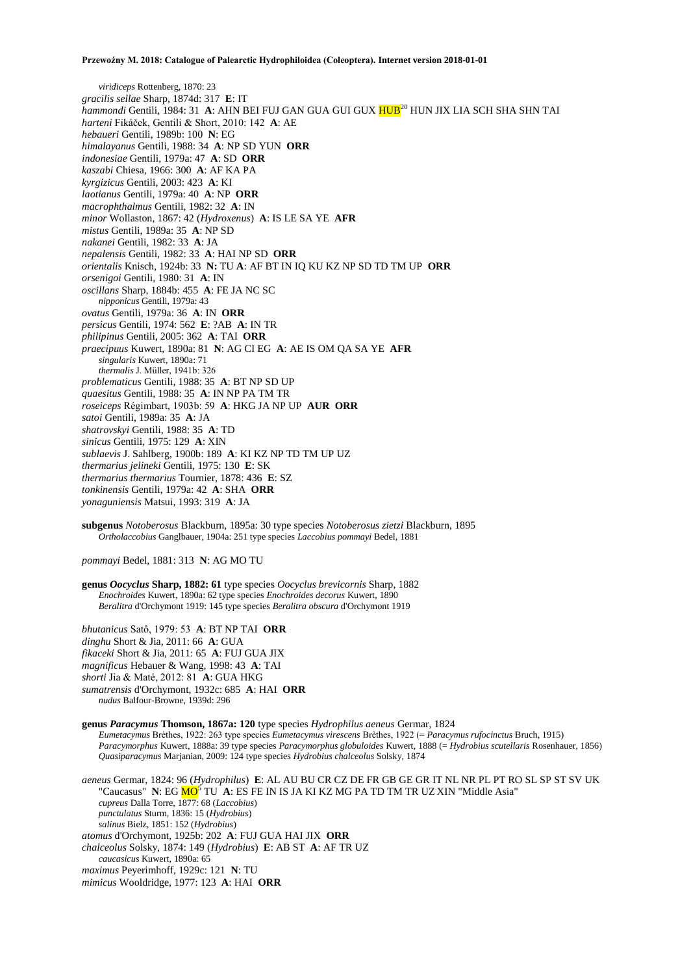*viridiceps* Rottenberg, 1870: 23 *gracilis sellae* Sharp, 1874d: 317 **E**: IT *hammondi* Gentili, 1984: 31 **A**: AHN BEI FUJ GAN GUA GUI GUX HUB<sup>20</sup> HUN JIX LIA SCH SHA SHN TAI *harteni* Fikáček, Gentili & Short, 2010: 142 **A**: AE *hebaueri* Gentili, 1989b: 100 **N**: EG *himalayanus* Gentili, 1988: 34 **A**: NP SD YUN **ORR** *indonesiae* Gentili, 1979a: 47 **A**: SD **ORR** *kaszabi* Chiesa, 1966: 300 **A**: AF KA PA *kyrgizicus* Gentili, 2003: 423 **A**: KI *laotianus* Gentili, 1979a: 40 **A**: NP **ORR** *macrophthalmus* Gentili, 1982: 32 **A**: IN *minor* Wollaston, 1867: 42 (*Hydroxenus*) **A**: IS LE SA YE **AFR** *mistus* Gentili, 1989a: 35 **A**: NP SD *nakanei* Gentili, 1982: 33 **A**: JA *nepalensis* Gentili, 1982: 33 **A**: HAI NP SD **ORR** *orientalis* Knisch, 1924b: 33 **N:** TU **A**: AF BT IN IQ KU KZ NP SD TD TM UP **ORR** *orsenigoi* Gentili, 1980: 31 **A**: IN *oscillans* Sharp, 1884b: 455 **A**: FE JA NC SC *nipponicus* Gentili, 1979a: 43 *ovatus* Gentili, 1979a: 36 **A**: IN **ORR** *persicus* Gentili, 1974: 562 **E**: ?AB **A**: IN TR *philipinus* Gentili, 2005: 362 **A**: TAI **ORR** *praecipuus* Kuwert, 1890a: 81 **N**: AG CI EG **A**: AE IS OM QA SA YE **AFR** *singularis* Kuwert, 1890a: 71 *thermalis* J. Müller, 1941b: 326 *problematicus* Gentili, 1988: 35 **A**: BT NP SD UP *quaesitus* Gentili, 1988: 35 **A**: IN NP PA TM TR *roseiceps* Régimbart, 1903b: 59 **A**: HKG JA NP UP **AUR ORR** *satoi* Gentili, 1989a: 35 **A**: JA *shatrovskyi* Gentili, 1988: 35 **A**: TD *sinicus* Gentili, 1975: 129 **A**: XIN *sublaevis* J. Sahlberg, 1900b: 189 **A**: KI KZ NP TD TM UP UZ *thermarius jelineki* Gentili, 1975: 130 **E**: SK *thermarius thermarius* Tournier, 1878: 436 **E**: SZ *tonkinensis* Gentili, 1979a: 42 **A**: SHA **ORR** *yonaguniensis* Matsui, 1993: 319 **A**: JA

**subgenus** *Notoberosus* Blackburn, 1895a: 30 type species *Notoberosus zietzi* Blackburn, 1895 *Ortholaccobius* Ganglbauer, 1904a: 251 type species *Laccobius pommayi* Bedel, 1881

*pommayi* Bedel, 1881: 313 **N**: AG MO TU

**genus** *Oocyclus* **Sharp, 1882: 61** type species *Oocyclus brevicornis* Sharp, 1882 *Enochroides* Kuwert, 1890a: 62 type species *Enochroides decorus* Kuwert, 1890 *Beralitra* d'Orchymont 1919: 145 type species *Beralitra obscura* d'Orchymont 1919

*bhutanicus* Satô, 1979: 53 **A**: BT NP TAI **ORR** *dinghu* Short & Jia, 2011: 66 **A**: GUA *fikaceki* Short & Jia, 2011: 65 **A**: FUJ GUA JIX *magnificus* Hebauer & Wang, 1998: 43 **A**: TAI *shorti* Jia & Maté, 2012: 81 **A**: GUA HKG *sumatrensis* d'Orchymont, 1932c: 685 **A**: HAI **ORR** *nudus* Balfour-Browne, 1939d: 296

**genus** *Paracymus* **Thomson, 1867a: 120** type species *Hydrophilus aeneus* Germar, 1824 *Eumetacymus* Brèthes, 1922: 263 type species *Eumetacymus virescens* Brèthes, 1922 (= *Paracymus rufocinctus* Bruch, 1915) *Paracymorphus* Kuwert, 1888a: 39 type species *Paracymorphus globuloides* Kuwert, 1888 (= *Hydrobius scutellaris* Rosenhauer, 1856) *Quasiparacymus* Marjanian, 2009: 124 type species *Hydrobius chalceolus* Solsky, 1874

*aeneus* Germar, 1824: 96 (*Hydrophilus*) **E**: AL AU BU CR CZ DE FR GB GE GR IT NL NR PL PT RO SL SP ST SV UK "Caucasus" **N**: EG <mark>MO<sup>5</sup> TU **A**: ES FE IN IS JA KI KZ MG PA TD TM TR UZ XIN "Middle Asia"</mark> *cupreus* Dalla Torre, 1877: 68 (*Laccobius*) *punctulatus* Sturm, 1836: 15 (*Hydrobius*) *salinus* Bielz, 1851: 152 (*Hydrobius*) *atomus* d'Orchymont, 1925b: 202 **A**: FUJ GUA HAI JIX **ORR** *chalceolus* Solsky, 1874: 149 (*Hydrobius*) **E**: AB ST **A**: AF TR UZ *caucasicus* Kuwert, 1890a: 65 *maximus* Peyerimhoff, 1929c: 121 **N**: TU

*mimicus* Wooldridge, 1977: 123 **A**: HAI **ORR**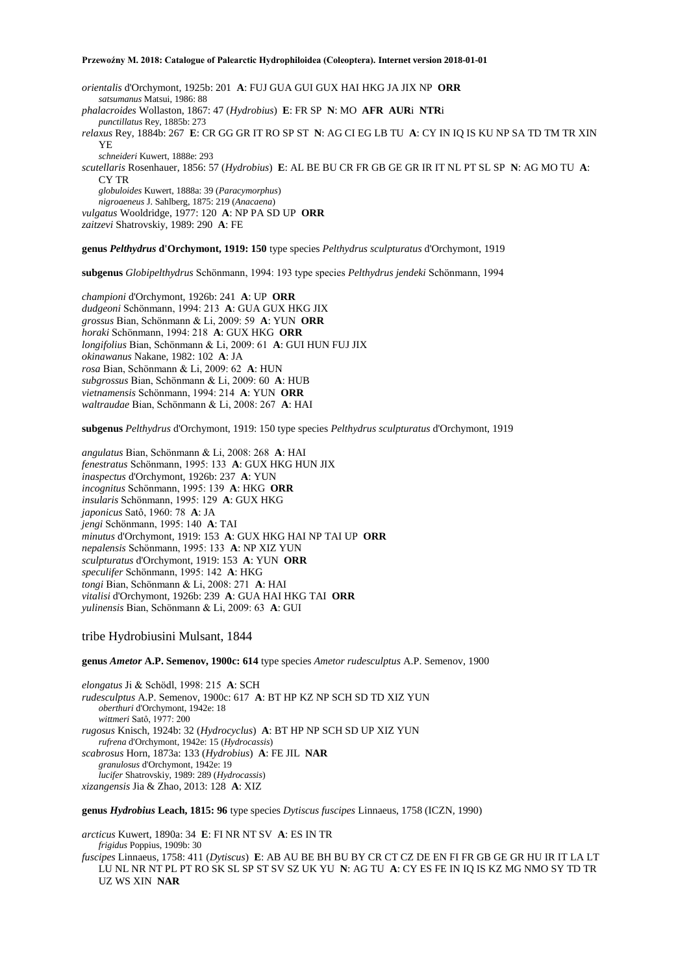*orientalis* d'Orchymont, 1925b: 201 **A**: FUJ GUA GUI GUX HAI HKG JA JIX NP **ORR** *satsumanus* Matsui, 1986: 88 *phalacroides* Wollaston, 1867: 47 (*Hydrobius*) **E**: FR SP **N**: MO **AFR AUR**i **NTR**i *punctillatus* Rey, 1885b: 273 *relaxus* Rey, 1884b: 267 **E**: CR GG GR IT RO SP ST **N**: AG CI EG LB TU **A**: CY IN IQ IS KU NP SA TD TM TR XIN YE *schneideri* Kuwert, 1888e: 293 *scutellaris* Rosenhauer, 1856: 57 (*Hydrobius*) **E**: AL BE BU CR FR GB GE GR IR IT NL PT SL SP **N**: AG MO TU **A**: CY TR *globuloides* Kuwert, 1888a: 39 (*Paracymorphus*) *nigroaeneus* J. Sahlberg, 1875: 219 (*Anacaena*) *vulgatus* Wooldridge, 1977: 120 **A**: NP PA SD UP **ORR** *zaitzevi* Shatrovskiy, 1989: 290 **A**: FE

### **genus** *Pelthydrus* **d'Orchymont, 1919: 150** type species *Pelthydrus sculpturatus* d'Orchymont, 1919

**subgenus** *Globipelthydrus* Schönmann, 1994: 193 type species *Pelthydrus jendeki* Schönmann, 1994

*championi* d'Orchymont, 1926b: 241 **A**: UP **ORR** *dudgeoni* Schönmann, 1994: 213 **A**: GUA GUX HKG JIX *grossus* Bian, Schönmann & Li, 2009: 59 **A**: YUN **ORR** *horaki* Schönmann, 1994: 218 **A**: GUX HKG **ORR** *longifolius* Bian, Schönmann & Li, 2009: 61 **A**: GUI HUN FUJ JIX *okinawanus* Nakane, 1982: 102 **A**: JA *rosa* Bian, Schönmann & Li, 2009: 62 **A**: HUN *subgrossus* Bian, Schönmann & Li, 2009: 60 **A**: HUB *vietnamensis* Schönmann, 1994: 214 **A**: YUN **ORR** *waltraudae* Bian, Schönmann & Li, 2008: 267 **A**: HAI

**subgenus** *Pelthydrus* d'Orchymont, 1919: 150 type species *Pelthydrus sculpturatus* d'Orchymont, 1919

*angulatus* Bian, Schönmann & Li, 2008: 268 **A**: HAI *fenestratus* Schönmann, 1995: 133 **A**: GUX HKG HUN JIX *inaspectus* d'Orchymont, 1926b: 237 **A**: YUN *incognitus* Schönmann, 1995: 139 **A**: HKG **ORR** *insularis* Schönmann, 1995: 129 **A**: GUX HKG *japonicus* Satô, 1960: 78 **A**: JA *jengi* Schönmann, 1995: 140 **A**: TAI *minutus* d'Orchymont, 1919: 153 **A**: GUX HKG HAI NP TAI UP **ORR** *nepalensis* Schönmann, 1995: 133 **A**: NP XIZ YUN *sculpturatus* d'Orchymont, 1919: 153 **A**: YUN **ORR** *speculifer* Schönmann, 1995: 142 **A**: HKG *tongi* Bian, Schönmann & Li, 2008: 271 **A**: HAI *vitalisi* d'Orchymont, 1926b: 239 **A**: GUA HAI HKG TAI **ORR** *yulinensis* Bian, Schönmann & Li, 2009: 63 **A**: GUI

## tribe Hydrobiusini Mulsant, 1844

**genus** *Ametor* **A.P. Semenov, 1900c: 614** type species *Ametor rudesculptus* A.P. Semenov, 1900

*elongatus* Ji & Schödl, 1998: 215 **A**: SCH *rudesculptus* A.P. Semenov, 1900c: 617 **A**: BT HP KZ NP SCH SD TD XIZ YUN *oberthuri* d'Orchymont, 1942e: 18 *wittmeri* Satô, 1977: 200 *rugosus* Knisch, 1924b: 32 (*Hydrocyclus*) **A**: BT HP NP SCH SD UP XIZ YUN *rufrena* d'Orchymont, 1942e: 15 (*Hydrocassis*) *scabrosus* Horn, 1873a: 133 (*Hydrobius*) **A**: FE JIL **NAR** *granulosus* d'Orchymont, 1942e: 19 *lucifer* Shatrovskiy, 1989: 289 (*Hydrocassis*) *xizangensis* Jia & Zhao, 2013: 128 **A**: XIZ

**genus** *Hydrobius* **Leach, 1815: 96** type species *Dytiscus fuscipes* Linnaeus, 1758 (ICZN, 1990)

*arcticus* Kuwert, 1890a: 34 **E**: FI NR NT SV **A**: ES IN TR *frigidus* Poppius, 1909b: 30 *fuscipes* Linnaeus, 1758: 411 (*Dytiscus*) **E**: AB AU BE BH BU BY CR CT CZ DE EN FI FR GB GE GR HU IR IT LA LT LU NL NR NT PL PT RO SK SL SP ST SV SZ UK YU **N**: AG TU **A**: CY ES FE IN IQ IS KZ MG NMO SY TD TR UZ WS XIN **NAR**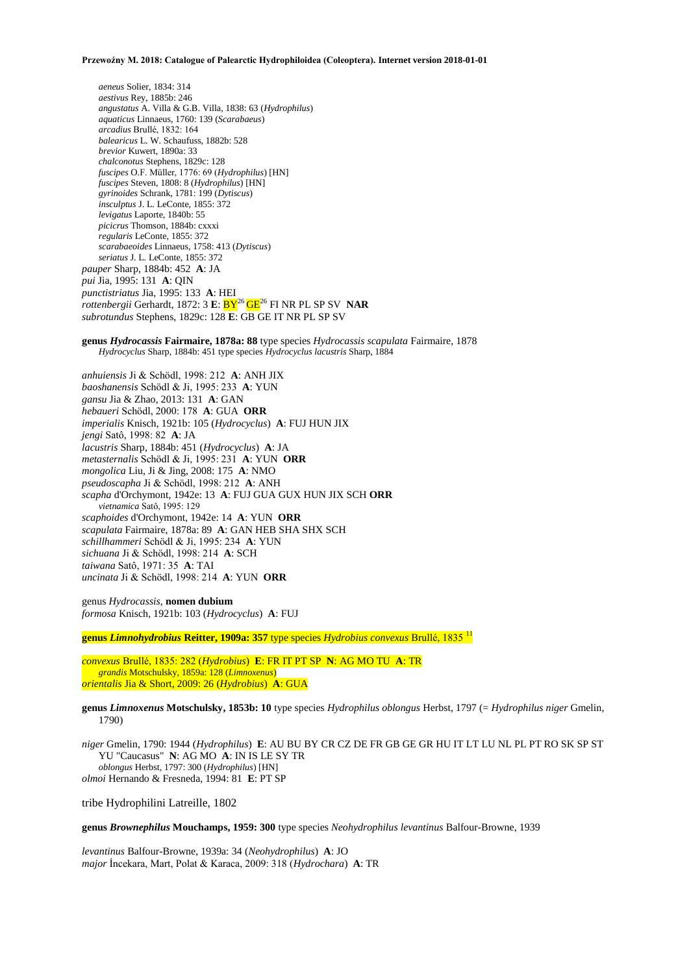*aeneus* Solier, 1834: 314 *aestivus* Rey, 1885b: 246 *angustatus* A. Villa & G.B. Villa, 1838: 63 (*Hydrophilus*) *aquaticus* Linnaeus, 1760: 139 (*Scarabaeus*) *arcadius* Brullé, 1832: 164 *balearicus* L. W. Schaufuss, 1882b: 528 *brevior* Kuwert, 1890a: 33 *chalconotus* Stephens, 1829c: 128 *fuscipes* O.F. Müller, 1776: 69 (*Hydrophilus*) [HN] *fuscipes* Steven, 1808: 8 (*Hydrophilus*) [HN] *gyrinoides* Schrank, 1781: 199 (*Dytiscus*) *insculptus* J. L. LeConte, 1855: 372 *levigatus* Laporte, 1840b: 55 *picicrus* Thomson, 1884b: cxxxi *regularis* LeConte, 1855: 372 *scarabaeoides* Linnaeus, 1758: 413 (*Dytiscus*) *seriatus* J. L. LeConte, 1855: 372 *pauper* Sharp, 1884b: 452 **A**: JA *pui* Jia, 1995: 131 **A**: QIN *punctistriatus* Jia, 1995: 133 **A**: HEI *rottenbergii* Gerhardt, 1872: 3 **E**:  $\frac{DY^{26}}{9}$ GE<sup>26</sup> FI NR PL SP SV **NAR** *subrotundus* Stephens, 1829c: 128 **E**: GB GE IT NR PL SP SV

**genus** *Hydrocassis* **Fairmaire, 1878a: 88** type species *Hydrocassis scapulata* Fairmaire, 1878 *Hydrocyclus* Sharp, 1884b: 451 type species *Hydrocyclus lacustris* Sharp, 1884

*anhuiensis* Ji & Schödl, 1998: 212 **A**: ANH JIX *baoshanensis* Schödl & Ji, 1995: 233 **A**: YUN *gansu* Jia & Zhao, 2013: 131 **A**: GAN *hebaueri* Schödl, 2000: 178 **A**: GUA **ORR** *imperialis* Knisch, 1921b: 105 (*Hydrocyclus*) **A**: FUJ HUN JIX *jengi* Satô, 1998: 82 **A**: JA *lacustris* Sharp, 1884b: 451 (*Hydrocyclus*) **A**: JA *metasternalis* Schödl & Ji, 1995: 231 **A**: YUN **ORR** *mongolica* Liu, Ji & Jing, 2008: 175 **A**: NMO *pseudoscapha* Ji & Schödl, 1998: 212 **A**: ANH *scapha* d'Orchymont, 1942e: 13 **A**: FUJ GUA GUX HUN JIX SCH **ORR** *vietnamica* Satô, 1995: 129 *scaphoides* d'Orchymont, 1942e: 14 **A**: YUN **ORR** *scapulata* Fairmaire, 1878a: 89 **A**: GAN HEB SHA SHX SCH *schillhammeri* Schödl & Ji, 1995: 234 **A**: YUN *sichuana* Ji & Schödl, 1998: 214 **A**: SCH *taiwana* Satô, 1971: 35 **A**: TAI *uncinata* Ji & Schödl, 1998: 214 **A**: YUN **ORR**

genus *Hydrocassis,* **nomen dubium** *formosa* Knisch, 1921b: 103 (*Hydrocyclus*) **A**: FUJ

**genus** *Limnohydrobius* **Reitter, 1909a: 357** type species *Hydrobius convexus* Brullé, 1835 <sup>11</sup>

*convexus* Brullé, 1835: 282 (*Hydrobius*) **E**: FR IT PT SP **N**: AG MO TU **A**: TR *grandis* Motschulsky, 1859a: 128 (*Limnoxenus*) *orientalis* Jia & Short, 2009: 26 (*Hydrobius*) **A**: GUA

**genus** *Limnoxenus* **Motschulsky, 1853b: 10** type species *Hydrophilus oblongus* Herbst, 1797 (= *Hydrophilus niger* Gmelin, 1790)

*niger* Gmelin, 1790: 1944 (*Hydrophilus*) **E**: AU BU BY CR CZ DE FR GB GE GR HU IT LT LU NL PL PT RO SK SP ST YU "Caucasus" **N**: AG MO **A**: IN IS LE SY TR *oblongus* Herbst, 1797: 300 (*Hydrophilus*) [HN] *olmoi* Hernando & Fresneda, 1994: 81 **E**: PT SP

tribe Hydrophilini Latreille, 1802

**genus** *Brownephilus* **Mouchamps, 1959: 300** type species *Neohydrophilus levantinus* Balfour-Browne, 1939

*levantinus* Balfour-Browne, 1939a: 34 (*Neohydrophilus*) **A**: JO *major* İncekara, Mart, Polat & Karaca, 2009: 318 (*Hydrochara*) **A**: TR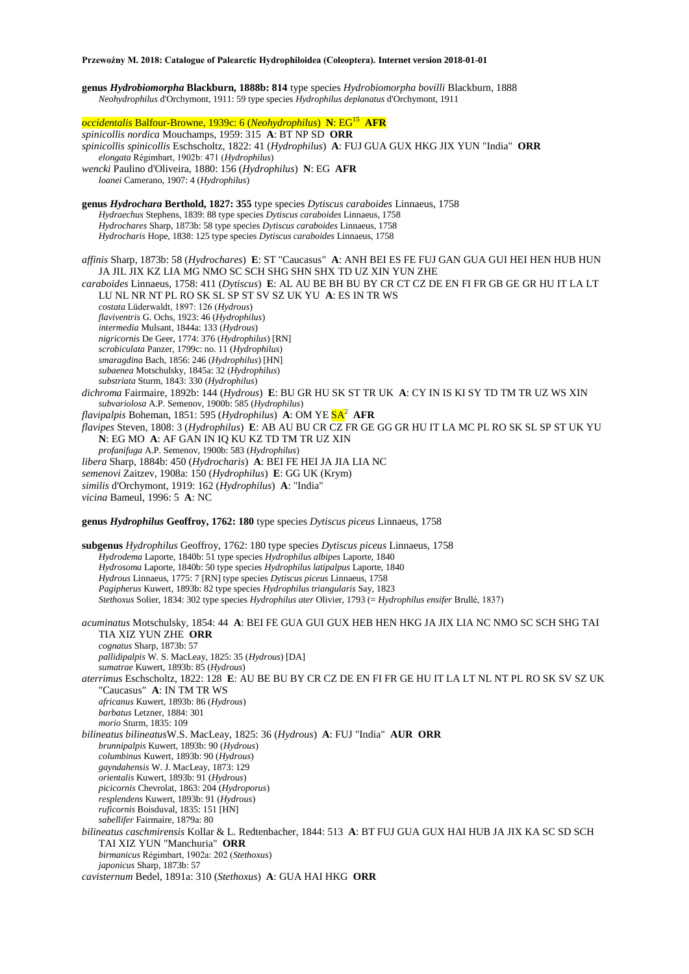**genus** *Hydrobiomorpha* **Blackburn, 1888b: 814** type species *Hydrobiomorpha bovilli* Blackburn, 1888 *Neohydrophilus* d'Orchymont, 1911: 59 type species *Hydrophilus deplanatus* d'Orchymont, 1911

*occidentalis* Balfour-Browne, 1939c: 6 (*Neohydrophilus*) **N**: EG<sup>15</sup> **AFR** *spinicollis nordica* Mouchamps, 1959: 315 **A**: BT NP SD **ORR** *spinicollis spinicollis* Eschscholtz, 1822: 41 (*Hydrophilus*) **A**: FUJ GUA GUX HKG JIX YUN "India" **ORR** *elongata* Régimbart, 1902b: 471 (*Hydrophilus*) *wencki* Paulino d'Oliveira, 1880: 156 (*Hydrophilus*) **N**: EG **AFR** *loanei* Camerano, 1907: 4 (*Hydrophilus*) **genus** *Hydrochara* **Berthold, 1827: 355** type species *Dytiscus caraboides* Linnaeus, 1758 *Hydraechus* Stephens, 1839: 88 type species *Dytiscus caraboides* Linnaeus, 1758 *Hydrochares* Sharp, 1873b: 58 type species *Dytiscus caraboides* Linnaeus, 1758 *Hydrocharis* Hope, 1838: 125 type species *Dytiscus caraboides* Linnaeus, 1758 *affinis* Sharp, 1873b: 58 (*Hydrochares*) **E**: ST "Caucasus" **A**: ANH BEI ES FE FUJ GAN GUA GUI HEI HEN HUB HUN JA JIL JIX KZ LIA MG NMO SC SCH SHG SHN SHX TD UZ XIN YUN ZHE *caraboides* Linnaeus, 1758: 411 (*Dytiscus*) **E**: AL AU BE BH BU BY CR CT CZ DE EN FI FR GB GE GR HU IT LA LT LU NL NR NT PL RO SK SL SP ST SV SZ UK YU **A**: ES IN TR WS *costata* Lüderwaldt, 1897: 126 (*Hydrous*) *flaviventris* G. Ochs, 1923: 46 (*Hydrophilus*) *intermedia* Mulsant, 1844a: 133 (*Hydrous*) *nigricornis* De Geer, 1774: 376 (*Hydrophilus*) [RN] *scrobiculata* Panzer, 1799c: no. 11 (*Hydrophilus*) *smaragdina* Bach, 1856: 246 (*Hydrophilus*) [HN] *subaenea* Motschulsky, 1845a: 32 (*Hydrophilus*) *substriata* Sturm, 1843: 330 (*Hydrophilus*) *dichroma* Fairmaire, 1892b: 144 (*Hydrous*) **E**: BU GR HU SK ST TR UK **A**: CY IN IS KI SY TD TM TR UZ WS XIN *subvariolosa* A.P. Semenov, 1900b: 585 (*Hydrophilus*) *flavipalpis* Boheman, 1851: 595 (*Hydrophilus*) **A**: OM YE SA<sup>2</sup> **AFR** *flavipes* Steven, 1808: 3 (*Hydrophilus*) **E**: AB AU BU CR CZ FR GE GG GR HU IT LA MC PL RO SK SL SP ST UK YU **N**: EG MO **A**: AF GAN IN IQ KU KZ TD TM TR UZ XIN *profanifuga* A.P. Semenov, 1900b: 583 (*Hydrophilus*) *libera* Sharp, 1884b: 450 (*Hydrocharis*) **A**: BEI FE HEI JA JIA LIA NC *semenovi* Zaitzev, 1908a: 150 (*Hydrophilus*) **E**: GG UK (Krym) *similis* d'Orchymont, 1919: 162 (*Hydrophilus*) **A**: "India" *vicina* Bameul, 1996: 5 **A**: NC **genus** *Hydrophilus* **Geoffroy, 1762: 180** type species *Dytiscus piceus* Linnaeus, 1758 **subgenus** *Hydrophilus* Geoffroy, 1762: 180 type species *Dytiscus piceus* Linnaeus, 1758 *Hydrodema* Laporte, 1840b: 51 type species *Hydrophilus albipes* Laporte, 1840 *Hydrosoma* Laporte, 1840b: 50 type species *Hydrophilus latipalpus* Laporte, 1840 *Hydrous* Linnaeus, 1775: 7 [RN] type species *Dytiscus piceus* Linnaeus, 1758 *Pagipherus* Kuwert, 1893b: 82 type species *Hydrophilus triangularis* Say, 1823 *Stethoxus* Solier, 1834: 302 type species *Hydrophilus ater* Olivier, 1793 (= *Hydrophilus ensifer* Brullé, 1837) *acuminatus* Motschulsky, 1854: 44 **A**: BEI FE GUA GUI GUX HEB HEN HKG JA JIX LIA NC NMO SC SCH SHG TAI TIA XIZ YUN ZHE **ORR** *cognatus* Sharp, 1873b: 57 *pallidipalpis* W. S. MacLeay, 1825: 35 (*Hydrous*) [DA] *sumatrae* Kuwert, 1893b: 85 (*Hydrous*) *aterrimus* Eschscholtz, 1822: 128 **E**: AU BE BU BY CR CZ DE EN FI FR GE HU IT LA LT NL NT PL RO SK SV SZ UK "Caucasus" **A**: IN TM TR WS *africanus* Kuwert, 1893b: 86 (*Hydrous*) *barbatus* Letzner, 1884: 301 *morio* Sturm, 1835: 109 *bilineatus bilineatus*W.S. MacLeay, 1825: 36 (*Hydrous*) **A**: FUJ "India" **AUR ORR** *brunnipalpis* Kuwert, 1893b: 90 (*Hydrous*) *columbinus* Kuwert, 1893b: 90 (*Hydrous*) *gayndahensis* W. J. MacLeay, 1873: 129 *orientalis* Kuwert, 1893b: 91 (*Hydrous*) *picicornis* Chevrolat, 1863: 204 (*Hydroporus*) *resplendens* Kuwert, 1893b: 91 (*Hydrous*) *ruficornis* Boisduval, 1835: 151 [HN] *sabellifer* Fairmaire, 1879a: 80 *bilineatus caschmirensis* Kollar & L. Redtenbacher, 1844: 513 **A**: BT FUJ GUA GUX HAI HUB JA JIX KA SC SD SCH TAI XIZ YUN "Manchuria" **ORR** *birmanicus* Régimbart, 1902a: 202 (*Stethoxus*) *japonicus* Sharp, 1873b: 57 *cavisternum* Bedel, 1891a: 310 (*Stethoxus*) **A**: GUA HAI HKG **ORR**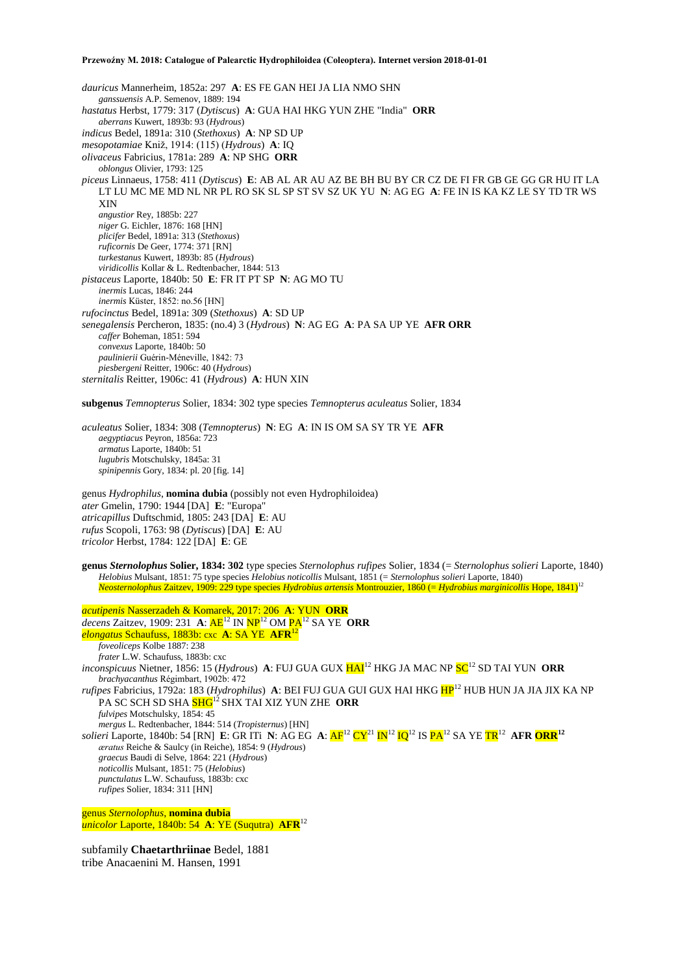*dauricus* Mannerheim, 1852a: 297 **A**: ES FE GAN HEI JA LIA NMO SHN *ganssuensis* A.P. Semenov, 1889: 194 *hastatus* Herbst, 1779: 317 (*Dytiscus*) **A**: GUA HAI HKG YUN ZHE "India" **ORR** *aberrans* Kuwert, 1893b: 93 (*Hydrous*) *indicus* Bedel, 1891a: 310 (*Stethoxus*) **A**: NP SD UP *mesopotamiae* Kniž, 1914: (115) (*Hydrous*) **A**: IQ *olivaceus* Fabricius, 1781a: 289 **A**: NP SHG **ORR** *oblongus* Olivier, 1793: 125 *piceus* Linnaeus, 1758: 411 (*Dytiscus*) **E**: AB AL AR AU AZ BE BH BU BY CR CZ DE FI FR GB GE GG GR HU IT LA LT LU MC ME MD NL NR PL RO SK SL SP ST SV SZ UK YU **N**: AG EG **A**: FE IN IS KA KZ LE SY TD TR WS XIN *angustior* Rey, 1885b: 227 *niger* G. Eichler, 1876: 168 [HN] *plicifer* Bedel, 1891a: 313 (*Stethoxus*) *ruficornis* De Geer, 1774: 371 [RN] *turkestanus* Kuwert, 1893b: 85 (*Hydrous*) *viridicollis* Kollar & L. Redtenbacher, 1844: 513 *pistaceus* Laporte, 1840b: 50 **E**: FR IT PT SP **N**: AG MO TU *inermis* Lucas, 1846: 244 *inermis* Küster, 1852: no.56 [HN] *rufocinctus* Bedel, 1891a: 309 (*Stethoxus*) **A**: SD UP *senegalensis* Percheron, 1835: (no.4) 3 (*Hydrous*) **N**: AG EG **A**: PA SA UP YE **AFR ORR** *caffer* Boheman, 1851: 594 *convexus* Laporte, 1840b: 50 *paulinierii* Guérin-Méneville, 1842: 73 *piesbergeni* Reitter, 1906c: 40 (*Hydrous*) *sternitalis* Reitter, 1906c: 41 (*Hydrous*) **A**: HUN XIN

**subgenus** *Temnopterus* Solier, 1834: 302 type species *Temnopterus aculeatus* Solier, 1834

*aculeatus* Solier, 1834: 308 (*Temnopterus*) **N**: EG **A**: IN IS OM SA SY TR YE **AFR** *aegyptiacus* Peyron, 1856a: 723 *armatus* Laporte, 1840b: 51 *lugubris* Motschulsky, 1845a: 31 *spinipennis* Gory, 1834: pl. 20 [fig. 14]

genus *Hydrophilus*, **nomina dubia** (possibly not even Hydrophiloidea) *ater* Gmelin, 1790: 1944 [DA] **E**: "Europa" *atricapillus* Duftschmid, 1805: 243 [DA] **E**: AU *rufus* Scopoli, 1763: 98 (*Dytiscus*) [DA] **E**: AU *tricolor* Herbst, 1784: 122 [DA] **E**: GE

**genus** *Sternolophus* **Solier, 1834: 302** type species *Sternolophus rufipes* Solier, 1834 (= *Sternolophus solieri* Laporte, 1840) *Helobius* Mulsant, 1851: 75 type species *Helobius noticollis* Mulsant, 1851 (= *Sternolophus solieri* Laporte, 1840) *Neosternolophus* Zaitzev, 1909: 229 type species *Hydrobius artensis* Montrouzier, 1860 (= *Hydrobius marginicollis* Hope, 1841) 12

*acutipenis* Nasserzadeh & Komarek, 2017: 206 **A**: YUN **ORR** *decens* Zaitzev, 1909: 231 **A**: AE<sup>12</sup> IN NP<sup>12</sup> OM PA<sup>12</sup> SA YE **ORR** *elongatus* Schaufuss, 1883b: cxc **A**: SA YE **AFR**<sup>12</sup> *foveoliceps* Kolbe 1887: 238 *frater* L.W. Schaufuss, 1883b: cxc *inconspicuus* Nietner, 1856: 15 (*Hydrous*) **A**: FUJ GUA GUX  $HAI^{12}$  HKG JA MAC NP  $SC^{12}$  SD TAI YUN ORR *brachyacanthus* Régimbart, 1902b: 472 *rufipes* Fabricius, 1792a: 183 (*Hydrophilus*) A: BEI FUJ GUA GUI GUX HAI HKG HP<sup>12</sup> HUB HUN JA JIA JIX KA NP PA SC SCH SD SHA SHG<sup>12</sup> SHX TAI XIZ YUN ZHE ORR *fulvipes* Motschulsky, 1854: 45 *mergus* L. Redtenbacher, 1844: 514 (*Tropisternus*) [HN] *solieri* Laporte, 1840b: 54 [RN] **E**: GR ITi **N**: AG EG **A**: AF<sup>12</sup> CY<sup>21</sup> IN<sup>12</sup> IQ<sup>12</sup> IS PA<sup>12</sup> SA YE TR<sup>12</sup> **AFR ORR<sup>12</sup>** *æratus* Reiche & Saulcy (in Reiche), 1854: 9 (*Hydrous*) *graecus* Baudi di Selve, 1864: 221 (*Hydrous*) *noticollis* Mulsant, 1851: 75 (*Helobius*) *punctulatus* L.W. Schaufuss, 1883b: cxc *rufipes* Solier, 1834: 311 [HN]

genus *Sternolophus*, **nomina dubia** *unicolor* Laporte, 1840b: 54 **A**: YE (Suqutra) **AFR**<sup>12</sup>

subfamily **Chaetarthriinae** Bedel, 1881 tribe Anacaenini M. Hansen, 1991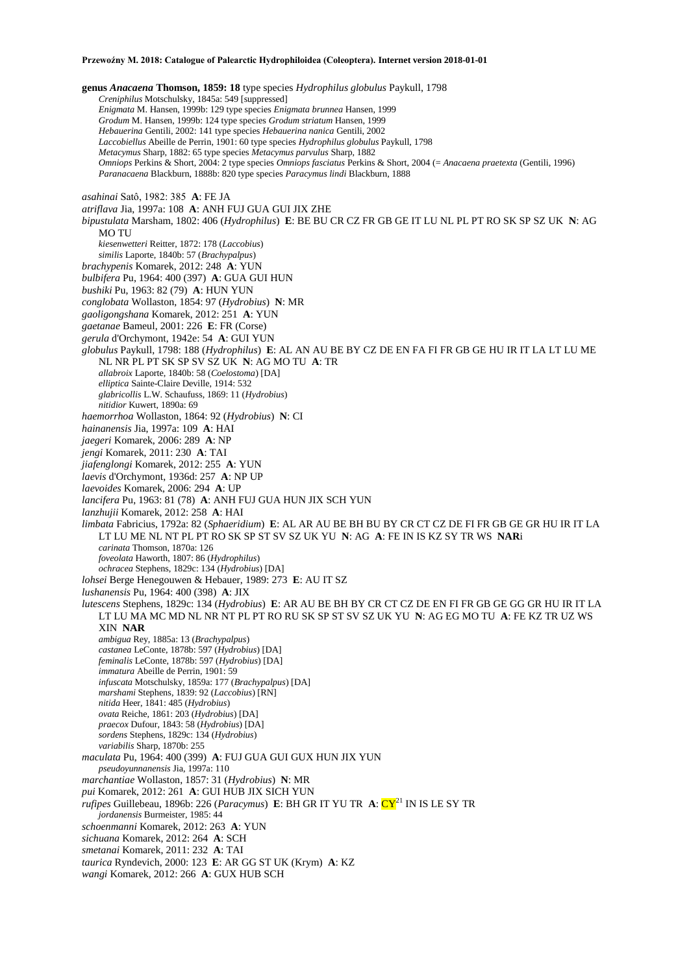**genus** *Anacaena* **Thomson, 1859: 18** type species *Hydrophilus globulus* Paykull, 1798 *Creniphilus* Motschulsky, 1845a: 549 [suppressed] *Enigmata* M. Hansen, 1999b: 129 type species *Enigmata brunnea* Hansen, 1999 *Grodum* M. Hansen, 1999b: 124 type species *Grodum striatum* Hansen, 1999 *Hebauerina* Gentili, 2002: 141 type species *Hebauerina nanica* Gentili, 2002 *Laccobiellus* Abeille de Perrin, 1901: 60 type species *Hydrophilus globulus* Paykull, 1798 *Metacymus* Sharp, 1882: 65 type species *Metacymus parvulus* Sharp, 1882 *Omniops* Perkins & Short, 2004: 2 type species *Omniops fasciatus* Perkins & Short, 2004 (= *Anacaena praetexta* (Gentili, 1996) *Paranacaena* Blackburn, 1888b: 820 type species *Paracymus lindi* Blackburn, 1888 *asahinai* Satô, 1982: 385 **A**: FE JA *atriflava* Jia, 1997a: 108 **A**: ANH FUJ GUA GUI JIX ZHE *bipustulata* Marsham, 1802: 406 (*Hydrophilus*) **E**: BE BU CR CZ FR GB GE IT LU NL PL PT RO SK SP SZ UK **N**: AG MO TU *kiesenwetteri* Reitter, 1872: 178 (*Laccobius*) *similis* Laporte, 1840b: 57 (*Brachypalpus*) *brachypenis* Komarek, 2012: 248 **A**: YUN *bulbifera* Pu, 1964: 400 (397) **A**: GUA GUI HUN *bushiki* Pu, 1963: 82 (79) **A**: HUN YUN *conglobata* Wollaston, 1854: 97 (*Hydrobius*) **N**: MR *gaoligongshana* Komarek, 2012: 251 **A**: YUN *gaetanae* Bameul, 2001: 226 **E**: FR (Corse) *gerula* d'Orchymont, 1942e: 54 **A**: GUI YUN *globulus* Paykull, 1798: 188 (*Hydrophilus*) **E**: AL AN AU BE BY CZ DE EN FA FI FR GB GE HU IR IT LA LT LU ME NL NR PL PT SK SP SV SZ UK **N**: AG MO TU **A**: TR *allabroix* Laporte, 1840b: 58 (*Coelostoma*) [DA] *elliptica* Sainte-Claire Deville, 1914: 532 *glabricollis* L.W. Schaufuss, 1869: 11 (*Hydrobius*) *nitidior* Kuwert, 1890a: 69 *haemorrhoa* Wollaston, 1864: 92 (*Hydrobius*) **N**: CI *hainanensis* Jia, 1997a: 109 **A**: HAI *jaegeri* Komarek, 2006: 289 **A**: NP *jengi* Komarek, 2011: 230 **A**: TAI *jiafenglongi* Komarek, 2012: 255 **A**: YUN *laevis* d'Orchymont, 1936d: 257 **A**: NP UP *laevoides* Komarek, 2006: 294 **A**: UP *lancifera* Pu, 1963: 81 (78) **A**: ANH FUJ GUA HUN JIX SCH YUN *lanzhujii* Komarek, 2012: 258 **A**: HAI *limbata* Fabricius, 1792a: 82 (*Sphaeridium*) **E**: AL AR AU BE BH BU BY CR CT CZ DE FI FR GB GE GR HU IR IT LA LT LU ME NL NT PL PT RO SK SP ST SV SZ UK YU **N**: AG **A**: FE IN IS KZ SY TR WS **NAR**i *carinata* Thomson, 1870a: 126 *foveolata* Haworth, 1807: 86 (*Hydrophilus*) *ochracea* Stephens, 1829c: 134 (*Hydrobius*) [DA] *lohsei* Berge Henegouwen & Hebauer, 1989: 273 **E**: AU IT SZ *lushanensis* Pu, 1964: 400 (398) **A**: JIX *lutescens* Stephens, 1829c: 134 (*Hydrobius*) **E**: AR AU BE BH BY CR CT CZ DE EN FI FR GB GE GG GR HU IR IT LA LT LU MA MC MD NL NR NT PL PT RO RU SK SP ST SV SZ UK YU **N**: AG EG MO TU **A**: FE KZ TR UZ WS XIN **NAR** *ambigua* Rey, 1885a: 13 (*Brachypalpus*) *castanea* LeConte, 1878b: 597 (*Hydrobius*) [DA] *feminalis* LeConte, 1878b: 597 (*Hydrobius*) [DA] *immatura* Abeille de Perrin, 1901: 59 *infuscata* Motschulsky, 1859a: 177 (*Brachypalpus*) [DA] *marshami* Stephens, 1839: 92 (*Laccobius*) [RN] *nitida* Heer, 1841: 485 (*Hydrobius*) *ovata* Reiche, 1861: 203 (*Hydrobius*) [DA] *praecox* Dufour, 1843: 58 (*Hydrobius*) [DA] *sordens* Stephens, 1829c: 134 (*Hydrobius*) *variabilis* Sharp, 1870b: 255 *maculata* Pu, 1964: 400 (399) **A**: FUJ GUA GUI GUX HUN JIX YUN *pseudoyunnanensis* Jia, 1997a: 110 *marchantiae* Wollaston, 1857: 31 (*Hydrobius*) **N**: MR *pui* Komarek, 2012: 261 **A**: GUI HUB JIX SICH YUN *rufipes* Guillebeau, 1896b: 226 (*Paracymus*) **E**: BH GR IT YU TR **A**: CY<sup>21</sup> IN IS LE SY TR *jordanensis* Burmeister, 1985: 44 *schoenmanni* Komarek, 2012: 263 **A**: YUN *sichuana* Komarek, 2012: 264 **A**: SCH *smetanai* Komarek, 2011: 232 **A**: TAI *taurica* Ryndevich, 2000: 123 **E**: AR GG ST UK (Krym) **A**: KZ

*wangi* Komarek, 2012: 266 **A**: GUX HUB SCH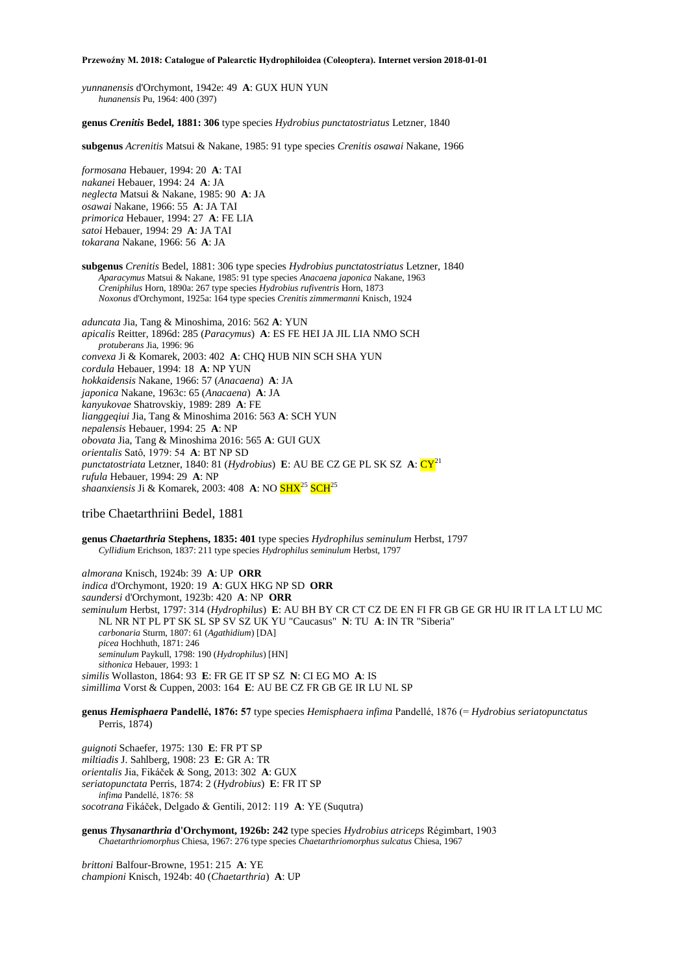*yunnanensis* d'Orchymont, 1942e: 49 **A**: GUX HUN YUN *hunanensis* Pu, 1964: 400 (397)

**genus** *Crenitis* **Bedel, 1881: 306** type species *Hydrobius punctatostriatus* Letzner, 1840

**subgenus** *Acrenitis* Matsui & Nakane, 1985: 91 type species *Crenitis osawai* Nakane, 1966

*formosana* Hebauer, 1994: 20 **A**: TAI *nakanei* Hebauer, 1994: 24 **A**: JA *neglecta* Matsui & Nakane, 1985: 90 **A**: JA *osawai* Nakane, 1966: 55 **A**: JA TAI *primorica* Hebauer, 1994: 27 **A**: FE LIA *satoi* Hebauer, 1994: 29 **A**: JA TAI *tokarana* Nakane, 1966: 56 **A**: JA

**subgenus** *Crenitis* Bedel, 1881: 306 type species *Hydrobius punctatostriatus* Letzner, 1840 *Aparacymus* Matsui & Nakane, 1985: 91 type species *Anacaena japonica* Nakane, 1963 *Creniphilus* Horn, 1890a: 267 type species *Hydrobius rufiventris* Horn, 1873 *Noxonus* d'Orchymont, 1925a: 164 type species *Crenitis zimmermanni* Knisch, 1924

*aduncata* Jia, Tang & Minoshima, 2016: 562 **A**: YUN *apicalis* Reitter, 1896d: 285 (*Paracymus*) **A**: ES FE HEI JA JIL LIA NMO SCH *protuberans* Jia, 1996: 96 *convexa* Ji & Komarek, 2003: 402 **A**: CHQ HUB NIN SCH SHA YUN *cordula* Hebauer, 1994: 18 **A**: NP YUN *hokkaidensis* Nakane, 1966: 57 (*Anacaena*) **A**: JA *japonica* Nakane, 1963c: 65 (*Anacaena*) **A**: JA *kanyukovae* Shatrovskiy, 1989: 289 **A**: FE *lianggeqiui* Jia, Tang & Minoshima 2016: 563 **A**: SCH YUN *nepalensis* Hebauer, 1994: 25 **A**: NP *obovata* Jia, Tang & Minoshima 2016: 565 **A**: GUI GUX *orientalis* Satô, 1979: 54 **A**: BT NP SD *punctatostriata* Letzner, 1840: 81 (*Hydrobius*) **E**: AU BE CZ GE PL SK SZ **A**:  $CY^{21}$ *rufula* Hebauer, 1994: 29 **A**: NP *shaanxiensis* Ji & Komarek, 2003: 408 **A**: NO SHX<sup>25</sup> SCH<sup>25</sup>

tribe Chaetarthriini Bedel, 1881

**genus** *Chaetarthria* **Stephens, 1835: 401** type species *Hydrophilus seminulum* Herbst, 1797 *Cyllidium* Erichson, 1837: 211 type species *Hydrophilus seminulum* Herbst, 1797

*almorana* Knisch, 1924b: 39 **A**: UP **ORR** *indica* d'Orchymont, 1920: 19 **A**: GUX HKG NP SD **ORR** *saundersi* d'Orchymont, 1923b: 420 **A**: NP **ORR** *seminulum* Herbst, 1797: 314 (*Hydrophilus*) **E**: AU BH BY CR CT CZ DE EN FI FR GB GE GR HU IR IT LA LT LU MC NL NR NT PL PT SK SL SP SV SZ UK YU "Caucasus" **N**: TU **A**: IN TR "Siberia" *carbonaria* Sturm, 1807: 61 (*Agathidium*) [DA] *picea* Hochhuth, 1871: 246 *seminulum* Paykull, 1798: 190 (*Hydrophilus*) [HN] *sithonica* Hebauer, 1993: 1 *similis* Wollaston, 1864: 93 **E**: FR GE IT SP SZ **N**: CI EG MO **A**: IS *simillima* Vorst & Cuppen, 2003: 164 **E**: AU BE CZ FR GB GE IR LU NL SP

**genus** *Hemisphaera* **Pandellé, 1876: 57** type species *Hemisphaera infima* Pandellé, 1876 (= *Hydrobius seriatopunctatus* Perris, 1874)

*guignoti* Schaefer, 1975: 130 **E**: FR PT SP *miltiadis* J. Sahlberg, 1908: 23 **E**: GR A: TR *orientalis* Jia, Fikáček & Song, 2013: 302 **A**: GUX *seriatopunctata* Perris, 1874: 2 (*Hydrobius*) **E**: FR IT SP *infima* Pandellé, 1876: 58 *socotrana* Fikáček, Delgado & Gentili, 2012: 119 **A**: YE (Suqutra)

**genus** *Thysanarthria* **d'Orchymont, 1926b: 242** type species *Hydrobius atriceps* Régimbart, 1903 *Chaetarthriomorphus* Chiesa, 1967: 276 type species *Chaetarthriomorphus sulcatus* Chiesa, 1967

*brittoni* Balfour-Browne, 1951: 215 **A**: YE *championi* Knisch, 1924b: 40 (*Chaetarthria*) **A**: UP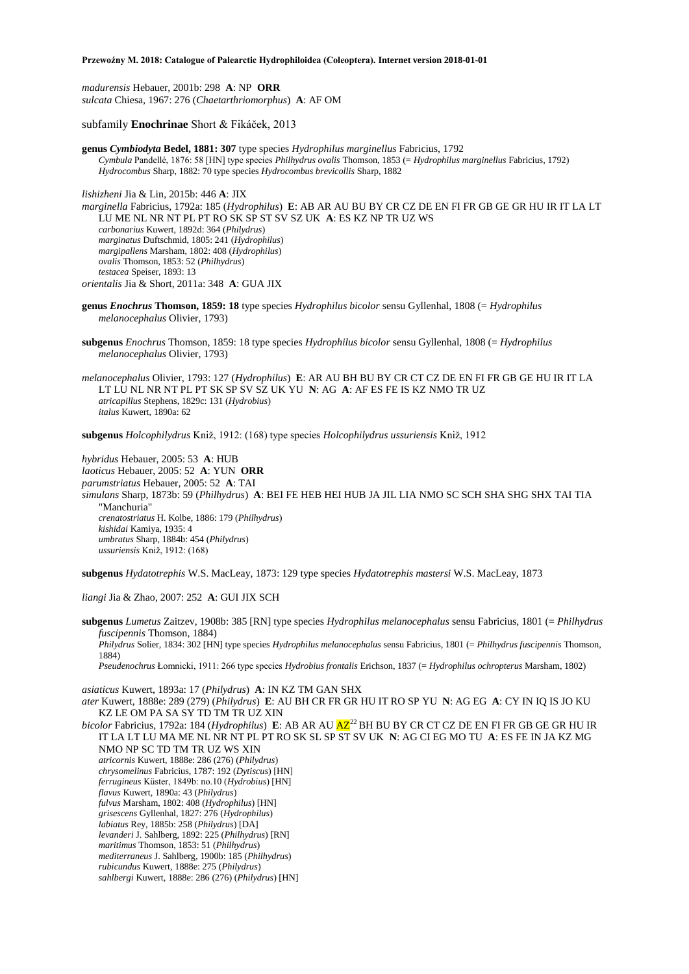*madurensis* Hebauer, 2001b: 298 **A**: NP **ORR** *sulcata* Chiesa, 1967: 276 (*Chaetarthriomorphus*) **A**: AF OM

subfamily **Enochrinae** Short & Fikáček, 2013

**genus** *Cymbiodyta* **Bedel, 1881: 307** type species *Hydrophilus marginellus* Fabricius, 1792 *Cymbula* Pandellé, 1876: 58 [HN] type species *Philhydrus ovalis* Thomson, 1853 (= *Hydrophilus marginellus* Fabricius, 1792) *Hydrocombus* Sharp, 1882: 70 type species *Hydrocombus brevicollis* Sharp, 1882

*lishizheni* Jia & Lin, 2015b: 446 **A**: JIX

*marginella* Fabricius, 1792a: 185 (*Hydrophilus*) **E**: AB AR AU BU BY CR CZ DE EN FI FR GB GE GR HU IR IT LA LT LU ME NL NR NT PL PT RO SK SP ST SV SZ UK **A**: ES KZ NP TR UZ WS *carbonarius* Kuwert, 1892d: 364 (*Philydrus*) *marginatus* Duftschmid, 1805: 241 (*Hydrophilus*) *margipallens* Marsham, 1802: 408 (*Hydrophilus*) *ovalis* Thomson, 1853: 52 (*Philhydrus*) *testacea* Speiser, 1893: 13 *orientalis* Jia & Short, 2011a: 348 **A**: GUA JIX

**genus** *Enochrus* **Thomson, 1859: 18** type species *Hydrophilus bicolor* sensu Gyllenhal, 1808 (= *Hydrophilus melanocephalus* Olivier, 1793)

**subgenus** *Enochrus* Thomson, 1859: 18 type species *Hydrophilus bicolor* sensu Gyllenhal, 1808 (= *Hydrophilus melanocephalus* Olivier, 1793)

*melanocephalus* Olivier, 1793: 127 (*Hydrophilus*) **E**: AR AU BH BU BY CR CT CZ DE EN FI FR GB GE HU IR IT LA LT LU NL NR NT PL PT SK SP SV SZ UK YU **N**: AG **A**: AF ES FE IS KZ NMO TR UZ *atricapillus* Stephens, 1829c: 131 (*Hydrobius*) *italus* Kuwert, 1890a: 62

**subgenus** *Holcophilydrus* Kniž, 1912: (168) type species *Holcophilydrus ussuriensis* Kniž, 1912

*hybridus* Hebauer, 2005: 53 **A**: HUB *laoticus* Hebauer, 2005: 52 **A**: YUN **ORR** *parumstriatus* Hebauer, 2005: 52 **A**: TAI *simulans* Sharp, 1873b: 59 (*Philhydrus*) **A**: BEI FE HEB HEI HUB JA JIL LIA NMO SC SCH SHA SHG SHX TAI TIA "Manchuria" *crenatostriatus* H. Kolbe, 1886: 179 (*Philhydrus*) *kishidai* Kamiya, 1935: 4 *umbratus* Sharp, 1884b: 454 (*Philydrus*) *ussuriensis* Kniž, 1912: (168)

**subgenus** *Hydatotrephis* W.S. MacLeay, 1873: 129 type species *Hydatotrephis mastersi* W.S. MacLeay, 1873

*liangi* Jia & Zhao, 2007: 252 **A**: GUI JIX SCH

**subgenus** *Lumetus* Zaitzev, 1908b: 385 [RN] type species *Hydrophilus melanocephalus* sensu Fabricius, 1801 (= *Philhydrus fuscipennis* Thomson, 1884) *Philydrus* Solier, 1834: 302 [HN] type species *Hydrophilus melanocephalus* sensu Fabricius, 1801 (= *Philhydrus fuscipennis* Thomson, 1884) *Pseudenochrus* Łomnicki, 1911: 266 type species *Hydrobius frontalis* Erichson, 1837 (= *Hydrophilus ochropterus* Marsham, 1802)

*asiaticus* Kuwert, 1893a: 17 (*Philydrus*) **A**: IN KZ TM GAN SHX

*ater* Kuwert, 1888e: 289 (279) (*Philydrus*) **E**: AU BH CR FR GR HU IT RO SP YU **N**: AG EG **A**: CY IN IQ IS JO KU KZ LE OM PA SA SY TD TM TR UZ XIN

*bicolor* Fabricius, 1792a: 184 (*Hydrophilus*) **E**: AB AR AU  $\overline{AZ}^{22}$  BH BU BY CR CT CZ DE EN FI FR GB GE GR HU IR IT LA LT LU MA ME NL NR NT PL PT RO SK SL SP ST SV UK **N**: AG CI EG MO TU **A**: ES FE IN JA KZ MG NMO NP SC TD TM TR UZ WS XIN *atricornis* Kuwert, 1888e: 286 (276) (*Philydrus*) *chrysomelinus* Fabricius, 1787: 192 (*Dytiscus*) [HN] *ferrugineus* Küster, 1849b: no.10 (*Hydrobius*) [HN] *flavus* Kuwert, 1890a: 43 (*Philydrus*) *fulvus* Marsham, 1802: 408 (*Hydrophilus*) [HN]

*grisescens* Gyllenhal, 1827: 276 (*Hydrophilus*)

*labiatus* Rey, 1885b: 258 (*Philydrus*) [DA] *levanderi* J. Sahlberg, 1892: 225 (*Philhydrus*) [RN]

*maritimus* Thomson, 1853: 51 (*Philhydrus*)

*mediterraneus* J. Sahlberg, 1900b: 185 (*Philhydrus*)

*rubicundus* Kuwert, 1888e: 275 (*Philydrus*)

*sahlbergi* Kuwert, 1888e: 286 (276) (*Philydrus*) [HN]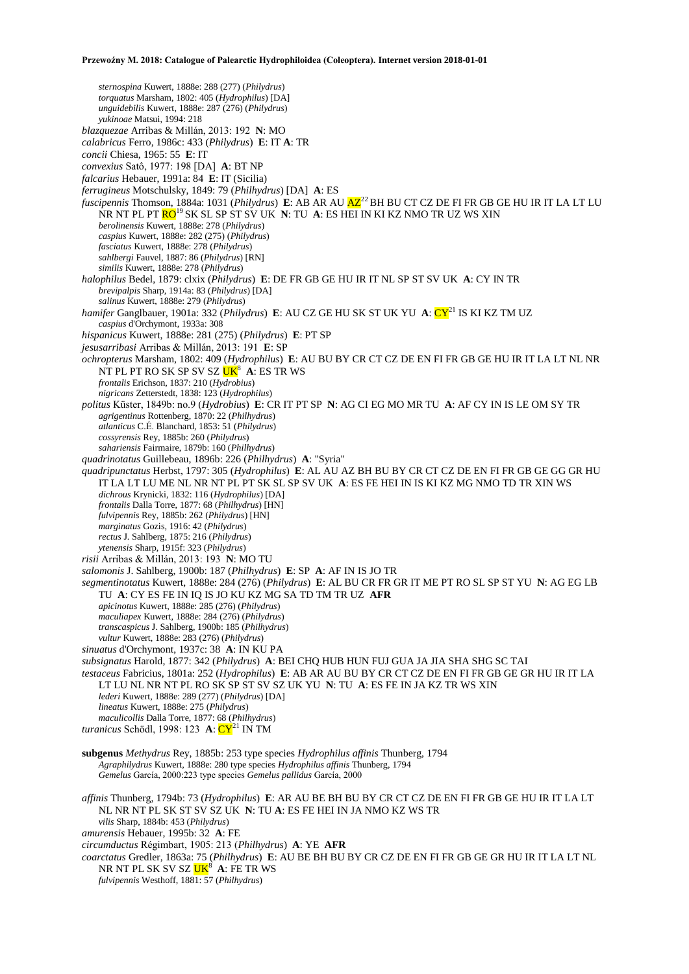*sternospina* Kuwert, 1888e: 288 (277) (*Philydrus*) *torquatus* Marsham, 1802: 405 (*Hydrophilus*) [DA] *unguidebilis* Kuwert, 1888e: 287 (276) (*Philydrus*) *yukinoae* Matsui, 1994: 218 *blazquezae* Arribas & Millán, 2013: 192 **N**: MO *calabricus* Ferro, 1986c: 433 (*Philydrus*) **E**: IT **A**: TR *concii* Chiesa, 1965: 55 **E**: IT *convexius* Satô, 1977: 198 [DA] **A**: BT NP *falcarius* Hebauer, 1991a: 84 **E**: IT (Sicilia) *ferrugineus* Motschulsky, 1849: 79 (*Philhydrus*) [DA] **A**: ES *fuscipennis* Thomson, 1884a: 1031 (*Philydrus*) **E**: AB AR AU  $\overline{AZ}^{22}$  BH BU CT CZ DE FI FR GB GE HU IR IT LA LT LU NR NT PL PT RO<sup>19</sup>SK SL SP ST SV UK **N**: TU **A**: ES HEI IN KI KZ NMO TR UZ WS XIN *berolinensis* Kuwert, 1888e: 278 (*Philydrus*) *caspius* Kuwert, 1888e: 282 (275) (*Philydrus*) *fasciatus* Kuwert, 1888e: 278 (*Philydrus*) *sahlbergi* Fauvel, 1887: 86 (*Philydrus*) [RN] *similis* Kuwert, 1888e: 278 (*Philydrus*) *halophilus* Bedel, 1879: clxix (*Philydrus*) **E**: DE FR GB GE HU IR IT NL SP ST SV UK **A**: CY IN TR *brevipalpis* Sharp, 1914a: 83 (*Philydrus*) [DA] *salinus* Kuwert, 1888e: 279 (*Philydrus*) *hamifer* Ganglbauer, 1901a: 332 (*Philydrus*) **E**: AU CZ GE HU SK ST UK YU **A**: CY<sup>21</sup> IS KI KZ TM UZ *caspius* d'Orchymont, 1933a: 308 *hispanicus* Kuwert, 1888e: 281 (275) (*Philydrus*) **E**: PT SP *jesusarribasi* Arribas & Millán, 2013: 191 **E**: SP *ochropterus* Marsham, 1802: 409 (*Hydrophilus*) **E**: AU BU BY CR CT CZ DE EN FI FR GB GE HU IR IT LA LT NL NR NT PL PT RO SK SP SV SZ UK<sup>8</sup> A: ES TR WS *frontalis* Erichson, 1837: 210 (*Hydrobius*) *nigricans* Zetterstedt, 1838: 123 (*Hydrophilus*) *politus* Küster, 1849b: no.9 (*Hydrobius*) **E**: CR IT PT SP **N**: AG CI EG MO MR TU **A**: AF CY IN IS LE OM SY TR *agrigentinus* Rottenberg, 1870: 22 (*Philhydrus*) *atlanticus* C.É. Blanchard, 1853: 51 (*Philydrus*) *cossyrensis* Rey, 1885b: 260 (*Philydrus*) *sahariensis* Fairmaire, 1879b: 160 (*Philhydrus*) *quadrinotatus* Guillebeau, 1896b: 226 (*Philhydrus*) **A**: "Syria" *quadripunctatus* Herbst, 1797: 305 (*Hydrophilus*) **E**: AL AU AZ BH BU BY CR CT CZ DE EN FI FR GB GE GG GR HU IT LA LT LU ME NL NR NT PL PT SK SL SP SV UK **A**: ES FE HEI IN IS KI KZ MG NMO TD TR XIN WS *dichrous* Krynicki, 1832: 116 (*Hydrophilus*) [DA] *frontalis* Dalla Torre, 1877: 68 (*Philhydrus*) [HN] *fulvipennis* Rey, 1885b: 262 (*Philydrus*) [HN] *marginatus* Gozis, 1916: 42 (*Philydrus*) *rectus* J. Sahlberg, 1875: 216 (*Philydrus*) *ytenensis* Sharp, 1915f: 323 (*Philydrus*) *risii* Arribas & Millán, 2013: 193 **N**: MO TU *salomonis* J. Sahlberg, 1900b: 187 (*Philhydrus*) **E**: SP **A**: AF IN IS JO TR *segmentinotatus* Kuwert, 1888e: 284 (276) (*Philydrus*) **E**: AL BU CR FR GR IT ME PT RO SL SP ST YU **N**: AG EG LB TU **A**: CY ES FE IN IQ IS JO KU KZ MG SA TD TM TR UZ **AFR** *apicinotus* Kuwert, 1888e: 285 (276) (*Philydrus*) *maculiapex* Kuwert, 1888e: 284 (276) (*Philydrus*) *transcaspicus* J. Sahlberg, 1900b: 185 (*Philhydrus*) *vultur* Kuwert, 1888e: 283 (276) (*Philydrus*) *sinuatus* d'Orchymont, 1937c: 38 **A**: IN KU PA *subsignatus* Harold, 1877: 342 (*Philydrus*) **A**: BEI CHQ HUB HUN FUJ GUA JA JIA SHA SHG SC TAI *testaceus* Fabricius, 1801a: 252 (*Hydrophilus*) **E**: AB AR AU BU BY CR CT CZ DE EN FI FR GB GE GR HU IR IT LA LT LU NL NR NT PL RO SK SP ST SV SZ UK YU **N**: TU **A**: ES FE IN JA KZ TR WS XIN *lederi* Kuwert, 1888e: 289 (277) (*Philydrus*) [DA] *lineatus* Kuwert, 1888e: 275 (*Philydrus*) *maculicollis* Dalla Torre, 1877: 68 (*Philhydrus*) *turanicus* Schödl, 1998: 123 **A**:  $CY^{21}$  IN TM **subgenus** *Methydrus* Rey, 1885b: 253 type species *Hydrophilus affinis* Thunberg, 1794 *Agraphilydrus* Kuwert, 1888e: 280 type species *Hydrophilus affinis* Thunberg, 1794 *Gemelus* García, 2000:223 type species *Gemelus pallidus* García, 2000 *affinis* Thunberg, 1794b: 73 (*Hydrophilus*) **E**: AR AU BE BH BU BY CR CT CZ DE EN FI FR GB GE HU IR IT LA LT NL NR NT PL SK ST SV SZ UK **N**: TU **A**: ES FE HEI IN JA NMO KZ WS TR *vilis* Sharp, 1884b: 453 (*Philydrus*) *amurensis* Hebauer, 1995b: 32 **A**: FE

*circumductus* Régimbart, 1905: 213 (*Philhydrus*) **A**: YE **AFR**

*coarctatus* Gredler, 1863a: 75 (*Philhydrus*) **E**: AU BE BH BU BY CR CZ DE EN FI FR GB GE GR HU IR IT LA LT NL NR NT PL SK SV SZ  $\overline{UK}^8$  **A**: FE TR WS

*fulvipennis* Westhoff, 1881: 57 (*Philhydrus*)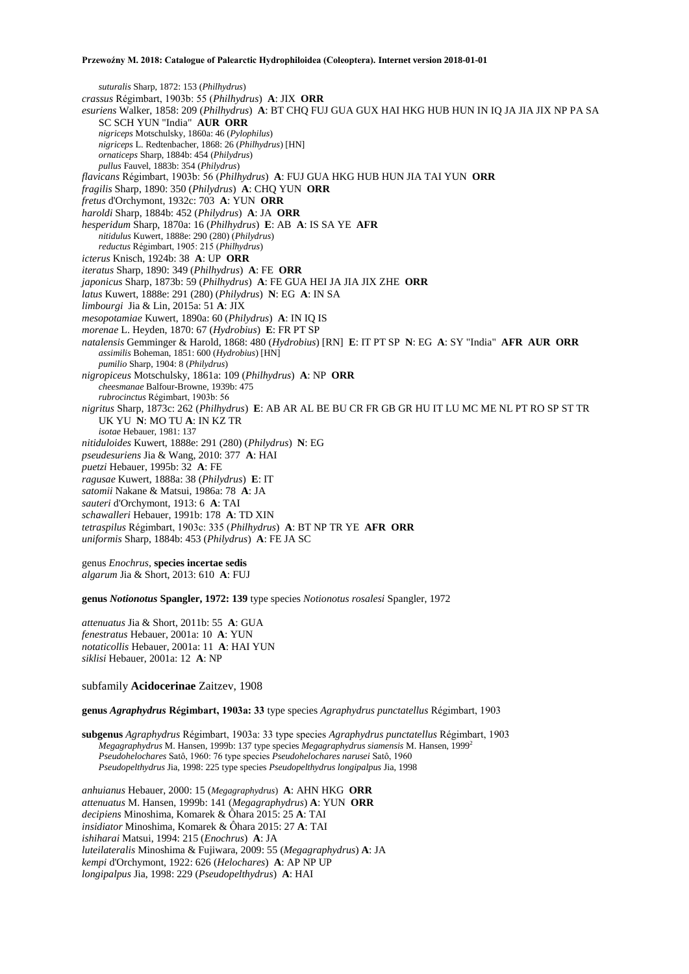*suturalis* Sharp, 1872: 153 (*Philhydrus*) *crassus* Régimbart, 1903b: 55 (*Philhydrus*) **A**: JIX **ORR** *esuriens* Walker, 1858: 209 (*Philhydrus*) **A**: BT CHQ FUJ GUA GUX HAI HKG HUB HUN IN IQ JA JIA JIX NP PA SA SC SCH YUN "India" **AUR ORR** *nigriceps* Motschulsky, 1860a: 46 (*Pylophilus*) *nigriceps* L. Redtenbacher, 1868: 26 (*Philhydrus*) [HN] *ornaticeps* Sharp, 1884b: 454 (*Philydrus*) *pullus* Fauvel, 1883b: 354 (*Philydrus*) *flavicans* Régimbart, 1903b: 56 (*Philhydrus*) **A**: FUJ GUA HKG HUB HUN JIA TAI YUN **ORR** *fragilis* Sharp, 1890: 350 (*Philydrus*) **A**: CHQ YUN **ORR** *fretus* d'Orchymont, 1932c: 703 **A**: YUN **ORR** *haroldi* Sharp, 1884b: 452 (*Philydrus*) **A**: JA **ORR** *hesperidum* Sharp, 1870a: 16 (*Philhydrus*) **E**: AB **A**: IS SA YE **AFR** *nitidulus* Kuwert, 1888e: 290 (280) (*Philydrus*) *reductus* Régimbart, 1905: 215 (*Philhydrus*) *icterus* Knisch, 1924b: 38 **A**: UP **ORR** *iteratus* Sharp, 1890: 349 (*Philhydrus*) **A**: FE **ORR** *japonicus* Sharp, 1873b: 59 (*Philhydrus*) **A**: FE GUA HEI JA JIA JIX ZHE **ORR** *latus* Kuwert, 1888e: 291 (280) (*Philydrus*) **N**: EG **A**: IN SA *limbourgi* Jia & Lin, 2015a: 51 **A**: JIX *mesopotamiae* Kuwert, 1890a: 60 (*Philydrus*) **A**: IN IQ IS *morenae* L. Heyden, 1870: 67 (*Hydrobius*) **E**: FR PT SP *natalensis* Gemminger & Harold, 1868: 480 (*Hydrobius*) [RN] **E**: IT PT SP **N**: EG **A**: SY "India" **AFR AUR ORR** *assimilis* Boheman, 1851: 600 (*Hydrobius*) [HN] *pumilio* Sharp, 1904: 8 (*Philydrus*) *nigropiceus* Motschulsky, 1861a: 109 (*Philhydrus*) **A**: NP **ORR** *cheesmanae* Balfour-Browne, 1939b: 475 *rubrocinctus* Régimbart, 1903b: 56 *nigritus* Sharp, 1873c: 262 (*Philhydrus*) **E**: AB AR AL BE BU CR FR GB GR HU IT LU MC ME NL PT RO SP ST TR UK YU **N**: MO TU **A**: IN KZ TR *isotae* Hebauer, 1981: 137 *nitiduloides* Kuwert, 1888e: 291 (280) (*Philydrus*) **N**: EG *pseudesuriens* Jia & Wang, 2010: 377 **A**: HAI *puetzi* Hebauer, 1995b: 32 **A**: FE *ragusae* Kuwert, 1888a: 38 (*Philydrus*) **E**: IT *satomii* Nakane & Matsui, 1986a: 78 **A**: JA *sauteri* d'Orchymont, 1913: 6 **A**: TAI *schawalleri* Hebauer, 1991b: 178 **A**: TD XIN *tetraspilus* Régimbart, 1903c: 335 (*Philhydrus*) **A**: BT NP TR YE **AFR ORR** *uniformis* Sharp, 1884b: 453 (*Philydrus*) **A**: FE JA SC

genus *Enochrus*, **species incertae sedis** *algarum* Jia & Short, 2013: 610 **A**: FUJ

**genus** *Notionotus* **Spangler, 1972: 139** type species *Notionotus rosalesi* Spangler, 1972

*attenuatus* Jia & Short, 2011b: 55 **A**: GUA *fenestratus* Hebauer, 2001a: 10 **A**: YUN *notaticollis* Hebauer, 2001a: 11 **A**: HAI YUN *siklisi* Hebauer, 2001a: 12 **A**: NP

subfamily **Acidocerinae** Zaitzev, 1908

**genus** *Agraphydrus* **Régimbart, 1903a: 33** type species *Agraphydrus punctatellus* Régimbart, 1903

**subgenus** *Agraphydrus* Régimbart, 1903a: 33 type species *Agraphydrus punctatellus* Régimbart, 1903 *Megagraphydrus* M. Hansen, 1999b: 137 type species *Megagraphydrus siamensis* M. Hansen, 1999<sup>2</sup> *Pseudohelochares* Satô, 1960: 76 type species *Pseudohelochares narusei* Satô, 1960 *Pseudopelthydrus* Jia, 1998: 225 type species *Pseudopelthydrus longipalpus* Jia, 1998

*anhuianus* Hebauer, 2000: 15 (*Megagraphydrus*) **A**: AHN HKG **ORR** *attenuatus* M. Hansen, 1999b: 141 (*Megagraphydrus*) **A**: YUN **ORR** *decipiens* Minoshima, Komarek & Ôhara 2015: 25 **A**: TAI *insidiator* Minoshima, Komarek & Ôhara 2015: 27 **A**: TAI *ishiharai* Matsui, 1994: 215 (*Enochrus*) **A**: JA *luteilateralis* Minoshima & Fujiwara, 2009: 55 (*Megagraphydrus*) **A**: JA *kempi* d'Orchymont, 1922: 626 (*Helochares*) **A**: AP NP UP *longipalpus* Jia, 1998: 229 (*Pseudopelthydrus*) **A**: HAI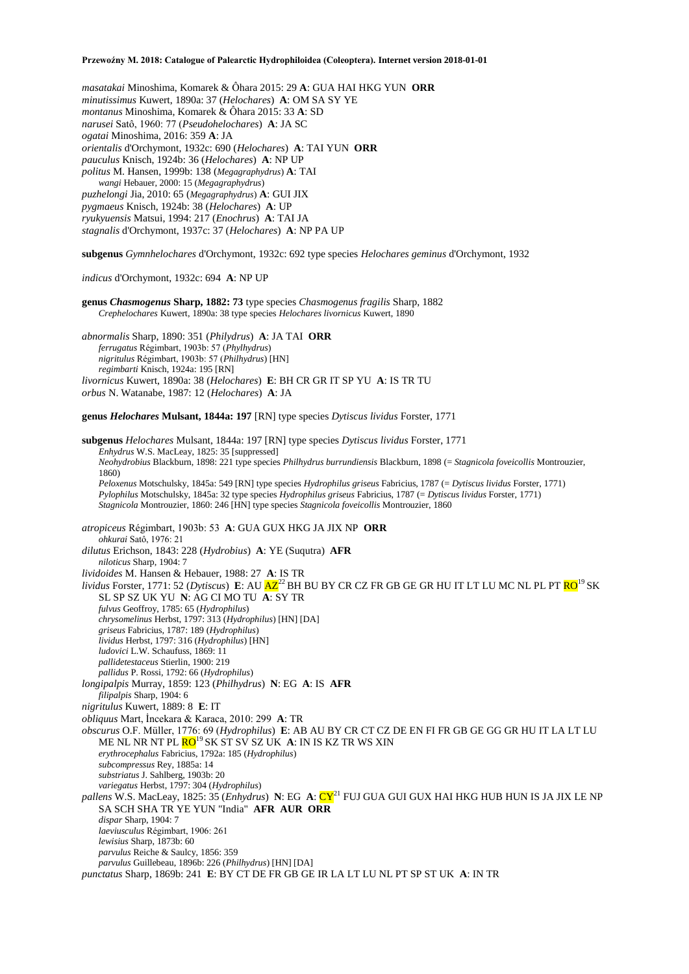*masatakai* Minoshima, Komarek & Ôhara 2015: 29 **A**: GUA HAI HKG YUN **ORR** *minutissimus* Kuwert, 1890a: 37 (*Helochares*) **A**: OM SA SY YE *montanus* Minoshima, Komarek & Ôhara 2015: 33 **A**: SD *narusei* Satô, 1960: 77 (*Pseudohelochares*) **A**: JA SC *ogatai* Minoshima, 2016: 359 **A**: JA *orientalis* d'Orchymont, 1932c: 690 (*Helochares*) **A**: TAI YUN **ORR** *pauculus* Knisch, 1924b: 36 (*Helochares*) **A**: NP UP *politus* M. Hansen, 1999b: 138 (*Megagraphydrus*) **A**: TAI *wangi* Hebauer, 2000: 15 (*Megagraphydrus*) *puzhelongi* Jia, 2010: 65 (*Megagraphydrus*) **A**: GUI JIX *pygmaeus* Knisch, 1924b: 38 (*Helochares*) **A**: UP *ryukyuensis* Matsui, 1994: 217 (*Enochrus*) **A**: TAI JA *stagnalis* d'Orchymont, 1937c: 37 (*Helochares*) **A**: NP PA UP

**subgenus** *Gymnhelochares* d'Orchymont, 1932c: 692 type species *Helochares geminus* d'Orchymont, 1932

*indicus* d'Orchymont, 1932c: 694 **A**: NP UP

**genus** *Chasmogenus* **Sharp, 1882: 73** type species *Chasmogenus fragilis* Sharp, 1882 *Crephelochares* Kuwert, 1890a: 38 type species *Helochares livornicus* Kuwert, 1890

*abnormalis* Sharp, 1890: 351 (*Philydrus*) **A**: JA TAI **ORR** *ferrugatus* Régimbart, 1903b: 57 (*Phylhydrus*) *nigritulus* Régimbart, 1903b: 57 (*Philhydrus*) [HN] *regimbarti* Knisch, 1924a: 195 [RN] *livornicus* Kuwert, 1890a: 38 (*Helochares*) **E**: BH CR GR IT SP YU **A**: IS TR TU *orbus* N. Watanabe, 1987: 12 (*Helochares*) **A**: JA

**genus** *Helochares* **Mulsant, 1844a: 197** [RN] type species *Dytiscus lividus* Forster, 1771

**subgenus** *Helochares* Mulsant, 1844a: 197 [RN] type species *Dytiscus lividus* Forster, 1771 *Enhydrus* W.S. MacLeay, 1825: 35 [suppressed] *Neohydrobius* Blackburn, 1898: 221 type species *Philhydrus burrundiensis* Blackburn, 1898 (= *Stagnicola foveicollis* Montrouzier, 1860) *Peloxenus* Motschulsky, 1845a: 549 [RN] type species *Hydrophilus griseus* Fabricius, 1787 (= *Dytiscus lividus* Forster, 1771) *Pylophilus* Motschulsky, 1845a: 32 type species *Hydrophilus griseus* Fabricius, 1787 (= *Dytiscus lividus* Forster, 1771) *Stagnicola* Montrouzier, 1860: 246 [HN] type species *Stagnicola foveicollis* Montrouzier, 1860 *atropiceus* Régimbart, 1903b: 53 **A**: GUA GUX HKG JA JIX NP **ORR** *ohkurai* Satô, 1976: 21 *dilutus* Erichson, 1843: 228 (*Hydrobius*) **A**: YE (Suqutra) **AFR** *niloticus* Sharp, 1904: 7 *lividoides* M. Hansen & Hebauer, 1988: 27 **A**: IS TR *lividus* Forster, 1771: 52 (*Dytiscus*) **E**: AU  $\overline{AZ}^{22}$  BH BU BY CR CZ FR GB GE GR HU IT LT LU MC NL PL PT  $\overline{RO}^{19}$  SK SL SP SZ UK YU **N**: AG CI MO TU **A**: SY TR *fulvus* Geoffroy, 1785: 65 (*Hydrophilus*) *chrysomelinus* Herbst, 1797: 313 (*Hydrophilus*) [HN] [DA] *griseus* Fabricius, 1787: 189 (*Hydrophilus*) *lividus* Herbst, 1797: 316 (*Hydrophilus*) [HN] *ludovici* L.W. Schaufuss, 1869: 11 *pallidetestaceus* Stierlin, 1900: 219 *pallidus* P. Rossi, 1792: 66 (*Hydrophilus*) *longipalpis* Murray, 1859: 123 (*Philhydrus*) **N**: EG **A**: IS **AFR** *filipalpis* Sharp, 1904: 6 *nigritulus* Kuwert, 1889: 8 **E**: IT *obliquus* Mart, İncekara & Karaca, 2010: 299 **A**: TR *obscurus* O.F. Müller, 1776: 69 (*Hydrophilus*) **E**: AB AU BY CR CT CZ DE EN FI FR GB GE GG GR HU IT LA LT LU ME NL NR NT PL RO<sup>19</sup>SK ST SV SZ UK **A**: IN IS KZ TR WS XIN *erythrocephalus* Fabricius, 1792a: 185 (*Hydrophilus*) *subcompressus* Rey, 1885a: 14 *substriatus* J. Sahlberg, 1903b: 20 *variegatus* Herbst, 1797: 304 (*Hydrophilus*) *pallens* W.S. MacLeay, 1825: 35 (*Enhydrus*) **N**: EG **A**: CY<sup>21</sup> FUJ GUA GUI GUX HAI HKG HUB HUN IS JA JIX LE NP SA SCH SHA TR YE YUN "India" **AFR AUR ORR** *dispar* Sharp, 1904: 7 *laeviusculus* Régimbart, 1906: 261 *lewisius* Sharp, 1873b: 60 *parvulus* Reiche & Saulcy, 1856: 359 *parvulus* Guillebeau, 1896b: 226 (*Philhydrus*) [HN] [DA] *punctatus* Sharp, 1869b: 241 **E**: BY CT DE FR GB GE IR LA LT LU NL PT SP ST UK **A**: IN TR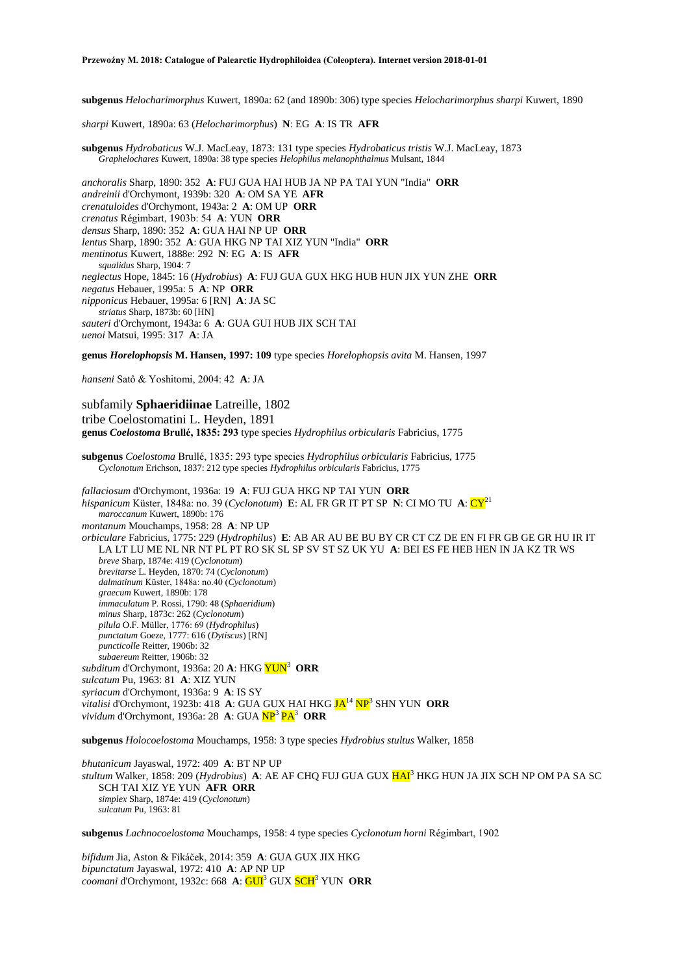**subgenus** *Helocharimorphus* Kuwert, 1890a: 62 (and 1890b: 306) type species *Helocharimorphus sharpi* Kuwert, 1890

*sharpi* Kuwert, 1890a: 63 (*Helocharimorphus*) **N**: EG **A**: IS TR **AFR**

**subgenus** *Hydrobaticus* W.J. MacLeay, 1873: 131 type species *Hydrobaticus tristis* W.J. MacLeay, 1873 *Graphelochares* Kuwert, 1890a: 38 type species *Helophilus melanophthalmus* Mulsant, 1844

*anchoralis* Sharp, 1890: 352 **A**: FUJ GUA HAI HUB JA NP PA TAI YUN "India" **ORR** *andreinii* d'Orchymont, 1939b: 320 **A**: OM SA YE **AFR** *crenatuloides* d'Orchymont, 1943a: 2 **A**: OM UP **ORR** *crenatus* Régimbart, 1903b: 54 **A**: YUN **ORR** *densus* Sharp, 1890: 352 **A**: GUA HAI NP UP **ORR** *lentus* Sharp, 1890: 352 **A**: GUA HKG NP TAI XIZ YUN "India" **ORR** *mentinotus* Kuwert, 1888e: 292 **N**: EG **A**: IS **AFR** *squalidus* Sharp, 1904: 7 *neglectus* Hope, 1845: 16 (*Hydrobius*) **A**: FUJ GUA GUX HKG HUB HUN JIX YUN ZHE **ORR** *negatus* Hebauer, 1995a: 5 **A**: NP **ORR** *nipponicus* Hebauer, 1995a: 6 [RN] **A**: JA SC *striatus* Sharp, 1873b: 60 [HN] *sauteri* d'Orchymont, 1943a: 6 **A**: GUA GUI HUB JIX SCH TAI *uenoi* Matsui, 1995: 317 **A**: JA

**genus** *Horelophopsis* **M. Hansen, 1997: 109** type species *Horelophopsis avita* M. Hansen, 1997

*hanseni* Satô & Yoshitomi, 2004: 42 **A**: JA

subfamily **Sphaeridiinae** Latreille, 1802 tribe Coelostomatini L. Heyden, 1891 **genus** *Coelostoma* **Brullé, 1835: 293** type species *Hydrophilus orbicularis* Fabricius, 1775

**subgenus** *Coelostoma* Brullé, 1835: 293 type species *Hydrophilus orbicularis* Fabricius, 1775 *Cyclonotum* Erichson, 1837: 212 type species *Hydrophilus orbicularis* Fabricius, 1775

*fallaciosum* d'Orchymont, 1936a: 19 **A**: FUJ GUA HKG NP TAI YUN **ORR** *hispanicum* Küster, 1848a: no. 39 (*Cyclonotum*) **E**: AL FR GR IT PT SP **N**: CI MO TU **A**: CY<sup>21</sup> *maroccanum* Kuwert, 1890b: 176 *montanum* Mouchamps, 1958: 28 **A**: NP UP *orbiculare* Fabricius, 1775: 229 (*Hydrophilus*) **E**: AB AR AU BE BU BY CR CT CZ DE EN FI FR GB GE GR HU IR IT LA LT LU ME NL NR NT PL PT RO SK SL SP SV ST SZ UK YU **A**: BEI ES FE HEB HEN IN JA KZ TR WS *breve* Sharp, 1874e: 419 (*Cyclonotum*) *brevitarse* L. Heyden, 1870: 74 (*Cyclonotum*) *dalmatinum* Küster, 1848a: no.40 (*Cyclonotum*) *graecum* Kuwert, 1890b: 178 *immaculatum* P. Rossi, 1790: 48 (*Sphaeridium*) *minus* Sharp, 1873c: 262 (*Cyclonotum*) *pilula* O.F. Müller, 1776: 69 (*Hydrophilus*) *punctatum* Goeze, 1777: 616 (*Dytiscus*) [RN] *puncticolle* Reitter, 1906b: 32 *subaereum* Reitter, 1906b: 32 subditum d'Orchymont, 1936a: 20 **A**: HKG  $\overline{\text{YUN}}^3$  **ORR** *sulcatum* Pu, 1963: 81 **A**: XIZ YUN *syriacum* d'Orchymont, 1936a: 9 **A**: IS SY *vitalisi* d'Orchymont, 1923b: 418 **A**: GUA GUX HAI HKG JA<sup>14</sup> NP<sup>3</sup> SHN YUN **ORR** vividum d'Orchymont, 1936a: 28 A: GUA NP<sup>3</sup> PA<sup>3</sup> ORR

**subgenus** *Holocoelostoma* Mouchamps, 1958: 3 type species *Hydrobius stultus* Walker, 1858

*bhutanicum* Jayaswal, 1972: 409 **A**: BT NP UP *stultum* Walker, 1858: 209 (*Hydrobius*) **A**: AE AF CHQ FUJ GUA GUX HAI<sup>3</sup> HKG HUN JA JIX SCH NP OM PA SA SC SCH TAI XIZ YE YUN **AFR ORR** *simplex* Sharp, 1874e: 419 (*Cyclonotum*) *sulcatum* Pu, 1963: 81

**subgenus** *Lachnocoelostoma* Mouchamps, 1958: 4 type species *Cyclonotum horni* Régimbart, 1902

*bifidum* Jia, Aston & Fikáček, 2014: 359 **A**: GUA GUX JIX HKG *bipunctatum* Jayaswal, 1972: 410 **A**: AP NP UP *coomani* d'Orchymont, 1932c: 668 **A**: GUI<sup>3</sup> GUX SCH<sup>3</sup> YUN **ORR**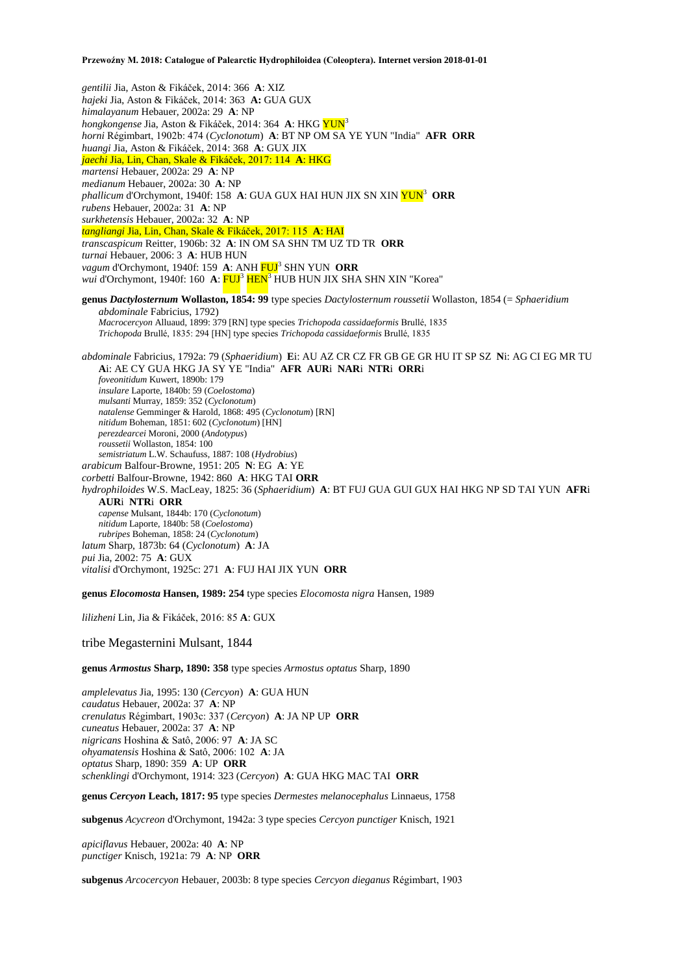*gentilii* Jia, Aston & Fikáček, 2014: 366 **A**: XIZ *hajeki* Jia, Aston & Fikáček, 2014: 363 **A:** GUA GUX *himalayanum* Hebauer, 2002a: 29 **A**: NP *hongkongense* Jia, Aston & Fikáček, 2014: 364 **A**: HKG YUN<sup>3</sup> *horni* Régimbart, 1902b: 474 (*Cyclonotum*) **A**: BT NP OM SA YE YUN "India" **AFR ORR** *huangi* Jia, Aston & Fikáček, 2014: 368 **A**: GUX JIX *jaechi* Jia, Lin, Chan, Skale & Fikáček, 2017: 114 **A**: HKG *martensi* Hebauer, 2002a: 29 **A**: NP *medianum* Hebauer, 2002a: 30 **A**: NP *phallicum* d'Orchymont, 1940f: 158 **A**: GUA GUX HAI HUN JIX SN XIN YUN<sup>3</sup> **ORR** *rubens* Hebauer, 2002a: 31 **A**: NP *surkhetensis* Hebauer, 2002a: 32 **A**: NP *tangliangi* Jia, Lin, Chan, Skale & Fikáček, 2017: 115 **A**: HAI *transcaspicum* Reitter, 1906b: 32 **A**: IN OM SA SHN TM UZ TD TR **ORR** *turnai* Hebauer, 2006: 3 **A**: HUB HUN vagum d'Orchymont, 1940f: 159 A: ANH FUJ<sup>3</sup> SHN YUN ORR *wui* d'Orchymont, 1940f: 160 A: FUJ<sup>3</sup> HEN<sup>3</sup> HUB HUN JIX SHA SHN XIN "Korea" **genus** *Dactylosternum* **Wollaston, 1854: 99** type species *Dactylosternum roussetii* Wollaston, 1854 (= *Sphaeridium abdominale* Fabricius, 1792) *Macrocercyon* Alluaud, 1899: 379 [RN] type species *Trichopoda cassidaeformis* Brullé, 1835 *Trichopoda* Brullé, 1835: 294 [HN] type species *Trichopoda cassidaeformis* Brullé, 1835 *abdominale* Fabricius, 1792a: 79 (*Sphaeridium*) **E**i: AU AZ CR CZ FR GB GE GR HU IT SP SZ **N**i: AG CI EG MR TU **A**i: AE CY GUA HKG JA SY YE "India" **AFR AUR**i **NAR**i **NTR**i **ORR**i *foveonitidum* Kuwert, 1890b: 179 *insulare* Laporte, 1840b: 59 (*Coelostoma*) *mulsanti* Murray, 1859: 352 (*Cyclonotum*) *natalense* Gemminger & Harold, 1868: 495 (*Cyclonotum*) [RN] *nitidum* Boheman, 1851: 602 (*Cyclonotum*) [HN] *perezdearcei* Moroni, 2000 (*Andotypus*) *roussetii* Wollaston, 1854: 100 *semistriatum* L.W. Schaufuss, 1887: 108 (*Hydrobius*) *arabicum* Balfour-Browne, 1951: 205 **N**: EG **A**: YE *corbetti* Balfour-Browne, 1942: 860 **A**: HKG TAI **ORR** *hydrophiloides* W.S. MacLeay, 1825: 36 (*Sphaeridium*) **A**: BT FUJ GUA GUI GUX HAI HKG NP SD TAI YUN **AFR**i **AUR**i **NTR**i **ORR** *capense* Mulsant, 1844b: 170 (*Cyclonotum*) *nitidum* Laporte, 1840b: 58 (*Coelostoma*) *rubripes* Boheman, 1858: 24 (*Cyclonotum*) *latum* Sharp, 1873b: 64 (*Cyclonotum*) **A**: JA *pui* Jia, 2002: 75 **A**: GUX *vitalisi* d'Orchymont, 1925c: 271 **A**: FUJ HAI JIX YUN **ORR genus** *Elocomosta* **Hansen, 1989: 254** type species *Elocomosta nigra* Hansen, 1989

*lilizheni* Lin, Jia & Fikáček, 2016: 85 **A**: GUX

tribe Megasternini Mulsant, 1844

**genus** *Armostus* **Sharp, 1890: 358** type species *Armostus optatus* Sharp, 1890

*amplelevatus* Jia, 1995: 130 (*Cercyon*) **A**: GUA HUN *caudatus* Hebauer, 2002a: 37 **A**: NP *crenulatus* Régimbart, 1903c: 337 (*Cercyon*) **A**: JA NP UP **ORR** *cuneatus* Hebauer, 2002a: 37 **A**: NP *nigricans* Hoshina & Satô, 2006: 97 **A**: JA SC *ohyamatensis* Hoshina & Satô, 2006: 102 **A**: JA *optatus* Sharp, 1890: 359 **A**: UP **ORR** *schenklingi* d'Orchymont, 1914: 323 (*Cercyon*) **A**: GUA HKG MAC TAI **ORR**

**genus** *Cercyon* **Leach, 1817: 95** type species *Dermestes melanocephalus* Linnaeus, 1758

**subgenus** *Acycreon* d'Orchymont, 1942a: 3 type species *Cercyon punctiger* Knisch, 1921

*apiciflavus* Hebauer, 2002a: 40 **A**: NP *punctiger* Knisch, 1921a: 79 **A**: NP **ORR**

**subgenus** *Arcocercyon* Hebauer, 2003b: 8 type species *Cercyon dieganus* Régimbart, 1903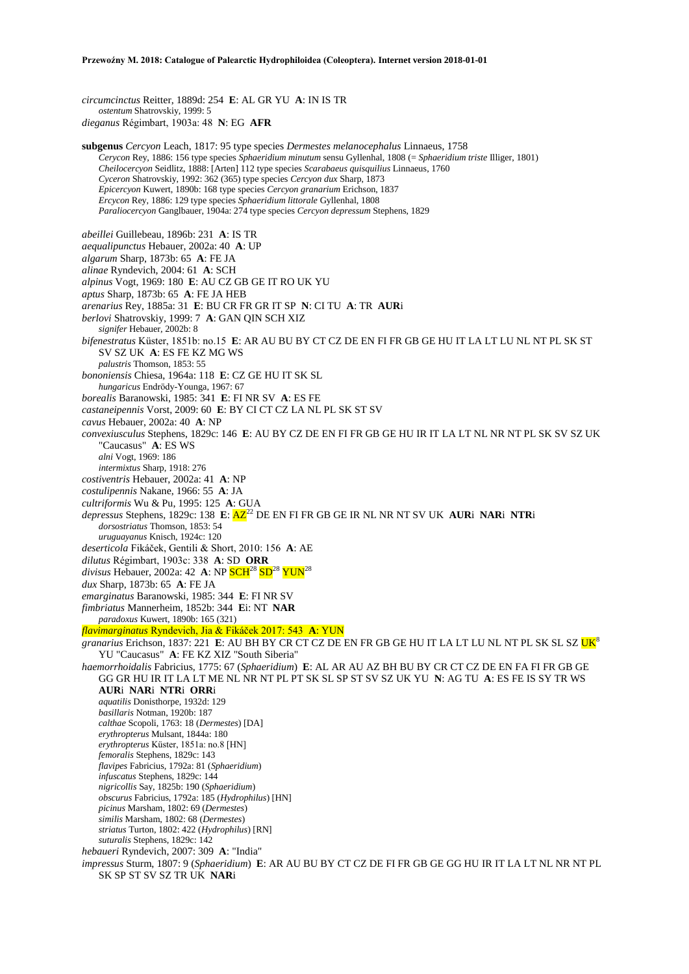*circumcinctus* Reitter, 1889d: 254 **E**: AL GR YU **A**: IN IS TR *ostentum* Shatrovskiy, 1999: 5 *dieganus* Régimbart, 1903a: 48 **N**: EG **AFR**

**subgenus** *Cercyon* Leach, 1817: 95 type species *Dermestes melanocephalus* Linnaeus, 1758 *Cerycon* Rey, 1886: 156 type species *Sphaeridium minutum* sensu Gyllenhal, 1808 (= *Sphaeridium triste* Illiger, 1801) *Cheilocercyon* Seidlitz, 1888: [Arten] 112 type species *Scarabaeus quisquilius* Linnaeus, 1760 *Cyceron* Shatrovskiy, 1992: 362 (365) type species *Cercyon dux* Sharp, 1873 *Epicercyon* Kuwert, 1890b: 168 type species *Cercyon granarium* Erichson, 1837 *Ercycon* Rey, 1886: 129 type species *Sphaeridium littorale* Gyllenhal, 1808 *Paraliocercyon* Ganglbauer, 1904a: 274 type species *Cercyon depressum* Stephens, 1829 *abeillei* Guillebeau, 1896b: 231 **A**: IS TR *aequalipunctus* Hebauer, 2002a: 40 **A**: UP *algarum* Sharp, 1873b: 65 **A**: FE JA *alinae* Ryndevich, 2004: 61 **A**: SCH *alpinus* Vogt, 1969: 180 **E**: AU CZ GB GE IT RO UK YU *aptus* Sharp, 1873b: 65 **A**: FE JA HEB *arenarius* Rey, 1885a: 31 **E**: BU CR FR GR IT SP **N**: CI TU **A**: TR **AUR**i *berlovi* Shatrovskiy, 1999: 7 **A**: GAN QIN SCH XIZ *signifer* Hebauer, 2002b: 8 *bifenestratus* Küster, 1851b: no.15 **E**: AR AU BU BY CT CZ DE EN FI FR GB GE HU IT LA LT LU NL NT PL SK ST SV SZ UK **A**: ES FE KZ MG WS *palustris* Thomson, 1853: 55 *bononiensis* Chiesa, 1964a: 118 **E**: CZ GE HU IT SK SL *hungaricus* Endrödy-Younga, 1967: 67 *borealis* Baranowski, 1985: 341 **E**: FI NR SV **A**: ES FE *castaneipennis* Vorst, 2009: 60 **E**: BY CI CT CZ LA NL PL SK ST SV *cavus* Hebauer, 2002a: 40 **A**: NP *convexiusculus* Stephens, 1829c: 146 **E**: AU BY CZ DE EN FI FR GB GE HU IR IT LA LT NL NR NT PL SK SV SZ UK "Caucasus" **A**: ES WS *alni* Vogt, 1969: 186 *intermixtus* Sharp, 1918: 276 *costiventris* Hebauer, 2002a: 41 **A**: NP *costulipennis* Nakane, 1966: 55 **A**: JA *cultriformis* Wu & Pu, 1995: 125 **A**: GUA *depressus* Stephens, 1829c: 138 **E**: AZ<sup>22</sup> DE EN FI FR GB GE IR NL NR NT SV UK **AUR**i **NAR**i **NTR**i *dorsostriatus* Thomson, 1853: 54 *uruguayanus* Knisch, 1924c: 120 *deserticola* Fikáček, Gentili & Short, 2010: 156 **A**: AE *dilutus* Régimbart, 1903c: 338 **A**: SD **ORR** *divisus Hebauer, 2002a: 42 A: NP SCH<sup>28</sup> SD<sup>28</sup> YUN<sup>28</sup> dux* Sharp, 1873b: 65 **A**: FE JA *emarginatus* Baranowski, 1985: 344 **E**: FI NR SV *fimbriatus* Mannerheim, 1852b: 344 **E**i: NT **NAR** *paradoxus* Kuwert, 1890b: 165 (321) *flavimarginatus* Ryndevich, Jia & Fikáček 2017: 543 **A**: YUN *granarius* Erichson, 1837: 221 **E**: AU BH BY CR CT CZ DE EN FR GB GE HU IT LA LT LU NL NT PL SK SL SZ UK<sup>8</sup> YU "Caucasus" **A**: FE KZ XIZ "South Siberia" *haemorrhoidalis* Fabricius, 1775: 67 (*Sphaeridium*) **E**: AL AR AU AZ BH BU BY CR CT CZ DE EN FA FI FR GB GE GG GR HU IR IT LA LT ME NL NR NT PL PT SK SL SP ST SV SZ UK YU **N**: AG TU **A**: ES FE IS SY TR WS **AUR**i **NAR**i **NTR**i **ORR**i *aquatilis* Donisthorpe, 1932d: 129 *basillaris* Notman, 1920b: 187 *calthae* Scopoli, 1763: 18 (*Dermestes*) [DA] *erythropterus* Mulsant, 1844a: 180 *erythropterus* Küster, 1851a: no.8 [HN] *femoralis* Stephens, 1829c: 143 *flavipes* Fabricius, 1792a: 81 (*Sphaeridium*) *infuscatus* Stephens, 1829c: 144 *nigricollis* Say, 1825b: 190 (*Sphaeridium*) *obscurus* Fabricius, 1792a: 185 (*Hydrophilus*) [HN] *picinus* Marsham, 1802: 69 (*Dermestes*) *similis* Marsham, 1802: 68 (*Dermestes*) *striatus* Turton, 1802: 422 (*Hydrophilus*) [RN] *suturalis* Stephens, 1829c: 142 *hebaueri* Ryndevich, 2007: 309 **A**: "India" *impressus* Sturm, 1807: 9 (*Sphaeridium*) **E**: AR AU BU BY CT CZ DE FI FR GB GE GG HU IR IT LA LT NL NR NT PL SK SP ST SV SZ TR UK **NAR**i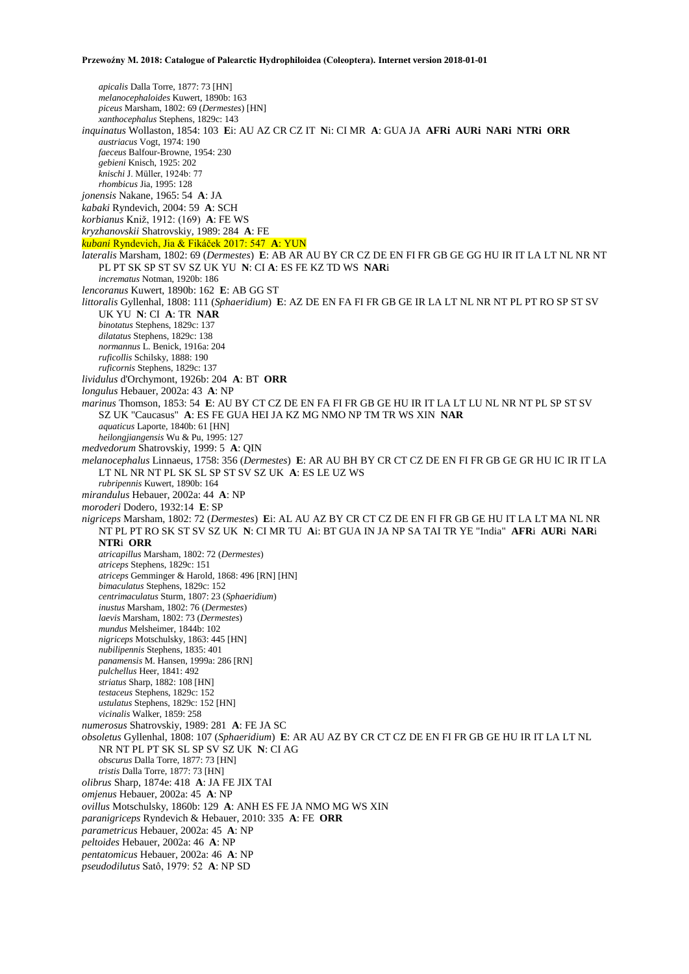*apicalis* Dalla Torre, 1877: 73 [HN] *melanocephaloides* Kuwert, 1890b: 163 *piceus* Marsham, 1802: 69 (*Dermestes*) [HN] *xanthocephalus* Stephens, 1829c: 143 *inquinatus* Wollaston, 1854: 103 **E**i: AU AZ CR CZ IT **N**i: CI MR **A**: GUA JA **AFRi AURi NARi NTRi ORR** *austriacus* Vogt, 1974: 190 *faeceus* Balfour-Browne, 1954: 230 *gebieni* Knisch, 1925: 202 *knischi* J. Müller, 1924b: 77 *rhombicus* Jia, 1995: 128 *jonensis* Nakane, 1965: 54 **A**: JA *kabaki* Ryndevich, 2004: 59 **A**: SCH *korbianus* Kniž, 1912: (169) **A**: FE WS *kryzhanovskii* Shatrovskiy, 1989: 284 **A**: FE *kubani* Ryndevich, Jia & Fikáček 2017: 547 **A**: YUN *lateralis* Marsham, 1802: 69 (*Dermestes*) **E**: AB AR AU BY CR CZ DE EN FI FR GB GE GG HU IR IT LA LT NL NR NT PL PT SK SP ST SV SZ UK YU **N**: CI **A**: ES FE KZ TD WS **NAR**i *incrematus* Notman, 1920b: 186 *lencoranus* Kuwert, 1890b: 162 **E**: AB GG ST *littoralis* Gyllenhal, 1808: 111 (*Sphaeridium*) **E**: AZ DE EN FA FI FR GB GE IR LA LT NL NR NT PL PT RO SP ST SV UK YU **N**: CI **A**: TR **NAR** *binotatus* Stephens, 1829c: 137 *dilatatus* Stephens, 1829c: 138 *normannus* L. Benick, 1916a: 204 *ruficollis* Schilsky, 1888: 190 *ruficornis* Stephens, 1829c: 137 *lividulus* d'Orchymont, 1926b: 204 **A**: BT **ORR** *longulus* Hebauer, 2002a: 43 **A**: NP *marinus* Thomson, 1853: 54 **E**: AU BY CT CZ DE EN FA FI FR GB GE HU IR IT LA LT LU NL NR NT PL SP ST SV SZ UK "Caucasus" **A**: ES FE GUA HEI JA KZ MG NMO NP TM TR WS XIN **NAR** *aquaticus* Laporte, 1840b: 61 [HN] *heilongjiangensis* Wu & Pu, 1995: 127 *medvedorum* Shatrovskiy, 1999: 5 **A**: QIN *melanocephalus* Linnaeus, 1758: 356 (*Dermestes*) **E**: AR AU BH BY CR CT CZ DE EN FI FR GB GE GR HU IC IR IT LA LT NL NR NT PL SK SL SP ST SV SZ UK **A**: ES LE UZ WS *rubripennis* Kuwert, 1890b: 164 *mirandulus* Hebauer, 2002a: 44 **A**: NP *moroderi* Dodero, 1932:14 **E**: SP *nigriceps* Marsham, 1802: 72 (*Dermestes*) **E**i: AL AU AZ BY CR CT CZ DE EN FI FR GB GE HU IT LA LT MA NL NR NT PL PT RO SK ST SV SZ UK **N**: CI MR TU **A**i: BT GUA IN JA NP SA TAI TR YE "India" **AFR**i **AUR**i **NAR**i **NTR**i **ORR** *atricapillus* Marsham, 1802: 72 (*Dermestes*) *atriceps* Stephens, 1829c: 151 *atriceps* Gemminger & Harold, 1868: 496 [RN] [HN] *bimaculatus* Stephens, 1829c: 152 *centrimaculatus* Sturm, 1807: 23 (*Sphaeridium*) *inustus* Marsham, 1802: 76 (*Dermestes*) *laevis* Marsham, 1802: 73 (*Dermestes*) *mundus* Melsheimer, 1844b: 102 *nigriceps* Motschulsky, 1863: 445 [HN] *nubilipennis* Stephens, 1835: 401 *panamensis* M. Hansen, 1999a: 286 [RN] *pulchellus* Heer, 1841: 492 *striatus* Sharp, 1882: 108 [HN] *testaceus* Stephens, 1829c: 152 *ustulatus* Stephens, 1829c: 152 [HN] *vicinalis* Walker, 1859: 258 *numerosus* Shatrovskiy, 1989: 281 **A**: FE JA SC *obsoletus* Gyllenhal, 1808: 107 (*Sphaeridium*) **E**: AR AU AZ BY CR CT CZ DE EN FI FR GB GE HU IR IT LA LT NL NR NT PL PT SK SL SP SV SZ UK **N**: CI AG *obscurus* Dalla Torre, 1877: 73 [HN] *tristis* Dalla Torre, 1877: 73 [HN] *olibrus* Sharp, 1874e: 418 **A**: JA FE JIX TAI *omjenus* Hebauer, 2002a: 45 **A**: NP *ovillus* Motschulsky, 1860b: 129 **A**: ANH ES FE JA NMO MG WS XIN *paranigriceps* Ryndevich & Hebauer, 2010: 335 **A**: FE **ORR** *parametricus* Hebauer, 2002a: 45 **A**: NP *peltoides* Hebauer, 2002a: 46 **A**: NP *pentatomicus* Hebauer, 2002a: 46 **A**: NP *pseudodilutus* Satô, 1979: 52 **A**: NP SD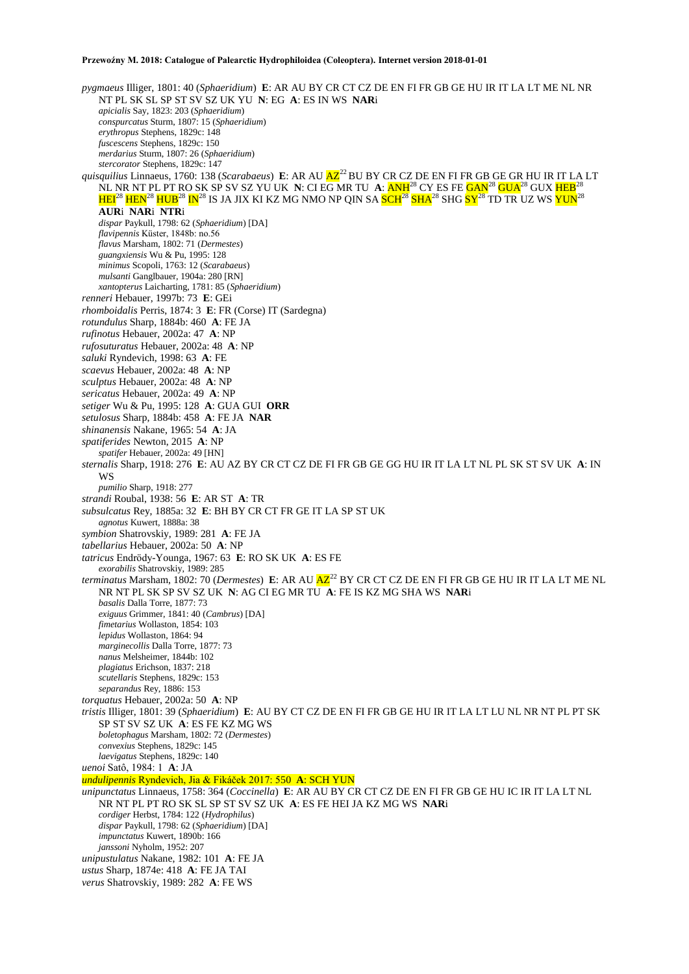*pygmaeus* Illiger, 1801: 40 (*Sphaeridium*) **E**: AR AU BY CR CT CZ DE EN FI FR GB GE HU IR IT LA LT ME NL NR NT PL SK SL SP ST SV SZ UK YU **N**: EG **A**: ES IN WS **NAR**i *apicialis* Say, 1823: 203 (*Sphaeridium*) *conspurcatus* Sturm, 1807: 15 (*Sphaeridium*) *erythropus* Stephens, 1829c: 148 *fuscescens* Stephens, 1829c: 150 *merdarius* Sturm, 1807: 26 (*Sphaeridium*) *stercorator* Stephens, 1829c: 147 *quisquilius* Linnaeus, 1760: 138 (*Scarabaeus*) **E**: AR AU  $\overline{AZ}^2$  BU BY CR CZ DE EN FI FR GB GE GR HU IR IT LA LT NL NR NT PL PT RO SK SP SV SZ YU UK **N**: CI EG MR TU **A**: ANH<sup>28</sup> CY ES FE GAN<sup>28</sup> GUA<sup>28</sup> GUX HEB<sup>28</sup>  $\rm{HEI^{28}\,HEN^{28}\,HUB^{28}\,IN^{28}}$  IS JA JIX KI KZ MG NMO NP QIN SA <mark>SCH<sup>28</sup> SHA</mark>28 SHG <mark>SY<sup>28</sup> TD TR UZ WS YUN</mark>28 **AUR**i **NAR**i **NTR**i *dispar* Paykull, 1798: 62 (*Sphaeridium*) [DA] *flavipennis* Küster, 1848b: no.56 *flavus* Marsham, 1802: 71 (*Dermestes*) *guangxiensis* Wu & Pu, 1995: 128 *minimus* Scopoli, 1763: 12 (*Scarabaeus*) *mulsanti* Ganglbauer, 1904a: 280 [RN] *xantopterus* Laicharting, 1781: 85 (*Sphaeridium*) *renneri* Hebauer, 1997b: 73 **E**: GEi *rhomboidalis* Perris, 1874: 3 **E**: FR (Corse) IT (Sardegna) *rotundulus* Sharp, 1884b: 460 **A**: FE JA *rufinotus* Hebauer, 2002a: 47 **A**: NP *rufosuturatus* Hebauer, 2002a: 48 **A**: NP *saluki* Ryndevich, 1998: 63 **A**: FE *scaevus* Hebauer, 2002a: 48 **A**: NP *sculptus* Hebauer, 2002a: 48 **A**: NP *sericatus* Hebauer, 2002a: 49 **A**: NP *setiger* Wu & Pu, 1995: 128 **A**: GUA GUI **ORR** *setulosus* Sharp, 1884b: 458 **A**: FE JA **NAR** *shinanensis* Nakane, 1965: 54 **A**: JA *spatiferides* Newton, 2015 **A**: NP *spatifer* Hebauer, 2002a: 49 [HN] *sternalis* Sharp, 1918: 276 **E**: AU AZ BY CR CT CZ DE FI FR GB GE GG HU IR IT LA LT NL PL SK ST SV UK **A**: IN WS *pumilio* Sharp, 1918: 277 *strandi* Roubal, 1938: 56 **E**: AR ST **A**: TR *subsulcatus* Rey, 1885a: 32 **E**: BH BY CR CT FR GE IT LA SP ST UK *agnotus* Kuwert, 1888a: 38 *symbion* Shatrovskiy, 1989: 281 **A**: FE JA *tabellarius* Hebauer, 2002a: 50 **A**: NP *tatricus* Endrödy-Younga, 1967: 63 **E**: RO SK UK **A**: ES FE *exorabilis* Shatrovskiy, 1989: 285 *terminatus* Marsham, 1802: 70 (*Dermestes*) E: AR AU  $\overline{AZ}^{22}$  BY CR CT CZ DE EN FI FR GB GE HU IR IT LA LT ME NL NR NT PL SK SP SV SZ UK **N**: AG CI EG MR TU **A**: FE IS KZ MG SHA WS **NAR**i *basalis* Dalla Torre, 1877: 73 *exiguus* Grimmer, 1841: 40 (*Cambrus*) [DA] *fimetarius* Wollaston, 1854: 103 *lepidus* Wollaston, 1864: 94 *marginecollis* Dalla Torre, 1877: 73 *nanus* Melsheimer, 1844b: 102 *plagiatus* Erichson, 1837: 218 *scutellaris* Stephens, 1829c: 153 *separandus* Rey, 1886: 153 *torquatus* Hebauer, 2002a: 50 **A**: NP *tristis* Illiger, 1801: 39 (*Sphaeridium*) **E**: AU BY CT CZ DE EN FI FR GB GE HU IR IT LA LT LU NL NR NT PL PT SK SP ST SV SZ UK **A**: ES FE KZ MG WS *boletophagus* Marsham, 1802: 72 (*Dermestes*) *convexius* Stephens, 1829c: 145 *laevigatus* Stephens, 1829c: 140 *uenoi* Satô, 1984: 1 **A**: JA *undulipennis* Ryndevich, Jia & Fikáček 2017: 550 **A**: SCH YUN *unipunctatus* Linnaeus, 1758: 364 (*Coccinella*) **E**: AR AU BY CR CT CZ DE EN FI FR GB GE HU IC IR IT LA LT NL NR NT PL PT RO SK SL SP ST SV SZ UK **A**: ES FE HEI JA KZ MG WS **NAR**i *cordiger* Herbst, 1784: 122 (*Hydrophilus*) *dispar* Paykull, 1798: 62 (*Sphaeridium*) [DA] *impunctatus* Kuwert, 1890b: 166 *janssoni* Nyholm, 1952: 207 *unipustulatus* Nakane, 1982: 101 **A**: FE JA *ustus* Sharp, 1874e: 418 **A**: FE JA TAI *verus* Shatrovskiy, 1989: 282 **A**: FE WS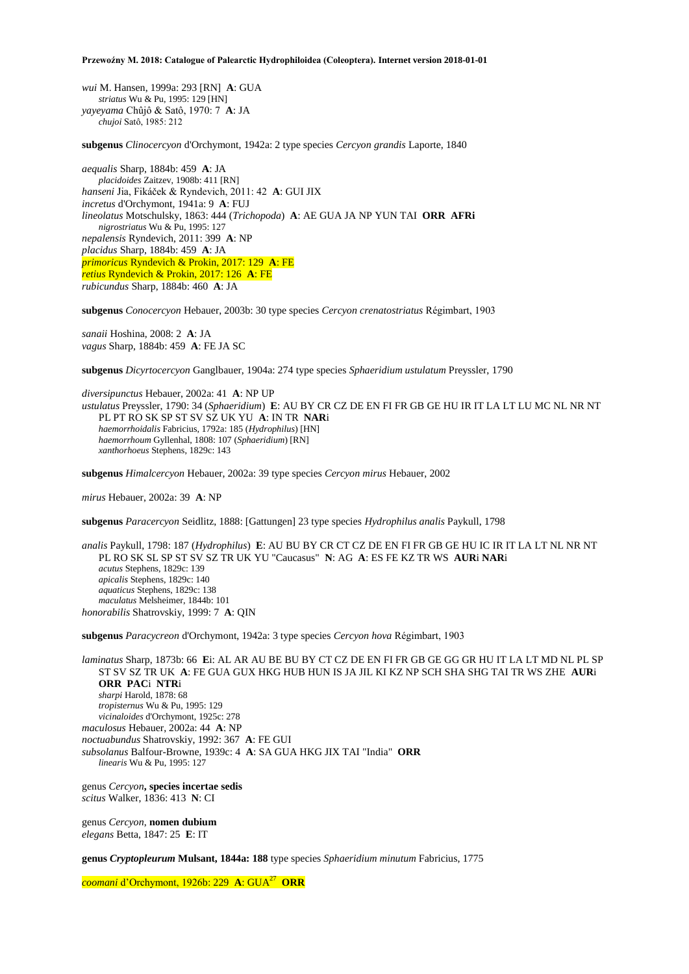*wui* M. Hansen, 1999a: 293 [RN] **A**: GUA *striatus* Wu & Pu, 1995: 129 [HN] *yayeyama* Chûjô & Satô, 1970: 7 **A**: JA *chujoi* Satô, 1985: 212

**subgenus** *Clinocercyon* d'Orchymont, 1942a: 2 type species *Cercyon grandis* Laporte, 1840

*aequalis* Sharp, 1884b: 459 **A**: JA *placidoides* Zaitzev, 1908b: 411 [RN] *hanseni* Jia, Fikáček & Ryndevich, 2011: 42 **A**: GUI JIX *incretus* d'Orchymont, 1941a: 9 **A**: FUJ *lineolatus* Motschulsky, 1863: 444 (*Trichopoda*) **A**: AE GUA JA NP YUN TAI **ORR AFRi**  *nigrostriatus* Wu & Pu, 1995: 127 *nepalensis* Ryndevich, 2011: 399 **A**: NP *placidus* Sharp, 1884b: 459 **A**: JA *primoricus* Ryndevich & Prokin, 2017: 129 **A**: FE *retius* Ryndevich & Prokin, 2017: 126 **A**: FE *rubicundus* Sharp, 1884b: 460 **A**: JA

**subgenus** *Conocercyon* Hebauer, 2003b: 30 type species *Cercyon crenatostriatus* Régimbart, 1903

*sanaii* Hoshina, 2008: 2 **A**: JA *vagus* Sharp, 1884b: 459 **A**: FE JA SC

**subgenus** *Dicyrtocercyon* Ganglbauer, 1904a: 274 type species *Sphaeridium ustulatum* Preyssler, 1790

*diversipunctus* Hebauer, 2002a: 41 **A**: NP UP *ustulatus* Preyssler, 1790: 34 (*Sphaeridium*) **E**: AU BY CR CZ DE EN FI FR GB GE HU IR IT LA LT LU MC NL NR NT PL PT RO SK SP ST SV SZ UK YU **A**: IN TR **NAR**i *haemorrhoidalis* Fabricius, 1792a: 185 (*Hydrophilus*) [HN] *haemorrhoum* Gyllenhal, 1808: 107 (*Sphaeridium*) [RN] *xanthorhoeus* Stephens, 1829c: 143

**subgenus** *Himalcercyon* Hebauer, 2002a: 39 type species *Cercyon mirus* Hebauer, 2002

*mirus* Hebauer, 2002a: 39 **A**: NP

**subgenus** *Paracercyon* Seidlitz, 1888: [Gattungen] 23 type species *Hydrophilus analis* Paykull, 1798

*analis* Paykull, 1798: 187 (*Hydrophilus*) **E**: AU BU BY CR CT CZ DE EN FI FR GB GE HU IC IR IT LA LT NL NR NT PL RO SK SL SP ST SV SZ TR UK YU "Caucasus" **N**: AG **A**: ES FE KZ TR WS **AUR**i **NAR**i *acutus* Stephens, 1829c: 139 *apicalis* Stephens, 1829c: 140 *aquaticus* Stephens, 1829c: 138 *maculatus* Melsheimer, 1844b: 101 *honorabilis* Shatrovskiy, 1999: 7 **A**: QIN

**subgenus** *Paracycreon* d'Orchymont, 1942a: 3 type species *Cercyon hova* Régimbart, 1903

*laminatus* Sharp, 1873b: 66 **E**i: AL AR AU BE BU BY CT CZ DE EN FI FR GB GE GG GR HU IT LA LT MD NL PL SP ST SV SZ TR UK **A**: FE GUA GUX HKG HUB HUN IS JA JIL KI KZ NP SCH SHA SHG TAI TR WS ZHE **AUR**i **ORR PAC**i **NTR**i *sharpi* Harold, 1878: 68 *tropisternus* Wu & Pu, 1995: 129 *vicinaloides* d'Orchymont, 1925c: 278 *maculosus* Hebauer, 2002a: 44 **A**: NP *noctuabundus* Shatrovskiy, 1992: 367 **A**: FE GUI *subsolanus* Balfour-Browne, 1939c: 4 **A**: SA GUA HKG JIX TAI "India" **ORR** *linearis* Wu & Pu, 1995: 127

genus *Cercyon***, species incertae sedis** *scitus* Walker, 1836: 413 **N**: CI

genus *Cercyon*, **nomen dubium** *elegans* Betta, 1847: 25 **E**: IT

**genus** *Cryptopleurum* **Mulsant, 1844a: 188** type species *Sphaeridium minutum* Fabricius, 1775

*coomani* d'Orchymont, 1926b: 229 **A**: GUA<sup>27</sup> **ORR**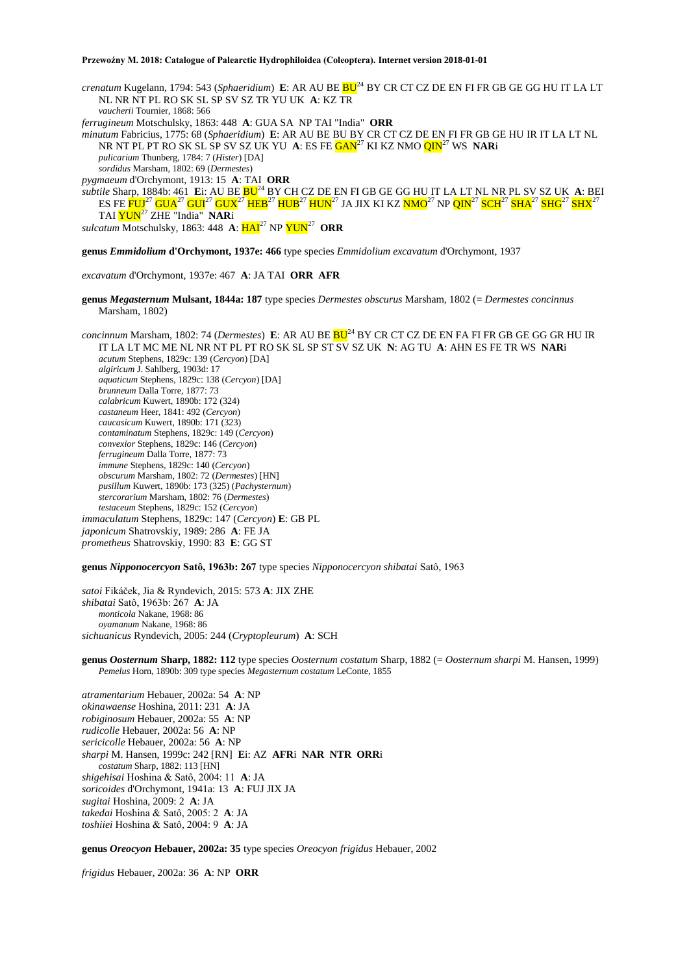*crenatum* Kugelann, 1794: 543 (*Sphaeridium*) **E**: AR AU BE BU<sup>24</sup> BY CR CT CZ DE EN FI FR GB GE GG HU IT LA LT NL NR NT PL RO SK SL SP SV SZ TR YU UK **A**: KZ TR *vaucherii* Tournier, 1868: 566 *ferrugineum* Motschulsky, 1863: 448 **A**: GUA SA NP TAI "India" **ORR** *minutum* Fabricius, 1775: 68 (*Sphaeridium*) **E**: AR AU BE BU BY CR CT CZ DE EN FI FR GB GE HU IR IT LA LT NL NR NT PL PT RO SK SL SP SV SZ UK YU A: ES FE **GAN<sup>27</sup> KI KZ NMO QIN<sup>27</sup> WS NARi** *pulicarium* Thunberg, 1784: 7 (*Hister*) [DA] *sordidus* Marsham, 1802: 69 (*Dermestes*) *pygmaeum* d'Orchymont, 1913: 15 **A**: TAI **ORR** *subtile* Sharp, 1884b: 461 **E**i: AU BE BU<sup>24</sup> BY CH CZ DE EN FI GB GE GG HU IT LA LT NL NR PL SV SZ UK **A**: BEI ES FE <mark>FUJ<sup>27</sup> GUA<sup>27</sup> GUI<sup>27</sup> GUX<sup>27</sup> HEB<sup>27</sup> HUB<sup>27</sup> HUN<sup>27</sup> JA JIX KI KZ <mark>NMO</mark><sup>27</sup> NP QIN<sup>27</sup> SCH<sup>27</sup> SHA<sup>27</sup> SHG<sup>27</sup> SHX<sup>27</sup></mark> TAI YUN<sup>27</sup> ZHE "India" **NAR**i

sulcatum Motschulsky, 1863: 448 A:  $\overline{\text{HAI}}^{27}$  NP  $\overline{\text{YUN}}^{27}$  ORR

**genus** *Emmidolium* **d'Orchymont, 1937e: 466** type species *Emmidolium excavatum* d'Orchymont, 1937

*excavatum* d'Orchymont, 1937e: 467 **A**: JA TAI **ORR AFR**

**genus** *Megasternum* **Mulsant, 1844a: 187** type species *Dermestes obscurus* Marsham, 1802 (= *Dermestes concinnus* Marsham, 1802)

*concinnum* Marsham, 1802: 74 (*Dermestes*) **E**: AR AU BE **BU**<sup>24</sup> BY CR CT CZ DE EN FA FI FR GB GE GG GR HU IR IT LA LT MC ME NL NR NT PL PT RO SK SL SP ST SV SZ UK **N**: AG TU **A**: AHN ES FE TR WS **NAR**i *acutum* Stephens, 1829c: 139 (*Cercyon*) [DA] *algiricum* J. Sahlberg, 1903d: 17 *aquaticum* Stephens, 1829c: 138 (*Cercyon*) [DA] *brunneum* Dalla Torre, 1877: 73 *calabricum* Kuwert, 1890b: 172 (324) *castaneum* Heer, 1841: 492 (*Cercyon*) *caucasicum* Kuwert, 1890b: 171 (323) *contaminatum* Stephens, 1829c: 149 (*Cercyon*) *convexior* Stephens, 1829c: 146 (*Cercyon*) *ferrugineum* Dalla Torre, 1877: 73 *immune* Stephens, 1829c: 140 (*Cercyon*) *obscurum* Marsham, 1802: 72 (*Dermestes*) [HN] *pusillum* Kuwert, 1890b: 173 (325) (*Pachysternum*) *stercorarium* Marsham, 1802: 76 (*Dermestes*) *testaceum* Stephens, 1829c: 152 (*Cercyon*) *immaculatum* Stephens, 1829c: 147 (*Cercyon*) **E**: GB PL *japonicum* Shatrovskiy, 1989: 286 **A**: FE JA *prometheus* Shatrovskiy, 1990: 83 **E**: GG ST

**genus** *Nipponocercyon* **Satô, 1963b: 267** type species *Nipponocercyon shibatai* Satô, 1963

*satoi* Fikáček, Jia & Ryndevich, 2015: 573 **A**: JIX ZHE *shibatai* Satô, 1963b: 267 **A**: JA *monticola* Nakane, 1968: 86 *oyamanum* Nakane, 1968: 86 *sichuanicus* Ryndevich, 2005: 244 (*Cryptopleurum*) **A**: SCH

**genus** *Oosternum* **Sharp, 1882: 112** type species *Oosternum costatum* Sharp, 1882 (= *Oosternum sharpi* M. Hansen, 1999) *Pemelus* Horn, 1890b: 309 type species *Megasternum costatum* LeConte, 1855

*atramentarium* Hebauer, 2002a: 54 **A**: NP *okinawaense* Hoshina, 2011: 231 **A**: JA *robiginosum* Hebauer, 2002a: 55 **A**: NP *rudicolle* Hebauer, 2002a: 56 **A**: NP *sericicolle* Hebauer, 2002a: 56 **A**: NP *sharpi* M. Hansen, 1999c: 242 [RN] **E**i: AZ **AFR**i **NAR NTR ORR**i *costatum* Sharp, 1882: 113 [HN] *shigehisai* Hoshina & Satô, 2004: 11 **A**: JA *soricoides* d'Orchymont, 1941a: 13 **A**: FUJ JIX JA *sugitai* Hoshina, 2009: 2 **A**: JA *takedai* Hoshina & Satô, 2005: 2 **A**: JA *toshiiei* Hoshina & Satô, 2004: 9 **A**: JA

**genus** *Oreocyon* **Hebauer, 2002a: 35** type species *Oreocyon frigidus* Hebauer, 2002

*frigidus* Hebauer, 2002a: 36 **A**: NP **ORR**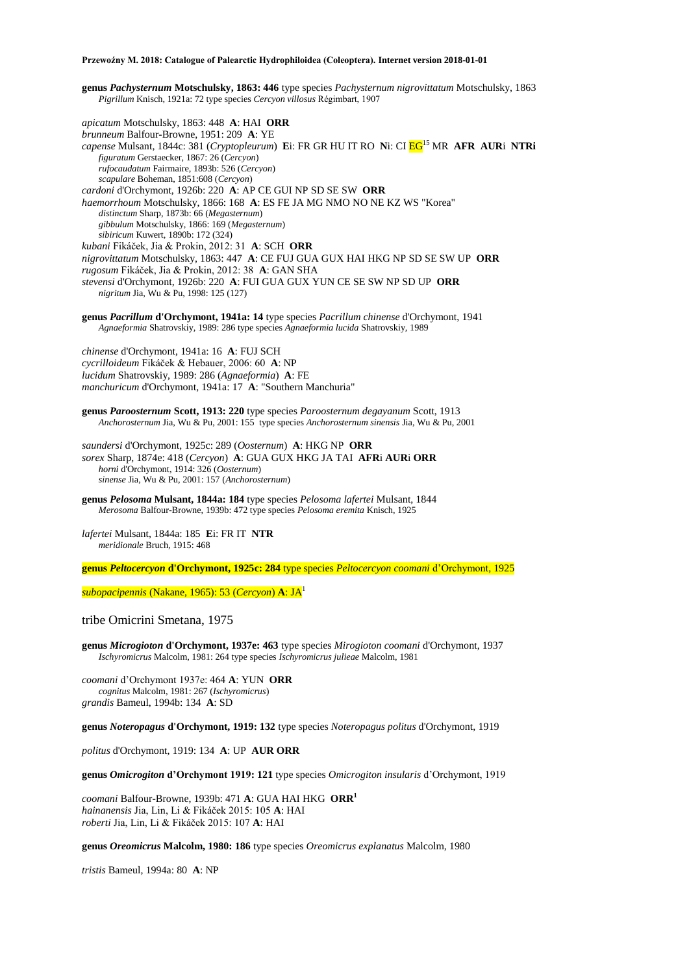**genus** *Pachysternum* **Motschulsky, 1863: 446** type species *Pachysternum nigrovittatum* Motschulsky, 1863 *Pigrillum* Knisch, 1921a: 72 type species *Cercyon villosus* Régimbart, 1907

*apicatum* Motschulsky, 1863: 448 **A**: HAI **ORR** *brunneum* Balfour-Browne, 1951: 209 **A**: YE *capense* Mulsant, 1844c: 381 (*Cryptopleurum*) **E**i: FR GR HU IT RO **N**i: CI EG<sup>15</sup> MR **AFR AUR**i **NTRi** *figuratum* Gerstaecker, 1867: 26 (*Cercyon*) *rufocaudatum* Fairmaire, 1893b: 526 (*Cercyon*) *scapulare* Boheman, 1851:608 (*Cercyon*) *cardoni* d'Orchymont, 1926b: 220 **A**: AP CE GUI NP SD SE SW **ORR** *haemorrhoum* Motschulsky, 1866: 168 **A**: ES FE JA MG NMO NO NE KZ WS "Korea" *distinctum* Sharp, 1873b: 66 (*Megasternum*) *gibbulum* Motschulsky, 1866: 169 (*Megasternum*) *sibiricum* Kuwert, 1890b: 172 (324) *kubani* Fikáček, Jia & Prokin, 2012: 31 **A**: SCH **ORR**  *nigrovittatum* Motschulsky, 1863: 447 **A**: CE FUJ GUA GUX HAI HKG NP SD SE SW UP **ORR** *rugosum* Fikáček, Jia & Prokin, 2012: 38 **A**: GAN SHA *stevensi* d'Orchymont, 1926b: 220 **A**: FUI GUA GUX YUN CE SE SW NP SD UP **ORR** *nigritum* Jia, Wu & Pu, 1998: 125 (127)

**genus** *Pacrillum* **d'Orchymont, 1941a: 14** type species *Pacrillum chinense* d'Orchymont, 1941 *Agnaeformia* Shatrovskiy, 1989: 286 type species *Agnaeformia lucida* Shatrovskiy, 1989

*chinense* d'Orchymont, 1941a: 16 **A**: FUJ SCH *cycrilloideum* Fikáček & Hebauer, 2006: 60 **A**: NP *lucidum* Shatrovskiy, 1989: 286 (*Agnaeformia*) **A**: FE *manchuricum* d'Orchymont, 1941a: 17 **A**: "Southern Manchuria"

**genus** *Paroosternum* **Scott, 1913: 220** type species *Paroosternum degayanum* Scott, 1913 *Anchorosternum* Jia, Wu & Pu, 2001: 155type species *Anchorosternum sinensis* Jia, Wu & Pu, 2001

*saundersi* d'Orchymont, 1925c: 289 (*Oosternum*) **A**: HKG NP **ORR** *sorex* Sharp, 1874e: 418 (*Cercyon*) **A**: GUA GUX HKG JA TAI **AFR**i **AUR**i **ORR** *horni* d'Orchymont, 1914: 326 (*Oosternum*) *sinense* Jia, Wu & Pu, 2001: 157 (*Anchorosternum*)

**genus** *Pelosoma* **Mulsant, 1844a: 184** type species *Pelosoma lafertei* Mulsant, 1844 *Merosoma* Balfour-Browne, 1939b: 472 type species *Pelosoma eremita* Knisch, 1925

*lafertei* Mulsant, 1844a: 185 **E**i: FR IT **NTR** *meridionale* Bruch, 1915: 468

**genus** *Peltocercyon* **d'Orchymont, 1925c: 284** type species *Peltocercyon coomani* d'Orchymont, 1925

*subopacipennis* (Nakane, 1965): 53 (*Cercyon*) **A**: JA<sup>1</sup>

tribe Omicrini Smetana, 1975

**genus** *Microgioton* **d'Orchymont, 1937e: 463** type species *Mirogioton coomani* d'Orchymont, 1937 *Ischyromicrus* Malcolm, 1981: 264 type species *Ischyromicrus julieae* Malcolm, 1981

*coomani* d'Orchymont 1937e: 464 **A**: YUN **ORR** *cognitus* Malcolm, 1981: 267 (*Ischyromicrus*) *grandis* Bameul, 1994b: 134 **A**: SD

**genus** *Noteropagus* **d'Orchymont, 1919: 132** type species *Noteropagus politus* d'Orchymont, 1919

*politus* d'Orchymont, 1919: 134 **A**: UP **AUR ORR**

**genus** *Omicrogiton* **d'Orchymont 1919: 121** type species *Omicrogiton insularis* d'Orchymont, 1919

*coomani* Balfour-Browne, 1939b: 471 **A**: GUA HAI HKG **ORR<sup>1</sup>** *hainanensis* Jia, Lin, Li & Fikáček 2015: 105 **A**: HAI *roberti* Jia, Lin, Li & Fikáček 2015: 107 **A**: HAI

**genus** *Oreomicrus* **Malcolm, 1980: 186** type species *Oreomicrus explanatus* Malcolm, 1980

*tristis* Bameul, 1994a: 80 **A**: NP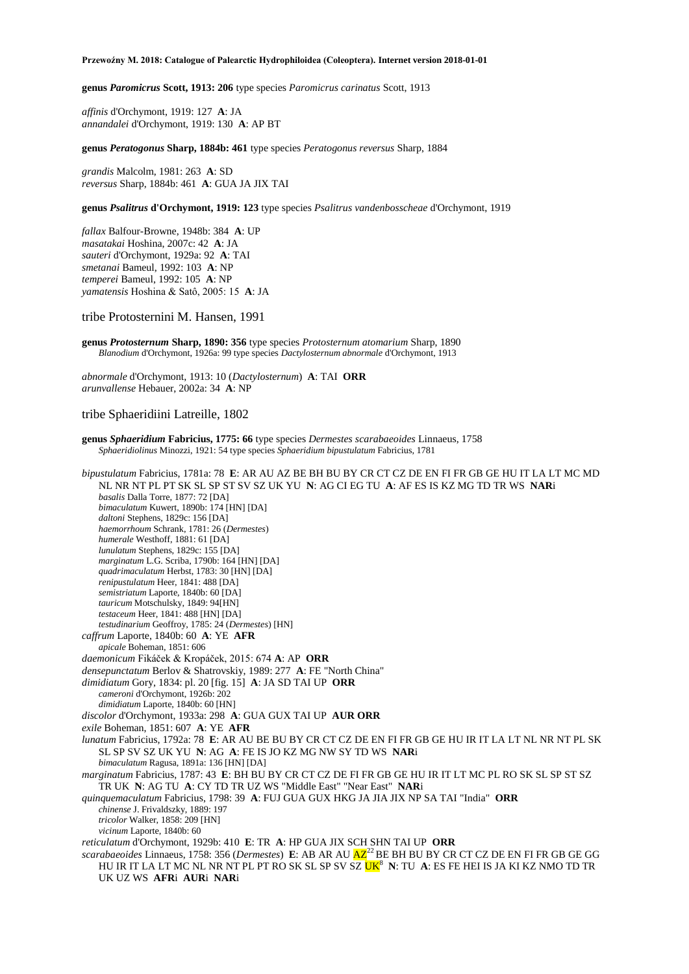**genus** *Paromicrus* **Scott, 1913: 206** type species *Paromicrus carinatus* Scott, 1913

*affinis* d'Orchymont, 1919: 127 **A**: JA *annandalei* d'Orchymont, 1919: 130 **A**: AP BT

**genus** *Peratogonus* **Sharp, 1884b: 461** type species *Peratogonus reversus* Sharp, 1884

*grandis* Malcolm, 1981: 263 **A**: SD *reversus* Sharp, 1884b: 461 **A**: GUA JA JIX TAI

**genus** *Psalitrus* **d'Orchymont, 1919: 123** type species *Psalitrus vandenbosscheae* d'Orchymont, 1919

*fallax* Balfour-Browne, 1948b: 384 **A**: UP *masatakai* Hoshina, 2007c: 42 **A**: JA *sauteri* d'Orchymont, 1929a: 92 **A**: TAI *smetanai* Bameul, 1992: 103 **A**: NP *temperei* Bameul, 1992: 105 **A**: NP *yamatensis* Hoshina & Satô, 2005: 15 **A**: JA

tribe Protosternini M. Hansen, 1991

**genus** *Protosternum* **Sharp, 1890: 356** type species *Protosternum atomarium* Sharp, 1890 *Blanodium* d'Orchymont, 1926a: 99 type species *Dactylosternum abnormale* d'Orchymont, 1913

*abnormale* d'Orchymont, 1913: 10 (*Dactylosternum*) **A**: TAI **ORR** *arunvallense* Hebauer, 2002a: 34 **A**: NP

## tribe Sphaeridiini Latreille, 1802

| genus Sphaeridium Fabricius, 1775: 66 type species Dermestes scarabaeoides Linnaeus, 1758 |  |
|-------------------------------------------------------------------------------------------|--|
| Sphaeridiolinus Minozzi, 1921: 54 type species Sphaeridium bipustulatum Fabricius, 1781   |  |

*bipustulatum* Fabricius, 1781a: 78 **E**: AR AU AZ BE BH BU BY CR CT CZ DE EN FI FR GB GE HU IT LA LT MC MD NL NR NT PL PT SK SL SP ST SV SZ UK YU **N**: AG CI EG TU **A**: AF ES IS KZ MG TD TR WS **NAR**i *basalis* Dalla Torre, 1877: 72 [DA] *bimaculatum* Kuwert, 1890b: 174 [HN] [DA] *daltoni* Stephens, 1829c: 156 [DA] *haemorrhoum* Schrank, 1781: 26 (*Dermestes*) *humerale* Westhoff, 1881: 61 [DA] *lunulatum* Stephens, 1829c: 155 [DA] *marginatum* L.G. Scriba, 1790b: 164 [HN] [DA] *quadrimaculatum* Herbst, 1783: 30 [HN] [DA] *renipustulatum* Heer, 1841: 488 [DA] *semistriatum* Laporte, 1840b: 60 [DA] *tauricum* Motschulsky, 1849: 94[HN] *testaceum* Heer, 1841: 488 [HN] [DA] *testudinarium* Geoffroy, 1785: 24 (*Dermestes*) [HN] *caffrum* Laporte, 1840b: 60 **A**: YE **AFR** *apicale* Boheman, 1851: 606 *daemonicum* Fikáček & Kropáček, 2015: 674 **A**: AP **ORR** *densepunctatum* Berlov & Shatrovskiy, 1989: 277 **A**: FE "North China" *dimidiatum* Gory, 1834: pl. 20 [fig. 15] **A**: JA SD TAI UP **ORR** *cameroni* d'Orchymont, 1926b: 202 *dimidiatum* Laporte, 1840b: 60 [HN] *discolor* d'Orchymont, 1933a: 298 **A**: GUA GUX TAI UP **AUR ORR** *exile* Boheman, 1851: 607 **A**: YE **AFR** *lunatum* Fabricius, 1792a: 78 **E**: AR AU BE BU BY CR CT CZ DE EN FI FR GB GE HU IR IT LA LT NL NR NT PL SK SL SP SV SZ UK YU **N**: AG **A**: FE IS JO KZ MG NW SY TD WS **NAR**i *bimaculatum* Ragusa, 1891a: 136 [HN] [DA] *marginatum* Fabricius, 1787: 43 **E**: BH BU BY CR CT CZ DE FI FR GB GE HU IR IT LT MC PL RO SK SL SP ST SZ TR UK **N**: AG TU **A**: CY TD TR UZ WS "Middle East" "Near East" **NAR**i *quinquemaculatum* Fabricius, 1798: 39 **A**: FUJ GUA GUX HKG JA JIA JIX NP SA TAI "India" **ORR** *chinense* J. Frivaldszky, 1889: 197 *tricolor* Walker, 1858: 209 [HN] *vicinum* Laporte, 1840b: 60 *reticulatum* d'Orchymont, 1929b: 410 **E**: TR **A**: HP GUA JIX SCH SHN TAI UP **ORR** *scarabaeoides* Linnaeus, 1758: 356 (*Dermestes*) **E**: AB AR AU  $AZ^{2}$  BE BH BU BY CR CT CZ DE EN FI FR GB GE GG HU IR IT LA LT MC NL NR NT PL PT RO SK SL SP SV SZ UK<sup>8</sup> **N**: TU **A**: ES FE HEI IS JA KI KZ NMO TD TR UK UZ WS **AFR**i **AUR**i **NAR**i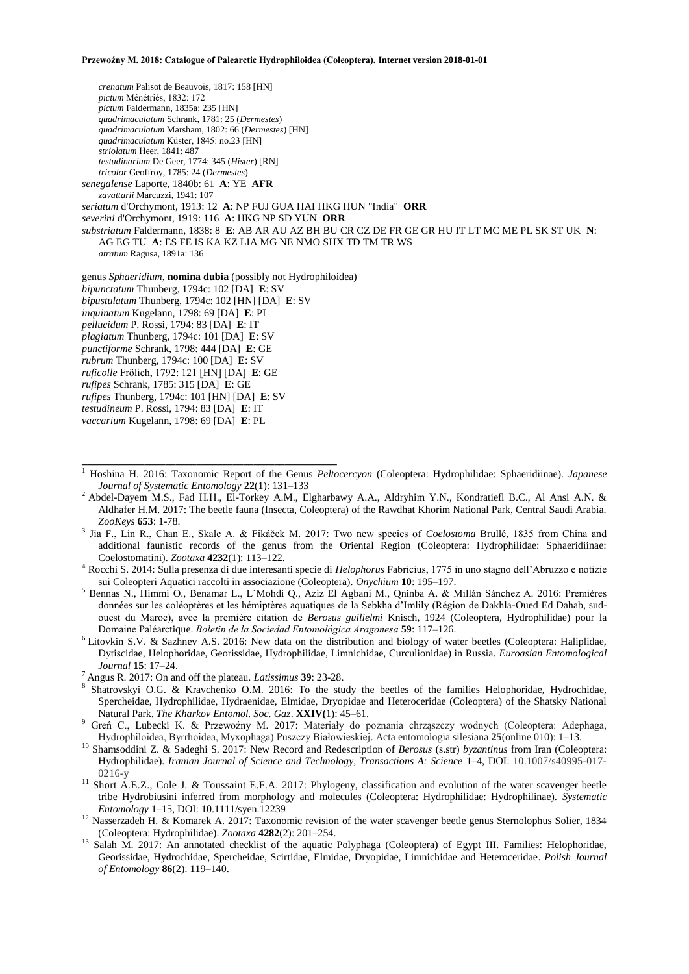*crenatum* Palisot de Beauvois, 1817: 158 [HN] *pictum* Ménétriés, 1832: 172 *pictum* Faldermann, 1835a: 235 [HN] *quadrimaculatum* Schrank, 1781: 25 (*Dermestes*) *quadrimaculatum* Marsham, 1802: 66 (*Dermestes*) [HN] *quadrimaculatum* Küster, 1845: no.23 [HN] *striolatum* Heer, 1841: 487 *testudinarium* De Geer, 1774: 345 (*Hister*) [RN] *tricolor* Geoffroy, 1785: 24 (*Dermestes*) *senegalense* Laporte, 1840b: 61 **A**: YE **AFR** *zavattarii* Marcuzzi, 1941: 107 *seriatum* d'Orchymont, 1913: 12 **A**: NP FUJ GUA HAI HKG HUN "India" **ORR** *severini* d'Orchymont, 1919: 116 **A**: HKG NP SD YUN **ORR** *substriatum* Faldermann, 1838: 8 **E**: AB AR AU AZ BH BU CR CZ DE FR GE GR HU IT LT MC ME PL SK ST UK **N**: AG EG TU **A**: ES FE IS KA KZ LIA MG NE NMO SHX TD TM TR WS *atratum* Ragusa, 1891a: 136 genus *Sphaeridium*, **nomina dubia** (possibly not Hydrophiloidea) *bipunctatum* Thunberg, 1794c: 102 [DA] **E**: SV

*bipustulatum* Thunberg, 1794c: 102 [HN] [DA] **E**: SV *inquinatum* Kugelann, 1798: 69 [DA] **E**: PL *pellucidum* P. Rossi, 1794: 83 [DA] **E**: IT *plagiatum* Thunberg, 1794c: 101 [DA] **E**: SV *punctiforme* Schrank, 1798: 444 [DA] **E**: GE *rubrum* Thunberg, 1794c: 100 [DA] **E**: SV *ruficolle* Frölich, 1792: 121 [HN] [DA] **E**: GE *rufipes* Schrank, 1785: 315 [DA] **E**: GE *rufipes* Thunberg, 1794c: 101 [HN] [DA] **E**: SV *testudineum* P. Rossi, 1794: 83 [DA] **E**: IT *vaccarium* Kugelann, 1798: 69 [DA] **E**: PL

**\_\_\_\_\_\_\_\_\_\_\_\_\_\_\_\_\_\_\_\_\_\_\_\_\_\_\_\_\_\_\_\_\_\_\_\_\_\_\_\_\_\_\_\_\_\_\_\_\_**

- <sup>5</sup> Bennas N., Himmi O., Benamar L., L'Mohdi Q., Aziz El Agbani M., Qninba A. & Millán Sánchez A. 2016: Premières données sur les coléoptères et les hémiptères aquatiques de la Sebkha d'Imlily (Région de Dakhla-Oued Ed Dahab, sudouest du Maroc), avec la première citation de *Berosus guilielmi* Knisch, 1924 (Coleoptera, Hydrophilidae) pour la Domaine Paléarctique. *Boletin de la Sociedad Entomológica Aragonesa* **59**: 117–126.
- <sup>6</sup> Litovkin S.V. & Sazhnev A.S. 2016: New data on the distribution and biology of water beetles (Coleoptera: Haliplidae, Dytiscidae, Helophoridae, Georissidae, Hydrophilidae, Limnichidae, Curculionidae) in Russia. *Euroasian Entomological Journal* **15**: 17–24.
- <sup>7</sup>Angus R. 2017: On and off the plateau. *Latissimus* **39**: 23-28.
- <sup>8</sup> Shatrovskyi O.G. & Kravchenko O.M. 2016: To the study the beetles of the families Helophoridae, Hydrochidae, Spercheidae, Hydrophilidae, Hydraenidae, Elmidae, Dryopidae and Heteroceridae (Coleoptera) of the Shatsky National Natural Park. *The Kharkov Entomol. Soc. Gaz*. **XXIV(**1): 45–61.
- <sup>9</sup> Greń C., Lubecki K. & Przewoźny M. 2017: Materiały do poznania chrząszczy wodnych (Coleoptera: Adephaga, Hydrophiloidea, Byrrhoidea, Myxophaga) Puszczy Białowieskiej. Acta entomologia silesiana **25**(online 010): 1–13.
- <sup>10</sup> Shamsoddini Z. & Sadeghi S. 2017: New Record and Redescription of *Berosus* (s.str) *byzantinus* from Iran (Coleoptera: Hydrophilidae). *Iranian Journal of Science and Technology, Transactions A: Science* 1–4, DOI: 10.1007/s40995-017- 0216-y
- <sup>11</sup> Short A.E.Z., Cole J. & Toussaint E.F.A. 2017: Phylogeny, classification and evolution of the water scavenger beetle tribe Hydrobiusini inferred from morphology and molecules (Coleoptera: Hydrophilidae: Hydrophilinae). *Systematic Entomology* 1–15, DOI: 10.1111/syen.12239
- <sup>12</sup> Nasserzadeh H. & Komarek A. 2017: Taxonomic revision of the water scavenger beetle genus Sternolophus Solier, 1834 (Coleoptera: Hydrophilidae). *Zootaxa* **4282**(2): 201–254.
- <sup>13</sup> Salah M. 2017: An annotated checklist of the aquatic Polyphaga (Coleoptera) of Egypt III. Families: Helophoridae, Georissidae, Hydrochidae, Spercheidae, Scirtidae, Elmidae, Dryopidae, Limnichidae and Heteroceridae. *Polish Journal of Entomology* **86**(2): 119–140.

<sup>1</sup> Hoshina H. 2016: Taxonomic Report of the Genus *Peltocercyon* (Coleoptera: Hydrophilidae: Sphaeridiinae). *Japanese Journal of Systematic Entomology* **22**(1): 131–133

<sup>&</sup>lt;sup>2</sup> Abdel-Dayem M.S., Fad H.H., El-Torkey A.M., Elgharbawy A.A., Aldryhim Y.N., Kondratiefl B.C., Al Ansi A.N. & Aldhafer H.M. 2017: The beetle fauna (Insecta, Coleoptera) of the Rawdhat Khorim National Park, Central Saudi Arabia. *ZooKeys* **653**: 1-78.

<sup>3</sup> Jia F., Lin R., Chan E., Skale A. & Fikáček M. 2017: Two new species of *Coelostoma* Brullé, 1835 from China and additional faunistic records of the genus from the Oriental Region (Coleoptera: Hydrophilidae: Sphaeridiinae: Coelostomatini). *Zootaxa* **4232**(1): 113–122.

<sup>4</sup> Rocchi S. 2014: Sulla presenza di due interesanti specie di *Helophorus* Fabricius, 1775 in uno stagno dell'Abruzzo e notizie sui Coleopteri Aquatici raccolti in associazione (Coleoptera). *Onychium* **10**: 195–197.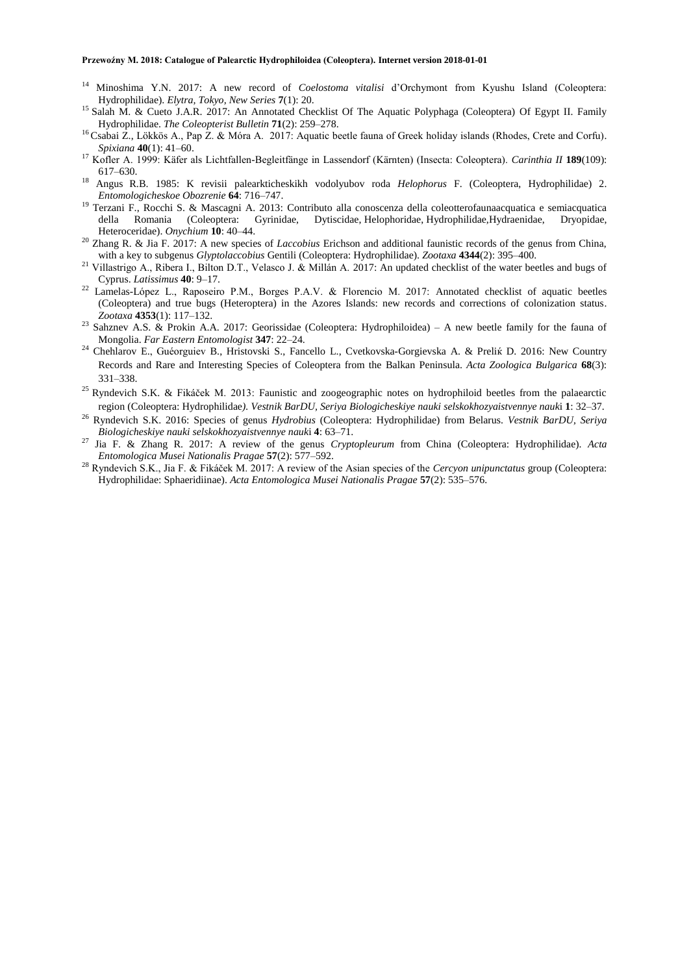- <sup>14</sup> Minoshima Y.N. 2017: A new record of *Coelostoma vitalisi* d'Orchymont from Kyushu Island (Coleoptera: Hydrophilidae). *Elytra, Tokyo, New Series* **7**(1): 20.
- <sup>15</sup> Salah M. & Cueto J.A.R. 2017: An Annotated Checklist Of The Aquatic Polyphaga (Coleoptera) Of Egypt II. Family Hydrophilidae. *The Coleopterist Bulletin* **71**(2): 259–278.
- <sup>16</sup> Csabai Z., Lökkös A., Pap Z. & Móra A. 2017: Aquatic beetle fauna of Greek holiday islands (Rhodes, Crete and Corfu). *Spixiana* **40**(1): 41–60.
- <sup>17</sup> Kofler A. 1999: Käfer als Lichtfallen-Begleitfänge in Lassendorf (Kärnten) (Insecta: Coleoptera). *Carinthia II* **189**(109): 617–630.
- <sup>18</sup> Angus R.B. 1985: K revisii palearkticheskikh vodolyubov roda *Helophorus* F. (Coleoptera, Hydrophilidae) 2. *Entomologicheskoe Obozrenie* **64**: 716–747.
- <sup>19</sup> Terzani F., Rocchi S. & Mascagni A. 2013: Contributo alla conoscenza della coleotterofaunaacquatica e semiacquatica della Romania (Coleoptera: Gyrinidae, Dytiscidae, Helophoridae, Hydrophilidae,Hydraenidae, Dryopidae, Heteroceridae). *Onychium* **10**: 40–44.
- <sup>20</sup> Zhang R. & Jia F. 2017: A new species of *Laccobius* Erichson and additional faunistic records of the genus from China, with a key to subgenus *Glyptolaccobius* Gentili (Coleoptera: Hydrophilidae). *Zootaxa* **4344**(2): 395–400.
- <sup>21</sup> Villastrigo A., Ribera I., Bilton D.T., Velasco J. & Millán A. 2017: An updated checklist of the water beetles and bugs of Cyprus. *Latissimus* **40**: 9–17.
- <sup>22</sup> Lamelas-López L., Raposeiro P.M., Borges P.A.V. & Florencio M. 2017: Annotated checklist of aquatic beetles (Coleoptera) and true bugs (Heteroptera) in the Azores Islands: new records and corrections of colonization status. *Zootaxa* **4353**(1): 117–132.
- <sup>23</sup> Sahznev A.S. & Prokin A.A. 2017: Georissidae (Coleoptera: Hydrophiloidea) A new beetle family for the fauna of Mongolia. *Far Eastern Entomologist* **347**: 22–24.
- <sup>24</sup> Chehlarov E., Guéorguiev B., Hristovski S., Fancello L., Cvetkovska-Gorgievska A. & Prelik D. 2016: New Country Records and Rare and Interesting Species of Coleoptera from the Balkan Peninsula. *Acta Zoologica Bulgarica* **68**(3): 331–338.
- <sup>25</sup> Ryndevich S.K. & Fikáček M. 2013: Faunistic and zoogeographic notes on hydrophiloid beetles from the palaearctic region (Coleoptera: Hydrophilidae*). Vestnik BarDU, Seriya Biologicheskiye nauki selskokhozyaistvennye nauk*i **1**: 32–37.
- <sup>26</sup> Ryndevich S.K. 2016: Species of genus *Hydrobius* (Coleoptera: Hydrophilidae) from Belarus. *Vestnik BarDU, Seriya Biologicheskiye nauki selskokhozyaistvennye nauk*i **4**: 63–71.
- <sup>27</sup> Jia F. & Zhang R. 2017: A review of the genus *Cryptopleurum* from China (Coleoptera: Hydrophilidae). *Acta Entomologica Musei Nationalis Pragae* **57**(2): 577–592.
- <sup>28</sup> Ryndevich S.K., Jia F. & Fikáček M. 2017: A review of the Asian species of the *Cercyon unipunctatus* group (Coleoptera: Hydrophilidae: Sphaeridiinae). *Acta Entomologica Musei Nationalis Pragae* **57**(2): 535–576.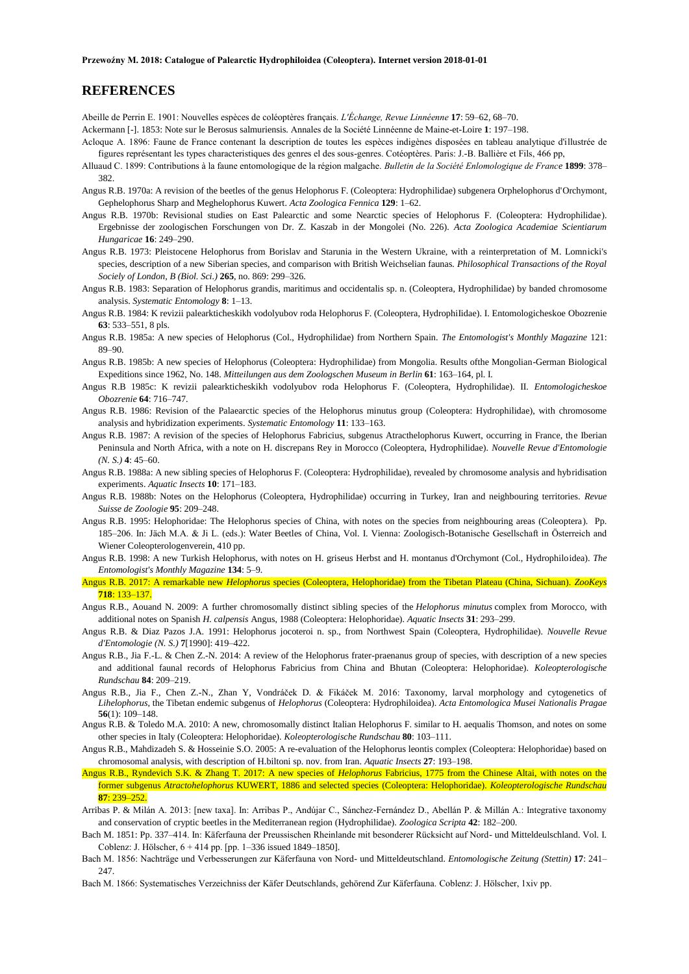## **REFERENCES**

Abeille de Perrin E. 1901: Nouvelles espèces de coléoptères français. *L'Échange, Revue Linnéenne* **17**: 59–62, 68–70. Ackermann [-]. 1853: Note sur le Berosus salmuriensis. Annales de la Société Linnéenne de Maine-et-Loire **1**: 197–198.

- Acloque A. 1896: Faune de France contenant la description de toutes les espèces indigènes disposées en tableau analytique d'illustrée de
- figures représentant les types characteristiques des genres el des sous-genres. Cotéoptères. Paris: J.-B. Ballière et Fils, 466 pp, Alluaud C. 1899: Contributions à la faune entomologique de la région malgache. *Bulletin de la Société Enlomologique de France* **1899**: 378– 382.
- Angus R.B. 1970a: A revision of the beetles of the genus Helophorus F. (Coleoptera: Hydrophilidae) subgenera Orphelophorus d'Orchymont, Gephelophorus Sharp and Meghelophorus Kuwert. *Acta Zoologica Fennica* **129**: 1–62.
- Angus R.B. 1970b: Revisional studies on East Palearctic and some Nearctic species of Helophorus F. (Coleoptera: Hydrophilidae). Ergebnisse der zoologischen Forschungen von Dr. Z. Kaszab in der Mongolei (No. 226). *Acta Zoologica Academiae Scientiarum Hungaricae* **16**: 249–290.
- Angus R.B. 1973: Pleistocene Helophorus from Borislav and Starunia in the Western Ukraine, with a reinterpretation of M. Lomnicki's species, description of a new Siberian species, and comparison with British Weichselian faunas. *Philosophical Transactions of the Royal Sociely of London, B (Biol. Sci.)* **265**, no. 869: 299–326.
- Angus R.B. 1983: Separation of Helophorus grandis, maritimus and occidentalis sp. n. (Coleoptera, Hydrophilidae) by banded chromosome analysis. *Systematic Entomology* **8**: 1–13.
- Angus R.B. 1984: K revizii palearkticheskikh vodolyubov roda Helophorus F. (Coleoptera, HydrophiIidae). I. Entomologicheskoe Obozrenie **63**: 533–551, 8 pls.
- Angus R.B. 1985a: A new species of Helophorus (Col., Hydrophilidae) from Northern Spain. *The Entomologist's Monthly Magazine* 121: 89–90.
- Angus R.B. 1985b: A new species of Helophorus (Coleoptera: Hydrophilidae) from Mongolia. Results ofthe Mongolian-German Biological Expeditions since 1962, No. 148. *Mitteilungen aus dem Zoologschen Museum in Berlin* **61**: 163–164, pl. I.
- Angus R.B 1985c: K revizii palearkticheskikh vodolyubov roda Helophorus F. (Coleoptera, Hydrophilidae). II. *Entomologicheskoe Obozrenie* **64**: 716–747.
- Angus R.B. 1986: Revision of the Palaearctic species of the Helophorus minutus group (Coleoptera: Hydrophilidae), with chromosome analysis and hybridization experiments. *Systematic Entomology* **11**: 133–163.
- Angus R.B. 1987: A revision of the species of Helophorus Fabricius, subgenus Atracthelophorus Kuwert, occurring in France, the Iberian Peninsula and North Africa, with a note on H. discrepans Rey in Morocco (Coleoptera, Hydrophilidae). *Nouvelle Revue d'Entomologie (N. S.)* **4**: 45–60.
- Angus R.B. 1988a: A new sibling species of Helophorus F. (Coleoptera: Hydrophilidae), revealed by chromosome analysis and hybridisation experiments. *Aquatic Insects* **10**: 171–183.
- Angus R.B. 1988b: Notes on the Helophorus (Coleoptera, Hydrophilidae) occurring in Turkey, Iran and neighbouring territories*. Revue Suisse de Zoologie* **95**: 209–248.
- Angus R.B. 1995: Helophoridae: The Helophorus species of China, with notes on the species from neighbouring areas (Coleoptera). Pp. 185–206. In: Jäch M.A. & Ji L. (eds.): Water Beetles of China, Vol. I. Vienna: Zoologisch-Botanische Gesellschaft in Österreich and Wiener Coleopterologenverein, 410 pp.
- Angus R.B. 1998: A new Turkish Helophorus, with notes on H. griseus Herbst and H. montanus d'Orchymont (Col., Hydrophiloidea). *The Entomologist's Monthly Magazine* **134**: 5–9.
- Angus R.B. 2017: A remarkable new *Helophorus* species (Coleoptera, Helophoridae) from the Tibetan Plateau (China, Sichuan). *ZooKeys*  **718**: 133–137.
- Angus R.B., Aouand N. 2009: A further chromosomally distinct sibling species of the *Helophorus minutus* complex from Morocco, with additional notes on Spanish *H. calpensis* Angus, 1988 (Coleoptera: Helophoridae). *Aquatic Insects* **31**: 293–299.
- Angus R.B. & Diaz Pazos J.A. 1991: Helophorus jocoteroi n. sp., from Northwest Spain (Coleoptera, Hydrophilidae). *Nouvelle Revue d'Entomologie (N. S.)* **7**[1990]: 419–422.
- Angus R.B., Jia F.-L. & Chen Z.-N. 2014: A review of the Helophorus frater-praenanus group of species, with description of a new species and additional faunal records of Helophorus Fabricius from China and Bhutan (Coleoptera: Helophoridae). *Koleopterologische Rundschau* **84**: 209–219.
- Angus R.B., Jia F., Chen Z.-N., Zhan Y, Vondráček D. & Fikáček M. 2016: Taxonomy, larval morphology and cytogenetics of *Lihelophorus*, the Tibetan endemic subgenus of *Helophorus* (Coleoptera: Hydrophiloidea). *Acta Entomologica Musei Nationalis Pragae* **56**(1): 109–148.
- Angus R.B. & Toledo M.A. 2010: A new, chromosomally distinct Italian Helophorus F. similar to H. aequalis Thomson, and notes on some other species in Italy (Coleoptera: Helophoridae). *Koleopterologische Rundschau* **80**: 103–111.
- Angus R.B., Mahdizadeh S. & Hosseinie S.O. 2005: A re-evaluation of the Helophorus leontis complex (Coleoptera: Helophoridae) based on chromosomal analysis, with description of H.biltoni sp. nov. from Iran. *Aquatic Insects* **27**: 193–198.
- Angus R.B., Ryndevich S.K. & Zhang T. 2017: A new species of *Helophorus* Fabricius, 1775 from the Chinese Altai, with notes on the former subgenus *Atractohelophorus* KUWERT, 1886 and selected species (Coleoptera: Helophoridae). *Koleopterologische Rundschau*  **87**: 239–252.
- Arribas P. & Milán A. 2013: [new taxa]. In: Arribas P., Andújar C., Sánchez-Fernández D., Abellán P. & Millán A.: Integrative taxonomy and conservation of cryptic beetles in the Mediterranean region (Hydrophilidae). *Zoologica Scripta* **42**: 182–200.
- Bach M. 1851: Pp. 337–414. In: Käferfauna der Preussischen Rheinlande mit besonderer Rücksicht auf Nord- und Mitteldeulschland. Vol. I. Coblenz: J. Hölscher, 6 + 414 pp. [pp. 1–336 issued 1849–1850].
- Bach M. 1856: Nachträge und Verbesserungen zur Käferfauna von Nord- und Mitteldeutschland. *Entomologische Zeitung (Stettin)* **17**: 241– 247.

Bach M. 1866: Systematisches Verzeichniss der Käfer Deutschlands, gehörend Zur Käferfauna. Coblenz: J. Hölscher, 1xiv pp.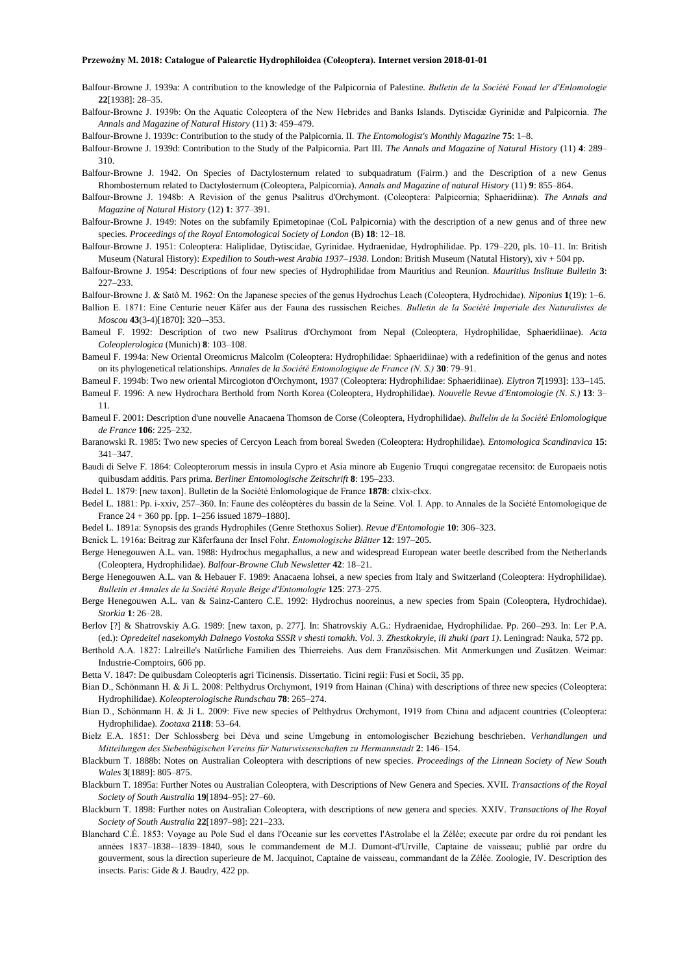- Balfour-Browne J. 1939a: A contribution to the knowledge of the Palpicornia of Palestine. *Bulletin de la Société Fouad ler d'Enlomologie* **22**[1938]: 28–35.
- Balfour-Browne J. 1939b: On the Aquatic Coleoptera of the New Hebrides and Banks Islands. Dytiscidæ Gyrinidæ and Palpicornia. *The Annals and Magazine of Natural History* (11) **3**: 459–479.
- Balfour-Browne J. 1939c: Contribution to the study of the Palpicornia. II. *The Entomologist's Monthly Magazine* **75**: 1–8.
- Balfour-Browne J. 1939d: Contribution to the Study of the Palpicornia. Part III. *The Annals and Magazine of Natural History* (11) **4**: 289– 310.
- Balfour-Browne J. 1942. On Species of Dactylosternum related to subquadratum (Fairm.) and the Description of a new Genus Rhombosternum related to Dactylosternum (Coleoptera, Palpicornia). *Annals and Magazine of natural History* (11) **9**: 855–864.
- Balfour-Browne J. 1948b: A Revision of the genus Psalitrus d'Orchymont. (Coleoptera: Palpicornia; Sphaeridiinæ). *The Annals and Magazine of Natural History* (12) **1**: 377–391.
- Balfour-Browne J. 1949: Notes on the subfamily Epimetopinae (CoL Palpicornia) with the description of a new genus and of three new species. *Proceedings of the Royal Entomological Society of London* (B) **18**: 12–18.
- Balfour-Browne J. 1951: Coleoptera: Haliplidae, Dytiscidae, Gyrinidae. Hydraenidae, Hydrophilidae. Pp. 179–220, pls. 10–11. In: British Museum (Natural History): *Expedilion to South-west Arabia 1937–1938*. London: British Museum (Natutal History), xiv + 504 pp.
- Balfour-Browne J. 1954: Descriptions of four new species of Hydrophilidae from Mauritius and Reunion. *Mauritius Inslitute Bulletin* **3**: 227–233.
- Balfour-Browne J. & Satô M. 1962: On the Japanese species of the genus Hydrochus Leach (Coleoptera, Hydrochidae). *Niponius* **1**(19): 1–6.
- Ballion E. 1871: Eine Centurie neuer Käfer aus der Fauna des russischen Reiches. *Bulletin de la Société Imperiale des Naturalistes de Moscou* **43**(3-4)[1870]: 320–-353.
- Bameul F. 1992: Description of two new Psalitrus d'Orchymont from Nepal (Coleoptera, Hydrophilidae, Sphaeridiinae). *Acta Coleoplerologica* (Munich) **8**: 103–108.
- Bameul F. 1994a: New Oriental Oreomicrus Malcolm (Coleoptera: Hydrophilidae: Sphaeridiinae) with a redefinition of the genus and notes on its phylogenetical relationships. *Annales de la Société Entomologique de France (N. S.)* **30**: 79–91.
- Bameul F. 1994b: Two new oriental Mircogioton d'Orchymont, 1937 (Coleoptera: Hydrophilidae: Sphaeridiinae). *Elytron* **7**[1993]: 133–145.
- Bameul F. 1996: A new Hydrochara Berthold from North Korea (Coleoptera, Hydrophilidae). *Nouvelle Revue d'Entomologie (N. S.)* **13**: 3– 11.
- Bameul F. 2001: Description d'une nouvelle Anacaena Thomson de Corse (Coleoptera, Hydrophilidae). *Bullelin de la Société Enlomologique de France* **106**: 225–232.
- Baranowski R. 1985: Two new species of Cercyon Leach from boreal Sweden (Coleoptera: Hydrophilidae). *Entomologica Scandinavica* **15**: 341–347.
- Baudi di Selve F. 1864: Coleopterorum messis in insula Cypro et Asia minore ab Eugenio Truqui congregatae recensito: de Europaeis notis quibusdam additis. Pars prima. *Berliner Entomologische Zeitschrift* **8**: 195–233.
- Bedel L. 1879: [new taxon]. Bulletin de la Société Enlomologique de France **1878**: clxix-clxx.
- Bedel L. 1881: Pp. i-xxiv, 257–360. In: Faune des coléoptères du bassin de la Seine. Vol. I. App. to Annales de la Société Entomologique de France 24 + 360 pp. [pp. 1–256 issued 1879–1880].
- Bedel L. 1891a: Synopsis des grands Hydrophiles (Genre Stethoxus Solier). *Revue d'Entomologie* **10**: 306–323.
- Benick L. 1916a: Beitrag zur Käferfauna der Insel Fohr. *Entomologische Blätter* **12**: 197–205.
- Berge Henegouwen A.L. van. 1988: Hydrochus megaphallus, a new and widespread European water beetle described from the Netherlands (Coleoptera, Hydrophilidae). *Balfour-Browne Club Newsletter* **42**: 18–21.
- Berge Henegouwen A.L. van & Hebauer F. 1989: Anacaena lohsei, a new species from Italy and Switzerland (Coleoptera: Hydrophilidae). *Bulletin et Annales de la Société Royale Beige d'Entomologie* **125**: 273–275.
- Berge Henegouwen A.L. van & Sainz-Cantero C.E. 1992: Hydrochus nooreinus, a new species from Spain (Coleoptera, Hydrochidae). *Storkia* **1**: 26–28.
- Berlov [?] & Shatrovskiy A.G. 1989: [new taxon, p. 277]. In: Shatrovskiy A.G.: Hydraenidae, Hydrophilidae. Pp. 260–293. In: Ler P.A. (ed.): *Opredeitel nasekomykh Dalnego Vostoka SSSR v shesti tomakh. Vol. 3. Zhestkokryle, ili zhuki (part 1)*. Leningrad: Nauka, 572 pp.
- Berthold A.A. 1827: Lalreille's Natürliche Familien des Thierreiehs. Aus dem Französischen. Mit Anmerkungen und Zusätzen. Weimar: Industrie-Comptoirs, 606 pp.
- Betta V. 1847: De quibusdam Coleopteris agri Ticinensis. Dissertatio. Ticini regii: Fusi et Socii, 35 pp.
- Bian D., Schönmann H. & Ji L. 2008: Pelthydrus Orchymont, 1919 from Hainan (China) with descriptions of three new species (Coleoptera: Hydrophilidae). *Koleopterologische Rundschau* **78**: 265–274.
- Bian D., Schönmann H. & Ji L. 2009: Five new species of Pelthydrus Orchymont, 1919 from China and adjacent countries (Coleoptera: Hydrophilidae). *Zootaxa* **2118**: 53–64.
- Bielz E.A. 1851: Der Schlossberg bei Déva und seine Umgebung in entomologischer Beziehung beschrieben. *Verhandlungen und Mitteilungen des Siebenbügischen Vereins für Naturwissenschaften zu Hermannstadt* **2**: 146–154.
- Blackburn T. 1888b: Notes on Australian Coleoptera with descriptions of new species. *Proceedings of the Linnean Society of New South Wales* **3**[1889]: 805–875.
- Blackburn T. 1895a: Further Notes ou Australian Coleoptera, with Descriptions of New Genera and Species. XVII. *Transactions of the Royal Society of South Australia* **19**[1894–95]: 27–60.
- Blackburn T. 1898: Further notes on Australian Coleoptera, with descriptions of new genera and species. XXIV. *Transactions of lhe Royal Society of South Australia* **22**[1897–98]: 221–233.
- Blanchard C.É. 1853: Voyage au Pole Sud el dans l'Oceanie sur les corvettes l'Astrolabe el la Zélée; execute par ordre du roi pendant les années 1837–1838-–1839–1840, sous le commandement de M.J. Dumont-d'Urville, Captaine de vaisseau; publié par ordre du gouverment, sous la direction superieure de M. Jacquinot, Captaine de vaisseau, commandant de la Zélée. Zoologie, IV. Description des insects. Paris: Gide & J. Baudry, 422 pp.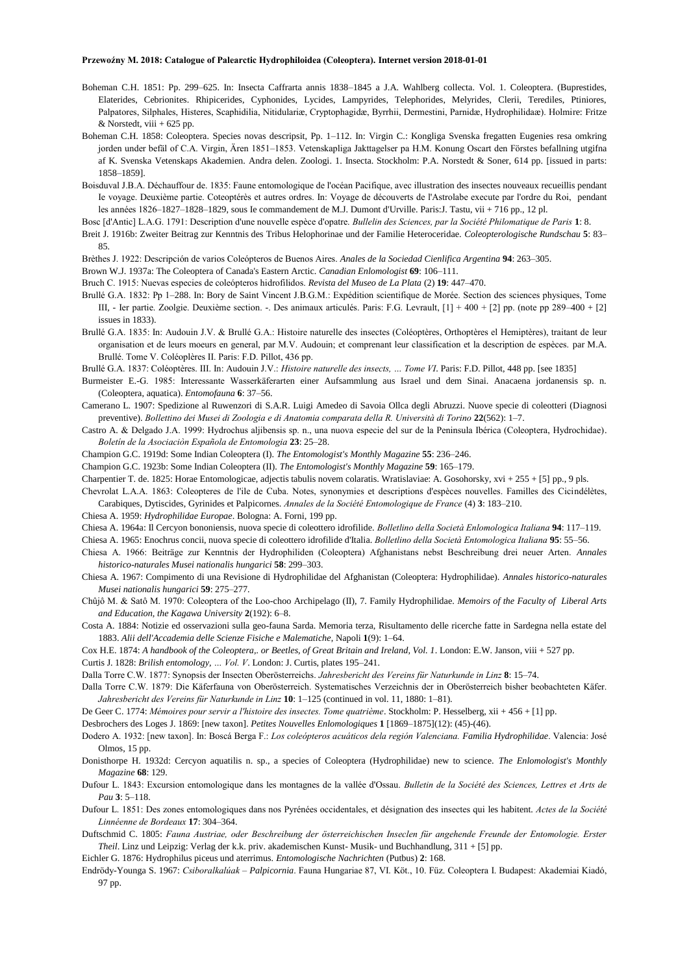- Boheman C.H. 1851: Pp. 299–625. In: Insecta Caffrarta annis 1838–1845 a J.A. Wahlberg collecta. Vol. 1. Coleoptera. (Buprestides, Elaterides, Cebrionites. Rhipicerides, Cyphonides, Lycides, Lampyrides, Telephorides, Melyrides, Clerii, Terediles, Ptiniores, Palpatores, Silphales, Histeres, Scaphidilia, Nitidulariæ, Cryptophagidæ, Byrrhii, Dermestini, Parnidæ, Hydrophilidaæ). Holmire: Fritze  $&$  Norstedt, viii + 625 pp.
- Boheman C.H. 1858: Coleoptera. Species novas descripsit, Pp. 1–112. In: Virgin C.: Kongliga Svenska fregatten Eugenies resa omkring jorden under befäl of C.A. Virgin, Ären 1851–1853. Vetenskapliga Jakttagelser pa H.M. Konung Oscart den Förstes befallning utgifna af K. Svenska Vetenskaps Akademien. Andra delen. Zoologi. 1. Insecta. Stockholm: P.A. Norstedt & Soner, 614 pp. [issued in parts: 1858–1859].

Boisduval J.B.A. Déchauffour de. 1835: Faune entomologique de l'océan Pacifique, avec illustration des insectes nouveaux recueillis pendant Ie voyage. Deuxième partie. Coteoptérès et autres ordres. In: Voyage de découverts de l'Astrolabe execute par l'ordre du Roi, pendant les années 1826–1827–1828–1829, sous Ie commandement de M.J. Dumont d'Urville. Paris:J. Tastu, vii + 716 pp., 12 pl.

Bosc [d'Antic] L.A.G. 1791: Description d'une nouvelle espèce d'opatre. *Bullelin des Sciences, par la Société Philomatique de Paris* **1**: 8.

- Breit J. 1916b: Zweiter Beitrag zur Kenntnis des Tribus Helophorinae und der Familie Heteroceridae. *Coleopterologische Rundschau* **5**: 83– 85.
- Brèthes J. 1922: Descripción de varios Coleópteros de Buenos Aires. *Anales de la Sociedad Cienlifica Argentina* **94**: 263–305.
- Brown W.J. 1937a: The Coleoptera of Canada's Eastern Arctic. *Canadian Enlomologist* **69**: 106–111.
- Bruch C. 1915: Nuevas especies de coleópteros hidrofilidos. *Revista del Museo de La Plata* (2) **19**: 447–470.
- Brullé G.A. 1832: Pp 1–288. In: Bory de Saint Vincent J.B.G.M.: Expédition scientifique de Morée. Section des sciences physiques, Tome III, - Ier partie. Zoolgie. Deuxième section. -. Des animaux articulés. Paris: F.G. Levrault, [1] + 400 + [2] pp. (note pp 289–400 + [2] issues in 1833).
- Brullé G.A. 1835: In: Audouin J.V. & Brullé G.A.: Histoire naturelle des insectes (Coléoptères, Orthoptères el Hemiptères), traitant de leur organisation et de leurs moeurs en general, par M.V. Audouin; et comprenant leur classification et la description de espèces. par M.A. Brullé. Tome V. Coléoplères II. Paris: F.D. Pillot, 436 pp.
- Brullé G.A. 1837: Coléoptères. III. In: Audouin J.V.: *Histoire naturelle des insects, … Tome VI*. Paris: F.D. Pillot, 448 pp. [see 1835]
- Burmeister E.-G. 1985: Interessante Wasserkäferarten einer Aufsammlung aus Israel und dem Sinai. Anacaena jordanensis sp. n. (Coleoptera, aquatica). *Entomofauna* **6**: 37–56.
- Camerano L. 1907: Spedizione al Ruwenzori di S.A.R. Luigi Amedeo di Savoia Ollca degli Abruzzi. Nuove specie di coleotteri (Diagnosi preventive). *Bollettino dei Musei di Zoologia e di Anatomia comparata della R. Università di Torino* **22**(562): 1–7.
- Castro A. & Delgado J.A. 1999: Hydrochus aljibensis sp. n., una nuova especie del sur de la Peninsula Ibérica (Coleoptera, Hydrochidae). *Boletín de la Asociaciòn Española de Entomologia* **23**: 25–28.
- Champion G.C. 1919d: Some Indian Coleoptera (I). *The Entomologist's Monthly Magazine* **55**: 236–246.
- Champion G.C. 1923b: Some Indian Coleoptera (II). *The Entomologist's Monthly Magazine* **59**: 165–179.
- Charpentier T. de. 1825: Horae Entomologicae, adjectis tabulis novem colaratis. Wratislaviae: A. Gosohorsky, xvi + 255 + [5] pp., 9 pls.
- Chevrolat L.A.A. 1863: Coleopteres de l'ile de Cuba. Notes, synonymies et descriptions d'espèces nouvelles. Familles des Cicindélètes, Carabiques, Dytiscides, Gyrinides et Palpicornes. *Annales de la Société Entomologique de France* (4) **3**: 183–210.
- Chiesa A. 1959: *Hydrophilidae Europae*. Bologna: A. Forni, 199 pp.
- Chiesa A. 1964a: Il Cercyon bononiensis, nuova specie di coleottero idrofilide. *Bolletlino della Società Enlomologica Italiana* **94**: 117–119.

Chiesa A. 1965: Enochrus concii, nuova specie di coleottero idrofilide d'Italia. *Bolletlino della Società Entomologica Italiana* **95**: 55–56.

- Chiesa A. 1966: Beiträge zur Kenntnis der Hydrophiliden (Coleoptera) Afghanistans nebst Beschreibung drei neuer Arten. *Annales historico-naturales Musei nationalis hungarici* **58**: 299–303.
- Chiesa A. 1967: Compimento di una Revisione di Hydrophilidae del Afghanistan (Coleoptera: Hydrophilidae). *Annales historico-naturales Musei nationalis hungarici* **59**: 275–277.
- Chûjô M. & Satô M. 1970: Coleoptera of the Loo-choo Archipelago (II), 7. Family Hydrophilidae. *Memoirs of the Faculty of Liberal Arts and Education, the Kagawa University* **2**(192): 6–8.
- Costa A. 1884: Notizie ed osservazioni sulla geo-fauna Sarda. Memoria terza, Risultamento delle ricerche fatte in Sardegna nella estate del 1883. *Alii dell'Accademia delle Scienze Fisiche e Malematiche*, Napoli **1**(9): 1–64.
- Cox H.E. 1874: *A handbook of the Coleoptera,. or Beetles, of Great Britain and Ireland, Vol. 1*. London: E.W. Janson, viii + 527 pp.
- Curtis J. 1828: *Brilish entomology, … Vol. V*. London: J. Curtis, plates 195–241.
- Dalla Torre C.W. 1877: Synopsis der Insecten Oberösterreichs. *Jahresbericht des Vereins für Naturkunde in Linz* **8**: 15–74.
- Dalla Torre C.W. 1879: Die Käferfauna von Oberösterreich. Systematisches Verzeichnis der in Oberösterreich bisher beobachteten Käfer. *Jahresbericht des Vereins für Naturkunde in Linz* **10**: 1–125 (continued in vol. 11, 1880: 1–81).
- De Geer C. 1774: *Mémoires pour servir a l'histoire des insectes. Tome quatrième*. Stockholm: P. Hesselberg, xii + 456 + [1] pp.
- Desbrochers des Loges J. 1869: [new taxon]. *Petites Nouvelles Enlomologiques* **1** [1869–1875](12): (45)-(46).

Dodero A. 1932: [new taxon]. In: Boscá Berga F.: *Los coleópteros acuáticos dela región Valenciana. Familia Hydrophilidae*. Valencia: José Olmos, 15 pp.

- Donisthorpe H. 1932d: Cercyon aquatilis n. sp., a species of Coleoptera (Hydrophilidae) new to science. *The Enlomologist's Monthly Magazine* **68**: 129.
- Dufour L. 1843: Excursion entomologique dans les montagnes de la vallée d'Ossau. *Bulletin de la Société des Sciences, Lettres et Arts de Pau* **3**: 5–118.
- Dufour L. 1851: Des zones entomologiques dans nos Pyrénées occidentales, et désignation des insectes qui les habitent. *Actes de la Société Linnéenne de Bordeaux* **17**: 304–364.
- Duftschmid C. 1805: *Fauna Austriae, oder Beschreibung der österreichischen Inseclen für angehende Freunde der Entomologie. Erster Theil*. Linz und Leipzig: Verlag der k.k. priv. akademischen Kunst- Musik- und Buchhandlung, 311 + [5] pp.

Eichler G. 1876: Hydrophilus piceus und aterrimus. *Entomologische Nachrichten* (Putbus) **2**: 168.

Endrödy-Younga S. 1967: *Csiboralkalúak – Palpicornia*. Fauna Hungariae 87, VI. Köt., 10. Füz. Coleoptera I. Budapest: Akademiai Kiadó, 97 pp.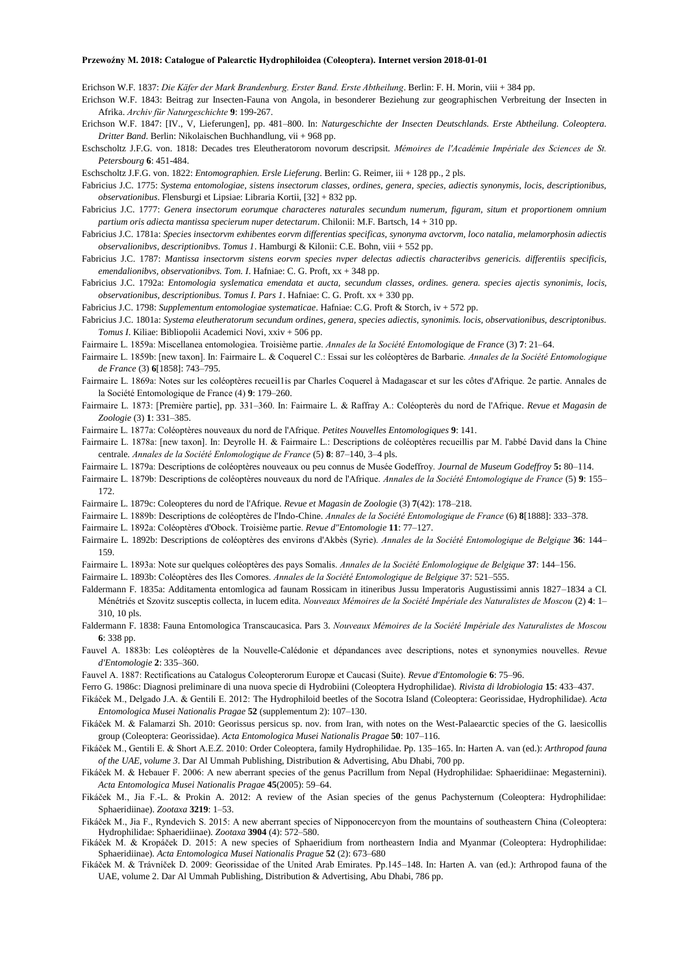Erichson W.F. 1837: *Die Käfer der Mark Brandenburg. Erster Band. Erste Abtheilung*. Berlin: F. H. Morin, viii + 384 pp.

Erichson W.F. 1843: Beitrag zur Insecten-Fauna von Angola, in besonderer Beziehung zur geographischen Verbreitung der Insecten in Afrika. *Archiv für Naturgeschichte* **9**: 199-267.

- Erichson W.F. 1847: [IV., V, Lieferungen], pp. 481–800. In: *Naturgeschichte der Insecten Deutschlands. Erste Abtheilung. Coleoptera. Dritter Band*. Berlin: Nikolaischen Buchhandlung, vii + 968 pp.
- Eschscholtz J.F.G. von. 1818: Decades tres Eleutheratorom novorum descripsit. *Mémoires de l'Académie Impériale des Sciences de St. Petersbourg* **6**: 451-484.

Eschscholtz J.F.G. von. 1822: *Entomographien. Ersle Lieferung*. Berlin: G. Reimer, iii + 128 pp., 2 pls.

Fabricius J.C. 1775: *Systema entomologiae, sistens insectorum classes, ordines, genera, species, adiectis synonymis, locis, descriptionibus, observationibus*. Flensburgi et Lipsiae: Libraria Kortii, [32] + 832 pp.

Fabricius J.C. 1777: *Genera insectorum eorumque characteres naturales secundum numerum, figuram, situm et proportionem omnium partium oris adiecta mantissa specierum nuper detectarum*. Chilonii: M.F. Bartsch, 14 + 310 pp.

- Fabricius J.C. 1781a: *Species insectorvm exhibentes eorvm differentias specificas, synonyma avctorvm, loco natalia, melamorphosin adiectis observalionibvs, descriptionibvs. Tomus 1*. Hamburgi & Kilonii: C.E. Bohn, viii + 552 pp.
- Fabricius J.C. 1787: *Mantissa insectorvm sistens eorvm species nvper delectas adiectis characteribvs genericis. differentiis specificis, emendalionibvs, observationibvs. Tom. I*. Hafniae: C. G. Proft, xx + 348 pp.
- Fabricius J.C. 1792a: *Entomologia syslematica emendata et aucta, secundum classes, ordines. genera. species ajectis synonimis, locis, observationibus, descriptionibus. Tomus I. Pars 1*. Hafniae: C. G. Proft. xx + 330 pp.
- Fabricius J.C. 1798: *Supplementum entomologiae systematicae*. Hafniae: C.G. Proft & Storch, iv + 572 pp.
- Fabricius J.C. 1801a: *Systema eleutheratorum secundum ordines, genera, species adiectis, synonimis. locis, observationibus, descriptonibus. Tomus I*. Kiliae: Bibliopolii Academici Novi, xxiv + 506 pp.
- Fairmaire L. 1859a: Miscellanea entomologiea. Troisième partie. *Annales de la Société Entomologique de France* (3) **7**: 21–64.
- Fairmaire L. 1859b: [new taxon]. In: Fairmaire L. & Coquerel C.: Essai sur les coléoptères de Barbarie. *Annales de la Société Entomologique de France* (3) **6**[1858]: 743–795.
- Fairmaire L. 1869a: Notes sur les coléoptères recueil1is par Charles Coquerel à Madagascar et sur les côtes d'Afrique. 2e partie. Annales de la Société Entomologique de France (4) **9**: 179–260.
- Fairmaire L. 1873: [Première partie], pp. 331–360. In: Fairmaire L. & Raffray A.: Coléopterès du nord de l'Afrique. *Revue et Magasin de Zoologie* (3) **1**: 331–385.
- Fairmaire L. 1877a: Coléoptères nouveaux du nord de l'Afrique. *Petites Nouvelles Entomologiques* **9**: 141.
- Fairmaire L. 1878a: [new taxon]. In: Deyrolle H. & Fairmaire L.: Descriptions de coléoptères recueillis par M. l'abbé David dans la Chine centrale. *Annales de la Société Enlomologique de France* (5) **8**: 87–140, 3–4 pls.
- Fairmaire L. 1879a: Descriptions de coléoptères nouveaux ou peu connus de Musée Godeffroy. *Journal de Museum Godeffroy* **5:** 80–114.
- Fairmaire L. 1879b: Descriptions de coléoptères nouveaux du nord de l'Afrique. *Annales de la Société Entomologique de France* (5) **9**: 155– 172.
- Fairmaire L. 1879c: Coleopteres du nord de l'Afrique. *Revue et Magasin de Zoologie* (3) **7**(42): 178–218.
- Fairmaire L. 1889b: Descriptions de coléoptères de l'Indo-Chine. *Annales de la Société Entomologique de France* (6) **8**[1888]: 333–378.
- Fairmaire L. 1892a: Coléoptères d'Obock. Troisième partie. *Revue d"Entomologie* **11**: 77–127.
- Fairmaire L. 1892b: Descriptions de coléoptères des environs d'Akbès (Syrie). *Annales de la Société Entomologique de Belgique* **36**: 144– 159.
- Fairmaire L. 1893a: Note sur quelques coléoptères des pays Somalis. *Annales de la Société Enlomologique de Belgique* **37**: 144–156.
- Fairmaire L. 1893b: Coléoptères des Iles Comores. *Annales de la Société Entomologique de Belgique* 37: 521–555.
- Faldermann F. 1835a: Additamenta entomlogica ad faunam Rossicam in itineribus Jussu Imperatoris Augustissimi annis 1827–1834 a CI. Ménétriés et Szovitz susceptis collecta, in lucem edita. *Nouveaux Mémoires de la Société Impériale des Naturalistes de Moscou* (2) **4**: 1– 310, 10 pls.
- Faldermann F. 1838: Fauna Entomologica Transcaucasica. Pars 3. *Nouveaux Mémoires de la Société Impériale des Naturalistes de Moscou* **6**: 338 pp.
- Fauvel A. 1883b: Les coléoptères de la Nouvelle-Calédonie et dépandances avec descriptions, notes et synonymies nouvelles. *Revue d'Entomologie* **2**: 335–360.
- Fauvel A. 1887: Rectifications au Catalogus Coleopterorum Europæ et Caucasi (Suite). *Revue d'Entomologie* **6**: 75–96.

Ferro G. 1986c: Diagnosi preliminare di una nuova specie di Hydrobiini (Coleoptera Hydrophilidae). *Rivista di ldrobiologia* **15**: 433–437.

- Fikáček M., Delgado J.A. & Gentili E. 2012: The Hydrophiloid beetles of the Socotra Island (Coleoptera: Georissidae, Hydrophilidae). *Acta Entomologica Musei Nationalis Pragae* **52** (supplementum 2): 107–130.
- Fikáček M. & Falamarzi Sh. 2010: Georissus persicus sp. nov. from Iran, with notes on the West-Palaearctic species of the G. laesicollis group (Coleoptera: Georissidae). *Acta Entomologica Musei Nationalis Pragae* **50**: 107–116.
- Fikáček M., Gentili E. & Short A.E.Z. 2010: Order Coleoptera, family Hydrophilidae. Pp. 135–165. In: Harten A. van (ed.): *Arthropod fauna of the UAE, volume 3*. Dar Al Ummah Publishing, Distribution & Advertising, Abu Dhabi, 700 pp.
- Fikáček M. & Hebauer F. 2006: A new aberrant species of the genus Pacrillum from Nepal (Hydrophilidae: Sphaeridiinae: Megasternini). *Acta Entomologica Musei Nationalis Pragae* **45**(2005): 59–64.
- Fikáček M., Jia F.-L. & Prokin A. 2012: A review of the Asian species of the genus Pachysternum (Coleoptera: Hydrophilidae: Sphaeridiinae). *Zootaxa* **3219**: 1–53.
- Fikáček M., Jia F., Ryndevich S. 2015: A new aberrant species of Nipponocercyon from the mountains of southeastern China (Coleoptera: Hydrophilidae: Sphaeridiinae). *Zootaxa* **3904** (4): 572–580.
- Fikáček M. & Kropáček D. 2015: A new species of Sphaeridium from northeastern India and Myanmar (Coleoptera: Hydrophilidae: Sphaeridiinae). *Acta Entomologica Musei Nationalis Prague* **52** (2): 673–680
- Fikáček M. & Trávníček D. 2009: Georissidae of the United Arab Emirates. Pp.145–148. In: Harten A. van (ed.): Arthropod fauna of the UAE, volume 2. Dar Al Ummah Publishing, Distribution & Advertising, Abu Dhabi, 786 pp.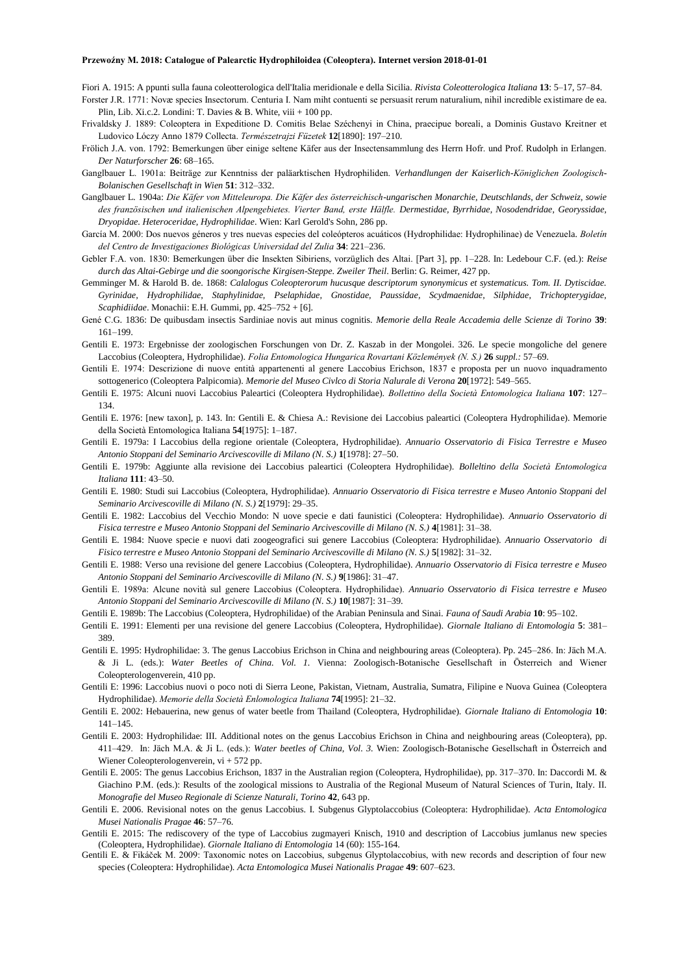Fiori A. 1915: A ppunti sulla fauna coleotterologica dell'Italia meridionale e della Sicilia. *Rivista Coleotterologica Italiana* **13**: 5–17, 57–84. Forster J.R. 1771: Novæ species Insectorum. Centuria I. Nam miht contuenti se persuasit rerum naturalium, nihil incredible existimare de ea.

- Plin, Lib. Xi.c.2. Londini: T. Davies & B. White, viii + 100 pp.
- Frivaldsky J. 1889: Coleoptera in Expeditione D. Comitis Belae Széchenyi in China, praecipue boreali, a Dominis Gustavo Kreitner et Ludovico Lóczy Anno 1879 Collecta. *Természetrajzi Füzetek* **12**[1890]: 197–210.
- Frölich J.A. von. 1792: Bemerkungen über einige seltene Käfer aus der Insectensammlung des Herrn Hofr. und Prof. Rudolph in Erlangen. *Der Naturforscher* **26**: 68–165.
- Ganglbauer L. 1901a: Beiträge zur Kenntniss der paläarktischen Hydrophiliden. *Verhandlungen der Kaiserlich-Königlichen Zoologisch-Bolanischen Gesellschaft in Wien* **51**: 312–332.
- Ganglbauer L. 1904a: *Die Käfer von Mitteleuropa. Die Käfer des österreichisch-ungarischen Monarchie, Deutschlands, der Schweiz, sowie des französischen und italienischen Alpengebietes. Vierter Band, erste Hälfle. Dermestidae, Byrrhidae, Nosodendridae, Georyssidae, Dryopidae. Heteroceridae, Hydrophilidae*. Wien: Karl Gerold's Sohn, 286 pp.
- García M. 2000: Dos nuevos géneros y tres nuevas especies del coleópteros acuáticos (Hydrophilidae: Hydrophilinae) de Venezuela. *Boletín del Centro de Investigaciones Biológicas Universidad del Zulia* **34**: 221–236.
- Gebler F.A. von. 1830: Bemerkungen über die Insekten Sibiriens, vorzüglich des Altai. [Part 3], pp. 1–228. In: Ledebour C.F. (ed.): *Reise durch das Altai-Gebirge und die soongorische Kirgisen-Steppe. Zweiler Theil*. Berlin: G. Reimer, 427 pp.
- Gemminger M. & Harold B. de. 1868: *Calalogus Coleopterorum hucusque descriptorum synonymicus et systematicus. Tom. II. Dytiscidae. Gyrinidae, Hydrophilidae, Staphylinidae, Pselaphidae, Gnostidae, Paussidae, Scydmaenidae, Silphidae, Trichopterygidae, Scaphidiidae*. Monachii: E.H. Gummi, pp. 425–752 + [6].
- Gené C.G. 1836: De quibusdam insectis Sardiniae novis aut minus cognitis. *Memorie della Reale Accademia delle Scienze di Torino* **39**: 161–199.
- Gentili E. 1973: Ergebnisse der zoologischen Forschungen von Dr. Z. Kaszab in der Mongolei. 326. Le specie mongoliche del genere Laccobius (Coleoptera, Hydrophilidae). *Folia Entomologica Hungarica Rovartani Közlemények (N. S.)* **26** *suppl.:* 57–69.
- Gentili E. 1974: Descrizione di nuove entità appartenenti al genere Laccobius Erichson, 1837 e proposta per un nuovo inquadramento sottogenerico (Coleoptera Palpicomia). *Memorie del Museo Civlco di Storia Nalurale di Verona* **20**[1972]: 549–565.
- Gentili E. 1975: Alcuni nuovi Laccobius Paleartici (Coleoptera Hydrophilidae). *Bollettino della Società Entomologica Italiana* **107**: 127– 134.
- Gentili E. 1976: [new taxon], p. 143. In: Gentili E. & Chiesa A.: Revisione dei Laccobius paleartici (Coleoptera Hydrophilidae). Memorie della Società Entomologica Italiana **54**[1975]: 1–187.
- Gentili E. 1979a: I Laccobius della regione orientale (Coleoptera, Hydrophilidae). *Annuario Osservatorio di Fisica Terrestre e Museo Antonio Stoppani del Seminario Arcivescoville di Milano (N. S.)* **1**[1978]: 27–50.
- Gentili E. 1979b: Aggiunte alla revisione dei Laccobius paleartici (Coleoptera Hydrophilidae). *Bolleltino della Società Entomologica Italiana* **111**: 43–50.
- Gentili E. 1980: Studi sui Laccobius (Coleoptera, Hydrophilidae). *Annuario Osservatorio di Fisica terrestre e Museo Antonio Stoppani del Seminario Arcivescoville di Milano (N. S.)* **2**[1979]: 29–35.
- Gentili E. 1982: Laccobius del Vecchio Mondo: N uove specie e dati faunistici (Coleoptera: Hydrophilidae). *Annuario Osservatorio di Fisica terrestre e Museo Antonio Stoppani del Seminario Arcivescoville di Milano (N. S.)* **4**[1981]: 31–38.
- Gentili E. 1984: Nuove specie e nuovi dati zoogeografici sui genere Laccobius (Coleoptera: Hydrophilidae). *Annuario Osservatorio di Fisico terrestre e Museo Antonio Stoppani del Seminario Arcivescoville di Milano (N. S.)* **5**[1982]: 31–32.
- Gentili E. 1988: Verso una revisione del genere Laccobius (Coleoptera, Hydrophilidae). *Annuario Osservatorio di Fisica terrestre e Museo Antonio Stoppani del Seminario Arcivescoville di Milano (N. S.)* **9**[1986]: 31–47.
- Gentili E. 1989a: Alcune novità sul genere Laccobius (Coleoptera. Hydrophilidae). *Annuario Osservatorio di Fisica terrestre e Museo Antonio Stoppani del Seminario Arcivescoville di Milano (N. S.)* **10**[1987]: 31–39.
- Gentili E. 1989b: The Laccobius (Coleoptera, Hydrophilidae) of the Arabian Peninsula and Sinai. *Fauna of Saudi Arabia* **10**: 95–102.
- Gentili E. 1991: Elementi per una revisione del genere Laccobius (Coleoptera, Hydrophilidae). *Giornale Italiano di Entomologia* **5**: 381– 389.
- Gentili E. 1995: Hydrophilidae: 3. The genus Laccobius Erichson in China and neighbouring areas (Coleoptera). Pp. 245–286. In: Jäch M.A. & Ji L. (eds.): *Water Beetles of China. Vol. 1.* Vienna: Zoologisch-Botanische Gesellschaft in Österreich and Wiener Coleopterologenverein, 410 pp.
- Gentili E: 1996: Laccobius nuovi o poco noti di Sierra Leone, Pakistan, Vietnam, Australia, Sumatra, Filipine e Nuova Guinea (Coleoptera Hydrophilidae). *Memorie della Società Enlomologica Italiana* **74**[1995]: 21–32.
- Gentili E. 2002: Hebauerina, new genus of water beetle from Thailand (Coleoptera, Hydrophilidae). *Giornale Italiano di Entomologia* **10**: 141–145.
- Gentili E. 2003: Hydrophilidae: III. Additional notes on the genus Laccobius Erichson in China and neighbouring areas (Coleoptera), pp. 411–429. In: Jäch M.A. & Ji L. (eds.): *Water beetles of China, Vol. 3.* Wien: Zoologisch-Botanische Gesellschaft in Österreich and Wiener Coleopterologenverein, vi + 572 pp.
- Gentili E. 2005: The genus Laccobius Erichson, 1837 in the Australian region (Coleoptera, Hydrophilidae), pp. 317–370. In: Daccordi M. & Giachino P.M. (eds.): Results of the zoological missions to Australia of the Regional Museum of Natural Sciences of Turin, Italy. II. *Monografie del Museo Regionale di Scienze Naturali, Torino* **42**, 643 pp.
- Gentili E. 2006. Revisional notes on the genus Laccobius. I. Subgenus Glyptolaccobius (Coleoptera: Hydrophilidae). *Acta Entomologica Musei Nationalis Pragae* **46**: 57–76.
- Gentili E. 2015: The rediscovery of the type of Laccobius zugmayeri Knisch, 1910 and description of Laccobius jumlanus new species (Coleoptera, Hydrophilidae). *Giornale Italiano di Entomologia* 14 (60): 155-164.
- Gentili E. & Fikáček M. 2009: Taxonomic notes on Laccobius, subgenus Glyptolaccobius, with new records and description of four new species (Coleoptera: Hydrophilidae). *Acta Entomologica Musei Nationalis Pragae* **49**: 607–623.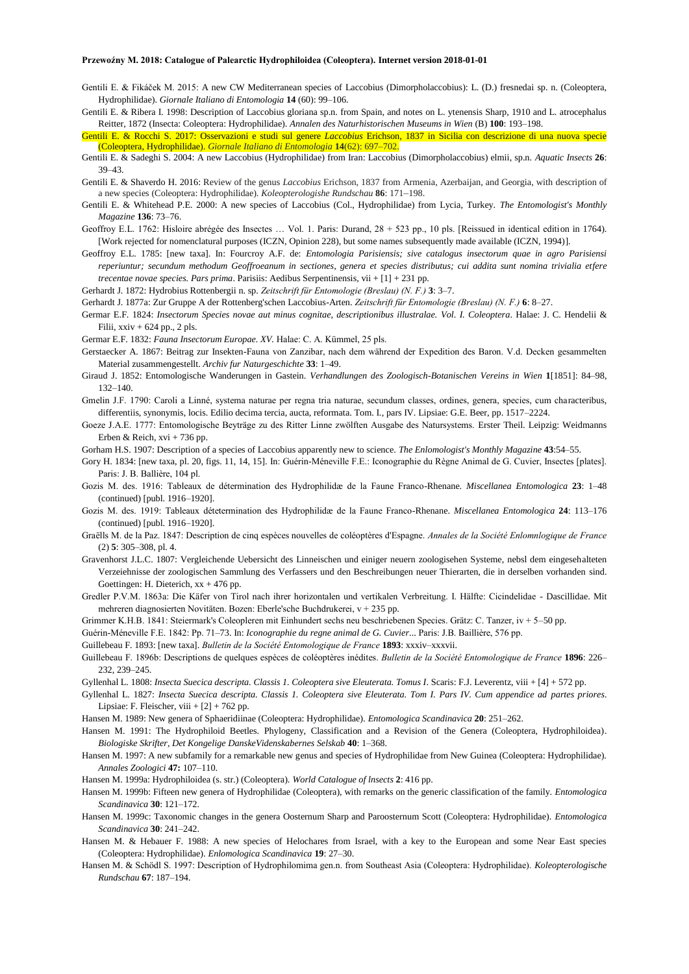- Gentili E. & Fikáček M. 2015: A new CW Mediterranean species of Laccobius (Dimorpholaccobius): L. (D.) fresnedai sp. n. (Coleoptera, Hydrophilidae). *Giornale Italiano di Entomologia* **14** (60): 99–106.
- Gentili E. & Ribera I. 1998: Description of Laccobius gloriana sp.n. from Spain, and notes on L. ytenensis Sharp, 1910 and L. atrocephalus Reitter, 1872 (Insecta: Coleoptera: Hydrophilidae). *Annalen des Naturhistorischen Museums in Wien* (B) **100**: 193–198.
- Gentili E. & Rocchi S. 2017: Osservazioni e studi sul genere *Laccobius* Erichson, 1837 in Sicilia con descrizione di una nuova specie (Coleoptera, Hydrophilidae). *Giornale Italiano di Entomologia* **14**(62): 697–702.
- Gentili E. & Sadeghi S. 2004: A new Laccobius (Hydrophilidae) from Iran: Laccobius (Dimorpholaccobius) elmii, sp.n. *Aquatic Insects* **26**: 39–43.
- Gentili E. & Shaverdo H. 2016: Review of the genus *Laccobius* Erichson, 1837 from Armenia, Azerbaijan, and Georgia, with description of a new species (Coleoptera: Hydrophilidae). *Koleopterologishe Rundschau* **86**: 171–198.
- Gentili E. & Whitehead P.E. 2000: A new species of Laccobius (Col., Hydrophilidae) from Lycia, Turkey. *The Entomologist's Monthly Magazine* **136**: 73–76.
- Geoffroy E.L. 1762: Hisloire abrégée des Insectes … Vol. 1. Paris: Durand, 28 + 523 pp., 10 pls. [Reissued in identical edition in 1764). [Work rejected for nomenclatural purposes (ICZN, Opinion 228), but some names subsequently made available (ICZN, 1994)].
- Geoffroy E.L. 1785: [new taxa]. In: Fourcroy A.F. de: *Entomologia Parisiensis; sive catalogus insectorum quae in agro Parisiensi reperiuntur; secundum methodum Geoffroeanum in sectiones, genera et species distributus; cui addita sunt nomina trivialia etfere trecentae novae species. Pars prima*. Parisiis: Aedibus Serpentinensis, vii + [1] + 231 pp.
- Gerhardt J. 1872: Hydrobius Rottenbergii n. sp. *Zeitschrift für Entomologie (Breslau) (N. F.)* **3**: 3–7.
- Gerhardt J. 1877a: Zur Gruppe A der Rottenberg'schen Laccobius-Arten. *Zeitschrift für Entomologie (Breslau) (N. F.)* **6**: 8–27.
- Germar E.F. 1824: *Insectorum Species novae aut minus cognitae, descriptionibus illustralae. Vol. I. Coleoptera*. Halae: J. C. Hendelii & Filii,  $x\dot{x}$ iv + 624 pp., 2 pls.
- Germar E.F. 1832: *Fauna Insectorum Europae. XV.* Halae: C. A. Kümmel, 25 pls.
- Gerstaecker A. 1867: Beitrag zur Insekten-Fauna von Zanzibar, nach dem während der Expedition des Baron. V.d. Decken gesammelten Material zusammengestellt. *Archiv fur Naturgeschichte* **33**: 1–49.
- Giraud J. 1852: Entomologische Wanderungen in Gastein. *Verhandlungen des Zoologisch-Botanischen Vereins in Wien* **1**[1851]: 84–98, 132–140.
- Gmelin J.F. 1790: Caroli a Linné, systema naturae per regna tria naturae, secundum classes, ordines, genera, species, cum characteribus, differentiis, synonymis, locis. Edilio decima tercia, aucta, reformata. Tom. I., pars IV. Lipsiae: G.E. Beer, pp. 1517–2224.
- Goeze J.A.E. 1777: Entomologische Beyträge zu des Ritter Linne zwölften Ausgabe des Natursystems. Erster Theil. Leipzig: Weidmanns Erben & Reich,  $xvi + 736$  pp.
- Gorham H.S. 1907: Description of a species of Laccobius apparently new to science. *The Enlomologist's Monthly Magazine* **43**:54–55.
- Gory H. 1834: [new taxa, pl. 20, figs. 11, 14, 15]. In: Guérin-Méneville F.E.: Iconographie du Règne Animal de G. Cuvier, Insectes [plates]. Paris: J. B. Ballière, 104 pl.
- Gozis M. des. 1916: Tableaux de détermination des Hydrophilidæ de la Faune Franco-Rhenane. *Miscellanea Entomologica* **23**: 1–48 (continued) [publ. 1916–1920].
- Gozis M. des. 1919: Tableaux détetermination des Hydrophilidæ de la Faune Franco-Rhenane. *Miscellanea Entomologica* **24**: 113–176 (continued) [publ. 1916–1920].
- Graëlls M. de la Paz. 1847: Description de cinq espèces nouvelles de coléoptères d'Espagne. *Annales de la Société Enlomnlogique de France* (2) **5**: 305–308, pl. 4.
- Gravenhorst J.L.C. 1807: Vergleichende Uebersicht des Linneischen und einiger neuern zoologisehen Systeme, nebsl dem eingesehalteten Verzeiehnisse der zoologischen Sammlung des Verfassers und den Beschreibungen neuer Thierarten, die in derselben vorhanden sind. Goettingen: H. Dieterich,  $xx + 476$  pp.
- Gredler P.V.M. 1863a: Die Käfer von Tirol nach ihrer horizontalen und vertikalen Verbreitung. I. Hälfte: Cicindelidae Dascillidae. Mit mehreren diagnosierten Novitäten. Bozen: Eberle'sche Buchdrukerei, v + 235 pp.
- Grimmer K.H.B. 1841: Steiermark's Coleopleren mit Einhundert sechs neu beschriebenen Species. Grätz: C. Tanzer, iv + 5–50 pp.
- Guérin-Méneville F.E. 1842: Pp. 71–73. In: *Iconographie du regne animal de G. Cuvier*... Paris: J.B. Baillière, 576 pp.

Guillebeau F. 1893: [new taxa]. *Bulletin de la Société Entomologique de France* **1893**: xxxiv–xxxvii.

- Guillebeau F. 1896b: Descriptions de quelques espèces de coléoptères inédites. *Bulletin de la Société Entomologique de France* **1896**: 226– 232, 239–245.
- Gyllenhal L. 1808: *Insecta Suecica descripta. Classis 1. Coleoptera sive Eleuterata. Tomus I*. Scaris: F.J. Leverentz, viii + [4] + 572 pp.
- Gyllenhal L. 1827: *Insecta Suecica descripta. Classis 1. Coleoptera sive Eleuterata. Tom I. Pars IV. Cum appendice ad partes priores*. Lipsiae: F. Fleischer, viii  $+[2] + 762$  pp.
- Hansen M. 1989: New genera of Sphaeridiinae (Coleoptera: Hydrophilidae). *Entomologica Scandinavica* **20**: 251–262.
- Hansen M. 1991: The Hydrophiloid Beetles. Phylogeny, Classification and a Revision of the Genera (Coleoptera, Hydrophiloidea). *Biologiske Skrifter, Det Kongelige DanskeVidenskabernes Selskab* **40**: 1–368.
- Hansen M. 1997: A new subfamily for a remarkable new genus and species of Hydrophilidae from New Guinea (Coleoptera: Hydrophilidae). *Annales Zoologici* **47:** 107–110.
- Hansen M. 1999a: Hydrophiloidea (s. str.) (Coleoptera). *World Catalogue of lnsects* **2**: 416 pp.
- Hansen M. 1999b: Fifteen new genera of Hydrophilidae (Coleoptera), with remarks on the generic classification of the family. *Entomologica Scandinavica* **30**: 121–172.
- Hansen M. 1999c: Taxonomic changes in the genera Oosternum Sharp and Paroosternum Scott (Coleoptera: Hydrophilidae). *Entomologica Scandinavica* **30**: 241–242.
- Hansen M. & Hebauer F. 1988: A new species of Helochares from Israel, with a key to the European and some Near East species (Coleoptera: Hydrophilidae). *Enlomologica Scandinavica* **19**: 27–30.
- Hansen M. & Schödl S. 1997: Description of Hydrophilomima gen.n. from Southeast Asia (Coleoptera: Hydrophilidae). *Koleopterologische Rundschau* **67**: 187–194.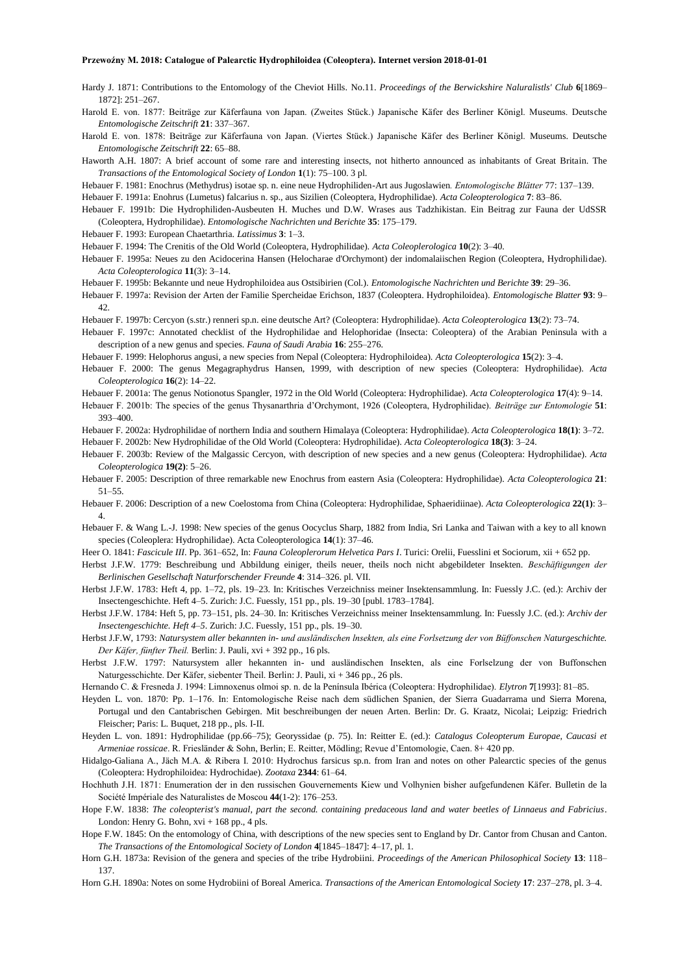- Hardy J. 1871: Contributions to the Entomology of the Cheviot Hills. No.11. *Proceedings of the Berwickshire Naluralistls' Club* **6**[1869– 1872]: 251–267.
- Harold E. von. 1877: Beiträge zur Käferfauna von Japan. (Zweites Stück.) Japanische Käfer des Berliner Königl. Museums. Deutsche *Entomologische Zeitschrift* **21**: 337–367.
- Harold E. von. 1878: Beiträge zur Käferfauna von Japan. (Viertes Stück.) Japanische Käfer des Berliner Königl. Museums. Deutsche *Entomologische Zeitschrift* **22**: 65–88.
- Haworth A.H. 1807: A brief account of some rare and interesting insects, not hitherto announced as inhabitants of Great Britain. The *Transactions of the Entomological Society of London* **1**(1): 75–100. 3 pl.
- Hebauer F. 1981: Enochrus (Methydrus) isotae sp. n. eine neue Hydrophiliden-Art aus Jugoslawien*. Entomologische Blätter* 77: 137–139.
- Hebauer F. 1991a: Enohrus (Lumetus) falcarius n. sp., aus Sizilien (Coleoptera, Hydrophilidae). *Acta Coleopterologica* **7**: 83–86.
- Hebauer F. 1991b: Die Hydrophiliden-Ausbeuten H. Muches und D.W. Wrases aus Tadzhikistan. Ein Beitrag zur Fauna der UdSSR (Coleoptera, Hydrophilidae). *Entomologische Nachrichten und Berichte* **35**: 175–179.
- Hebauer F. 1993: European Chaetarthria. *Latissimus* **3**: 1–3.
- Hebauer F. 1994: The Crenitis of the Old World (Coleoptera, Hydrophilidae). *Acta Coleoplerologica* **10**(2): 3–40.
- Hebauer F. 1995a: Neues zu den Acidocerina Hansen (Helocharae d'Orchymont) der indomalaiischen Region (Coleoptera, Hydrophilidae). *Acta Coleopterologica* **11**(3): 3–14.
- Hebauer F. 1995b: Bekannte und neue Hydrophiloidea aus Ostsibirien (Col.). *Entomologische Nachrichten und Berichte* **39**: 29–36.
- Hebauer F. 1997a: Revision der Arten der Familie Spercheidae Erichson, 1837 (Coleoptera. Hydrophiloidea). *Entomologische Blatter* **93**: 9– 42.
- Hebauer F. 1997b: Cercyon (s.str.) renneri sp.n. eine deutsche Art? (Coleoptera: Hydrophilidae). *Acta Coleopterologica* **13**(2): 73–74.
- Hebauer F. 1997c: Annotated checklist of the Hydrophilidae and Helophoridae (Insecta: Coleoptera) of the Arabian Peninsula with a description of a new genus and species. *Fauna of Saudi Arabia* **16**: 255–276.
- Hebauer F. 1999: Helophorus angusi, a new species from Nepal (Coleoptera: Hydrophiloidea). *Acta Coleopterologica* **15**(2): 3–4.
- Hebauer F. 2000: The genus Megagraphydrus Hansen, 1999, with description of new species (Coleoptera: Hydrophilidae). *Acta Coleopterologica* **16**(2): 14–22.
- Hebauer F. 2001a: The genus Notionotus Spangler, 1972 in the Old World (Coleoptera: Hydrophilidae). *Acta Coleopterologica* **17**(4): 9–14.
- Hebauer F. 2001b: The species of the genus Thysanarthria d'Orchymont, 1926 (Coleoptera, Hydrophilidae). *Beiträge zur Entomologie* **51**: 393–400.
- Hebauer F. 2002a: Hydrophilidae of northern India and southern Himalaya (Coleoptera: Hydrophilidae). *Acta Coleopterologica* **18(1)**: 3–72.

Hebauer F. 2002b: New Hydrophilidae of the Old World (Coleoptera: Hydrophilidae). *Acta Coleopterologica* **18(3)**: 3–24.

- Hebauer F. 2003b: Review of the Malgassic Cercyon, with description of new species and a new genus (Coleoptera: Hydrophilidae). *Acta Coleopterologica* **19(2)**: 5–26.
- Hebauer F. 2005: Description of three remarkable new Enochrus from eastern Asia (Coleoptera: Hydrophilidae). *Acta Coleopterologica* **21**: 51–55.
- Hebauer F. 2006: Description of a new Coelostoma from China (Coleoptera: Hydrophilidae, Sphaeridiinae). *Acta Coleopterologica* **22(1)**: 3– 4.
- Hebauer F. & Wang L.-J. 1998: New species of the genus Oocyclus Sharp, 1882 from India, Sri Lanka and Taiwan with a key to all known species (Coleoplera: Hydrophilidae). Acta Coleopterologica **14**(1): 37–46.
- Heer O. 1841: *Fascicule III*. Pp. 361–652, In: *Fauna Coleoplerorum Helvetica Pars I*. Turici: Orelii, Fuesslini et Sociorum, xii + 652 pp.
- Herbst J.F.W. 1779: Beschreibung und Abbildung einiger, theils neuer, theils noch nicht abgebildeter Insekten. *Beschäftigungen der Berlinischen Gesellschaft Naturforschender Freunde* **4**: 314–326. pl. VII.
- Herbst J.F.W. 1783: Heft 4, pp. 1–72, pls. 19–23. In: Kritisches Verzeichniss meiner Insektensammlung. In: Fuessly J.C. (ed.): Archiv der Insectengeschichte. Heft 4–5. Zurich: J.C. Fuessly, 151 pp., pls. 19–30 [publ. 1783–1784].
- Herbst J.F.W. 1784: Heft 5, pp. 73–151, pls. 24–30. In: Kritisches Verzeichniss meiner Insektensammlung. In: Fuessly J.C. (ed.): *Archiv der Insectengeschichte. Heft 4–5*. Zurich: J.C. Fuessly, 151 pp., pls. 19–30.
- Herbst J.F.W, 1793: *Natursystem aller bekannten in- und ausländischen lnsekten, als eine Forlsetzung der von Büffonschen Naturgeschichte. Der Käfer, fünfter Theil.* Berlin: J. Pauli, xvi + 392 pp., 16 pls.
- Herbst J.F.W. 1797: Natursystem aller hekannten in- und ausländischen Insekten, als eine Forlselzung der von Buffonschen Naturgesschichte. Der Käfer, siebenter Theil. Berlin: J. Pauli, xi + 346 pp., 26 pls.
- Hernando C. & Fresneda J. 1994: Limnoxenus olmoi sp. n. de la Península Ibérica (Coleoptera: Hydrophilidae). *Elytron* **7**[1993]: 81–85.
- Heyden L. von. 1870: Pp. 1–176. In: Entomologische Reise nach dem südlichen Spanien, der Sierra Guadarrama und Sierra Morena, Portugal und den Cantabrischen Gebirgen. Mit beschreibungen der neuen Arten. Berlin: Dr. G. Kraatz, Nicolai; Leipzig: Friedrich Fleischer; Paris: L. Buquet, 218 pp., pls. I-II.
- Heyden L. von. 1891: Hydrophilidae (pp.66–75); Georyssidae (p. 75). In: Reitter E. (ed.): *Catalogus Coleopterum Europae, Caucasi et Armeniae rossicae*. R. Friesländer & Sohn, Berlin; E. Reitter, Mödling; Revue d'Entomologie, Caen. 8+ 420 pp.
- Hidalgo-Galiana A., Jäch M.A. & Ribera I. 2010: Hydrochus farsicus sp.n. from Iran and notes on other Palearctic species of the genus (Coleoptera: Hydrophiloidea: Hydrochidae). *Zootaxa* **2344**: 61–64.
- Hochhuth J.H. 1871: Enumeration der in den russischen Gouvernements Kiew und Volhynien bisher aufgefundenen Käfer. Bulletin de la Société Impériale des Naturalistes de Moscou **44**(1-2): 176–253.
- Hope F.W. 1838: *The coleopterist's manual, part the second. containing predaceous land and water beetles of Linnaeus and Fabricius*. London: Henry G. Bohn,  $xvi + 168$  pp., 4 pls.
- Hope F.W. 1845: On the entomology of China, with descriptions of the new species sent to England by Dr. Cantor from Chusan and Canton. *The Transactions of the Entomological Society of London* **4**[1845–1847]: 4–17, pl. 1.
- Horn G.H. 1873a: Revision of the genera and species of the tribe Hydrobiini. *Proceedings of the American Philosophical Society* **13**: 118– 137.

Horn G.H. 1890a: Notes on some Hydrobiini of Boreal America. *Transactions of the American Entomological Society* **17**: 237–278, pl. 3–4.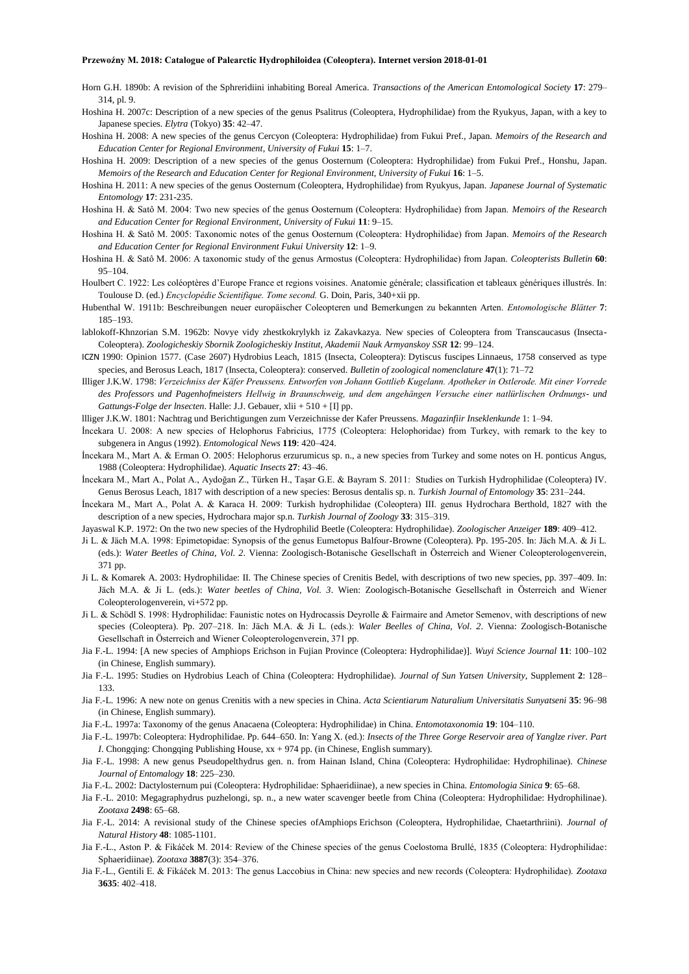Horn G.H. 1890b: A revision of the Sphreridiini inhabiting Boreal America. *Transactions of the American Entomological Society* **17**: 279– 314, pl. 9.

- Hoshina H. 2007c: Description of a new species of the genus Psalitrus (Coleoptera, Hydrophilidae) from the Ryukyus, Japan, with a key to Japanese species. *Elytra* (Tokyo) **35**: 42–47.
- Hoshina H. 2008: A new species of the genus Cercyon (Coleoptera: Hydrophilidae) from Fukui Pref., Japan. *Memoirs of the Research and Education Center for Regional Environment, University of Fukui* **15**: 1–7.
- Hoshina H. 2009: Description of a new species of the genus Oosternum (Coleoptera: Hydrophilidae) from Fukui Pref., Honshu, Japan. *Memoirs of the Research and Education Center for Regional Environment, University of Fukui* **16**: 1–5.
- Hoshina H. 2011: A new species of the genus Oosternum (Coleoptera, Hydrophilidae) from Ryukyus, Japan. *Japanese Journal of Systematic Entomology* **17**: 231-235.
- Hoshina H. & Satô M. 2004: Two new species of the genus Oosternum (Coleoptera: Hydrophilidae) from Japan. *Memoirs of the Research and Education Center for Regional Environment, University of Fukui* **11**: 9–15.
- Hoshina H. & Satô M. 2005: Taxonomic notes of the genus Oosternum (Coleoptera: Hydrophilidae) from Japan. *Memoirs of the Research and Education Center for Regional Environment Fukui University* **12**: 1–9.
- Hoshina H. & Satô M. 2006: A taxonomic study of the genus Armostus (Coleoptera: Hydrophilidae) from Japan. *Coleopterists Bulletin* **60**: 95–104.
- Houlbert C. 1922: Les coléoptères d'Europe France et regions voisines. Anatomie générale; classification et tableaux génériques illustrés. In: Toulouse D. (ed.) *Encyclopédie Scientifique. Tome second.* G. Doin, Paris, 340+xii pp.
- Hubenthal W. 1911b: Beschreibungen neuer europäischer Coleopteren und Bemerkungen zu bekannten Arten. *Entomologische Blätter* **7**: 185–193.
- lablokoff-Khnzorian S.M. 1962b: Novye vidy zhestkokrylykh iz Zakavkazya. New species of Coleoptera from Transcaucasus (Insecta-Coleoptera). *Zoologicheskiy Sbornik Zoologicheskiy Institut, Akademii Nauk Armyanskoy SSR* **12**: 99–124.
- ICZN 1990: Opinion 1577. (Case 2607) Hydrobius Leach, 1815 (Insecta, Coleoptera): Dytiscus fuscipes Linnaeus, 1758 conserved as type species, and Berosus Leach, 1817 (Insecta, Coleoptera): conserved. *Bulletin of zoological nomenclature* **47**(1): 71–72
- Illiger J.K.W. 1798: *Verzeichniss der Käfer Preussens. Entworfen von Johann Gottlieb Kugelann. Apotheker in Ostlerode. Mit einer Vorrede des Professors und Pagenhofmeisters Hellwig in Braunschweig, und dem angehängen Versuche einer natlürlischen Ordnungs- und Gattungs-Folge der lnsecten*. Halle: J.J. Gebauer, xlii + 510 + [I] pp.

llliger J.K.W. 1801: Nachtrag und Berichtigungen zum Verzeichnisse der Kafer Preussens. *Magazinfiir Inseklenkunde* 1: 1–94.

- İncekara U. 2008: A new species of Helophorus Fabricius, 1775 (Coleoptera: Helophoridae) from Turkey, with remark to the key to subgenera in Angus (1992). *Entomological News* **119**: 420–424.
- İncekara M., Mart A. & Erman O. 2005: Helophorus erzurumicus sp. n., a new species from Turkey and some notes on H. ponticus Angus, 1988 (Coleoptera: Hydrophilidae). *Aquatic Insects* **27**: 43–46.
- İncekara M., Mart A., Polat A., Aydoğan Z., Türken H., Taşar G.E. & Bayram S. 2011: Studies on Turkish Hydrophilidae (Coleoptera) IV. Genus Berosus Leach, 1817 with description of a new species: Berosus dentalis sp. n. *Turkish Journal of Entomology* **35**: 231–244.
- İncekara M., Mart A., Polat A. & Karaca H. 2009: Turkish hydrophilidae (Coleoptera) III. genus Hydrochara Berthold, 1827 with the description of a new species, Hydrochara major sp.n. *Turkish Journal of Zoology* **33**: 315–319.
- Jayaswal K.P. 1972: On the two new species of the Hydrophilid Beetle (Coleoptera: Hydrophilidae). *Zoologischer Anzeiger* **189**: 409–412.
- Ji L. & Jäch M.A. 1998: Epimetopidae: Synopsis of the genus Eumetopus Balfour-Browne (Coleoptera). Pp. 195-205. In: Jäch M.A. & Ji L. (eds.): *Water Beetles of China*, *Vol. 2*. Vienna: Zoologisch-Botanische Gesellschaft in Österreich and Wiener Coleopterologenverein, 371 pp.
- Ji L. & Komarek A. 2003: Hydrophilidae: II. The Chinese species of Crenitis Bedel, with descriptions of two new species, pp. 397–409. In: Jäch M.A. & Ji L. (eds.): *Water beetles of China, Vol. 3*. Wien: Zoologisch-Botanische Gesellschaft in Österreich and Wiener Coleopterologenverein, vi+572 pp.
- Ji L. & Schödl S. 1998: Hydrophilidae: Faunistic notes on Hydrocassis Deyrolle & Fairmaire and Ametor Semenov, with descriptions of new species (Coleoptera). Pp. 207–218. In: Jäch M.A. & Ji L. (eds.): *Waler Beelles of China, Vol. 2*. Vienna: Zoologisch-Botanische Gesellschaft in Österreich and Wiener Coleopterologenverein, 371 pp.
- Jia F.-L. 1994: [A new species of Amphiops Erichson in Fujian Province (Coleoptera: Hydrophilidae)]. *Wuyi Science Journal* **11**: 100–102 (in Chinese, English summary).
- Jia F.-L. 1995: Studies on Hydrobius Leach of China (Coleoptera: Hydrophilidae). *Journal of Sun Yatsen University*, Supplement **2**: 128– 133.
- Jia F.-L. 1996: A new note on genus Crenitis with a new species in China. *Acta Scientiarum Naturalium Universitatis Sunyatseni* **35**: 96–98 (in Chinese, English summary).
- Jia F.-L. 1997a: Taxonomy of the genus Anacaena (Coleoptera: Hydrophilidae) in China. *Entomotaxonomia* **19**: 104–110.
- Jia F.-L. 1997b: Coleoptera: Hydrophilidae. Pp. 644–650. In: Yang X. (ed.): *Insects of the Three Gorge Reservoir area of Yanglze river. Part I*. Chongqing: Chongqing Publishing House, xx + 974 pp. (in Chinese, English summary).
- Jia F.-L. 1998: A new genus Pseudopelthydrus gen. n. from Hainan Island, China (Coleoptera: Hydrophilidae: Hydrophilinae). *Chinese Journal of Entomalogy* **18**: 225–230.
- Jia F.-L. 2002: Dactylosternum pui (Coleoptera: Hydrophilidae: Sphaeridiinae), a new species in China. *Entomologia Sinica* **9**: 65–68.
- Jia F.-L. 2010: Megagraphydrus puzhelongi, sp. n., a new water scavenger beetle from China (Coleoptera: Hydrophilidae: Hydrophilinae). *Zootaxa* **2498**: 65–68.
- Jia F.-L. 2014: A revisional study of the Chinese species ofAmphiops Erichson (Coleoptera, Hydrophilidae, Chaetarthriini). *Journal of Natural History* **48**: 1085-1101.
- Jia F.-L., Aston P. & Fikáček M. 2014: Review of the Chinese species of the genus Coelostoma Brullé, 1835 (Coleoptera: Hydrophilidae: Sphaeridiinae). *Zootaxa* **3887**(3): 354–376.
- Jia F.-L., Gentili E. & Fikáček M. 2013: The genus Laccobius in China: new species and new records (Coleoptera: Hydrophilidae). *Zootaxa* **3635**: 402–418.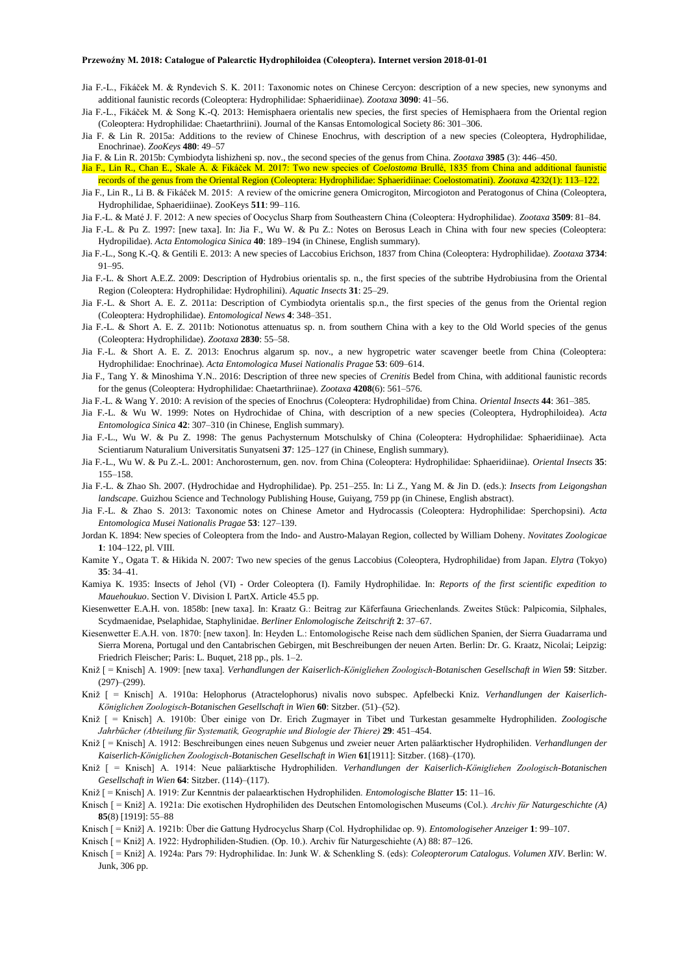- Jia F.-L., Fikáček M. & Ryndevich S. K. 2011: Taxonomic notes on Chinese Cercyon: description of a new species, new synonyms and additional faunistic records (Coleoptera: Hydrophilidae: Sphaeridiinae). *Zootaxa* **3090**: 41–56.
- Jia F.-L., Fikáček M. & Song K.-Q. 2013: Hemisphaera orientalis new species, the first species of Hemisphaera from the Oriental region (Coleoptera: Hydrophilidae: Chaetarthriini). Journal of the Kansas Entomological Society 86: 301–306.
- Jia F. & Lin R. 2015a: Additions to the review of Chinese Enochrus, with description of a new species (Coleoptera, Hydrophilidae, Enochrinae). *ZooKeys* **480**: 49–57
- Jia F. & Lin R. 2015b: Cymbiodyta lishizheni sp. nov., the second species of the genus from China. *Zootaxa* **3985** (3): 446–450.
- Jia F., Lin R., Chan E., Skale A. & Fikáček M. 2017: Two new species of *Coelostoma* Brullé, 1835 from China and additional faunistic records of the genus from the Oriental Region (Coleoptera: Hydrophilidae: Sphaeridiinae: Coelostomatini). *Zootaxa* 4232(1): 113–122.
- Jia F., Lin R., Li B. & Fikáček M. 2015: A review of the omicrine genera Omicrogiton, Mircogioton and Peratogonus of China (Coleoptera, Hydrophilidae, Sphaeridiinae). ZooKeys **511**: 99–116.
- Jia F.-L. & Maté J. F. 2012: A new species of Oocyclus Sharp from Southeastern China (Coleoptera: Hydrophilidae). *Zootaxa* **3509**: 81–84.
- Jia F.-L. & Pu Z. 1997: [new taxa]. In: Jia F., Wu W. & Pu Z.: Notes on Berosus Leach in China with four new species (Coleoptera: Hydropilidae). *Acta Entomologica Sinica* **40**: 189–194 (in Chinese, English summary).
- Jia F.-L., Song K.-Q. & Gentili E. 2013: A new species of Laccobius Erichson, 1837 from China (Coleoptera: Hydrophilidae). *Zootaxa* **3734**: 91–95.
- Jia F.-L. & Short A.E.Z. 2009: Description of Hydrobius orientalis sp. n., the first species of the subtribe Hydrobiusina from the Oriental Region (Coleoptera: Hydrophilidae: Hydrophilini). *Aquatic Insects* **31**: 25–29.
- Jia F.-L. & Short A. E. Z. 2011a: Description of Cymbiodyta orientalis sp.n., the first species of the genus from the Oriental region (Coleoptera: Hydrophilidae). *Entomological News* **4**: 348–351.
- Jia F.-L. & Short A. E. Z. 2011b: Notionotus attenuatus sp. n. from southern China with a key to the Old World species of the genus (Coleoptera: Hydrophilidae). *Zootaxa* **2830**: 55–58.
- Jia F.-L. & Short A. E. Z. 2013: Enochrus algarum sp. nov., a new hygropetric water scavenger beetle from China (Coleoptera: Hydrophilidae: Enochrinae). *Acta Entomologica Musei Nationalis Pragae* **53**: 609–614.
- Jia F., Tang Y. & Minoshima Y.N.. 2016: Description of three new species of *Crenitis* Bedel from China, with additional faunistic records for the genus (Coleoptera: Hydrophilidae: Chaetarthriinae). *Zootaxa* **4208**(6): 561–576.
- Jia F.-L. & Wang Y. 2010: A revision of the species of Enochrus (Coleoptera: Hydrophilidae) from China. *Oriental Insects* **44**: 361–385.
- Jia F.-L. & Wu W. 1999: Notes on Hydrochidae of China, with description of a new species (Coleoptera, Hydrophiloidea). *Acta Entomologica Sinica* **42**: 307–310 (in Chinese, English summary).
- Jia F.-L., Wu W. & Pu Z. 1998: The genus Pachysternum Motschulsky of China (Coleoptera: Hydrophilidae: Sphaeridiinae). Acta Scientiarum Naturalium Universitatis Sunyatseni **37**: 125–127 (in Chinese, English summary).
- Jia F.-L., Wu W. & Pu Z.-L. 2001: Anchorosternum, gen. nov. from China (Coleoptera: Hydrophilidae: Sphaeridiinae). *Oriental Insects* **35**: 155–158.
- Jia F.-L. & Zhao Sh. 2007. (Hydrochidae and Hydrophilidae). Pp. 251–255. In: Li Z., Yang M. & Jin D. (eds.): *Insects from Leigongshan landscape.* Guizhou Science and Technology Publishing House, Guiyang, 759 pp (in Chinese, English abstract).
- Jia F.-L. & Zhao S. 2013: Taxonomic notes on Chinese Ametor and Hydrocassis (Coleoptera: Hydrophilidae: Sperchopsini). *Acta Entomologica Musei Nationalis Pragae* **53**: 127–139.
- Jordan K. 1894: New species of Coleoptera from the Indo- and Austro-Malayan Region, collected by William Doheny. *Novitates Zoologicae* **1**: 104–122, pl. VIII.
- Kamite Y., Ogata T. & Hikida N. 2007: Two new species of the genus Laccobius (Coleoptera, Hydrophilidae) from Japan. *Elytra* (Tokyo) **35**: 34–41.
- Kamiya K. 1935: Insects of Jehol (VI) Order Coleoptera (I). Family Hydrophilidae. In: *Reports of the first scientific expedition to Mauehoukuo*. Section V. Division I. PartX. Article 45.5 pp.
- Kiesenwetter E.A.H. von. 1858b: [new taxa]. In: Kraatz G.: Beitrag zur Käferfauna Griechenlands. Zweites Stück: Palpicomia, Silphales, Scydmaenidae, Pselaphidae, Staphylinidae. *Berliner Enlomologische Zeitschrift* **2**: 37–67.
- Kiesenwetter E.A.H. von. 1870: [new taxon]. In: Heyden L.: Entomologische Reise nach dem südlichen Spanien, der Sierra Guadarrama und Sierra Morena, Portugal und den Cantabrischen Gebirgen, mit Beschreibungen der neuen Arten. Berlin: Dr. G. Kraatz, Nicolai; Leipzig: Friedrich Fleischer; Paris: L. Buquet, 218 pp., pls. 1–2.
- Kniž [ = Knisch] A. 1909: [new taxa]. *Verhandlungen der Kaiserlich-Königliehen Zoologisch-Botanischen Gesellschaft in Wien* **59**: Sitzber.  $(297)–(299)$ .
- Kniž [ = Knisch] A. 1910a: Helophorus (Atractelophorus) nivalis novo subspec. Apfelbecki Kniz. *Verhandlungen der Kaiserlich-Königlichen Zoologisch-Botanischen Gesellschaft in Wien* **60**: Sitzber. (51)–(52).
- Kniž [ = Knisch] A. 1910b: Über einige von Dr. Erich Zugmayer in Tibet und Turkestan gesammelte Hydrophiliden. *Zoologische Jahrbücher (Abteilung für Systematik, Geographie und Biologie der Thiere)* **29**: 451–454.
- Kniž [ = Knisch] A. 1912: Beschreibungen eines neuen Subgenus und zweier neuer Arten paläarktischer Hydrophiliden. *Verhandlungen der Kaiserlich-Königlichen Zoologisch-Botanischen Gesellschaft in Wien* **61**[1911]: Sitzber. (168)–(170).
- Kniž [ = Knisch] A. 1914: Neue paläarktische Hydrophiliden. *Verhandlungen der Kaiserlich-Königliehen Zoologisch-Botanischen Gesellschaft in Wien* **64**: Sitzber. (114)–(117).
- Kniž [ = Knisch] A. 1919: Zur Kenntnis der palaearktischen Hydrophiliden. *Entomologische Blatter* **15**: 11–16.
- Knisch [ = Kniž] A. 1921a: Die exotischen Hydrophiliden des Deutschen Entomologischen Museums (Col.). *Archiv für Naturgeschichte (A)* **85**(8) [1919]: 55–88
- Knisch [ = Kniž] A. 1921b: Über die Gattung Hydrocyclus Sharp (Col. Hydrophilidae op. 9). *Entomologiseher Anzeiger* **1**: 99–107.
- Knisch [ = Kniž] A. 1922: Hydrophiliden-Studien. (Op. 10.). Archiv für Naturgeschiehte (A) 88: 87–126.
- Knisch [ = Kniž] A. 1924a: Pars 79: Hydrophilidae. In: Junk W. & Schenkling S. (eds): *Coleopterorum Catalogus. Volumen XIV*. Berlin: W. Junk, 306 pp.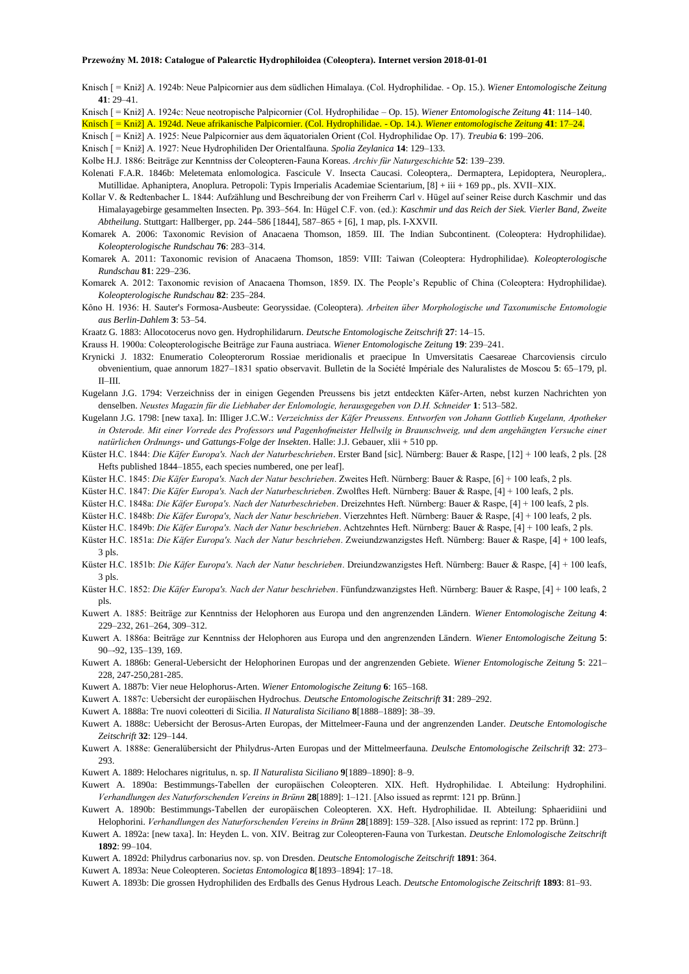Knisch [ = Kniž] A. 1924b: Neue Palpicornier aus dem südlichen Himalaya. (Col. Hydrophilidae. - Op. 15.). *Wiener Entomologische Zeitung*  $41 \cdot 29 - 41$ 

Knisch [ = Kniž] A. 1924c: Neue neotropische Palpicornier (Col. Hydrophilidae – Op. 15). *Wiener Entomologische Zeitung* **41**: 114–140.

Knisch [ = Kniž] A. 1924d. Neue afrikanische Palpicornier. (Col. Hydrophilidae. - Op. 14.). *Wiener entomologische Zeitung* **41**: 17–24.

Knisch [ = Kniž] A. 1925: Neue Palpicornier aus dem äquatorialen Orient (Col. Hydrophilidae Op. 17). *Treubia* **6**: 199–206.

Knisch [ = Kniž] A. 1927: Neue Hydrophiliden Der Orientalfauna. *Spolia Zeylanica* **14**: 129–133.

Kolbe H.J. 1886: Beiträge zur Kenntniss der Coleopteren-Fauna Koreas. *Archiv für Naturgeschichte* **52**: 139–239.

Kolenati F.A.R. 1846b: Meletemata enlomologica. Fascicule V. Insecta Caucasi. Coleoptera,. Dermaptera, Lepidoptera, Neuroplera,. Mutillidae. Aphaniptera, Anoplura. Petropoli: Typis Irnperialis Academiae Scientarium, [8] + iii + 169 pp., pls. XVII–XIX.

Kollar V. & Redtenbacher L. 1844: Aufzählung und Beschreibung der von Freiherrn Carl v. Hügel auf seiner Reise durch Kaschmir und das Himalayagebirge gesammelten Insecten. Pp. 393–564. In: Hügel C.F. von. (ed.): *Kaschmir und das Reich der Siek. Vierler Band, Zweite Abtheilung*. Stuttgart: Hallberger, pp. 244–586 [1844], 587–865 + [6], 1 map, pls. I-XXVII.

- Komarek A. 2006: Taxonomic Revision of Anacaena Thomson, 1859. III. The Indian Subcontinent. (Coleoptera: Hydrophilidae). *Koleopterologische Rundschau* **76**: 283–314.
- Komarek A. 2011: Taxonomic revision of Anacaena Thomson, 1859: VIII: Taiwan (Coleoptera: Hydrophilidae). *Koleopterologische Rundschau* **81**: 229–236.

Komarek A. 2012: Taxonomic revision of Anacaena Thomson, 1859. IX. The People's Republic of China (Coleoptera: Hydrophilidae). *Koleopterologische Rundschau* **82**: 235–284.

Kôno H. 1936: H. Sauter's Formosa-Ausbeute: Georyssidae. (Coleoptera). *Arbeiten über Morphologische und Taxonumische Entomologie aus Berlin-Dahlem* **3**: 53–54.

Kraatz G. 1883: Allocotocerus novo gen. Hydrophilidarurn. *Deutsche Entomologische Zeitschrift* **27**: 14–15.

Krauss H. 1900a: Coleopterologische Beiträge zur Fauna austriaca. *Wiener Entomologische Zeitung* **19**: 239–241.

Krynicki J. 1832: Enumeratio Coleopterorum Rossiae meridionalis et praecipue In Umversitatis Caesareae Charcoviensis circulo obvenientium, quae annorum 1827–1831 spatio observavit. Bulletin de la Société Impériale des Naluralistes de Moscou **5**: 65–179, pl. II–III.

Kugelann J.G. 1794: Verzeichniss der in einigen Gegenden Preussens bis jetzt entdeckten Käfer-Arten, nebst kurzen Nachrichten yon denselben. *Neustes Magazin für die Liebhaber der Enlomologie, herausgegeben von D.H. Schneider* **1**: 513–582.

Kugelann J.G. 1798: [new taxa]. In: IIliger J.C.W.: *Verzeichniss der Käfer Preussens. Entworfen von Johann Gottlieb Kugelann, Apotheker in Osterode. Mit einer Vorrede des Professors und Pagenhofmeister Hellwilg in Braunschweig, und dem angehängten Versuche einer natürlichen Ordnungs- und Gattungs-Folge der Insekten*. Halle: J.J. Gebauer, xlii + 510 pp.

- Küster H.C. 1844: *Die Käfer Europa's. Nach der Naturbeschrieben*. Erster Band [sic]. Nürnberg: Bauer & Raspe, [12] + 100 leafs, 2 pls. [28 Hefts published 1844–1855, each species numbered, one per leaf].
- Küster H.C. 1845: *Die Käfer Europa's. Nach der Natur beschrieben*. Zweites Heft. Nürnberg: Bauer & Raspe, [6] + 100 leafs, 2 pls.
- Küster H.C. 1847: *Die Käfer Europa's. Nach der Naturbeschrieben*. Zwolftes Heft. Nürnberg: Bauer & Raspe, [4] + 100 leafs, 2 pls.
- Küster H.C. 1848a: *Die Käfer Europa's. Nach der Naturbeschrieben*. Dreizehntes Heft. Nürnberg: Bauer & Raspe, [4] + 100 leafs, 2 pls.
- Küster H.C. 1848b: *Die Käfer Europa's, Nach der Natur beschrieben*. Vierzehntes Heft. Nürnberg: Bauer & Raspe, [4] + 100 leafs, 2 pls.
- Küster H.C. 1849b: *Die Käfer Europa's. Nach der Natur beschrieben*. Achtzehntes Heft. Nürnberg: Bauer & Raspe, [4] + 100 leafs, 2 pls.

Küster H.C. 1851a: *Die Käfer Europa's. Nach der Natur beschrieben*. Zweiundzwanzigstes Heft. Nürnberg: Bauer & Raspe, [4] + 100 leafs, 3 pls.

- Küster H.C. 1851b: *Die Käfer Europa's. Nach der Natur beschrieben*. Dreiundzwanzigstes Heft. Nürnberg: Bauer & Raspe, [4] + 100 leafs, 3 pls.
- Küster H.C. 1852: *Die Käfer Europa's. Nach der Natur beschrieben*. Fünfundzwanzigstes Heft. Nürnberg: Bauer & Raspe, [4] + 100 leafs, 2 pls.
- Kuwert A. 1885: Beiträge zur Kenntniss der Helophoren aus Europa und den angrenzenden Ländern. *Wiener Entomologische Zeitung* **4**: 229–232, 261–264, 309–312.
- Kuwert A. 1886a: Beiträge zur Kenntniss der Helophoren aus Europa und den angrenzenden Ländern. *Wiener Entomologische Zeitung* **5**: 90–-92, 135–139, 169.
- Kuwert A. 1886b: General-Uebersicht der Helophorinen Europas und der angrenzenden Gebiete. *Wiener Entomologische Zeitung* **5**: 221– 228, 247-250,281-285.
- Kuwert A. 1887b: Vier neue Helophorus-Arten. *Wiener Entomologische Zeitung* **6**: 165–168.

Kuwert A. 1887c: Uebersicht der europäischen Hydrochus. *Deutsche Entomologische Zeitschrift* **31**: 289–292.

Kuwert A. 1888a: Tre nuovi coleotteri di Sicilia. *Il Naturalista Siciliano* **8**[1888–1889]: 38–39.

Kuwert A. 1888c: Uebersicht der Berosus-Arten Europas, der Mittelmeer-Fauna und der angrenzenden Lander. *Deutsche Entomologische Zeitschrift* **32**: 129–144.

Kuwert A. 1888e: Generalübersicht der Philydrus-Arten Europas und der Mittelmeerfauna. *Deulsche Entomologische Zeilschrift* **32**: 273– 293.

Kuwert A. 1889: Helochares nigritulus, n. sp. *Il Naturalista Siciliano* **9**[1889–1890]: 8–9.

- Kuwert A. 1890a: Bestimmungs-Tabellen der europäischen Coleopteren. XIX. Heft. Hydrophilidae. I. Abteilung: Hydrophilini. *Verhandlungen des Naturforschenden Vereins in Brünn* **28**[1889]: 1–121. [Also issued as reprmt: 121 pp. Brünn.]
- Kuwert A. 1890b: Bestimmungs-Tabellen der europäischen Coleopteren. XX. Heft. Hydrophilidae. II. Abteilung: Sphaeridiini und Helophorini. *Verhandlungen des Naturforschenden Vereins in Brünn* **28**[1889]: 159–328. [Also issued as reprint: 172 pp. Brünn.]
- Kuwert A. 1892a: [new taxa]. In: Heyden L. von. XIV. Beitrag zur Coleopteren-Fauna von Turkestan. *Deutsche Enlomologische Zeitschrift* **1892**: 99–104.

Kuwert A. 1892d: Philydrus carbonarius nov. sp. von Dresden. *Deutsche Entomologische Zeitschrift* **1891**: 364.

Kuwert A. 1893a: Neue Coleopteren. *Societas Entomologica* **8**[1893–1894]: 17–18.

Kuwert A. 1893b: Die grossen Hydrophiliden des Erdballs des Genus Hydrous Leach. *Deutsche Entomologische Zeitschrift* **1893**: 81–93.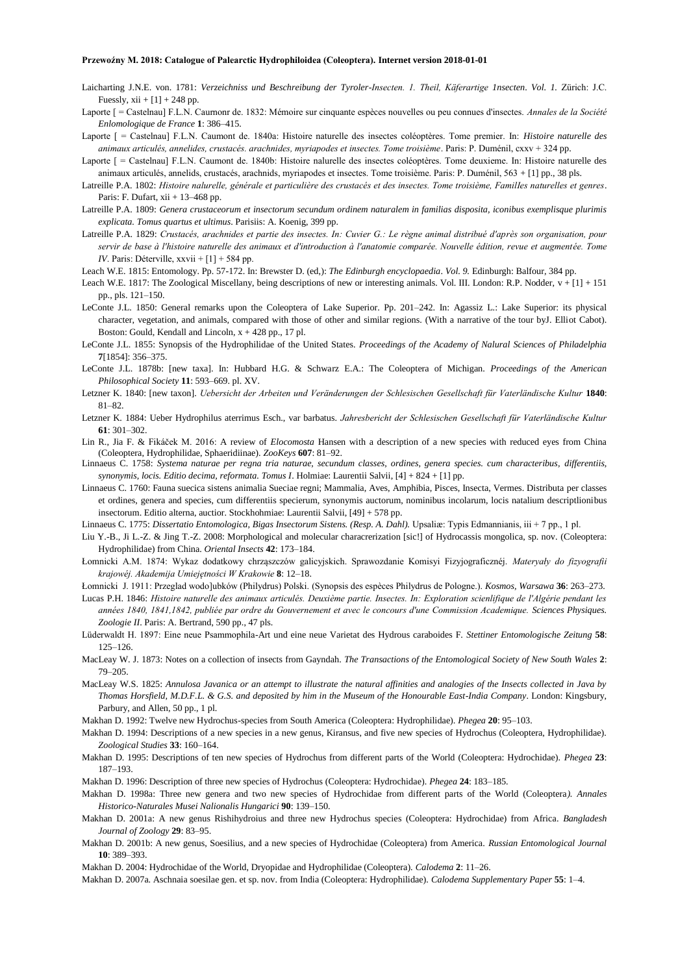- Laicharting J.N.E. von. 1781: *Verzeichniss und Beschreibung der Tyroler-Insecten. 1. Theil, Käferartige 1nsecten*. *Vol. 1.* Zürich: J.C. Fuessly,  $xii + [1] + 248$  pp.
- Laporte [ = Castelnau] F.L.N. Caurnonr de. 1832: Mémoire sur cinquante espèces nouvelles ou peu connues d'insectes. *Annales de la Société Enlomologique de France* **1**: 386–415.
- Laporte [ = Castelnau] F.L.N. Caumont de. 1840a: Histoire naturelle des insectes coléoptères. Tome premier. In: *Histoire naturelle des animaux articulés, annelides, crustacés. arachnides, myriapodes et insectes. Tome troisième*. Paris: P. Duménil, cxxv + 324 pp.
- Laporte [ = Castelnau] F.L.N. Caumont de. 1840b: Histoire nalurelle des insectes coléoptères. Tome deuxieme. In: Histoire naturelle des animaux articulés, annelids, crustacés, arachnids, myriapodes et insectes. Tome troisième. Paris: P. Duménil, 563 + [1] pp., 38 pls.
- Latreille P.A. 1802: *Histoire nalurelle, générale et particulière des crustacés et des insectes. Tome troisième, FamilIes naturelles et genres*. Paris: F. Dufart, xii + 13–468 pp.
- Latreille P.A. 1809: *Genera crustaceorum et insectorum secundum ordinem naturalem in familias disposita, iconibus exemplisque plurimis explicata. Tomus quartus et ultimus*. Parisiis: A. Koenig, 399 pp.
- Latreille P.A. 1829: *Crustacés, arachnides et partie des insectes. In: Cuvier G.: Le règne animal distribué d'après son organisation, pour servir de base à l'histoire naturelle des animaux et d'introduction à l'anatomie comparée. Nouvelle édition, revue et augmentée. Tome IV*. Paris: Déterville, xxvii + [1] + 584 pp.
- Leach W.E. 1815: Entomology. Pp. 57-172. In: Brewster D. (ed,): *The Edinburgh encyclopaedia*. *Vol. 9.* Edinburgh: Balfour, 384 pp.
- Leach W.E. 1817: The Zoological Miscellany, being descriptions of new or interesting animals. Vol. III. London: R.P. Nodder, v + [1] + 151 pp., pls. 121–150.
- LeConte J.L. 1850: General remarks upon the Coleoptera of Lake Superior. Pp. 201–242. In: Agassiz L.: Lake Superior: its physical character, vegetation, and animals, compared with those of other and similar regions. (With a narrative of the tour byJ. Elliot Cabot). Boston: Gould, Kendall and Lincoln, x + 428 pp., 17 pl.
- LeConte J.L. 1855: Synopsis of the Hydrophilidae of the United States. *Proceedings of the Academy of Nalural Sciences of Philadelphia* **7**[1854]: 356–375.
- LeConte J.L. 1878b: [new taxa]. In: Hubbard H.G. & Schwarz E.A.: The Coleoptera of Michigan. *Proceedings of the American Philosophical Society* **11**: 593–669. pl. XV.
- Letzner K. 1840: [new taxon]. *Uebersicht der Arbeiten und Veränderungen der Schlesischen Gesellschaft für Vaterländische Kultur* **1840**: 81–82.
- Letzner K. 1884: Ueber Hydrophilus aterrimus Esch., var barbatus. *Jahresbericht der Schlesischen Gesellschaft für Vaterländische Kultur* **61**: 301–302.
- Lin R., Jia F. & Fikáček M. 2016: A review of *Elocomosta* Hansen with a description of a new species with reduced eyes from China (Coleoptera, Hydrophilidae, Sphaeridiinae). *ZooKeys* **607**: 81–92.
- Linnaeus C. 1758: *Systema naturae per regna tria naturae, secundum classes, ordines, genera species. cum characteribus, differentiis, synonymis, locis. Editio decima, reformata. Tomus I*. Holmiae: Laurentii Salvii, [4] + 824 + [1] pp.
- Linnaeus C. 1760: Fauna suecica sistens animalia Sueciae regni; Mammalia, Aves, Amphibia, Pisces, Insecta, Vermes. Distributa per classes et ordines, genera and species, cum differentiis specierum, synonymis auctorum, nominibus incolarum, locis natalium descriptlionibus insectorum. Editio alterna, auctior. Stockhohmiae: Laurentii Salvii, [49] + 578 pp.
- Linnaeus C. 1775: *Dissertatio Entomologica, Bigas Insectorum Sistens. (Resp. A. Dahl).* Upsaliæ: Typis Edmannianis, iii + 7 pp., 1 pl.
- Liu Y.-B., Ji L.-Z. & Jing T.-Z. 2008: Morphological and molecular characrerization [sic!] of Hydrocassis mongolica, sp. nov. (Coleoptera: Hydrophilidae) from China. *Oriental Insects* **42**: 173–184.
- Łomnicki A.M. 1874: Wykaz dodatkowy chrząszczów galicyjskich. Sprawozdanie Komisyi Fizyjograficznéj. *Materyały do fizyografii krajowéj. Akademija Umiejętności W Krakowie* **8**: 12–18.
- Łomnicki J. 1911: Przeglad wodo]ubków (Philydrus) Polski. (Synopsis des espèces Philydrus de Pologne.). *Kosmos, Warsawa* **36**: 263–273.
- Lucas P.H. 1846: *Histoire naturelle des animaux articulés. Deuxième partie. Insectes. In: Exploration scienlifique de l'Algérie pendant les années 1840, 1841,1842, publiée par ordre du Gouvernement et avec le concours d'une Commission Academique. Sciences Physiques. Zoologie II*. Paris: A. Bertrand, 590 pp., 47 pls.
- Lüderwaldt H. 1897: Eine neue Psammophila-Art und eine neue Varietat des Hydrous caraboides F. *Stettiner Entomologische Zeitung* **58**: 125–126.
- MacLeay W. J. 1873: Notes on a collection of insects from Gayndah. *The Transactions of the Entomological Society of New South Wales* **2**: 79–205.
- MacLeay W.S. 1825: *Annulosa Javanica or an attempt to illustrate the natural affinities and analogies of the Insects collected in Java by Thomas Horsfield, M.D.F.L. & G.S. and deposited by him in the Museum of the Honourable East-India Company*. London: Kingsbury, Parbury, and Allen, 50 pp., 1 pl.
- Makhan D. 1992: Twelve new Hydrochus-species from South America (Coleoptera: Hydrophilidae). *Phegea* **20**: 95–103.
- Makhan D. 1994: Descriptions of a new species in a new genus, Kiransus, and five new species of Hydrochus (Coleoptera, Hydrophilidae). *Zoological Studies* **33**: 160–164.
- Makhan D. 1995: Descriptions of ten new species of Hydrochus from different parts of the World (Coleoptera: Hydrochidae). *Phegea* **23**: 187–193.
- Makhan D. 1996: Description of three new species of Hydrochus (Coleoptera: Hydrochidae). *Phegea* **24**: 183–185.
- Makhan D. 1998a: Three new genera and two new species of Hydrochidae from different parts of the World (Coleoptera*). Annales Historico-Naturales Musei Nalionalis Hungarici* **90**: 139–150.
- Makhan D. 2001a: A new genus Rishihydroius and three new Hydrochus species (Coleoptera: Hydrochidae) from Africa. *Bangladesh Journal of Zoology* **29**: 83–95.
- Makhan D. 2001b: A new genus, Soesilius, and a new species of Hydrochidae (Coleoptera) from America. *Russian Entomological Journal* **10**: 389–393.
- Makhan D. 2004: Hydrochidae of the World, Dryopidae and Hydrophilidae (Coleoptera). *Calodema* **2**: 11–26.

Makhan D. 2007a. Aschnaia soesilae gen. et sp. nov. from India (Coleoptera: Hydrophilidae). *Calodema Supplementary Paper* **55**: 1–4.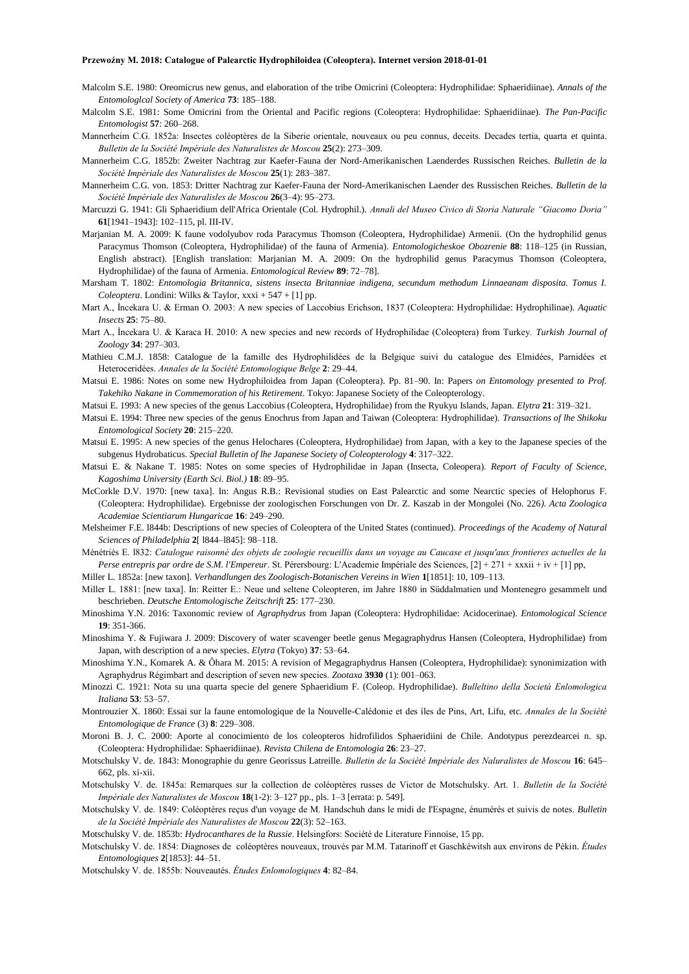- Malcolm S.E. 1980: Oreomicrus new genus, and elaboration of the tribe Omicrini (Coleoptera: Hydrophilidae: Sphaeridiinae). *Annals of the Entomologlcal Society of America* **73**: 185–188.
- Malcolm S.E. 1981: Some Omicrini from the Oriental and Pacific regions (Coleoptera: Hydrophilidae: Sphaeridiinae). *The Pan-Pacific Entomologist* **57**: 260–268.
- Mannerheim C.G. 1852a: Insectes coléoptères de la Siberie orientale, nouveaux ou peu connus, deceits. Decades tertia, quarta et quinta. *Bulletin de la Société Impériale des Naturalistes de Moscou* **25**(2): 273–309.
- Mannerheim C.G. 1852b: Zweiter Nachtrag zur Kaefer-Fauna der Nord-Amerikanischen Laenderdes Russischen Reiches. *Bulletin de la Société Impériale des Naturalistes de Moscou* **25**(1): 283–387.
- Mannerheim C.G. von. 1853: Dritter Nachtrag zur Kaefer-Fauna der Nord-Amerikanischen Laender des Russischen Reiches. *Bulletin de la Société Impériale des Naturalisles de Moscou* **26**(3–4): 95–273.
- Marcuzzi G. 1941: Gli Sphaeridium dell'Africa Orientale (Col. Hydrophil.). *Annali del Museo Civico di Storia Naturale "Giacomo Doria"* **61**[1941–1943]: 102–115, pl. III-IV.
- Marjanian M. A. 2009: K faune vodolyubov roda Paracymus Thomson (Coleoptera, Hydrophilidae) Armenii. (On the hydrophilid genus Paracymus Thomson (Coleoptera, Hydrophilidae) of the fauna of Armenia). *Entomologicheskoe Obozrenie* **88**: 118–125 (in Russian, English abstract). [English translation: Marjanian M. A. 2009: On the hydrophilid genus Paracymus Thomson (Coleoptera, Hydrophilidae) of the fauna of Armenia. *Entomological Review* **89**: 72–78].
- Marsham T. 1802: *Entomologia Britannica, sistens insecta Britanniae indigena, secundum methodum Linnaeanam disposita. Tomus I. Coleoptera*. Londini: Wilks & Taylor, xxxi + 547 + [1] pp.
- Mart A., İncekara U. & Erman O. 2003: A new species of Laccobius Erichson, 1837 (Coleoptera: Hydrophilidae: Hydrophilinae). *Aquatic Insects* **25**: 75–80.
- Mart A., İncekara U. & Karaca H. 2010: A new species and new records of Hydrophilidae (Coleoptera) from Turkey. *Turkish Journal of Zoology* **34**: 297–303.
- Mathieu C.M.J. 1858: Catalogue de la famille des Hydrophilidées de la Belgique suivi du catalogue des Elmidées, Parnidées et Heteroceridées. *Annales de la Société Entomologique Belge* **2**: 29–44.
- Matsui E. 1986: Notes on some new Hydrophiloidea from Japan (Coleoptera). Pp. 81–90. In: Papers *on Entomology presented to Prof. Takehiko Nakane in Commemoration of his Retirement*. Tokyo: Japanese Society of the Coleopterology.
- Matsui E. 1993: A new species of the genus Laccobius (Coleoptera, Hydrophilidae) from the Ryukyu Islands, Japan. *Elytra* **21**: 319–321.
- Matsui E. 1994: Three new species of the genus Enochrus from Japan and Taiwan (Coleoptera: Hydrophilidae). *Transactions of lhe Shikoku Entomological Society* **20**: 215–220.
- Matsui E. 1995: A new species of the genus Helochares (Coleoptera, Hydrophilidae) from Japan, with a key to the Japanese species of the subgenus Hydrobaticus. *Special Bulletin of lhe Japanese Society of Coleopterology* **4**: 317–322.
- Matsui E. & Nakane T. 1985: Notes on some species of Hydrophilidae in Japan (Insecta, Coleopera). *Report of Faculty of Science, Kagoshima University (Earth Sci. Biol.)* **18**: 89–95.
- McCorkle D.V. 1970: [new taxa]. In: Angus R.B.: Revisional studies on East Palearctic and some Nearctic species of Helophorus F. (Coleoptera: Hydrophilidae). Ergebnisse der zoologischen Forschungen von Dr. Z. Kaszab in der Mongolei (No. 226*). Acta Zoologica Academiae Scientiarum Hungaricae* **16**: 249–290.
- Melsheimer F.E. l844b: Descriptions of new species of Coleoptera of the United States (continued). *Proceedings of the Academy of Natural Sciences of Philadelphia* **2**[ l844–l845]: 98–118.
- Ménétriés E. l832: *Catalogue raisonné des objets de zoologie recueillis dans un voyage au Caucase et jusqu'aux frontieres actuelles de la Perse entrepris par ordre de S.M. l'Empereur*. St. Pérersbourg: L'Academie Impériale des Sciences, [2] + 271 + xxxii + iv + [1] pp,
- Miller L. 1852a: [new taxon]. *Verhandlungen des Zoologisch-Botanischen Vereins in Wien* **1**[1851]: 10, 109–113.
- Miller L. 1881: [new taxa]. In: Reitter E.: Neue und seltene Coleopteren, im Jahre 1880 in Süddalmatien und Montenegro gesammelt und beschrieben. *Deutsche Entomologische Zeitschrift* **25**: 177–230.
- Minoshima Y.N. 2016: Taxonomic review of *Agraphydrus* from Japan (Coleoptera: Hydrophilidae: Acidocerinae). *Entomological Science* **19**: 351-366.
- Minoshima Y. & Fujiwara J. 2009: Discovery of water scavenger beetle genus Megagraphydrus Hansen (Coleoptera, Hydrophilidae) from Japan, with description of a new species. *Elytra* (Tokyo) **37**: 53–64.
- Minoshima Y.N., Komarek A. & Ôhara M. 2015: A revision of Megagraphydrus Hansen (Coleoptera, Hydrophilidae): synonimization with Agraphydrus Régimbart and description of seven new species. *Zootaxa* **3930** (1): 001–063.
- Minozzi C. 1921: Nota su una quarta specie del genere Sphaeridium F. (Coleop. Hydrophilidae). *Bulleltino della Società Enlomologica Italiana* **53**: 53–57.
- Montrouzier X. 1860: Essai sur la faune entomologique de la Nouvelle-Calédonie et des íles de Pins, Art, Lifu, etc. *Annales de la Société Entomologique de France* (3) **8**: 229–308.
- Moroni B. J. C. 2000: Aporte al conocimiento de los coleopteros hidrofilidos Sphaeridiini de Chile. Andotypus perezdearcei n. sp. (Coleoptera: Hydrophilidae: Sphaeridiinae). *Revista Chilena de Entomologia* **26**: 23–27.
- Motschulsky V. de. 1843: Monographie du genre Georissus Latreille. *Bulletin de la Société Impériale des Naluralistes de Moscou* **16**: 645– 662, pls. xi-xii.
- Motschulsky V. de. 1845a: Remarques sur la collection de coléoptères russes de Victor de Motschulsky. Art. 1. *Bulletin de la Société Impériale des Naturalistes de Moscou* **18**(1-2): 3–127 pp., pls. 1–3 [errata: p. 549].
- Motschulsky V. de. 1849: Coléoptères reçus d'un voyage de M. Handschuh dans le midi de I'Espagne, énumérés et suivis de notes. *Bulletin de la Société Impériale des Naturalistes de Moscou* **22**(3): 52–163.
- Motschulsky V. de. 1853b: *Hydrocanthares de la Russie*. Helsingfors: Société de Literature Finnoise, 15 pp.
- Motschulsky V. de. 1854: Diagnoses de coléoptères nouveaux, trouvés par M.M. Tatarinoff et Gaschkéwitsh aux environs de Pékin. *Études Entomologiques* **2**[1853]: 44–51.
- Motschulsky V. de. 1855b: Nouveautés. *Études Enlomologiques* **4**: 82–84.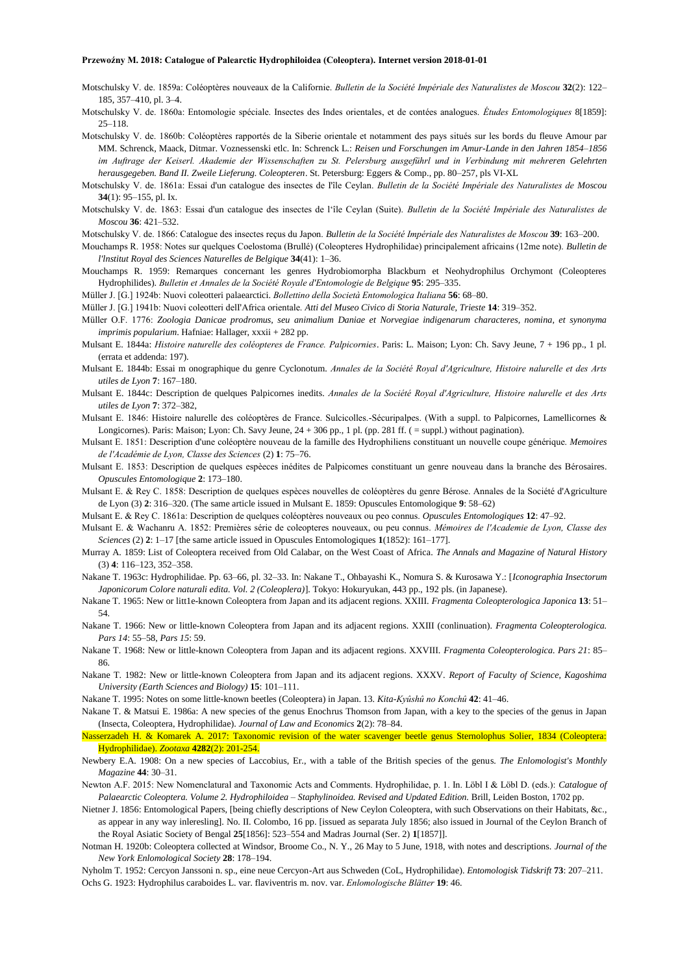Motschulsky V. de. 1859a: Coléoptères nouveaux de la Californie. *Bulletin de la Société Impériale des Naturalistes de Moscou* **32**(2): 122– 185, 357–410, pl. 3–4.

Motschulsky V. de. 1860a: Entomologie spéciale. Insectes des Indes orientales, et de contées analogues. *Études Entomologiques* 8[1859]: 25–118.

- Motschulsky V. de. 1860b: Coléoptères rapportés de la Siberie orientale et notamment des pays situés sur les bords du fleuve Amour par MM. Schrenck, Maack, Ditmar. Voznessenski etlc. In: Schrenck L.: *Reisen und Forschungen im Amur-Lande in den Jahren 1854–1856 im Auftrage der Keiserl. Akademie der Wissenschaften zu St. Pelersburg ausgeführl und in Verbindung mit mehreren Gelehrten herausgegeben. Band II. Zweile Lieferung. Coleopteren*. St. Petersburg: Eggers & Comp., pp. 80–257, pls VI-XL
- Motschulsky V. de. 1861a: Essai d'un catalogue des insectes de I'île Ceylan. *Bulletin de la Société Impériale des Naturalistes de Moscou* **34**(1): 95–155, pl. Ix.
- Motschulsky V. de. 1863: Essai d'un catalogue des insectes de l'île Ceylan (Suite). *Bulletin de la Société Impériale des Naturalistes de Moscou* **36**: 421–532.
- Motschulsky V. de. 1866: Catalogue des insectes reçus du Japon. *Bulletin de la Société Impériale des Naturalistes de Moscou* **39**: 163–200.
- Mouchamps R. 1958: Notes sur quelques Coelostoma (Brullé) (Coleopteres Hydrophilidae) principalement africains (12me note). *Bulletin de l'lnstitut Royal des Sciences Naturelles de Belgique* **34**(41): 1–36.
- Mouchamps R. 1959: Remarques concernant les genres Hydrobiomorpha Blackburn et Neohydrophilus Orchymont (Coleopteres Hydrophilides). *Bulletin et Annales de la Société Royale d'Entomologie de Belgique* **95**: 295–335.
- Müller J. [G.] 1924b: Nuovi coleotteri palaearctici. *Bollettino della Società Entomologica Italiana* **56**: 68–80.
- Müller J. [G.] 1941b: Nuovi coleotteri delI'Africa orientale. *Atti del Museo Civico di Storia Naturale, Trieste* **14**: 319*–*352.
- Müller O.F. 1776: *Zoologia Danicae prodromus, seu animalium Daniae et Norvegiae indigenarum characteres, nomina, et synonyma imprimis popularium*. Hafniae: Hallager, xxxii + 282 pp.
- Mulsant E. 1844a: *Histoire naturelle des coléopteres de France. Palpicornies*. Paris: L. Maison; Lyon: Ch. Savy Jeune, 7 + 196 pp., 1 pl. (errata et addenda: 197).
- Mulsant E. 1844b: Essai m onographique du genre Cyclonotum. *Annales de la Société Royal d'Agriculture, Histoire nalurelle et des Arts utiles de Lyon* **7**: 167–180.
- Mulsant E. 1844c: Description de quelques Palpicornes inedits. *Annales de la Société Royal d'Agriculture, Histoire nalurelle et des Arts utiles de Lyon* **7**: 372–382,
- Mulsant E. 1846: Histoire nalurelle des coléoptères de France. Sulcicolles.-Sécuripalpes. (With a suppl. to Palpicornes, Lamellicornes & Longicornes). Paris: Maison; Lyon: Ch. Savy Jeune, 24 + 306 pp., 1 pl. (pp. 281 ff. ( = suppl.) without pagination).
- Mulsant E. 1851: Description d'une coléoptère nouveau de la famille des Hydrophiliens constituant un nouvelle coupe générique. *Memoires de l'Académie de Lyon, Classe des Sciences* (2) **1**: 75–76.
- Mulsant E. 1853: Description de quelques espèeces inédites de Palpicomes constituant un genre nouveau dans la branche des Bérosaires. *Opuscules Entomologique* **2**: 173–180.
- Mulsant E. & Rey C. 1858: Description de quelques espèces nouvelles de coléoptères du genre Bérose. Annales de la Société d'Agriculture de Lyon (3) **2**: 316–320. (The same article issued in Mulsant E. 1859: Opuscules Entomologique **9**: 58–62)
- Mulsant E. & Rey C. 1861a: Description de quelques coléoptères nouveaux ou peo connus. *Opuscules Entomologiques* **12**: 47–92.
- Mulsant E. & Wachanru A. 1852: Premières série de coleopteres nouveaux, ou peu connus. *Mémoires de l'Academie de Lyon, Classe des Sciences* (2) **2**: 1–17 [the same article issued in Opuscules Entomologiques **1**(1852): 161–177].
- Murray A. 1859: List of Coleoptera received from Old Calabar, on the West Coast of Africa. *The Annals and Magazine of Natural History* (3) **4**: 116–123, 352–358.
- Nakane T. 1963c: Hydrophilidae. Pp. 63–66, pl. 32–33. In: Nakane T., Ohbayashi K., Nomura S. & Kurosawa Y.: [*Iconographia Insectorum Japonicorum Colore naturali edita. Vol. 2 (Coleoplera)*]. Tokyo: Hokuryukan, 443 pp., 192 pls. (in Japanese).
- Nakane T. 1965: New or litt1e-known Coleoptera from Japan and its adjacent regions. XXIII. *Fragmenta Coleopterologica Japonica* **13**: 51– 54.
- Nakane T. 1966: New or little-known Coleoptera from Japan and its adjacent regions. XXIII (conlinuation). *Fragmenta Coleopterologica. Pars 14*: 55–58, *Pars 15*: 59.
- Nakane T. 1968: New or little-known Coleoptera from Japan and its adjacent regions. XXVIII. *Fragmenta Coleopterologica. Pars 21*: 85– 86.
- Nakane T. 1982: New or little-known Coleoptera from Japan and its adjacent regions. XXXV. *Report of Faculty of Science, Kagoshima University (Earth Sciences and Biology)* **15**: 101–111.
- Nakane T. 1995: Notes on some little-known beetles (Coleoptera) in Japan. 13. *Kita-Kyûshû no Konchû* **42**: 41–46.
- Nakane T. & Matsui E. 1986a: A new species of the genus Enochrus Thomson from Japan, with a key to the species of the genus in Japan (Insecta, Coleoptera, Hydrophilidae). *Journal of Law and Economics* **2**(2): 78–84.
- Nasserzadeh H. & Komarek A. 2017: Taxonomic revision of the water scavenger beetle genus Sternolophus Solier, 1834 (Coleoptera: Hydrophilidae). *Zootaxa* **4282**(2): 201-254.
- Newbery E.A. 1908: On a new species of Laccobius, Er., with a table of the British species of the genus. *The Enlomologist's Monthly Magazine* **44**: 30–31.
- Newton A.F. 2015: New Nomenclatural and Taxonomic Acts and Comments. Hydrophilidae, p. 1. In. Löbl I & Löbl D. (eds.): *Catalogue of Palaearctic Coleoptera. Volume 2. Hydrophiloidea – Staphylinoidea. Revised and Updated Edition.* Brill, Leiden Boston, 1702 pp.
- Nietner J. 1856: Entomological Papers, [being chiefly descriptions of New Ceylon Coleoptera, with such Observations on their Habitats, &c., as appear in any way inleresling]. No. II. Colombo, 16 pp. [issued as separata July 1856; also issued in Journal of the Ceylon Branch of the Royal Asiatic Society of Bengal **25**[1856]: 523–554 and Madras Journal (Ser. 2) **1**[1857]].
- Notman H. 1920b: Coleoptera collected at Windsor, Broome Co., N. Y., 26 May to 5 June, 1918, with notes and descriptions. *Journal of the New York Enlomological Society* **28**: 178–194.
- Nyholm T. 1952: Cercyon Janssoni n. sp., eine neue Cercyon-Art aus Schweden (CoL, Hydrophilidae). *Entomologisk Tidskrift* **73**: 207–211. Ochs G. 1923: Hydrophilus caraboides L. var. flaviventris m. nov. var. *Enlomologische Blätter* **19**: 46.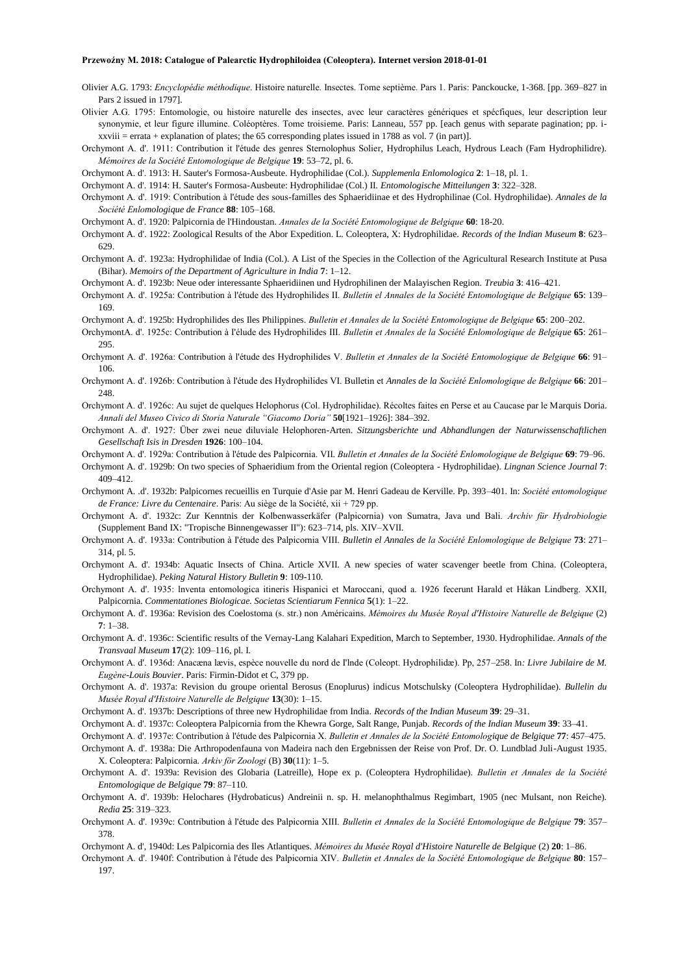- Olivier A.G. 1793: *Encyclopédie méthodique*. Histoire naturelle. Insectes. Tome septième. Pars 1. Paris: Panckoucke, 1-368. [pp. 369–827 in Pars 2 issued in 1797].
- Olivier A.G. 1795: Entomologie, ou histoire naturelle des insectes, avec leur caractères génériques et spécfiques, leur description leur synonymie, et leur figure illumine. Coléoptères. Tome troisieme. Paris: Lanneau, 557 pp. [each genus with separate pagination; pp. ixxviii = errata + explanation of plates; the 65 corresponding plates issued in 1788 as vol. 7 (in part)].
- Orchymont A. d'. 1911: Contribution it l'étude des genres Sternolophus Solier, Hydrophilus Leach, Hydrous Leach (Fam Hydrophilidre). *Mémoires de la Société Entomologique de Belgique* **19**: 53–72, pl. 6.
- Orchymont A. d'. 1913: H. Sauter's Formosa-Ausbeute. Hydrophilidae (Col.). *Supplemenla Enlomologica* **2**: 1–18, pl. 1.

Orchymont A. d'. 1914: H. Sauter's Formosa-Ausbeute: Hydrophilidae (Col.) II*. Entomologische Mitteilungen* **3**: 322–328.

- Orchymont A. d'. 1919: Contribution à l'étude des sous-familles des Sphaeridiinae et des Hydrophilinae (Col. Hydrophilidae). *Annales de la Société Enlomologique de France* **88**: 105–168.
- Orchymont A. d'. 1920: Palpicornia de l'Hindoustan. *Annales de la Société Entomologique de Belgique* **60**: 18-20.
- Orchymont A. d'. 1922: Zoological Results of the Abor Expedition. L. Coleoptera, X: Hydrophilidae. *Records of the Indian Museum* **8**: 623– 629.
- Orchymont A. d'. 1923a: Hydrophilidae of India (Col.). A List of the Species in the Collection of the Agricultural Research Institute at Pusa (Bihar). *Memoirs of the Department of Agriculture in India* **7**: 1–12.
- Orchymont A. d'. 1923b: Neue oder interessante Sphaeridiinen und Hydrophilinen der Malayischen Region. *Treubia* **3**: 416–421.
- Orchymont A. d'. 1925a: Contribution à l'étude des Hydrophilides II. *Bulletin el Annales de la Société Entomologique de Belgique* **65**: 139– 169.
- Orchymont A. d'. 1925b: Hydrophilides des Iles Philippines. *Bulletin et Annales de la Société Entomologique de Belgique* **65**: 200–202.
- OrchymontA. d'. 1925c: Contribution à I'élude des Hydrophilides III. *Bulletin et Annales de la Société Enlomologique de Belgique* **65**: 261– 295.
- Orchymont A. d'. 1926a: Contribution à l'étude des Hydrophilides V. *Bulletin et Annales de la Société Entomologique de Belgique* **66**: 91– 106.
- Orchymont A. d'. 1926b: Contribution à l'étude des Hydrophilides VI. Bulletin et *Annales de la Société Enlomologique de Belgique* **66**: 201– 248
- Orchymont A. d'. 1926c: Au sujet de quelques Helophorus (Col. Hydrophilidae). Récoltes faites en Perse et au Caucase par le Marquis Doria. *Annali del Museo Civico di Storia Naturale "Giacomo Doria"* **50**[1921–1926]: 384–392.
- Orchymont A. d'. 1927: Über zwei neue diluviale Helophoren-Arten. *Sitzungsberichte und Abhandlungen der Naturwissenschaftlichen Gesellschaft Isis in Dresden* **1926**: 100–104.
- Orchymont A. d'. 1929a: Contribution à l'étude des Palpicornia. VII. *Bulletin et Annales de la Société Enlomologique de Belgique* **69**: 79–96.
- Orchymont A. d'. 1929b: On two species of Sphaeridium from the Oriental region (Coleoptera Hydrophilidae). *Lingnan Science Journal* **7**: 409–412.
- Orchymont A. .d'. 1932b: Palpicornes recueillis en Turquie d'Asie par M. Henri Gadeau de Kerville. Pp. 393–401. In: *Société entomologique de France: Livre du Centenaire*. Paris: Au siège de la Société, xii + 729 pp.
- Orchymont A. d'. 1932c: Zur Kenntnis der Kolbenwasserkäfer (Palpicornia) von Sumatra, Java und Bali. *Archiv für Hydrobiologie* (Supplement Band IX: "Tropische Binnengewasser II"): 623–714, pls. XIV–XVII.
- Orchymont A. d'. 1933a: Contribution à I'étude des Palpicornia VIII. *Bulletin el Annales de la Société Enlomologique de Belgique* **73**: 271– 314, pl. 5.
- Orchymont A. d'. 1934b: Aquatic Insects of China. Article XVII. A new species of water scavenger beetle from China. (Coleoptera, Hydrophilidae). *Peking Natural History Bulletin* **9**: 109-110.
- Orchymont A. d'. 1935: lnventa entomologica itineris Hispanici et Maroccani, quod a. 1926 fecerunt Harald et Håkan Lindberg. XXII, Palpicornia. *Commentationes Biologicae. Societas Scientiarum Fennica* **5**(1): 1–22.
- Orchymont A. d'. 1936a: Revision des Coelostoma (s. str.) non Américains. *Mémoires du Musée Royal d'Histoire Naturelle de Belgique* (2) **7**: 1–38.
- Orchymont A. d'. 1936c: Scientific results of the Vernay-Lang Kalahari Expedition, March to September, 1930. Hydrophilidae. *Annals of the Transvaal Museum* **17**(2): 109–116, pl. I.
- Orchymont A. d'. 1936d: Anacæna lævis, espèce nouvelle du nord de I'lnde (Coleopt. Hydrophilidæ). Pp, 257–258. In*: Livre Jubilaire de M. Eugène-Louis Bouvier*. Paris: Firmin-Didot et C, 379 pp.
- Orchymont A. d'. 1937a: Revision du groupe oriental Berosus (Enoplurus) indicus Motschulsky (Coleoptera Hydrophilidae). *Bullelin du Musée Royal d'Histoire Naturelle de Belgique* **13**(30): 1–15.
- Orchymont A. d'. 1937b: Descriptions of three new Hydrophilidae from India. *Records of the Indian Museum* **39**: 29–31.
- Orchymont A. d'. 1937c: Coleoptera Palpicornia from the Khewra Gorge, Salt Range, Punjab. *Records of the Indian Museum* **39**: 33–41.
- Orchymont A. d'. 1937e: Contribution à l'étude des Palpicornia X. *Bulletin et Annales de la Société Entomologique de Belgique* **77**: 457–475.
- Orchymont A. d'. 1938a: Die Arthropodenfauna von Madeira nach den Ergebnissen der Reise von Prof. Dr. O. Lundblad Juli-August 1935. X. Coleoptera: Palpicornia. *Arkiv för Zoologi* (B) **30**(11): 1–5.
- Orchymont A. d'. 1939a: Revision des Globaria (Latreille), Hope ex p. (Coleoptera Hydrophilidae). *Bulletin et Annales de la Société Entomologique de Belgique* **79**: 87–110.
- Orchymont A. d'. 1939b: Helochares (Hydrobaticus) Andreinii n. sp. H. melanophthalmus Regimbart, 1905 (nec Mulsant, non Reiche). *Redia* **25**: 319–323.
- Orchymont A. d'. 1939c: Contribution à l'étude des Palpicornia XIII. *Bulletin et Annales de la Société Entomologique de Belgique* **79**: 357– 378.
- Orchymont A. d', 1940d: Les Palpicornia des Iles Atlantiques. *Mémoires du Musée Royal d'Histoire Naturelle de Belgique* (2) **20**: 1–86.
- Orchymont A. d'. 1940f: Contribution à l'étude des Palpicornia XIV. *Bulletin et Annales de la Société Entomologique de Belgique* **80**: 157– 197.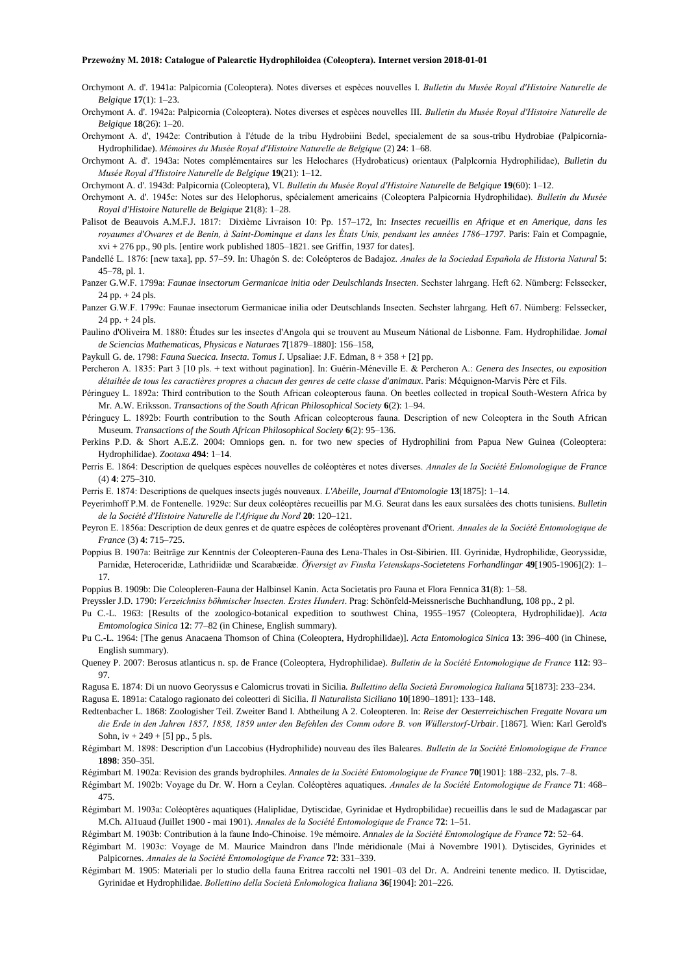- Orchymont A. d'. 1941a: Palpicornia (Coleoptera). Notes diverses et espèces nouvelles I. *Bulletin du Musée Royal d'Histoire Naturelle de Belgique* **17**(1): 1–23.
- Orchymont A. d'. 1942a: Palpicornia (Coleoptera). Notes diverses et espèces nouvelles III. *Bulletin du Musée Royal d'Histoire Naturelle de Belgique* **18**(26): 1–20.
- Orchymont A. d', 1942e: Contribution à I'étude de la tribu Hydrobiini Bedel, specialement de sa sous-tribu Hydrobiae (Palpicornia-Hydrophilidae). *Mémoires du Musée Royal d'Histoire Naturelle de Belgique* (2) **24**: 1–68.
- Orchymont A. d'. 1943a: Notes complémentaires sur les Helochares (Hydrobaticus) orientaux (Palplcornia Hydrophilidae), *Bulletin du Musée Royal d'Histoire Naturelle de Belgique* **19**(21): 1–12.
- Orchymont A. d'. 1943d: Palpicornia (Coleoptera), VI. *Bulletin du Musée Royal d'Histoire Naturelle de Belgique* **19**(60): 1–12.
- Orchymont A. d'. 1945c: Notes sur des Helophorus, spécialement americains (Coleoptera Palpicornia Hydrophilidae). *Bulletin du Musée Royal d'Histoire Naturelle de Belgique* **2**1(8): 1–28.
- Palisot de Beauvois A.M.F.J. 1817: Dixième Livraison 10: Pp. 157–172, In: *Insectes recueillis en Afrique et en Amerique, dans les royaumes d'Owares et de Benin, à Saint-Dominque et dans les États Unis, pendsant les années 1786–1797*. Paris: Fain et Compagnie, xvi + 276 pp., 90 pls. [entire work published 1805–1821. see Griffin, 1937 for dates].
- Pandellé L. 1876: [new taxa], pp. 57–59. In: Uhagón S. de: Coleópteros de Badajoz. *Anales de la Sociedad Española de Historia Natural* **5**: 45–78, pl. 1.
- Panzer G.W.F. 1799a: *Faunae insectorum Germanicae initia oder Deulschlands Insecten*. Sechster lahrgang. Heft 62. Nümberg: Felssecker, 24 pp. + 24 pls.
- Panzer G.W.F. 1799c: Faunae insectorum Germanicae inilia oder Deutschlands Insecten. Sechster lahrgang. Heft 67. Nümberg: Felssecker, 24 pp. + 24 pls.
- Paulino d'Oliveira M. 1880: Études sur les insectes d'Angola qui se trouvent au Museum Nátional de Lisbonne. Fam. Hydrophilidae. J*omal de Sciencias Mathematicas, Physicas e Naturaes* **7**[1879–1880]: 156–158,
- Paykull G. de. 1798: *Fauna Suecica. Insecta. Tomus I*. Upsaliae: J.F. Edman, 8 + 358 + [2] pp.
- Percheron A. 1835: Part 3 [10 pls. + text without pagination]. In: Guérin-Méneville E. & Percheron A.: *Genera des Insectes, ou exposition détailtée de tous les caractières propres a chacun des genres de cette classe d'animaux*. Paris: Méquignon-Marvis Père et Fils.
- Péringuey L. 1892a: Third contribution to the South African coleopterous fauna. On beetles collected in tropical South-Western Africa by Mr. A.W. Eriksson. *Transactions of the South African Philosophical Society* **6**(2): 1–94.
- Péringuey L. 1892b: Fourth contribution to the South African coleopterous fauna. Description of new Coleoptera in the South African Museum. *Transactions of the South African Philosophical Society* **6**(2): 95–136.
- Perkins P.D. & Short A.E.Z. 2004: Omniops gen. n. for two new species of Hydrophilini from Papua New Guinea (Coleoptera: Hydrophilidae). *Zootaxa* **494**: 1–14.
- Perris E. 1864: Description de quelques espèces nouvelles de coléoptères et notes diverses. *Annales de la Société Enlomologique de France* (4) **4**: 275–310.
- Perris E. 1874: Descriptions de quelques insects jugés nouveaux. *L'Abeille, Journal d'Entomologie* **13**[1875]: 1–14.
- Peyerimhoff P.M. de Fontenelle. 1929c: Sur deux coléoptères recueillis par M.G. Seurat dans les eaux sursalées des chotts tunisiens. *Bulletin de la Société d'Histoire Naturelle de l'Afrique du Nord* **20**: 120–121.
- Peyron E. 1856a: Description de deux genres et de quatre espèces de coléoptères provenant d'Orient. *Annales de la Société Entomologique de France* (3) **4**: 715–725.
- Poppius B. 1907a: Beiträge zur Kenntnis der Coleopteren-Fauna des Lena-Thales in Ost-Sibirien. III. Gyrinidæ, Hydrophilidæ, Georyssidæ, Parnidæ, Heteroceridæ, Lathridiidæ und Scarabæidæ. *Öfversigt av Finska Vetenskaps-Societetens Forhandlingar* **49**[1905-1906](2): 1– 17.
- Poppius B. 1909b: Die Coleopleren-Fauna der Halbinsel Kanin. Acta Societatis pro Fauna et Flora Fennica **31**(8): 1–58.
- Preyssler J.D. 1790: *Verzeichniss böhmischer lnsecten. Erstes Hundert*. Prag: Schönfeld-Meissnerische Buchhandlung, 108 pp., 2 pl.
- Pu C.-L. 1963: [Results of the zoologico-botanical expedition to southwest China, 1955–1957 (Coleoptera, Hydrophilidae)]. *Acta Emtomologica Sinica* **12**: 77–82 (in Chinese, English summary).
- Pu C.-L. 1964: [The genus Anacaena Thomson of China (Coleoptera, Hydrophilidae)]. *Acta Entomologica Sinica* **13**: 396–400 (in Chinese, English summary).
- Queney P. 2007: Berosus atlanticus n. sp. de France (Coleoptera, Hydrophilidae). *Bulletin de la Société Entomologique de France* **112**: 93– 97.
- Ragusa E. 1874: Di un nuovo Georyssus e Calomicrus trovati in Sicilia. *Bullettino della Società Enromologica Italiana* **5**[1873]: 233–234.
- Ragusa E. 1891a: Catalogo ragionato dei coleotteri di Sicilia. *Il Naturalista Siciliano* **10**[1890–1891]: 133–148.
- Redtenbacher L. 1868: Zoologisher Teil. Zweiter Band I. Abtheilung A 2. Coleopteren. In: *Reise der Oesterreichischen Fregatte Novara um die Erde in den Jahren 1857, 1858, 1859 unter den Befehlen des Comm odore B. von Wüllerstorf-Urbair*. [1867]. Wien: Karl Gerold's Sohn,  $iv + 249 + [5]$  pp., 5 pls.
- Régimbart M. 1898: Description d'un Laccobius (Hydrophilide) nouveau des îles Baleares. *Bulletin de la Société Enlomologique de France* **1898**: 350–35l.
- Régimbart M. 1902a: Revision des grands bydrophiles. *Annales de la Société Entomologique de France* **70**[1901]: 188–232, pls. 7–8.
- Régimbart M. 1902b: Voyage du Dr. W. Horn a Ceylan. Coléoptères aquatiques. *Annales de la Société Entomologique de France* **71**: 468– 475.
- Régimbart M. 1903a: Coléoptères aquatiques (Haliplidae, Dytiscidae, Gyrinidae et Hydropbilidae) recueillis dans le sud de Madagascar par M.Ch. Al1uaud (Juillet 1900 - mai 1901). *Annales de la Société Entomologique de France* **72**: 1–51.
- Régimbart M. 1903b: Contribution à la faune Indo-Chinoise. 19e mémoire. *Annales de la Société Entomologique de France* **72**: 52–64.
- Régimbart M. 1903c: Voyage de M. Maurice Maindron dans l'lnde méridionale (Mai à Novembre 1901). Dytiscides, Gyrinides et Palpicornes. *Annales de la Société Entomologique de France* **72**: 331–339.
- Régimbart M. 1905: Materiali per lo studio della fauna Eritrea raccolti nel 1901–03 del Dr. A. Andreini tenente medico. II. Dytiscidae, Gyrinidae et Hydrophilidae. *Bollettino della Società Enlomologica Italiana* **36**[1904]: 201–226.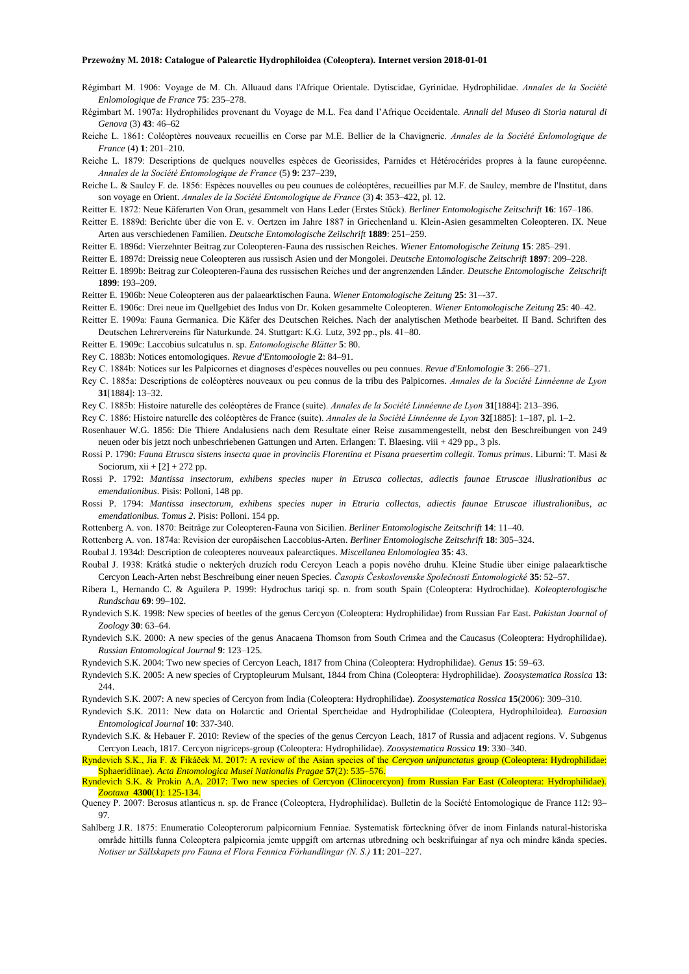- Régimbart M. 1906: Voyage de M. Ch. Alluaud dans l'Afrique Orientale. Dytiscidae, Gyrinidae. Hydrophilidae. *Annales de la Société Enlomologique de France* **75**: 235–278.
- Régimbart M. 1907a: Hydrophilides provenant du Voyage de M.L. Fea dand l'Afrique Occidentale. *Annali del Museo di Storia natural di Genova* (3) **43**: 46–62
- Reiche L. 1861: Coléoptères nouveaux recueillis en Corse par M.E. Bellier de la Chavignerie. *Annales de la Société Enlomologique de France* (4) **1**: 201–210.
- Reiche L. 1879: Descriptions de quelques nouvelles espèces de Georissides, Parnides et Hétérocérides propres à la faune européenne. *Annales de la Société Entomologique de France* (5) **9**: 237–239,
- Reiche L. & Saulcy F. de. 1856: Espèces nouvelles ou peu counues de coléoptères, recueillies par M.F. de Saulcy, membre de l'Institut, dans son voyage en Orient. *Annales de la Société Entomologique de France* (3) **4**: 353–422, pl. 12.
- Reitter E. 1872: Neue Käferarten Von Oran, gesammelt von Hans Leder (Erstes Stück). *Berliner Entomologische Zeitschrift* **16**: 167–186.
- Reitter E. 1889d: Berichte über die von E. v. Oertzen im Jahre 1887 in Griechenland u. Klein-Asien gesammelten Coleopteren. IX. Neue Arten aus verschiedenen Familien. *Deutsche Entomologische Zeilschrift* **1889**: 251–259.
- Reitter E. 1896d: Vierzehnter Beitrag zur Coleopteren-Fauna des russischen Reiches. *Wiener Entomologische Zeitung* **15**: 285–291.
- Reitter E. 1897d: Dreissig neue Coleopteren aus russisch Asien und der Mongolei. *Deutsche Entomologische Zeitschrift* **1897**: 209–228.
- Reitter E. 1899b: Beitrag zur Coleopteren-Fauna des russischen Reiches und der angrenzenden Länder. *Deutsche Entomologische Zeitschrift*  **1899**: 193–209.
- Reitter E. 1906b: Neue Coleopteren aus der palaearktischen Fauna. *Wiener Entomologische Zeitung* **25**: 31–-37.
- Reitter E. 1906c: Drei neue im Quellgebiet des Indus von Dr. Koken gesammelte Coleopteren. *Wiener Entomologische Zeitung* **25**: 40–42.
- Reitter E. 1909a: Fauna Germanica. Die Käfer des Deutschen Reiches. Nach der analytischen Methode bearbeitet. II Band. Schriften des Deutschen Lehrervereins für Naturkunde. 24. Stuttgart: K.G. Lutz, 392 pp., pls. 41–80.
- Reitter E. 1909c: Laccobius sulcatulus n. sp. *Entomologische Blätter* **5**: 80.
- Rey C. 1883b: Notices entomologiques. *Revue d'Entomoologie* **2**: 84–91.
- Rey C. 1884b: Notices sur les Palpicornes et diagnoses d'espèces nouvelles ou peu connues. *Revue d'Enlomologie* **3**: 266–271.
- Rey C. 1885a: Descriptions de coléoptères nouveaux ou peu connus de la tribu des Palpicornes. *Annales de la Société Linnéenne de Lyon* **31**[1884]: 13–32.
- Rey C. 1885b: Histoire naturelle des coléoptères de France (suite). *Annales de la Société Linnéenne de Lyon* **31**[1884]: 213–396.
- Rey C. 1886: Histoire naturelle des coléoptères de France (suite). *Annales de la Société Linnéenne de Lyon* **32**[1885]: 1–187, pl. 1–2.
- Rosenhauer W.G. 1856: Die Thiere Andalusiens nach dem Resultate einer Reise zusammengestellt, nebst den Beschreibungen von 249 neuen oder bis jetzt noch unbeschriebenen Gattungen und Arten. Erlangen: T. Blaesing. viii + 429 pp., 3 pls.
- Rossi P. 1790: *Fauna Etrusca sistens insecta quae in provinciis Florentina et Pisana praesertim collegit. Tomus primus*. Liburni: T. Masi & Sociorum,  $xii + [2] + 272$  pp.
- Rossi P. 1792: *Mantissa insectorum, exhibens species nuper in Etrusca collectas, adiectis faunae Etruscae illuslrationibus ac emendationibus*. Pisis: Polloni, 148 pp.
- Rossi P. 1794: *Mantissa insectorum, exhibens species nuper in Etruria collectas, adiectis faunae Etruscae illustralionibus, ac emendationibus. Tomus 2*. Pisis: Polloni. 154 pp.
- Rottenberg A. von. 1870: Beiträge zur Coleopteren-Fauna von Sicilien. *Berliner Entomologische Zeitschrift* **14**: 11–40.
- Rottenberg A. von. 1874a: Revision der europäischen Laccobius-Arten. *Berliner Entomologische Zeitschrift* **18**: 305–324.
- Roubal J. 1934d: Description de coleopteres nouveaux palearctiques. *Miscellanea Enlomologiea* **35**: 43.
- Roubal J. 1938: Krátká studie o nekterých druzích rodu Cercyon Leach a popis nového druhu. Kleine Studie über einige palaearktische Cercyon Leach-Arten nebst Beschreibung einer neuen Species. *Časopis Československe Společnosti Entomologické* **35**: 52–57.
- Ribera I., Hernando C. & Aguilera P. 1999: Hydrochus tariqi sp. n. from south Spain (Coleoptera: Hydrochidae). *Koleopterologische Rundschau* **69**: 99–102.
- Ryndevich S.K. 1998: New species of beetles of the genus Cercyon (Coleoptera: Hydrophilidae) from Russian Far East. *Pakistan Journal of Zoology* **30**: 63–64.
- Ryndevich S.K. 2000: A new species of the genus Anacaena Thomson from South Crimea and the Caucasus (Coleoptera: Hydrophilidae). *Russian Entomological Journal* **9**: 123–125.
- Ryndevich S.K. 2004: Two new species of Cercyon Leach, 1817 from China (Coleoptera: Hydrophilidae). *Genus* **15**: 59–63.
- Ryndevich S.K. 2005: A new species of Cryptopleurum Mulsant, 1844 from China (Coleoptera: Hydrophilidae). *Zoosystematica Rossica* **13**: 244.
- Ryndevich S.K. 2007: A new species of Cercyon from India (Coleoptera: Hydrophilidae). *Zoosystematica Rossica* **15**(2006): 309–310.
- Ryndevich S.K. 2011: New data on Holarctic and Oriental Spercheidae and Hydrophilidae (Coleoptera, Hydrophiloidea). *Euroasian Entomological Journal* **10**: 337-340.
- Ryndevich S.K. & Hebauer F. 2010: Review of the species of the genus Cercyon Leach, 1817 of Russia and adjacent regions. V. Subgenus Cercyon Leach, 1817. Cercyon nigriceps-group (Coleoptera: Hydrophilidae). *Zoosystematica Rossica* **19**: 330–340.
- Ryndevich S.K., Jia F. & Fikáček M. 2017: A review of the Asian species of the *Cercyon unipunctatus* group (Coleoptera: Hydrophilidae: Sphaeridiinae). *Acta Entomologica Musei Nationalis Pragae* **57**(2): 535–576.
- Ryndevich S.K. & Prokin A.A. 2017: Two new species of Cercyon (Clinocercyon) from Russian Far East (Coleoptera: Hydrophilidae). *Zootaxa* **4300**(1): 125-134.
- Queney P. 2007: Berosus atlanticus n. sp. de France (Coleoptera, Hydrophilidae). Bulletin de la Société Entomologique de France 112: 93– 97.
- Sahlberg J.R. 1875: Enumeratio Coleopterorum palpicornium Fenniae. Systematisk förteckning öfver de inom Finlands natural-historiska område hittills funna Coleoptera palpicornia jemte uppgift om arternas utbredning och beskrifuingar af nya och mindre kända species. *Notiser ur Sällskapets pro Fauna el Flora Fennica Förhandlingar (N. S.)* **11**: 201–227.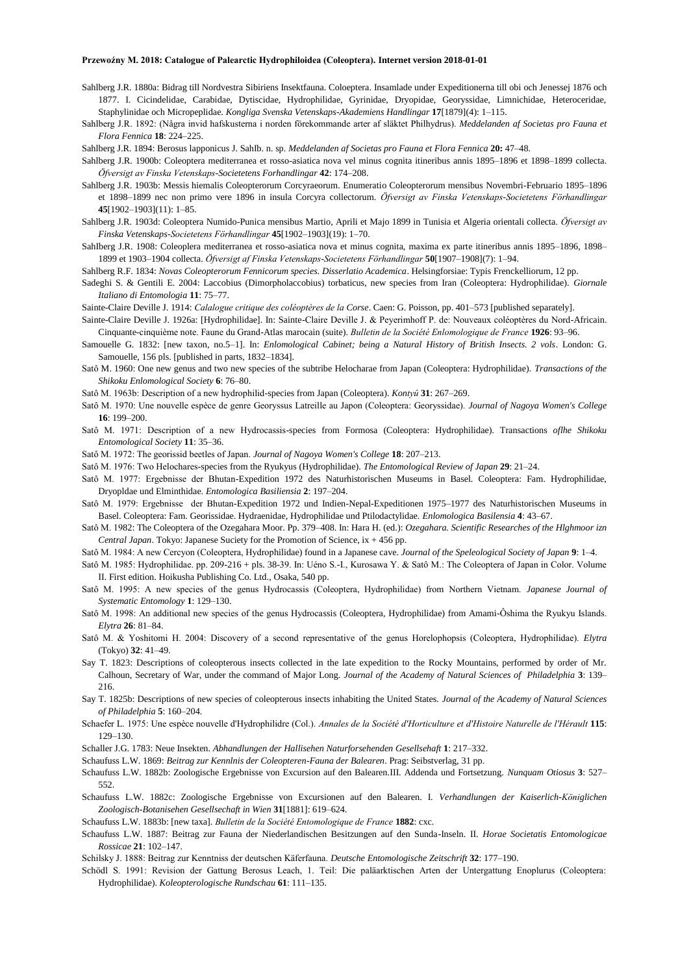- Sahlberg J.R. 1880a: Bidrag till Nordvestra Sibiriens Insektfauna. Coloeptera. Insamlade under Expeditionerna till obi och Jenessej 1876 och 1877. I. Cicindelidae, Carabidae, Dytiscidae, Hydrophilidae, Gyrinidae, Dryopidae, Georyssidae, Limnichidae, Heteroceridae, Staphylinidae och Micropeplidae. *Kongliga Svenska Vetenskaps-Akademiens Handlingar* **17**[1879](4): 1–115.
- Sahlberg J.R. 1892: (Några invid hafskusterna i norden förekommande arter af släktet Philhydrus). *Meddelanden af Societas pro Fauna et Flora Fennica* **18**: 224–225.

Sahlberg J.R. 1894: Berosus lapponicus J. SahIb. n. sp. *Meddelanden af Societas pro Fauna et Flora Fennica* **20:** 47–48.

- Sahlberg J.R. 1900b: Coleoptera mediterranea et rosso-asiatica nova vel minus cognita itineribus annis 1895–1896 et 1898–1899 collecta. *Öfversigt av Finska Vetenskaps-Societetens Forhandlingar* **42**: 174–208.
- Sahlberg J.R. 1903b: Messis hiemalis Coleopterorum Corcyraeorum. Enumeratio Coleopterorum mensibus Novembri-Februario 1895–1896 et 1898–1899 nec non primo vere 1896 in insula Corcyra collectorum. *Öfversigt av Finska Vetenskaps-Societetens Förhandlingar* **45**[1902–1903](11): 1–85.
- Sahlberg J.R. 1903d: Coleoptera Numido-Punica mensibus Martio, Aprili et Majo 1899 in Tunisia et Algeria orientali collecta. *Öfversigt av Finska Vetenskaps-Societetens Förhandlingar* **45**[1902–1903](19): 1–70.
- SahIberg J.R. 1908: Coleoplera mediterranea et rosso-asiatica nova et minus cognita, maxima ex parte itineribus annis 1895–1896, 1898– 1899 et 1903–1904 collecta. *Öfversigt af Finska Vetenskaps-Societetens Förhandlingar* **50**[1907–1908](7): 1–94.
- Sahlberg R.F. 1834: *Novas Coleopterorum Fennicorum species. Disserlatio Academica*. Helsingforsiae: Typis Frenckelliorum, 12 pp.
- Sadeghi S. & Gentili E. 2004: Laccobius (Dimorpholaccobius) torbaticus, new species from Iran (Coleoptera: Hydrophilidae). *Giornale Italiano di Entomologia* **11**: 75–77.
- Sainte-Claire Deville J. 1914: *Calalogue critique des coléoptères de la Corse*. Caen: G. Poisson, pp. 401–573 [published separately].
- Sainte-Claire Deville J. 1926a: [Hydrophilidae]. In: Sainte-Claire Deville J. & Peyerimhoff P. de: Nouveaux coléoptères du Nord-Africain. Cinquante-cinquième note. Faune du Grand-Atlas marocain (suite). *Bulletin de la Société Enlomologique de France* **1926**: 93–96.
- Samouelle G. 1832: [new taxon, no.5–1]. In: *Enlomological Cabinet; being a Natural History of British Insects. 2 vols*. London: G. Samouelle, 156 pls. [published in parts, 1832–1834].
- Satô M. 1960: One new genus and two new species of the subtribe Helocharae from Japan (Coleoptera: Hydrophilidae). *Transactions of the Shikoku Enlomological Society* **6**: 76–80.
- Satô M. 1963b: Description of a new hydrophilid-species from Japan (Coleoptera). *Kontyû* **31**: 267–269.
- Satô M. 1970: Une nouvelle espèce de genre Georyssus Latreille au Japon (Coleoptera: Georyssidae). *Journal of Nagoya Women's College*  **16**: 199–200.
- Satô M. 1971: Description of a new Hydrocassis-species from Formosa (Coleoptera: Hydrophilidae). Transactions *oflhe Shikoku Entomological Society* **11**: 35–36.
- Satô M. 1972: The georissid beetles of Japan. *Journal of Nagoya Women's College* **18**: 207–213.
- Satô M. 1976: Two Helochares-species from the Ryukyus (Hydrophilidae). *The Entomological Review of Japan* **29**: 21–24.
- Satô M. 1977: Ergebnisse der Bhutan-Expedition 1972 des Naturhistorischen Museums in Basel. Coleoptera: Fam. Hydrophilidae, Dryopldae und Elminthidae. *Entomologica Basiliensia* **2**: 197–204.
- Satô M. 1979: Ergebnisse der Bhutan-Expedition 1972 und Indien-Nepal-Expeditionen 1975–1977 des Naturhistorischen Museums in Basel. Coleoptera: Fam. Georissidae. Hydraenidae, Hydrophilidae und Ptilodactylidae. *Enlomologica Basilensia* **4**: 43–67.
- Satô M. 1982: The Coleoptera of the Ozegahara Moor. Pp. 379–408. In: Hara H. (ed.): *Ozegahara. Scientific Researches of the Hlghmoor izn Central Japan*. Tokyo: Japanese Suciety for the Promotion of Science, ix + 456 pp.
- Satô M. 1984: A new Cercyon (Coleoptera, Hydrophilidae) found in a Japanese cave. *Journal of the Speleological Society of Japan* **9**: 1–4.
- Satô M. 1985: Hydrophilidae. pp. 209-216 + pls. 38-39. In: Uéno S.-I., Kurosawa Y. & Satô M.: The Coleoptera of Japan in Color. Volume II. First edition. Hoikusha Publishing Co. Ltd., Osaka, 540 pp.
- Satô M. 1995: A new species of the genus Hydrocassis (Coleoptera, Hydrophilidae) from Northern Vietnam. *Japanese Journal of Systematic Entomology* **1**: 129–130.
- Satô M. 1998: An additional new species of the genus Hydrocassis (Coleoptera, Hydrophilidae) from Amami-Ôshima the Ryukyu Islands. *Elytra* **26**: 81–84.
- Satô M. & Yoshitomi H. 2004: Discovery of a second representative of the genus Horelophopsis (Coleoptera, Hydrophilidae). *Elytra* (Tokyo) **32**: 41–49.
- Say T. 1823: Descriptions of coleopterous insects collected in the late expedition to the Rocky Mountains, performed by order of Mr. Calhoun, Secretary of War, under the command of Major Long. *Journal of the Academy of Natural Sciences of Philadelphia* **3**: 139– 216.
- Say T. 1825b: Descriptions of new species of coleopterous insects inhabiting the United States. *Journal of the Academy of Natural Sciences of Philadelphia* **5**: 160–204.
- Schaefer L. 1975: Une espèce nouvelle d'Hydrophilidre (Col.). *Annales de la Société d'Horticulture et d'Histoire Naturelle de l'Hérault* **115**: 129–130.
- Schaller J.G. 1783: Neue Insekten. *Abhandlungen der Hallisehen Naturforsehenden Gesellsehaft* **1**: 217–332.
- Schaufuss L.W. 1869: *Beitrag zur Kennlnis der Coleopteren-Fauna der Balearen*. Prag: Seibstverlag, 31 pp.
- Schaufuss L.W. 1882b: Zoologische Ergebnisse von Excursion auf den Balearen.III. Addenda und Fortsetzung. *Nunquam Otiosus* **3**: 527– 552.
- Schaufuss L.W. 1882c: Zoologische Ergebnisse von Excursionen auf den Balearen. I. *Verhandlungen der Kaiserlich-Königlichen Zoologisch-Botanisehen Gesellsechaft in Wien* **31**[1881]: 619–624.
- Schaufuss L.W. 1883b: [new taxa]. *Bulletin de la Société Entomologique de France* **1882**: cxc.
- Schaufuss L.W. 1887: Beitrag zur Fauna der Niederlandischen Besitzungen auf den Sunda-Inseln. II. *Horae Societatis Entomologicae Rossicae* **21**: 102–147.
- Schilsky J. 1888: Beitrag zur Kenntniss der deutschen Käferfauna. *Deutsche Entomologische Zeitschrift* **32**: 177–190.
- Schödl S. 1991: Revision der Gattung Berosus Leach, 1. Teil: Die paläarktischen Arten der Untergattung Enoplurus (Coleoptera: Hydrophilidae). *Koleopterologische Rundschau* **61**: 111–135.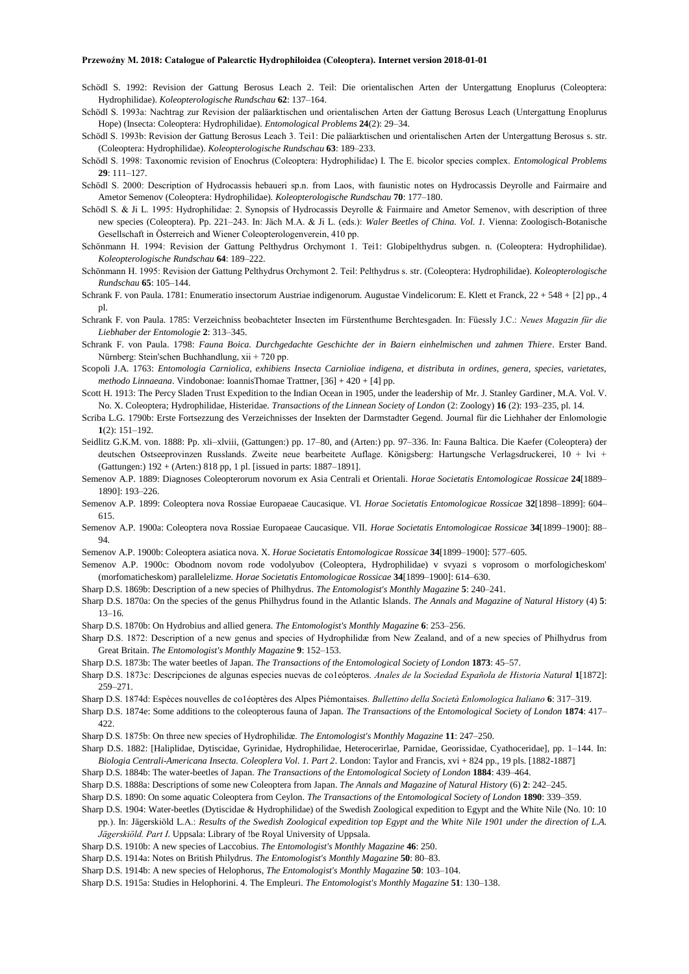- Schödl S. 1992: Revision der Gattung Berosus Leach 2. Teil: Die orientalischen Arten der Untergattung Enoplurus (Coleoptera: Hydrophilidae). *Koleopterologische Rundschau* **62**: 137–164.
- Schödl S. 1993a: Nachtrag zur Revision der paläarktischen und orientalischen Arten der Gattung Berosus Leach (Untergattung Enoplurus Hope) (Insecta: Coleoptera: Hydrophilidae). *Entomological Problems* **24**(2): 29–34.
- Schödl S. 1993b: Revision der Gattung Berosus Leach 3. Tei1: Die paläarktischen und orientalischen Arten der Untergattung Berosus s. str. (Coleoptera: Hydrophilidae). *Koleopterologische Rundschau* **63**: 189–233.
- Schödl S. 1998: Taxonomic revision of Enochrus (Coleoptera: Hydrophilidae) I. The E. bicolor species complex. *Entomological Problems* **29**: 111–127.
- Schödl S. 2000: Description of Hydrocassis hebaueri sp.n. from Laos, with faunistic notes on Hydrocassis Deyrolle and Fairmaire and Ametor Semenov (Coleoptera: Hydrophilidae). *Koleopterologische Rundschau* **70**: 177–180.
- Schödl S. & Ji L. 1995: Hydrophilidae: 2. Synopsis of Hydrocassis Deyrolle & Fairmaire and Ametor Semenov, with description of three new species (Coleoptera). Pp. 221–243. In: Jäch M.A. & Ji L. (eds.): *Waler Beetles of China. Vol. 1.* Vienna: Zoologisch-Botanische Gesellschaft in Österreich and Wiener Coleopterologenverein, 410 pp.
- Schönmann H. 1994: Revision der Gattung Pelthydrus Orchymont 1. Tei1: Globipelthydrus subgen. n. (Coleoptera: Hydrophilidae). *Koleopterologische Rundschau* **64**: 189–222.
- Schönmann H. 1995: Revision der Gattung Pelthydrus Orchymont 2. Teil: Pelthydrus s. str. (Coleoptera: Hydrophilidae). *Koleopterologische Rundschau* **65**: 105–144.
- Schrank F. von Paula. 1781: Enumeratio insectorum Austriae indigenorum. Augustae Vindelicorum: E. Klett et Franck, 22 + 548 + [2] pp., 4 pl.
- Schrank F. von Paula. 1785: Verzeichniss beobachteter Insecten im Fürstenthume Berchtesgaden. In: Füessly J.C.: *Neues Magazin für die Liebhaber der Entomologie* **2**: 313–345.
- Schrank F. von Paula. 1798: *Fauna Boica. Durchgedachte Geschichte der in Baiern einhelmischen und zahmen Thiere*. Erster Band. Nürnberg: Stein'schen Buchhandlung, xii + 720 pp.
- Scopoli J.A. 1763: *Entomologia Carniolica, exhibiens Insecta Carnioliae indigena, et distributa in ordines, genera, species, varietates, methodo Linnaeana*. Vindobonae: IoannisThomae Trattner, [36] + 420 + [4] pp.
- Scott H. 1913: The Percy Sladen Trust Expedition to the Indian Ocean in 1905, under the leadership of Mr. J. Stanley Gardiner, M.A. Vol. V. No. X. Coleoptera; Hydrophilidae, Histeridae. *Transactions of the Linnean Society of London* (2: Zoology) **16** (2): 193–235, pl. 14.
- Scriba L.G. 1790b: Erste Fortsezzung des Verzeichnisses der Insekten der Darmstadter Gegend. Journal für die Liehhaher der Enlomologie **1**(2): 151–192.
- Seidlitz G.K.M. von. 1888: Pp. xli–xlviii, (Gattungen:) pp. 17–80, and (Arten:) pp. 97–336. In: Fauna Baltica. Die Kaefer (Coleoptera) der deutschen Ostseeprovinzen Russlands. Zweite neue bearbeitete Auflage. Königsberg: Hartungsche Verlagsdruckerei, 10 + lvi + (Gattungen:) 192 + (Arten:) 818 pp, 1 pl. [issued in parts: 1887–1891].
- Semenov A.P. 1889: Diagnoses Coleopterorum novorum ex Asia Centrali et Orientali. *Horae Societatis Entomologicae Rossicae* **24**[1889– 1890]: 193–226.
- Semenov A.P. 1899: Coleoptera nova Rossiae Europaeae Caucasique. VI. *Horae Societatis Entomologicae Rossicae* **32**[1898–1899]: 604– 615.
- Semenov A.P. 1900a: Coleoptera nova Rossiae Europaeae Caucasique. VII. *Horae Societatis Entomologicae Rossicae* **34**[1899–1900]: 88– 94.
- Semenov A.P. 1900b: Coleoptera asiatica nova. X. *Horae Societatis Entomologicae Rossicae* **34**[1899–1900]: 577–605.
- Semenov A.P. 1900c: Obodnom novom rode vodolyubov (Coleoptera, Hydrophilidae) v svyazi s voprosom o morfologicheskom' (morfomaticheskom) parallelelizme. *Horae Societatis Entomologicae Rossicae* **34**[1899–1900]: 614–630.
- Sharp D.S. 1869b: Description of a new species of Philhydrus. *The Entomologist's Monthly Magazine* **5**: 240–241.
- Sharp D.S. 1870a: On the species of the genus Philhydrus found in the Atlantic Islands. *The Annals and Magazine of Natural History* (4) **5**: 13–16.
- Sharp D.S. 1870b: On Hydrobius and allied genera. *The Entomologist's Monthly Magazine* **6**: 253–256.
- Sharp D.S. 1872: Description of a new genus and species of Hydrophilidæ from New Zealand, and of a new species of Philhydrus from Great Britain. *The Entomologist's Monthly Magazine* **9**: 152–153.
- Sharp D.S. 1873b: The water beetles of Japan. *The Transactions of the Entomological Society of London* **1873**: 45–57.
- Sharp D.S. 1873c: Descripciones de algunas especies nuevas de co1eópteros. *Anales de la Sociedad Española de Historia Natural* **1**[1872]: 259–271.
- Sharp D.S. 1874d: Espèces nouvelles de co1éoptères des Alpes Piémontaises. *Bullettino della Società Enlomologica Italiano* **6**: 317–319.
- Sharp D.S. 1874e: Some additions to the coleopterous fauna of Japan. *The Transactions of the Entomological Society of London* **1874**: 417– 422.
- Sharp D.S. 1875b: On three new species of Hydrophilidæ. *The Entomologist's Monthly Magazine* **11**: 247–250.
- Sharp D.S. 1882: [Haliplidae, Dytiscidae, Gyrinidae, Hydrophilidae, Heterocerirlae, Parnidae, Georissidae, Cyathoceridae], pp. 1–144. In: *Biologia Centrali-Americana Insecta. Coleoplera Vol. 1. Part 2*. London: Taylor and Francis, xvi + 824 pp., 19 pls. [1882-1887]
- Sharp D.S. 1884b: The water-beetles of Japan. *The Transactions of the Entomological Society of London* **1884**: 439–464.
- Sharp D.S. 1888a: Descriptions of some new Coleoptera from Japan. *The Annals and Magazine of Natural History* (6) **2**: 242–245.
- Sharp D.S. 1890: On some aquatic Coleoptera from Ceylon. *The Transactions of the Entomological Society of London* **1890**: 339–359.
- Sharp D.S. 1904: Water-beetles (Dytiscidae & Hydrophilidae) of the Swedish Zoological expedition to Egypt and the White Nile (No. 10: 10 pp.). In: Jägerskiöld L.A.: *Results of the Swedish Zoological expedition top Egypt and the White Nile 1901 under the direction of L.A.* 
	- *Jägerskiöld. Part I*. Uppsala: Library of !be Royal University of Uppsala.
- Sharp D.S. 1910b: A new species of Laccobius. *The Entomologist's Monthly Magazine* **46**: 250.
- Sharp D.S. 1914a: Notes on British Philydrus. *The Entomologist's Monthly Magazine* **50**: 80–83.
- Sharp D.S. 1914b: A new species of Helophorus, *The Entomologist's Monthly Magazine* **50**: 103–104.
- Sharp D.S. 1915a: Studies in Helophorini. 4. The Empleuri. *The Entomologist's Monthly Magazine* **51**: 130–138.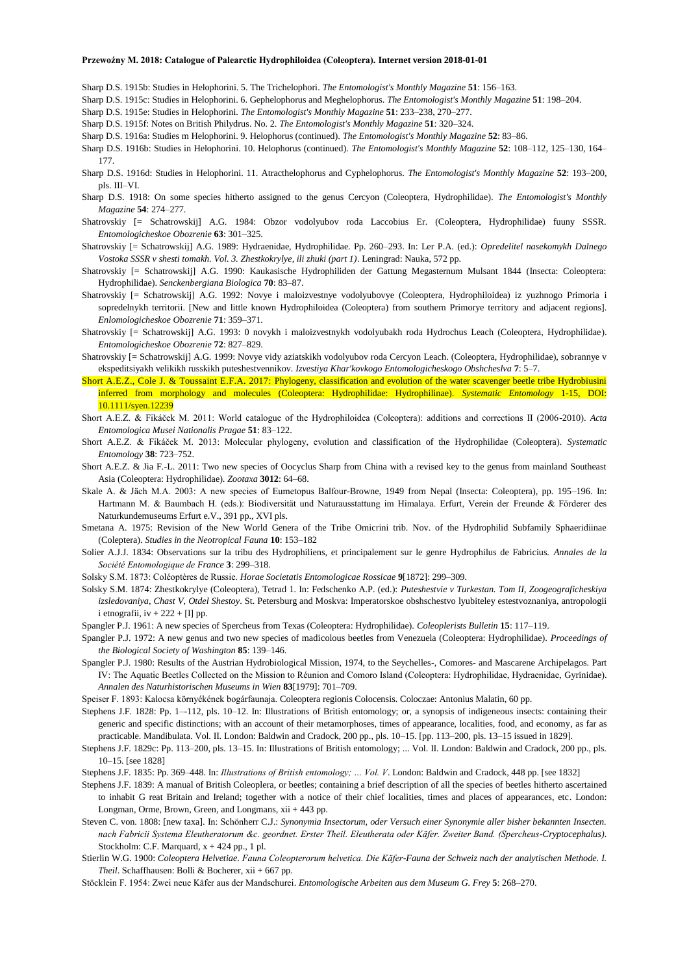- Sharp D.S. 1915b: Studies in Helophorini. 5. The Trichelophori. *The Entomologist's Monthly Magazine* **51**: 156–163.
- Sharp D.S. 1915c: Studies in Helophorini. 6. Gephelophorus and Meghelophorus. *The Entomologist's Monthly Magazine* **51**: 198–204.
- Sharp D.S. 1915e: Studies in Helophorini. *The Entomologist's Monthly Magazine* **51**: 233–238, 270–277.
- Sharp D.S. 1915f: Notes on British Philydrus. No. 2. *The Entomologist's Monthly Magazine* **51**: 320–324.
- Sharp D.S. 1916a: Studies m Helophorini. 9. Helophorus (continued). *The Entomologist's Monthly Magazine* **52**: 83–86.
- Sharp D.S. 1916b: Studies in Helophorini. 10. Helophorus (continued). *The Entomologist's Monthly Magazine* **52**: 108–112, 125–130, 164– 177.
- Sharp D.S. 1916d: Studies in Helophorini. 11. Atracthelophorus and Cyphelophorus. *The Entomologist's Monthly Magazine* **52**: 193–200, pls. III–VI.
- Sharp D.S. 1918: On some species hitherto assigned to the genus Cercyon (Coleoptera, Hydrophilidae). *The Entomologist's Monthly Magazine* **54**: 274–277.
- Shatrovskiy [= Schatrowskij] A.G. 1984: Obzor vodolyubov roda Laccobius Er. (Coleoptera, Hydrophilidae) fuuny SSSR. *Entomologicheskoe Obozrenie* **63**: 301–325.
- Shatrovskiy [= Schatrowskij] A.G. 1989: Hydraenidae, Hydrophilidae. Pp. 260–293. In: Ler P.A. (ed.): *Opredelitel nasekomykh Dalnego Vostoka SSSR v shesti tomakh. Vol. 3. Zhestkokrylye, ili zhuki (part 1)*. Leningrad: Nauka, 572 pp.
- Shatrovskiy [= Schatrowskij] A.G. 1990: Kaukasische Hydrophiliden der Gattung Megasternum Mulsant 1844 (Insecta: Coleoptera: Hydrophilidae). *Senckenbergiana Biologica* **70**: 83–87.
- Shatrovskiy [= Schatrowskij] A.G. 1992: Novye i maloizvestnye vodolyubovye (Coleoptera, Hydrophiloidea) iz yuzhnogo Primoria i sopredelnykh territorii. [New and little known Hydrophiloidea (Coleoptera) from southern Primorye territory and adjacent regions]. *Enlomologicheskoe Obozrenie* **71**: 359–371.
- Shatrovskiy [= Schatrowskij] A.G. 1993: 0 novykh i maloizvestnykh vodolyubakh roda Hydrochus Leach (Coleoptera, Hydrophilidae). *Entomologicheskoe Obozrenie* **72**: 827–829.
- Shatrovskiy [= Schatrowskij] A.G. 1999: Novye vidy aziatskikh vodolyubov roda Cercyon Leach. (Coleoptera, Hydrophilidae), sobrannye v ekspeditsiyakh velikikh russkikh puteshestvennikov. *Izvestiya Khar'kovkogo Entomologicheskogo Obshcheslva* **7**: 5–7.
- Short A.E.Z., Cole J. & Toussaint E.F.A. 2017: Phylogeny, classification and evolution of the water scavenger beetle tribe Hydrobiusini inferred from morphology and molecules (Coleoptera: Hydrophilidae: Hydrophilinae). *Systematic Entomology* 1-15, DOI: 10.1111/syen.12239
- Short A.E.Z. & Fikáček M. 2011: World catalogue of the Hydrophiloidea (Coleoptera): additions and corrections II (2006-2010). *Acta Entomologica Musei Nationalis Pragae* **51**: 83–122.
- Short A.E.Z. & Fikáček M. 2013: Molecular phylogeny, evolution and classification of the Hydrophilidae (Coleoptera). *Systematic Entomology* **38**: 723–752.
- Short A.E.Z. & Jia F.-L. 2011: Two new species of Oocyclus Sharp from China with a revised key to the genus from mainland Southeast Asia (Coleoptera: Hydrophilidae). *Zootaxa* **3012**: 64–68.
- Skale A. & Jäch M.A. 2003: A new species of Eumetopus Balfour-Browne, 1949 from Nepal (Insecta: Coleoptera), pp. 195–196. In: Hartmann M. & Baumbach H. (eds.): Biodiversität und Naturausstattung im Himalaya. Erfurt, Verein der Freunde & Förderer des Naturkundemuseums Erfurt e.V., 391 pp., XVI pls.
- Smetana A. 1975: Revision of the New World Genera of the Tribe Omicrini trib. Nov. of the Hydrophilid Subfamily Sphaeridiinae (Coleptera). *Studies in the Neotropical Fauna* **10**: 153–182
- Solier A.J.J. 1834: Observations sur la tribu des Hydrophiliens, et principalement sur le genre Hydrophilus de Fabricius. *Annales de la Société Entomologique de France* **3**: 299–318.
- Solsky S.M. 1873: Coléoptères de Russie. *Horae Societatis Entomologicae Rossicae* **9**[1872]: 299–309.
- Solsky S.M. 1874: Zhestkokrylye (Coleoptera), Tetrad 1. In: Fedschenko A.P. (ed.): *Puteshestvie v Turkestan. Tom II, Zoogeograficheskiya izsledovaniya, Chast V, Otdel Shestoy*. St. Petersburg and Moskva: Imperatorskoe obshschestvo lyubiteley estestvoznaniya, antropologii i etnografii,  $iv + 222 + [I]$  pp.
- Spangler P.J. 1961: A new species of Spercheus from Texas (Coleoptera: Hydrophilidae). *Coleoplerists Bulletin* **15**: 117–119.
- Spangler P.J. 1972: A new genus and two new species of madicolous beetles from Venezuela (Coleoptera: Hydrophilidae). *Proceedings of the Biological Society of Washington* **85**: 139–146.
- Spangler P.J. 1980: Results of the Austrian Hydrobiological Mission, 1974, to the Seychelles-, Comores- and Mascarene Archipelagos. Part IV: The Aquatic Beetles Collected on the Mission to Réunion and Comoro Island (Coleoptera: Hydrophilidae, Hydraenidae, Gyrinidae). *Annalen des Naturhistorischen Museums in Wien* **83**[1979]: 701–709.
- Speiser F. 1893: Kalocsa környékének bogárfaunaja. Coleoptera regionis Colocensis. Coloczae: Antonius Malatin, 60 pp.
- Stephens J.F. 1828: Pp. 1–-112, pls. 10–12. In: Illustrations of British entomology; or, a synopsis of indigeneous insects: containing their generic and specific distinctions; with an account of their metamorphoses, times of appearance, localities, food, and economy, as far as practicable. Mandibulata. Vol. II. London: Baldwin and Cradock, 200 pp., pls. 10–15. [pp. 113–200, pls. 13–15 issued in 1829].
- Stephens J.F. 1829c: Pp. 113–200, pls. 13–15. In: Illustrations of British entomology; ... Vol. II. London: Baldwin and Cradock, 200 pp., pls. 10–15. [see 1828]
- Stephens J.F. 1835: Pp. 369–448. In: *Illustrations of British entomology; … Vol. V*. London: Baldwin and Cradock, 448 pp. [see 1832]
- Stephens J.F. 1839: A manual of British Coleoplera, or beetles; containing a brief description of all the species of beetles hitherto ascertained to inhabit G reat Britain and Ireland; together with a notice of their chief localities, times and places of appearances, etc. London: Longman, Orme, Brown, Green, and Longmans,  $xii + 443$  pp.
- Steven C. von. 1808: [new taxa]. In: Schönherr C.J.: *Synonymia Insectorum, oder Versuch einer Synonymie aller bisher bekannten Insecten. nach Fabricii Systema Eleutheratorum &c. geordnet. Erster Theil. Eleutherata oder Käfer. Zweiter Band. (Spercheus-Cryptocephalus)*. Stockholm: C.F. Marquard,  $x + 424$  pp., 1 pl.
- Stierlin W.G. 1900: *Coleoptera Helvetiae. Fauna Coleopterorum helvetica. Die Käfer-Fauna der Schweiz nach der analytischen Methode. I. Theil*. Schaffhausen: Bolli & Bocherer, xii + 667 pp.
- Stöcklein F. 1954: Zwei neue Käfer aus der Mandschurei. *Entomologische Arbeiten aus dem Museum G. Frey* **5**: 268–270.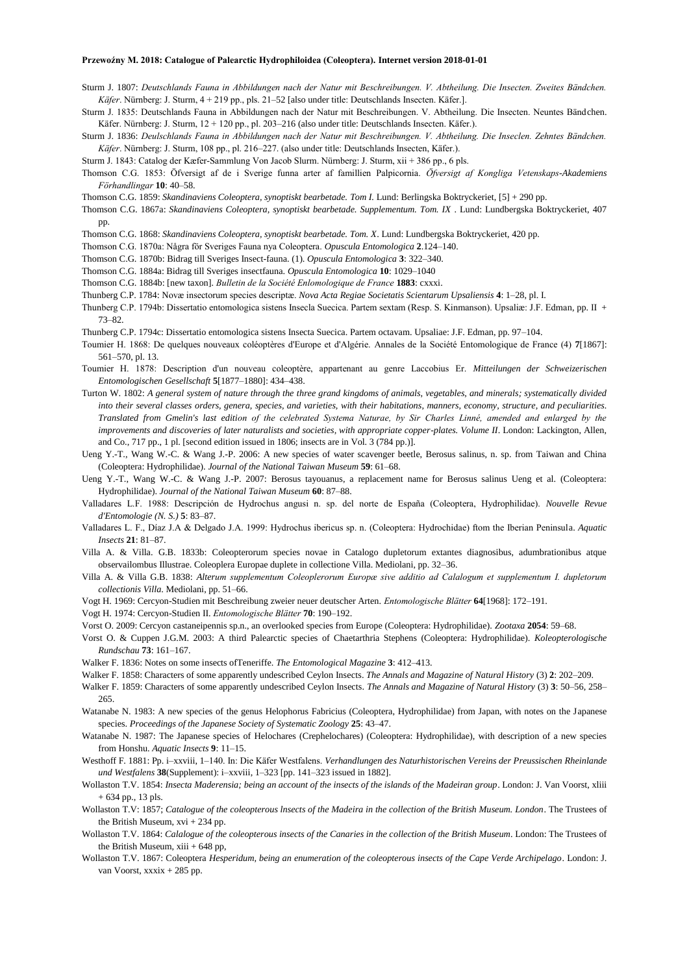- Sturm J. 1807: *Deutschlands Fauna in Abbildungen nach der Natur mit Beschreibungen. V. Abtheilung. Die Insecten. Zweites Bändchen. Käfer*. Nürnberg: J. Sturm, 4 + 219 pp., pls. 21–52 [also under title: Deutschlands Insecten. Käfer.].
- Sturm J. 1835: Deutschlands Fauna in Abbildungen nach der Natur mit Beschreibungen. V. Abtheilung. Die Insecten. Neuntes Bändchen. Käfer. Nürnberg: J. Sturm, 12 + 120 pp., pl. 203–216 (also under title: Deutschlands Insecten. Käfer.).
- Sturm J. 1836: *Deulschlands Fauna in Abbildungen nach der Natur mit Beschreibungen. V. Abtheilung. Die Inseclen. Zehntes Bändchen. Käfer*. Nürnberg: J. Sturm, 108 pp., pl. 216–227. (also under title: Deutschlands Insecten, Käfer.).

Sturm J. 1843: Catalog der Kæfer-Sammlung Von Jacob Slurm. Nürnberg: J. Sturm, xii + 386 pp., 6 pls.

- Thomson C.G. 1853: Öfversigt af de i Sverige funna arter af famillien Palpicornia. *Öfversigt af Kongliga Vetenskaps-Akademiens Förhandlingar* **10**: 40–58.
- Thomson C.G. 1859: *Skandinaviens Coleoptera, synoptiskt bearbetade. Tom I.* Lund: Berlingska Boktryckeriet, [5] + 290 pp.
- Thomson C.G. 1867a: *Skandinaviens Coleoptera, synoptiskt bearbetade. Supplementum. Tom. IX* . Lund: Lundbergska Boktryckeriet, 407 pp.

Thomson C.G. 1868: *Skandinaviens Coleoptera, synoptiskt bearbetade. Tom. X*. Lund: Lundbergska Boktryckeriet, 420 pp.

- Thomson C.G. 1870a: Några för Sveriges Fauna nya Coleoptera. *Opuscula Entomologica* **2**.124–140.
- Thomson C.G. 1870b: Bidrag till Sveriges Insect-fauna. (1). *Opuscula Entomologica* **3**: 322–340.
- Thomson C.G. 1884a: Bidrag till Sveriges insectfauna. *Opuscula Entomologica* **10**: 1029–1040
- Thomson C.G. 1884b: [new taxon]. *Bulletin de la Société Enlomologique de France* **1883**: cxxxi.
- Thunberg C.P. 1784: Novæ insectorum species descriptæ. *Nova Acta Regiae Societatis Scientarum Upsaliensis* **4**: 1–28, pl. I.
- Thunberg C.P. 1794b: Dissertatio entomologica sistens Insecla Suecica. Partem sextam (Resp. S. Kinmanson). Upsaliæ: J.F. Edman, pp. II + 73–82.
- Thunberg C.P. 1794c: Dissertatio entomologica sistens Insecta Suecica. Partem octavam. Upsaliae: J.F. Edman, pp. 97–104.
- Toumier H. 1868: De quelques nouveaux coléoptères d'Europe et d'Algérie. Annales de la Société Entomologique de France (4) **7**[1867]: 561–570, pl. 13.
- Toumier H. 1878: Description d'un nouveau coleoptère, appartenant au genre Laccobius Er. *Mitteilungen der Schweizerischen Entomologischen Gesellschaft* **5**[1877–1880]: 434–438.
- Turton W. 1802: *A general system of nature through the three grand kingdoms of animals, vegetables, and minerals; systematically divided into their several classes orders, genera, species, and varieties, with their habitations, manners, economy, structure, and peculiarities. Translated from Gmelin's last edition of the celebrated Systema Naturae, by Sir Charles Linné, amended and enlarged by the improvements and discoveries of later naturalists and societies, with appropriate copper-plates. Volume II*. London: Lackington, Allen, and Co., 717 pp., 1 pl. [second edition issued in 1806; insects are in Vol. 3 (784 pp.)].
- Ueng Y.-T., Wang W.-C. & Wang J.-P. 2006: A new species of water scavenger beetle, Berosus salinus, n. sp. from Taiwan and China (Coleoptera: Hydrophilidae). *Journal of the National Taiwan Museum* **59**: 61–68.
- Ueng Y.-T., Wang W.-C. & Wang J.-P. 2007: Berosus tayouanus, a replacement name for Berosus salinus Ueng et al. (Coleoptera: Hydrophilidae). *Journal of the National Taiwan Museum* **60**: 87–88.
- Valladares L.F. 1988: Descripción de Hydrochus angusi n. sp. del norte de España (Coleoptera, Hydrophilidae). *Nouvelle Revue d'Entomologie (N. S.)* **5**: 83–87.
- Valladares L. F., Díaz J.A & Delgado J.A. 1999: Hydrochus ibericus sp. n. (Coleoptera: Hydrochidae) ftom the Iberian Peninsula. *Aquatic Insects* **21**: 81–87.
- Villa A. & Villa. G.B. 1833b: Coleopterorum species novae in Catalogo dupletorum extantes diagnosibus, adumbrationibus atque observailombus Illustrae. Coleoplera Europae duplete in collectione Villa. Mediolani, pp. 32–36.
- Villa A. & Villa G.B. 1838: *Alterum supplementum Coleoplerorum Europæ sive additio ad Calalogum et supplementum I. dupletorum collectionis Villa*. Mediolani, pp. 51–66.
- Vogt H. 1969: Cercyon-Studien mit Beschreibung zweier neuer deutscher Arten. *Entomologische Blätter* **64**[1968]: 172–191.
- Vogt H. 1974: Cercyon-Studien II. *Entomologische Blätter* **70**: 190–192.
- Vorst O. 2009: Cercyon castaneipennis sp.n., an overlooked species from Europe (Coleoptera: Hydrophilidae). *Zootaxa* **2054**: 59–68.
- Vorst O. & Cuppen J.G.M. 2003: A third Palearctic species of Chaetarthria Stephens (Coleoptera: Hydrophilidae). *Koleopterologische Rundschau* **73**: 161–167.
- Walker F. 1836: Notes on some insects ofTeneriffe. *The Entomological Magazine* **3**: 412–413.
- Walker F. 1858: Characters of some apparently undescribed Ceylon Insects. *The Annals and Magazine of Natural History* (3) **2**: 202–209.
- Walker F. 1859: Characters of some apparently undescribed Ceylon Insects. *The Annals and Magazine of Natural History* (3) **3**: 50–56, 258– 265.
- Watanabe N. 1983: A new species of the genus Helophorus Fabricius (Coleoptera, Hydrophilidae) from Japan, with notes on the Japanese species. *Proceedings of the Japanese Society of Systematic Zoology* **25**: 43–47.
- Watanabe N. 1987: The Japanese species of Helochares (Crephelochares) (Coleoptera: Hydrophilidae), with description of a new species from Honshu. *Aquatic Insects* **9**: 11–15.
- Westhoff F. 1881: Pp. i–xxviii, 1–140. In: Die Käfer Westfalens. *Verhandlungen des Naturhistorischen Vereins der Preussischen Rheinlande und Westfalens* **38**(Supplement): i–xxviii, 1–323 [pp. 141–323 issued in 1882].
- Wollaston T.V. 1854: *Insecta Maderensia; being an account of the insects of the islands of the Madeiran group*. London: J. Van Voorst, xliii + 634 pp., 13 pls.
- Wollaston T.V: 1857; *Catalogue of the coleopterous lnsects of the Madeira in the collection of the British Museum. London*. The Trustees of the British Museum, xvi + 234 pp.
- Wollaston T.V. 1864: *Calalogue of the coleopterous insects of the Canaries in the collection of the British Museum*. London: The Trustees of the British Museum,  $xiii + 648$  pp,
- Wollaston T.V. 1867: Coleoptera *Hesperidum, being an enumeration of the coleopterous insects of the Cape Verde Archipelago*. London: J. van Voorst, xxxix + 285 pp.